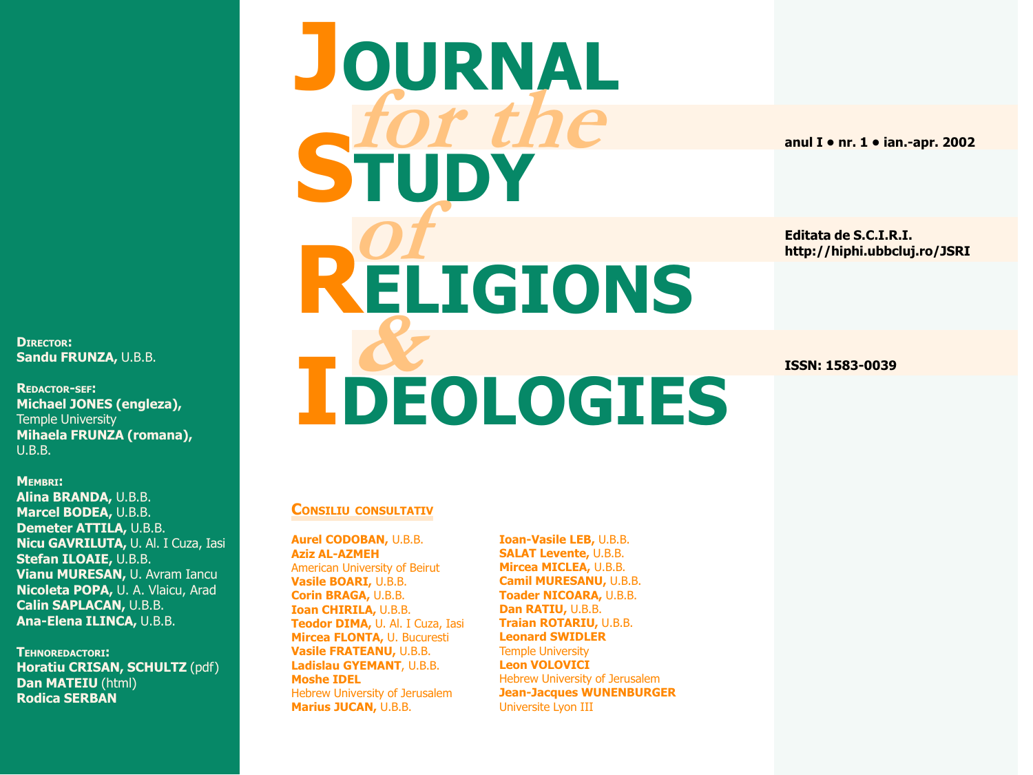**DIRECTOR:** Sandu FRUNZA, U.B.B.

**REDACTOR-SEF:** Michael JONES (engleza), **Temple University** Mihaela FRUNZA (romana),  $U.B.B.$ 

**MEMBRI:** Alina BRANDA, U.B.B. **Marcel BODEA, U.B.B. Demeter ATTILA, U.B.B.** Nicu GAVRILUTA, U. Al. I Cuza, Iasi Stefan ILOAIE, U.B.B. Vianu MURESAN, U. Avram Iancu Nicoleta POPA, U. A. Vlaicu, Arad **Calin SAPLACAN, U.B.B.** Ana-Elena ILINCA, U.B.B.

**TEHNOREDACTORI:** Horatiu CRISAN, SCHULTZ (pdf) **Dan MATEIU (html) Rodica SERBAN** 

# JOURNAL **STUDY** RELIGIONS **IDEOLOGIES**

anul I • nr. 1 • ian.-apr. 2002

Editata de S.C.I.R.I. http://hiphi.ubbcluj.ro/JSRI

ISSN: 1583-0039

#### **CONSILIU CONSULTATIV**

**Aurel CODOBAN, U.B.B. Aziz AL-AZMEH** American University of Beirut Vasile BOARI, U.B.B. Corin BRAGA, U.B.B. **Ioan CHIRILA, U.B.B.** Teodor DIMA, U. Al. I Cuza, Iasi Mircea FLONTA, U. Bucuresti **Vasile FRATEANU, U.B.B.** Ladislau GYEMANT, U.B.B. **Moshe IDEL** Hebrew University of Jerusalem Marius JUCAN, U.B.B.

**Ioan-Vasile LEB, U.B.B. SALAT Levente, U.B.B.** Mircea MICLEA, U.B.B. **Camil MURESANU, U.B.B. Toader NICOARA, U.B.B.** Dan RATIU, U.B.B. Traian ROTARIU, U.B.B. **Leonard SWIDLER Temple University Leon VOLOVICI** Hebrew University of Jerusalem **Jean-Jacques WUNENBURGER** Universite Lvon III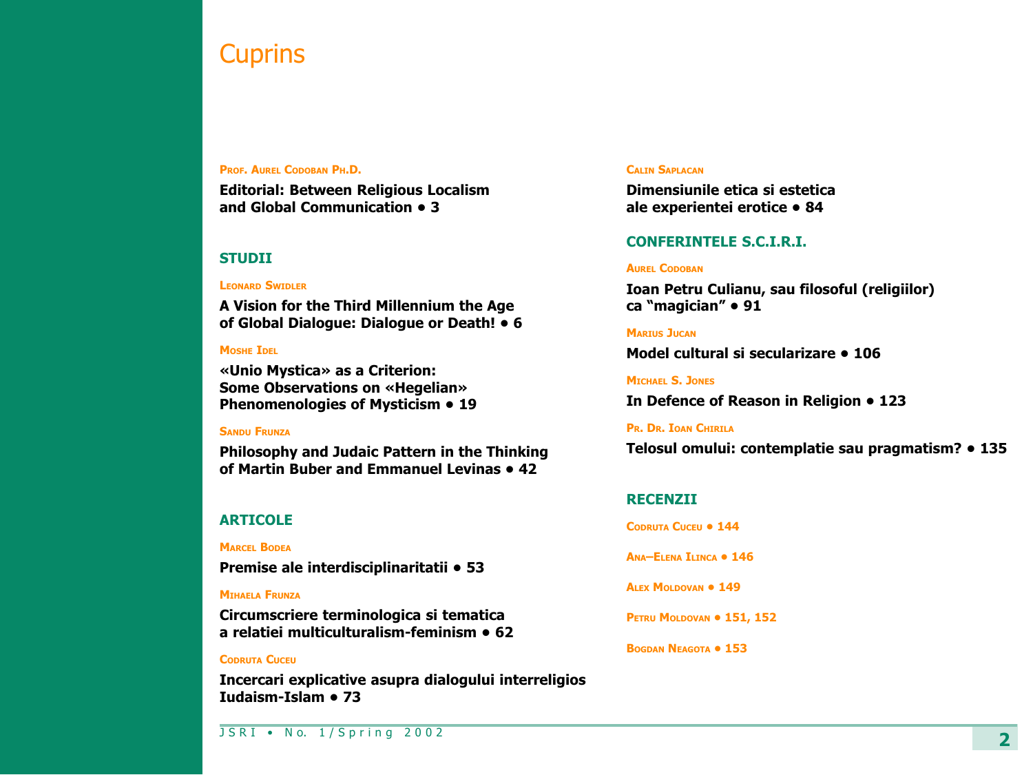## **Cuprins**

#### PROF. AUREL CODOBAN PH.D.

**Editorial: Between Religious Localism** and Global Communication • 3

#### **STUDII**

#### **LEONARD SWIDLER**

A Vision for the Third Millennium the Age of Global Dialogue: Dialogue or Death! • 6

#### **MOSHE IDEL**

«Unio Mystica» as a Criterion: Some Observations on «Hegelian» **Phenomenologies of Mysticism • 19** 

#### **SANDU FRUNZA**

Philosophy and Judaic Pattern in the Thinking of Martin Buber and Emmanuel Levinas • 42

#### **ARTICOLE**

#### **MARCEL BODEA**

Premise ale interdisciplinaritatii • 53

#### **MIHAELA FRUNZA**

Circumscriere terminologica si tematica a relatiei multiculturalism-feminism • 62

#### **CODRUTA CUCEU**

Incercari explicative asupra dialogului interreligios Iudaism-Islam • 73

#### **CALIN SAPLACAN**

Dimensiunile etica si estetica ale experientei erotice • 84

### **CONFERINTELE S.C.I.R.I.**

#### **ALIREL CODORAN**

Ioan Petru Culianu, sau filosoful (religiilor) ca "magician" • 91

#### **MARIUS JUCAN**

Model cultural si secularizare · 106

**MICHAEL S. JONES** In Defence of Reason in Religion • 123

#### PR. DR. IOAN CHIRILA

Telosul omului: contemplatie sau pragmatism? • 135

#### **RECENZII**

**CODRUTA CUCEU · 144** 

**ANA-ELENA ILINCA · 146** 

**ALEX MOLDOVAN · 149** 

PETRU MOLDOVAN . 151, 152

BOGDAN NEAGOTA . 153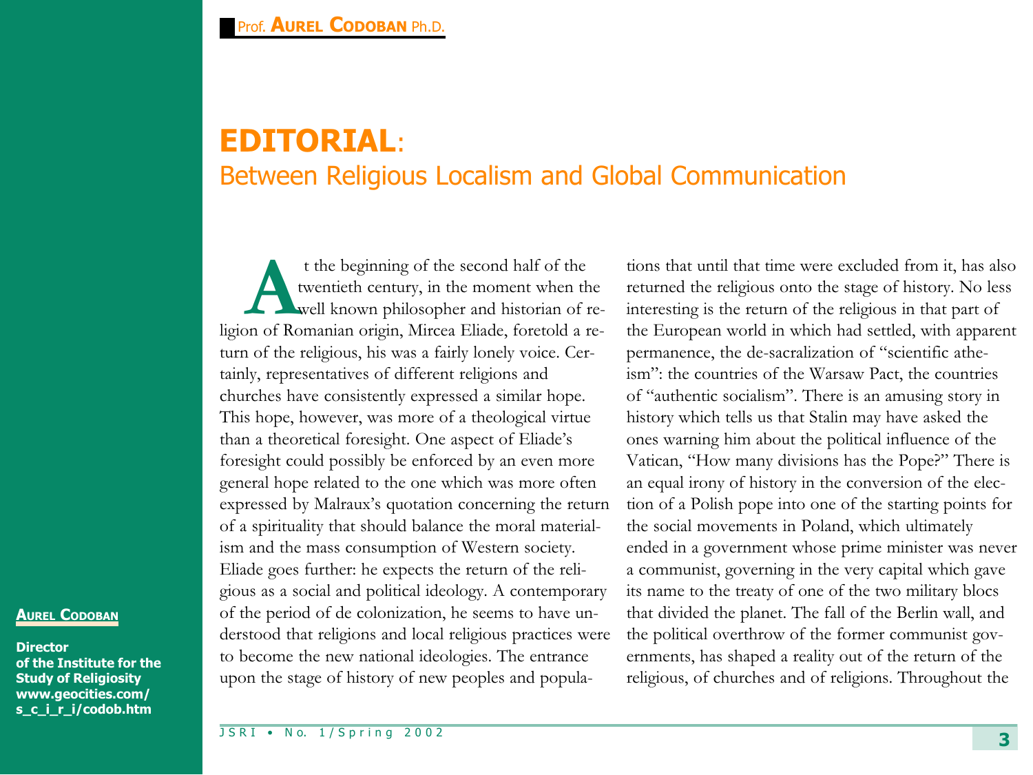# <span id="page-2-0"></span>**EDITORIAL: Between Religious Localism and Global Communication**

t the beginning of the second half of the twentieth century, in the moment when the well known philosopher and historian of religion of Romanian origin, Mircea Eliade, foretold a return of the religious, his was a fairly lonely voice. Certainly, representatives of different religions and churches have consistently expressed a similar hope. This hope, however, was more of a theological virtue than a theoretical foresight. One aspect of Eliade's foresight could possibly be enforced by an even more general hope related to the one which was more often expressed by Malraux's quotation concerning the return of a spirituality that should balance the moral materialism and the mass consumption of Western society. Eliade goes further: he expects the return of the religious as a social and political ideology. A contemporary of the period of de colonization, he seems to have understood that religions and local religious practices were to become the new national ideologies. The entrance upon the stage of history of new peoples and popula-

tions that until that time were excluded from it, has also returned the religious onto the stage of history. No less interesting is the return of the religious in that part of the European world in which had settled, with apparent permanence, the de-sacralization of "scientific atheism": the countries of the Warsaw Pact, the countries of "authentic socialism". There is an amusing story in history which tells us that Stalin may have asked the ones warning him about the political influence of the Vatican, "How many divisions has the Pope?" There is an equal irony of history in the conversion of the election of a Polish pope into one of the starting points for the social movements in Poland, which ultimately ended in a government whose prime minister was never a communist, governing in the very capital which gave its name to the treaty of one of the two military blocs that divided the planet. The fall of the Berlin wall, and the political overthrow of the former communist governments, has shaped a reality out of the return of the religious, of churches and of religions. Throughout the

#### **AUREL CODOBAN**

**Director** of the Institute for the **Study of Religiosity** www.geocities.com/ s\_c\_i\_r\_i/codob.htm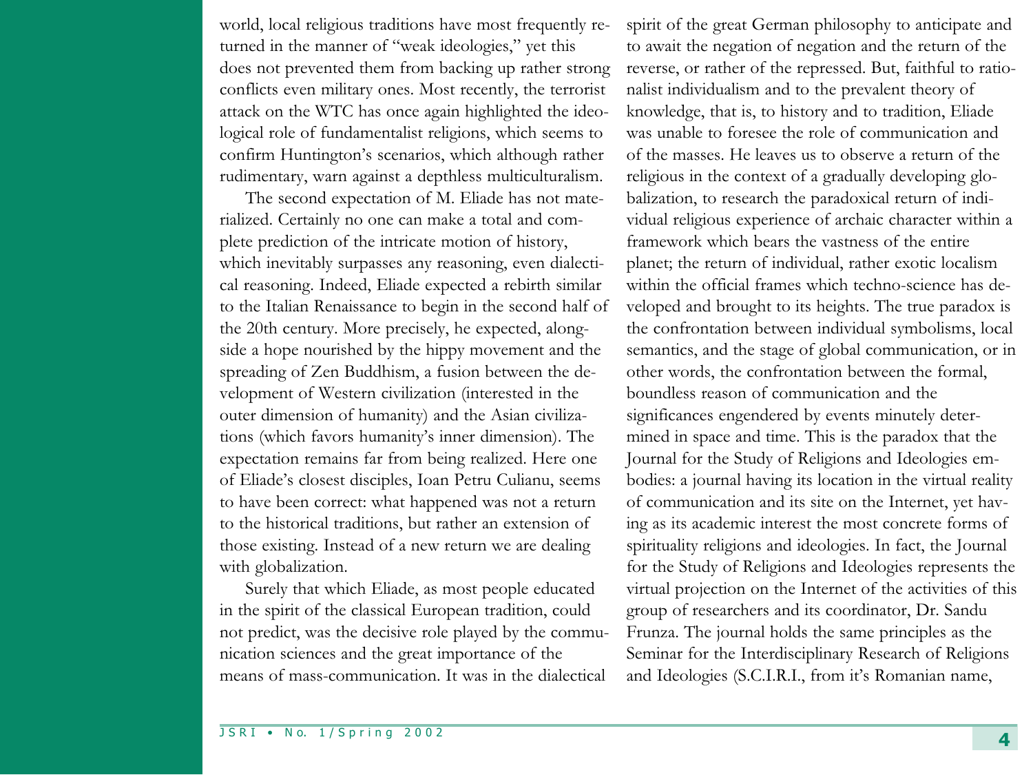world, local religious traditions have most frequently returned in the manner of "weak ideologies," yet this does not prevented them from backing up rather strong conflicts even military ones. Most recently, the terrorist attack on the WTC has once again highlighted the ideological role of fundamentalist religions, which seems to confirm Huntington's scenarios, which although rather rudimentary, warn against a depthless multiculturalism.

The second expectation of M. Eliade has not materialized. Certainly no one can make a total and complete prediction of the intricate motion of history, which inevitably surpasses any reasoning, even dialectical reasoning. Indeed, Eliade expected a rebirth similar to the Italian Renaissance to begin in the second half of the 20th century. More precisely, he expected, alongside a hope nourished by the hippy movement and the spreading of Zen Buddhism, a fusion between the development of Western civilization (interested in the outer dimension of humanity) and the Asian civilizations (which favors humanity's inner dimension). The expectation remains far from being realized. Here one of Eliade's closest disciples, Ioan Petru Culianu, seems to have been correct: what happened was not a return to the historical traditions, but rather an extension of those existing. Instead of a new return we are dealing with globalization.

Surely that which Eliade, as most people educated in the spirit of the classical European tradition, could not predict, was the decisive role played by the communication sciences and the great importance of the means of mass-communication. It was in the dialectical

spirit of the great German philosophy to anticipate and to await the negation of negation and the return of the reverse, or rather of the repressed. But, faithful to rationalist individualism and to the prevalent theory of knowledge, that is, to history and to tradition, Eliade was unable to foresee the role of communication and of the masses. He leaves us to observe a return of the religious in the context of a gradually developing globalization, to research the paradoxical return of individual religious experience of archaic character within a framework which bears the vastness of the entire planet; the return of individual, rather exotic localism within the official frames which techno-science has developed and brought to its heights. The true paradox is the confrontation between individual symbolisms, local semantics, and the stage of global communication, or in other words, the confrontation between the formal, boundless reason of communication and the significances engendered by events minutely determined in space and time. This is the paradox that the Journal for the Study of Religions and Ideologies embodies: a journal having its location in the virtual reality of communication and its site on the Internet, yet having as its academic interest the most concrete forms of spirituality religions and ideologies. In fact, the Journal for the Study of Religions and Ideologies represents the virtual projection on the Internet of the activities of this group of researchers and its coordinator, Dr. Sandu Frunza. The journal holds the same principles as the Seminar for the Interdisciplinary Research of Religions and Ideologies (S.C.I.R.I., from it's Romanian name,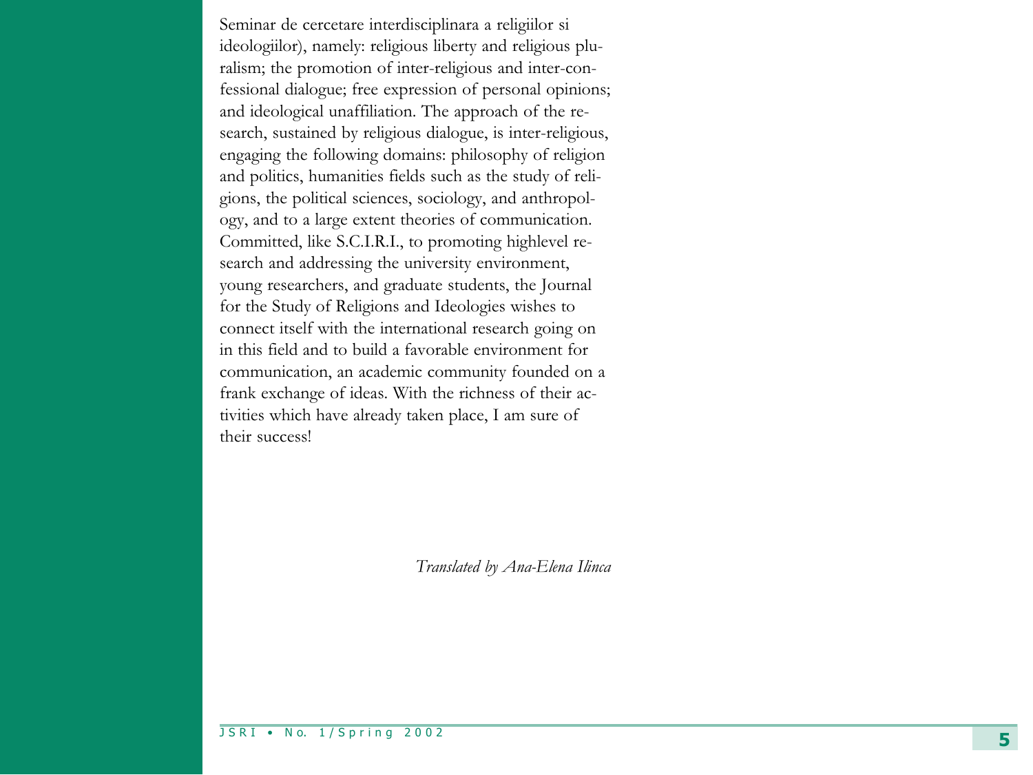Seminar de cercetare interdisciplinara a religiilor si ideologiilor), namely: religious liberty and religious pluralism; the promotion of inter-religious and inter-confessional dialogue; free expression of personal opinions; and ideological unaffiliation. The approach of the research, sustained by religious dialogue, is inter-religious, engaging the following domains: philosophy of religion and politics, humanities fields such as the study of religions, the political sciences, sociology, and anthropology, and to a large extent theories of communication. Committed, like S.C.I.R.I., to promoting highlevel research and addressing the university environment, young researchers, and graduate students, the Journal for the Study of Religions and Ideologies wishes to connect itself with the international research going on in this field and to build a favorable environment for communication, an academic community founded on a frank exchange of ideas. With the richness of their activities which have already taken place, I am sure of their success!

Translated by Ana-Elena Ilinca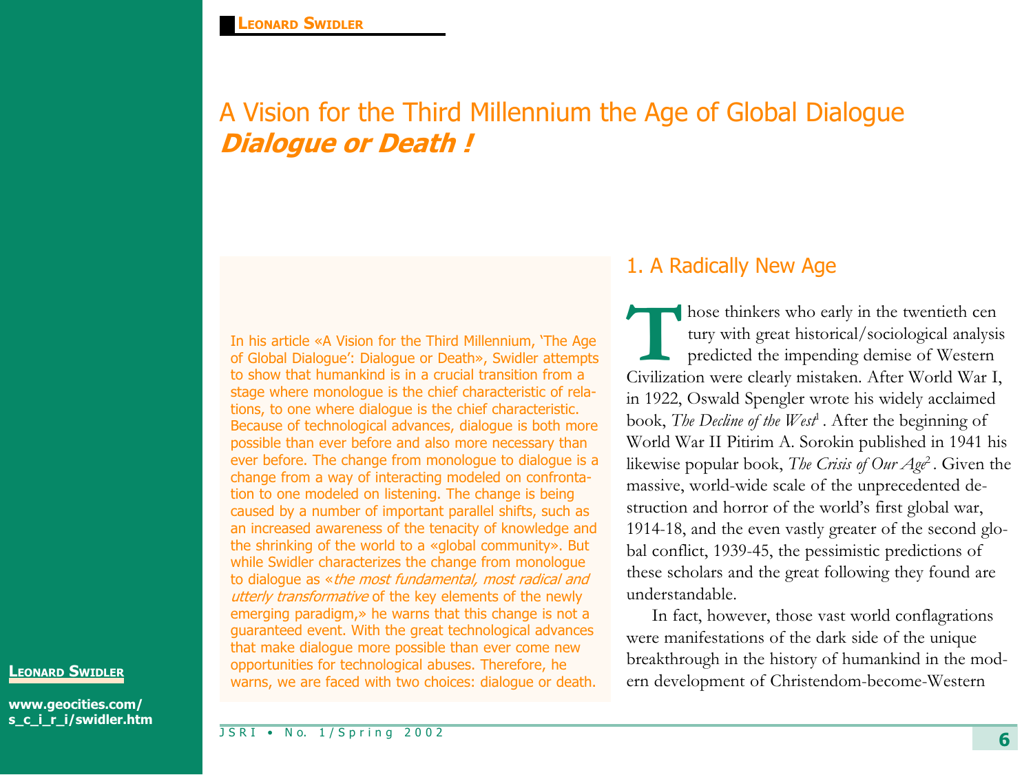# <span id="page-5-0"></span>A Vision for the Third Millennium the Age of Global Dialogue **Dialogue or Death!**

In his article «A Vision for the Third Millennium, 'The Age of Global Dialogue': Dialogue or Death», Swidler attempts to show that humankind is in a crucial transition from a stage where monologue is the chief characteristic of relations, to one where dialogue is the chief characteristic. Because of technological advances, dialogue is both more possible than ever before and also more necessary than ever before. The change from monologue to dialogue is a change from a way of interacting modeled on confrontation to one modeled on listening. The change is being caused by a number of important parallel shifts, such as an increased awareness of the tenacity of knowledge and the shrinking of the world to a «global community». But while Swidler characterizes the change from monologue to dialogue as «the most fundamental, most radical and utterly transformative of the key elements of the newly emerging paradigm,» he warns that this change is not a guaranteed event. With the great technological advances that make dialogue more possible than ever come new opportunities for technological abuses. Therefore, he warns, we are faced with two choices: dialogue or death.

## 1. A Radically New Age

hose thinkers who early in the twentieth cen tury with great historical/sociological analysis predicted the impending demise of Western Civilization were clearly mistaken. After World War I, in 1922, Oswald Spengler wrote his widely acclaimed book, The Decline of the West<sup>1</sup>. After the beginning of World War II Pitirim A. Sorokin published in 1941 his likewise popular book, The Crisis of Our  $Age^2$ . Given the massive, world-wide scale of the unprecedented destruction and horror of the world's first global war, 1914-18, and the even vastly greater of the second global conflict, 1939-45, the pessimistic predictions of these scholars and the great following they found are understandable.

In fact, however, those vast world conflagrations were manifestations of the dark side of the unique breakthrough in the history of humankind in the modern development of Christendom-become-Western

## **LEONARD SWIDLER**

www.geocities.com/ s\_c\_i\_r\_i/swidler.htm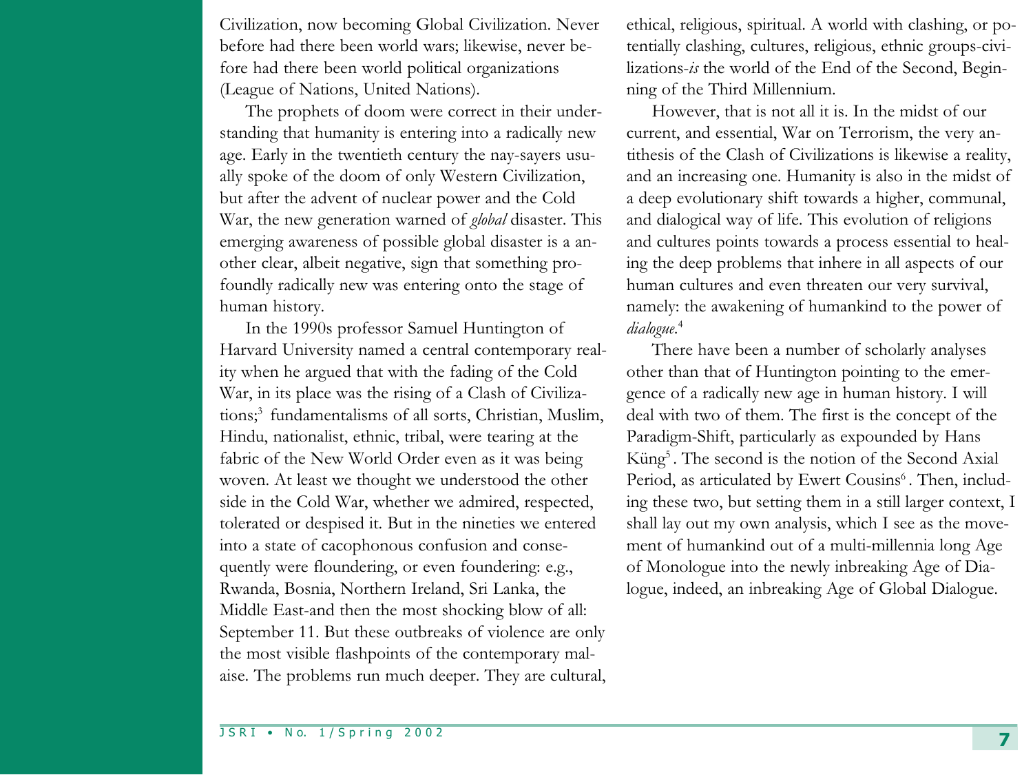Civilization, now becoming Global Civilization. Never before had there been world wars; likewise, never before had there been world political organizations (League of Nations, United Nations).

The prophets of doom were correct in their understanding that humanity is entering into a radically new age. Early in the twentieth century the nay-sayers usually spoke of the doom of only Western Civilization, but after the advent of nuclear power and the Cold War, the new generation warned of *global* disaster. This emerging awareness of possible global disaster is a another clear, albeit negative, sign that something profoundly radically new was entering onto the stage of human history.

In the 1990s professor Samuel Huntington of Harvard University named a central contemporary reality when he argued that with the fading of the Cold War, in its place was the rising of a Clash of Civilizations;<sup>3</sup> fundamentalisms of all sorts, Christian, Muslim, Hindu, nationalist, ethnic, tribal, were tearing at the fabric of the New World Order even as it was being woven. At least we thought we understood the other side in the Cold War, whether we admired, respected, tolerated or despised it. But in the nineties we entered into a state of cacophonous confusion and consequently were floundering, or even foundering: e.g., Rwanda, Bosnia, Northern Ireland, Sri Lanka, the Middle East-and then the most shocking blow of all: September 11. But these outbreaks of violence are only the most visible flashpoints of the contemporary malaise. The problems run much deeper. They are cultural,

ethical, religious, spiritual. A world with clashing, or potentially clashing, cultures, religious, ethnic groups-civilizations-is the world of the End of the Second, Beginning of the Third Millennium.

However, that is not all it is. In the midst of our current, and essential, War on Terrorism, the very antithesis of the Clash of Civilizations is likewise a reality, and an increasing one. Humanity is also in the midst of a deep evolutionary shift towards a higher, communal, and dialogical way of life. This evolution of religions and cultures points towards a process essential to healing the deep problems that inhere in all aspects of our human cultures and even threaten our very survival, namely: the awakening of humankind to the power of dialogue.<sup>4</sup>

There have been a number of scholarly analyses other than that of Huntington pointing to the emergence of a radically new age in human history. I will deal with two of them. The first is the concept of the Paradigm-Shift, particularly as expounded by Hans Küng<sup>5</sup>. The second is the notion of the Second Axial Period, as articulated by Ewert Cousins<sup>6</sup>. Then, including these two, but setting them in a still larger context, I shall lay out my own analysis, which I see as the movement of humankind out of a multi-millennia long Age of Monologue into the newly inbreaking Age of Dialogue, indeed, an inbreaking Age of Global Dialogue.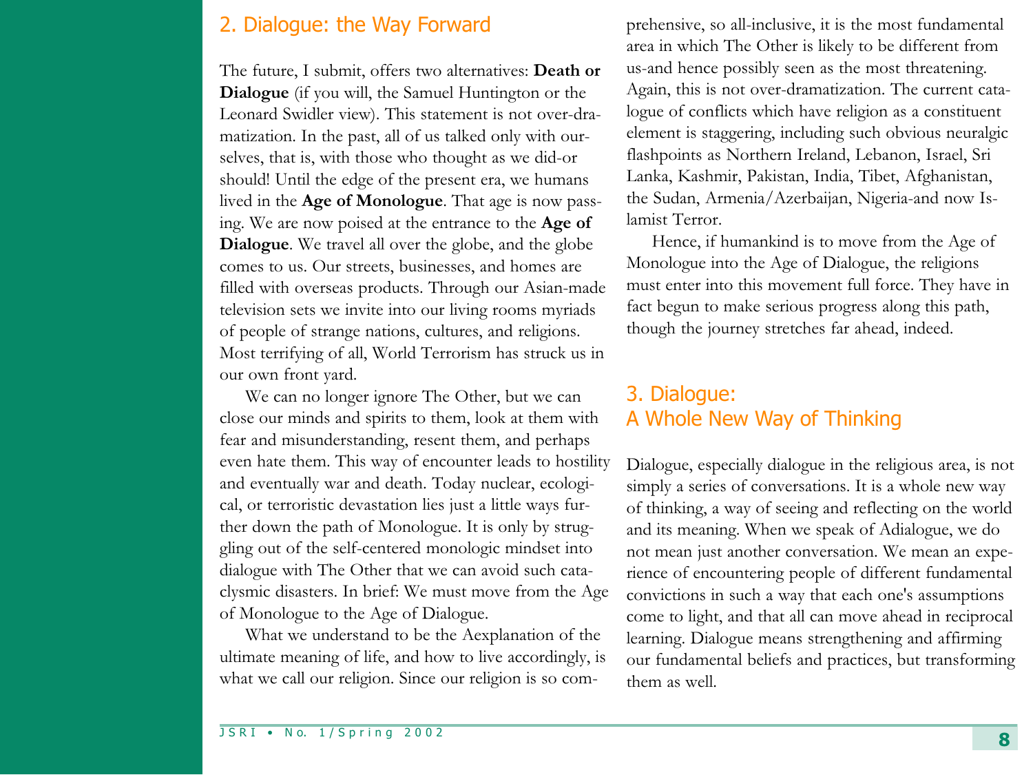## 2. Dialogue: the Way Forward

The future, I submit, offers two alternatives: Death or Dialogue (if you will, the Samuel Huntington or the Leonard Swidler view). This statement is not over-dramatization. In the past, all of us talked only with ourselves, that is, with those who thought as we did-or should! Until the edge of the present era, we humans lived in the Age of Monologue. That age is now passing. We are now poised at the entrance to the Age of Dialogue. We travel all over the globe, and the globe comes to us. Our streets, businesses, and homes are filled with overseas products. Through our Asian-made television sets we invite into our living rooms myriads of people of strange nations, cultures, and religions. Most terrifying of all, World Terrorism has struck us in our own front yard.

We can no longer ignore The Other, but we can close our minds and spirits to them, look at them with fear and misunderstanding, resent them, and perhaps even hate them. This way of encounter leads to hostility and eventually war and death. Today nuclear, ecological, or terroristic devastation lies just a little ways further down the path of Monologue. It is only by struggling out of the self-centered monologic mindset into dialogue with The Other that we can avoid such cataclysmic disasters. In brief: We must move from the Age of Monologue to the Age of Dialogue.

What we understand to be the Aexplanation of the ultimate meaning of life, and how to live accordingly, is what we call our religion. Since our religion is so comprehensive, so all-inclusive, it is the most fundamental area in which The Other is likely to be different from us-and hence possibly seen as the most threatening. Again, this is not over-dramatization. The current catalogue of conflicts which have religion as a constituent element is staggering, including such obvious neuralgic flashpoints as Northern Ireland, Lebanon, Israel, Sri Lanka, Kashmir, Pakistan, India, Tibet, Afghanistan, the Sudan, Armenia/Azerbaijan, Nigeria-and now Islamist Terror.

Hence, if humankind is to move from the Age of Monologue into the Age of Dialogue, the religions must enter into this movement full force. They have in fact begun to make serious progress along this path, though the journey stretches far ahead, indeed.

## 3. Dialogue: A Whole New Way of Thinking

Dialogue, especially dialogue in the religious area, is not simply a series of conversations. It is a whole new way of thinking, a way of seeing and reflecting on the world and its meaning. When we speak of Adialogue, we do not mean just another conversation. We mean an experience of encountering people of different fundamental convictions in such a way that each one's assumptions come to light, and that all can move ahead in reciprocal learning. Dialogue means strengthening and affirming our fundamental beliefs and practices, but transforming them as well.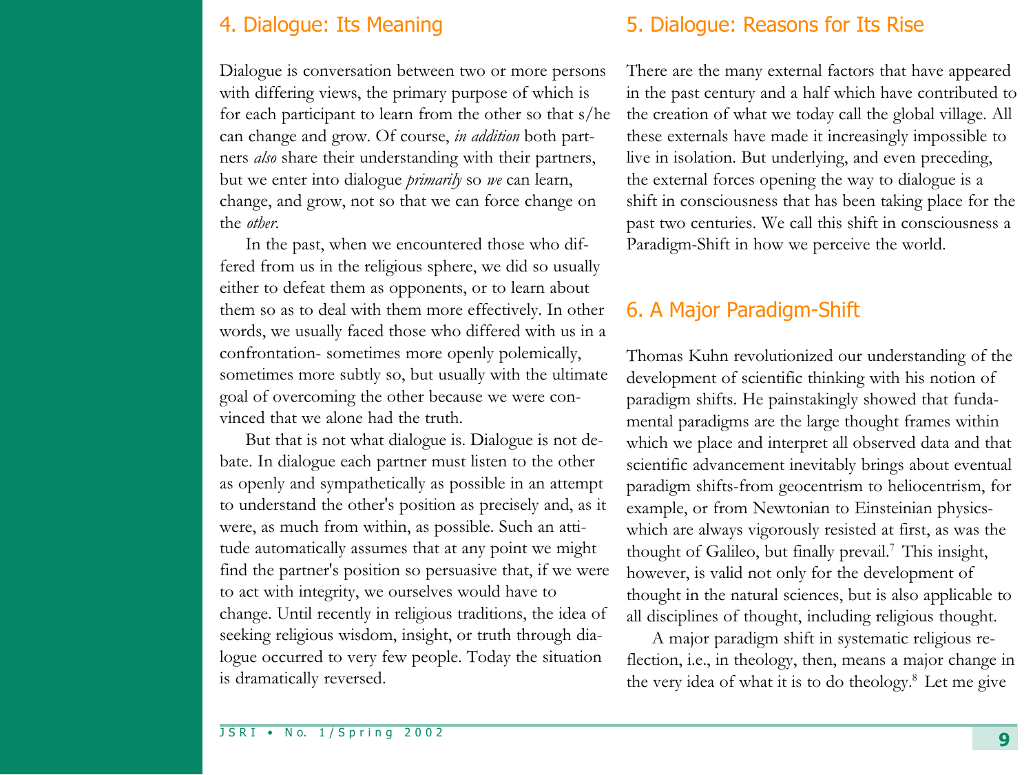## 4. Dialogue: Its Meaning

Dialogue is conversation between two or more persons with differing views, the primary purpose of which is for each participant to learn from the other so that s/he can change and grow. Of course, in addition both partners *also* share their understanding with their partners, but we enter into dialogue *primarily* so we can learn, change, and grow, not so that we can force change on the *other*.

In the past, when we encountered those who differed from us in the religious sphere, we did so usually either to defeat them as opponents, or to learn about them so as to deal with them more effectively. In other words, we usually faced those who differed with us in a confrontation- sometimes more openly polemically, sometimes more subtly so, but usually with the ultimate goal of overcoming the other because we were convinced that we alone had the truth.

But that is not what dialogue is. Dialogue is not debate. In dialogue each partner must listen to the other as openly and sympathetically as possible in an attempt to understand the other's position as precisely and, as it were, as much from within, as possible. Such an attitude automatically assumes that at any point we might find the partner's position so persuasive that, if we were to act with integrity, we ourselves would have to change. Until recently in religious traditions, the idea of seeking religious wisdom, insight, or truth through dialogue occurred to very few people. Today the situation is dramatically reversed.

## 5. Dialogue: Reasons for Its Rise

There are the many external factors that have appeared in the past century and a half which have contributed to the creation of what we today call the global village. All these externals have made it increasingly impossible to live in isolation. But underlying, and even preceding, the external forces opening the way to dialogue is a shift in consciousness that has been taking place for the past two centuries. We call this shift in consciousness a Paradigm-Shift in how we perceive the world.

## 6. A Major Paradigm-Shift

Thomas Kuhn revolutionized our understanding of the development of scientific thinking with his notion of paradigm shifts. He painstakingly showed that fundamental paradigms are the large thought frames within which we place and interpret all observed data and that scientific advancement inevitably brings about eventual paradigm shifts-from geocentrism to heliocentrism, for example, or from Newtonian to Einsteinian physicswhich are always vigorously resisted at first, as was the thought of Galileo, but finally prevail.<sup>7</sup> This insight, however, is valid not only for the development of thought in the natural sciences, but is also applicable to all disciplines of thought, including religious thought.

A major paradigm shift in systematic religious reflection, i.e., in theology, then, means a major change in the very idea of what it is to do theology.<sup>8</sup> Let me give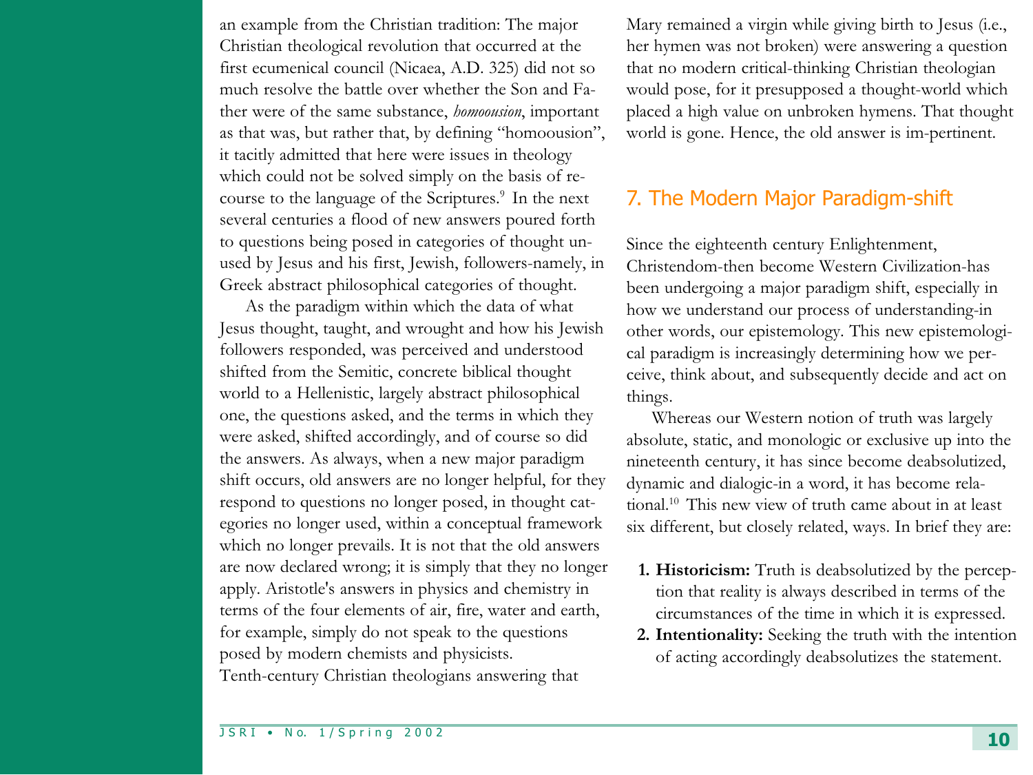an example from the Christian tradition: The major Christian theological revolution that occurred at the first ecumenical council (Nicaea, A.D. 325) did not so much resolve the battle over whether the Son and Father were of the same substance, homoousion, important as that was, but rather that, by defining "homoousion", it tacitly admitted that here were issues in theology which could not be solved simply on the basis of recourse to the language of the Scriptures.<sup>9</sup> In the next several centuries a flood of new answers poured forth to questions being posed in categories of thought unused by Jesus and his first, Jewish, followers-namely, in Greek abstract philosophical categories of thought.

As the paradigm within which the data of what Jesus thought, taught, and wrought and how his Jewish followers responded, was perceived and understood shifted from the Semitic, concrete biblical thought world to a Hellenistic, largely abstract philosophical one, the questions asked, and the terms in which they were asked, shifted accordingly, and of course so did the answers. As always, when a new major paradigm shift occurs, old answers are no longer helpful, for they respond to questions no longer posed, in thought categories no longer used, within a conceptual framework which no longer prevails. It is not that the old answers are now declared wrong; it is simply that they no longer apply. Aristotle's answers in physics and chemistry in terms of the four elements of air, fire, water and earth, for example, simply do not speak to the questions posed by modern chemists and physicists. Tenth-century Christian theologians answering that

Mary remained a virgin while giving birth to Jesus (i.e., her hymen was not broken) were answering a question that no modern critical-thinking Christian theologian would pose, for it presupposed a thought-world which placed a high value on unbroken hymens. That thought world is gone. Hence, the old answer is im-pertinent.

## 7. The Modern Major Paradigm-shift

Since the eighteenth century Enlightenment, Christendom-then become Western Civilization-has been undergoing a major paradigm shift, especially in how we understand our process of understanding-in other words, our epistemology. This new epistemological paradigm is increasingly determining how we perceive, think about, and subsequently decide and act on things.

Whereas our Western notion of truth was largely absolute, static, and monologic or exclusive up into the nineteenth century, it has since become deabsolutized, dynamic and dialogic-in a word, it has become relational.<sup>10</sup> This new view of truth came about in at least six different, but closely related, ways. In brief they are:

- **1. Historicism:** Truth is deabsolutized by the perception that reality is always described in terms of the circumstances of the time in which it is expressed.
- 2. Intentionality: Seeking the truth with the intention of acting accordingly deabsolutizes the statement.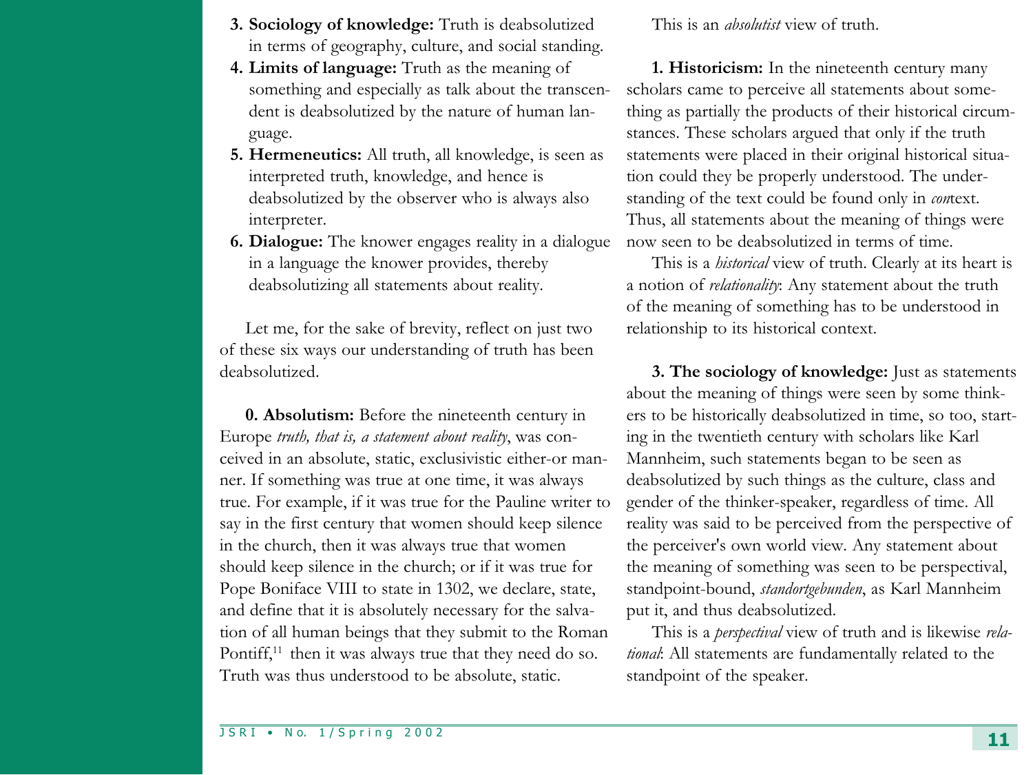- 3. Sociology of knowledge: Truth is deabsolutized in terms of geography, culture, and social standing.
- 4. Limits of language: Truth as the meaning of something and especially as talk about the transcendent is deabsolutized by the nature of human language.
- 5. Hermeneutics: All truth, all knowledge, is seen as interpreted truth, knowledge, and hence is deabsolutized by the observer who is always also interpreter.
- 6. Dialogue: The knower engages reality in a dialogue in a language the knower provides, thereby deabsolutizing all statements about reality.

Let me, for the sake of brevity, reflect on just two of these six ways our understanding of truth has been deabsolutized.

0. Absolutism: Before the nineteenth century in Europe truth, that is, a statement about reality, was conceived in an absolute, static, exclusivistic either-or manner. If something was true at one time, it was always true. For example, if it was true for the Pauline writer to say in the first century that women should keep silence in the church, then it was always true that women should keep silence in the church; or if it was true for Pope Boniface VIII to state in 1302, we declare, state, and define that it is absolutely necessary for the salvation of all human beings that they submit to the Roman Pontiff,<sup>11</sup> then it was always true that they need do so. Truth was thus understood to be absolute, static.

This is an *absolutist* view of truth.

1. Historicism: In the nineteenth century many scholars came to perceive all statements about something as partially the products of their historical circumstances. These scholars argued that only if the truth statements were placed in their original historical situation could they be properly understood. The understanding of the text could be found only in *con*text. Thus, all statements about the meaning of things were now seen to be deabsolutized in terms of time.

This is a *historical* view of truth. Clearly at its heart is a notion of *relationality*: Any statement about the truth of the meaning of something has to be understood in relationship to its historical context.

3. The sociology of knowledge: Just as statements about the meaning of things were seen by some thinkers to be historically deabsolutized in time, so too, starting in the twentieth century with scholars like Karl Mannheim, such statements began to be seen as deabsolutized by such things as the culture, class and gender of the thinker-speaker, regardless of time. All reality was said to be perceived from the perspective of the perceiver's own world view. Any statement about the meaning of something was seen to be perspectival, standpoint-bound, standortgebunden, as Karl Mannheim put it, and thus deabsolutized.

This is a *perspectival* view of truth and is likewise *rela*tional: All statements are fundamentally related to the standpoint of the speaker.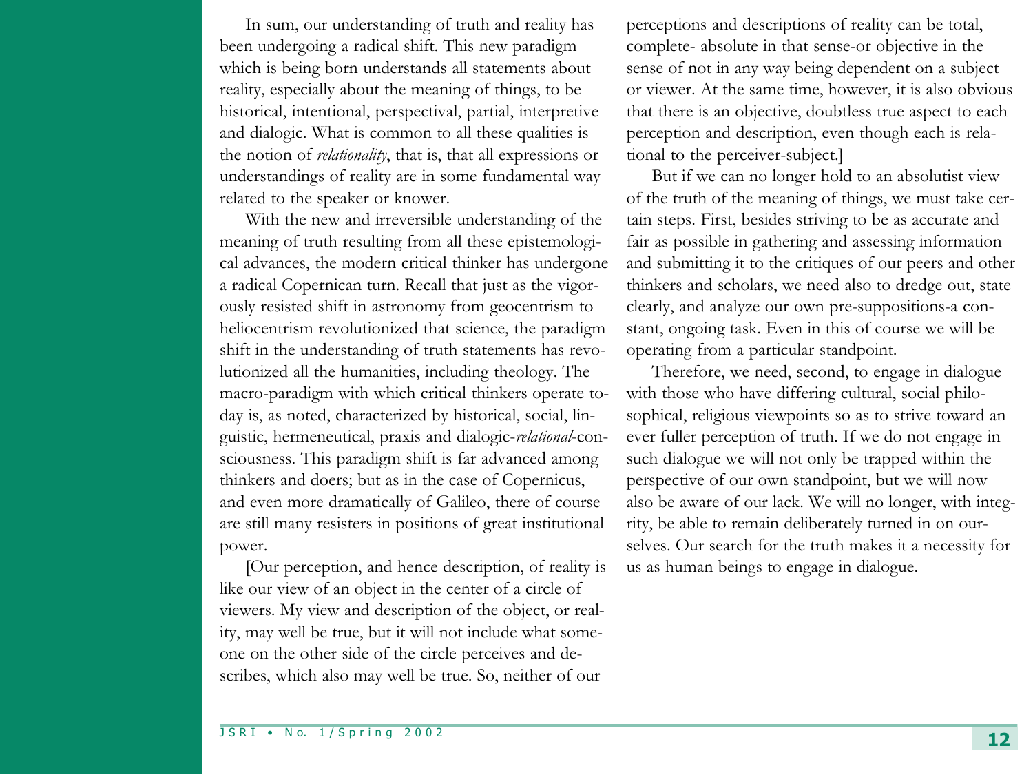In sum, our understanding of truth and reality has been undergoing a radical shift. This new paradigm which is being born understands all statements about reality, especially about the meaning of things, to be historical, intentional, perspectival, partial, interpretive and dialogic. What is common to all these qualities is the notion of *relationality*, that is, that all expressions or understandings of reality are in some fundamental way related to the speaker or knower.

With the new and irreversible understanding of the meaning of truth resulting from all these epistemological advances, the modern critical thinker has undergone a radical Copernican turn. Recall that just as the vigorously resisted shift in astronomy from geocentrism to heliocentrism revolutionized that science, the paradigm shift in the understanding of truth statements has revolutionized all the humanities, including theology. The macro-paradigm with which critical thinkers operate today is, as noted, characterized by historical, social, linguistic, hermeneutical, praxis and dialogic-relational-consciousness. This paradigm shift is far advanced among thinkers and doers; but as in the case of Copernicus, and even more dramatically of Galileo, there of course are still many resisters in positions of great institutional power.

[Our perception, and hence description, of reality is like our view of an object in the center of a circle of viewers. My view and description of the object, or reality, may well be true, but it will not include what someone on the other side of the circle perceives and describes, which also may well be true. So, neither of our

perceptions and descriptions of reality can be total, complete- absolute in that sense-or objective in the sense of not in any way being dependent on a subject or viewer. At the same time, however, it is also obvious that there is an objective, doubtless true aspect to each perception and description, even though each is relational to the perceiver-subject.]

But if we can no longer hold to an absolutist view of the truth of the meaning of things, we must take certain steps. First, besides striving to be as accurate and fair as possible in gathering and assessing information and submitting it to the critiques of our peers and other thinkers and scholars, we need also to dredge out, state clearly, and analyze our own pre-suppositions-a constant, ongoing task. Even in this of course we will be operating from a particular standpoint.

Therefore, we need, second, to engage in dialogue with those who have differing cultural, social philosophical, religious viewpoints so as to strive toward an ever fuller perception of truth. If we do not engage in such dialogue we will not only be trapped within the perspective of our own standpoint, but we will now also be aware of our lack. We will no longer, with integrity, be able to remain deliberately turned in on ourselves. Our search for the truth makes it a necessity for us as human beings to engage in dialogue.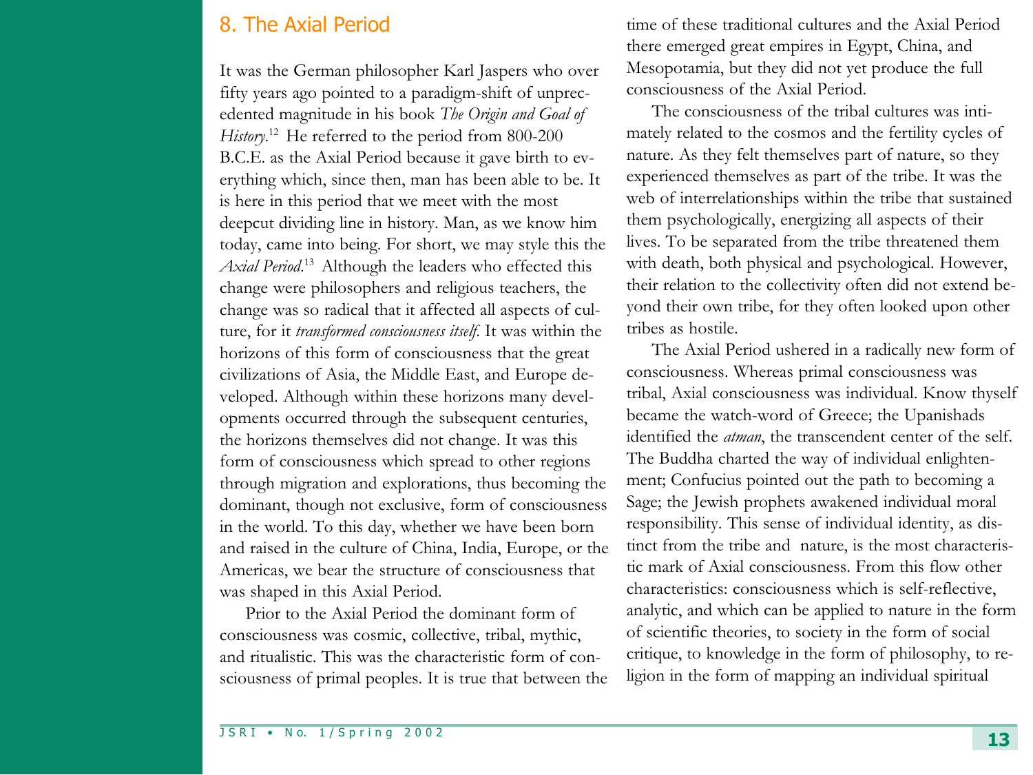## 8. The Axial Period

It was the German philosopher Karl Jaspers who over fifty years ago pointed to a paradigm-shift of unprecedented magnitude in his book The Origin and Goal of History.<sup>12</sup> He referred to the period from 800-200 B.C.E. as the Axial Period because it gave birth to everything which, since then, man has been able to be. It is here in this period that we meet with the most deepcut dividing line in history. Man, as we know him today, came into being. For short, we may style this the Axial Period.<sup>13</sup> Although the leaders who effected this change were philosophers and religious teachers, the change was so radical that it affected all aspects of culture, for it transformed consciousness itself. It was within the horizons of this form of consciousness that the great civilizations of Asia, the Middle East, and Europe developed. Although within these horizons many developments occurred through the subsequent centuries, the horizons themselves did not change. It was this form of consciousness which spread to other regions through migration and explorations, thus becoming the dominant, though not exclusive, form of consciousness in the world. To this day, whether we have been born and raised in the culture of China, India, Europe, or the Americas, we bear the structure of consciousness that was shaped in this Axial Period.

Prior to the Axial Period the dominant form of consciousness was cosmic, collective, tribal, mythic, and ritualistic. This was the characteristic form of consciousness of primal peoples. It is true that between the time of these traditional cultures and the Axial Period there emerged great empires in Egypt, China, and Mesopotamia, but they did not yet produce the full consciousness of the Axial Period.

The consciousness of the tribal cultures was intimately related to the cosmos and the fertility cycles of nature. As they felt themselves part of nature, so they experienced themselves as part of the tribe. It was the web of interrelationships within the tribe that sustained them psychologically, energizing all aspects of their lives. To be separated from the tribe threatened them with death, both physical and psychological. However, their relation to the collectivity often did not extend beyond their own tribe, for they often looked upon other tribes as hostile.

The Axial Period ushered in a radically new form of consciousness. Whereas primal consciousness was tribal, Axial consciousness was individual. Know thyself became the watch-word of Greece; the Upanishads identified the *atman*, the transcendent center of the self. The Buddha charted the way of individual enlightenment; Confucius pointed out the path to becoming a Sage; the Jewish prophets awakened individual moral responsibility. This sense of individual identity, as distinct from the tribe and nature, is the most characteristic mark of Axial consciousness. From this flow other characteristics: consciousness which is self-reflective, analytic, and which can be applied to nature in the form of scientific theories, to society in the form of social critique, to knowledge in the form of philosophy, to religion in the form of mapping an individual spiritual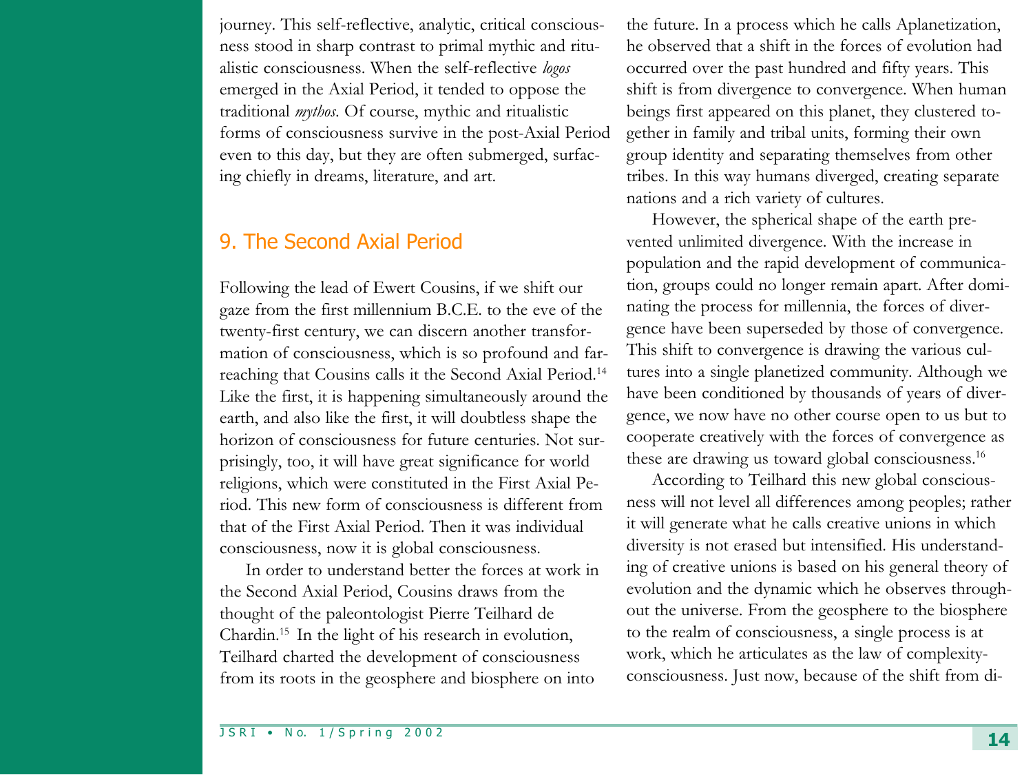journey. This self-reflective, analytic, critical consciousness stood in sharp contrast to primal mythic and ritualistic consciousness. When the self-reflective logos emerged in the Axial Period, it tended to oppose the traditional mythos. Of course, mythic and ritualistic forms of consciousness survive in the post-Axial Period even to this day, but they are often submerged, surfacing chiefly in dreams, literature, and art.

## 9. The Second Axial Period

Following the lead of Ewert Cousins, if we shift our gaze from the first millennium B.C.E. to the eve of the twenty-first century, we can discern another transformation of consciousness, which is so profound and farreaching that Cousins calls it the Second Axial Period.<sup>14</sup> Like the first, it is happening simultaneously around the earth, and also like the first, it will doubtless shape the horizon of consciousness for future centuries. Not surprisingly, too, it will have great significance for world religions, which were constituted in the First Axial Period. This new form of consciousness is different from that of the First Axial Period. Then it was individual consciousness, now it is global consciousness.

In order to understand better the forces at work in the Second Axial Period, Cousins draws from the thought of the paleontologist Pierre Teilhard de Chardin.<sup>15</sup> In the light of his research in evolution, Teilhard charted the development of consciousness from its roots in the geosphere and biosphere on into

the future. In a process which he calls Aplanetization, he observed that a shift in the forces of evolution had occurred over the past hundred and fifty years. This shift is from divergence to convergence. When human beings first appeared on this planet, they clustered together in family and tribal units, forming their own group identity and separating themselves from other tribes. In this way humans diverged, creating separate nations and a rich variety of cultures.

However, the spherical shape of the earth prevented unlimited divergence. With the increase in population and the rapid development of communication, groups could no longer remain apart. After dominating the process for millennia, the forces of divergence have been superseded by those of convergence. This shift to convergence is drawing the various cultures into a single planetized community. Although we have been conditioned by thousands of years of divergence, we now have no other course open to us but to cooperate creatively with the forces of convergence as these are drawing us toward global consciousness.<sup>16</sup>

According to Teilhard this new global consciousness will not level all differences among peoples; rather it will generate what he calls creative unions in which diversity is not erased but intensified. His understanding of creative unions is based on his general theory of evolution and the dynamic which he observes throughout the universe. From the geosphere to the biosphere to the realm of consciousness, a single process is at work, which he articulates as the law of complexityconsciousness. Just now, because of the shift from di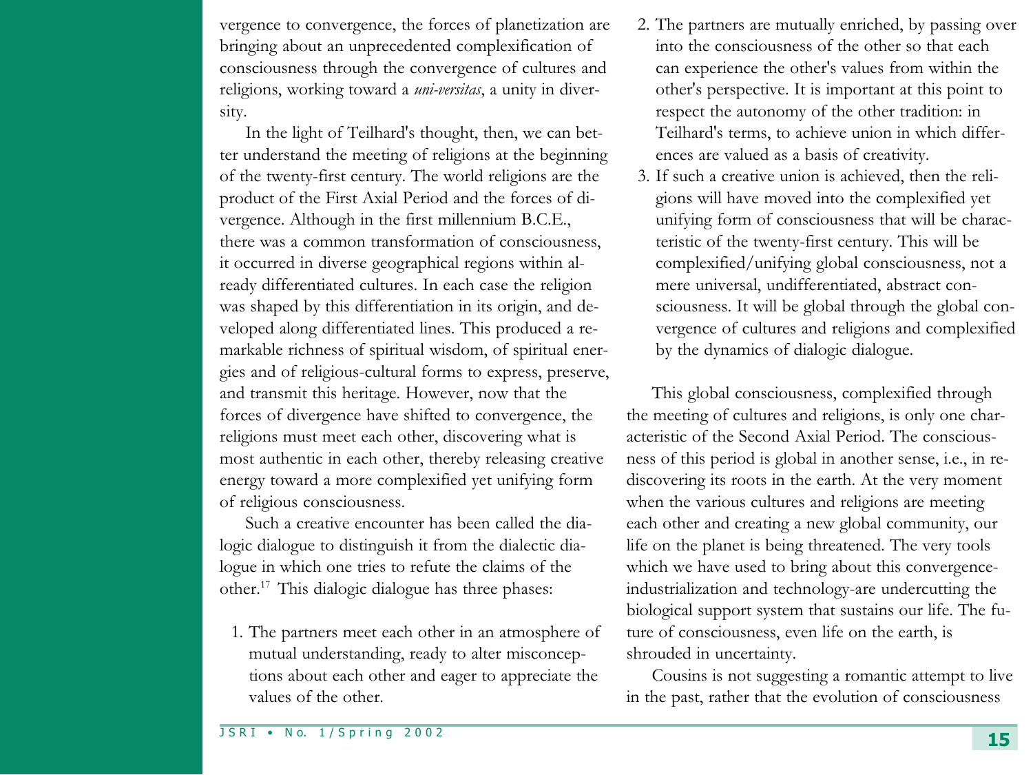vergence to convergence, the forces of planetization are bringing about an unprecedented complexification of consciousness through the convergence of cultures and religions, working toward a *uni-versitas*, a unity in diversity.

In the light of Teilhard's thought, then, we can better understand the meeting of religions at the beginning of the twenty-first century. The world religions are the product of the First Axial Period and the forces of divergence. Although in the first millennium B.C.E., there was a common transformation of consciousness, it occurred in diverse geographical regions within already differentiated cultures. In each case the religion was shaped by this differentiation in its origin, and developed along differentiated lines. This produced a remarkable richness of spiritual wisdom, of spiritual energies and of religious-cultural forms to express, preserve, and transmit this heritage. However, now that the forces of divergence have shifted to convergence, the religions must meet each other, discovering what is most authentic in each other, thereby releasing creative energy toward a more complexified yet unifying form of religious consciousness.

Such a creative encounter has been called the dialogic dialogue to distinguish it from the dialectic dialogue in which one tries to refute the claims of the other.<sup>17</sup> This dialogic dialogue has three phases:

1. The partners meet each other in an atmosphere of mutual understanding, ready to alter misconceptions about each other and eager to appreciate the values of the other.

- 2. The partners are mutually enriched, by passing over into the consciousness of the other so that each can experience the other's values from within the other's perspective. It is important at this point to respect the autonomy of the other tradition: in Teilhard's terms, to achieve union in which differences are valued as a basis of creativity.
- 3. If such a creative union is achieved, then the religions will have moved into the complexified yet unifying form of consciousness that will be characteristic of the twenty-first century. This will be complexified/unifying global consciousness, not a mere universal, undifferentiated, abstract consciousness. It will be global through the global convergence of cultures and religions and complexified by the dynamics of dialogic dialogue.

This global consciousness, complexified through the meeting of cultures and religions, is only one characteristic of the Second Axial Period. The consciousness of this period is global in another sense, i.e., in rediscovering its roots in the earth. At the very moment when the various cultures and religions are meeting each other and creating a new global community, our life on the planet is being threatened. The very tools which we have used to bring about this convergenceindustrialization and technology-are undercutting the biological support system that sustains our life. The future of consciousness, even life on the earth, is shrouded in uncertainty.

Cousins is not suggesting a romantic attempt to live in the past, rather that the evolution of consciousness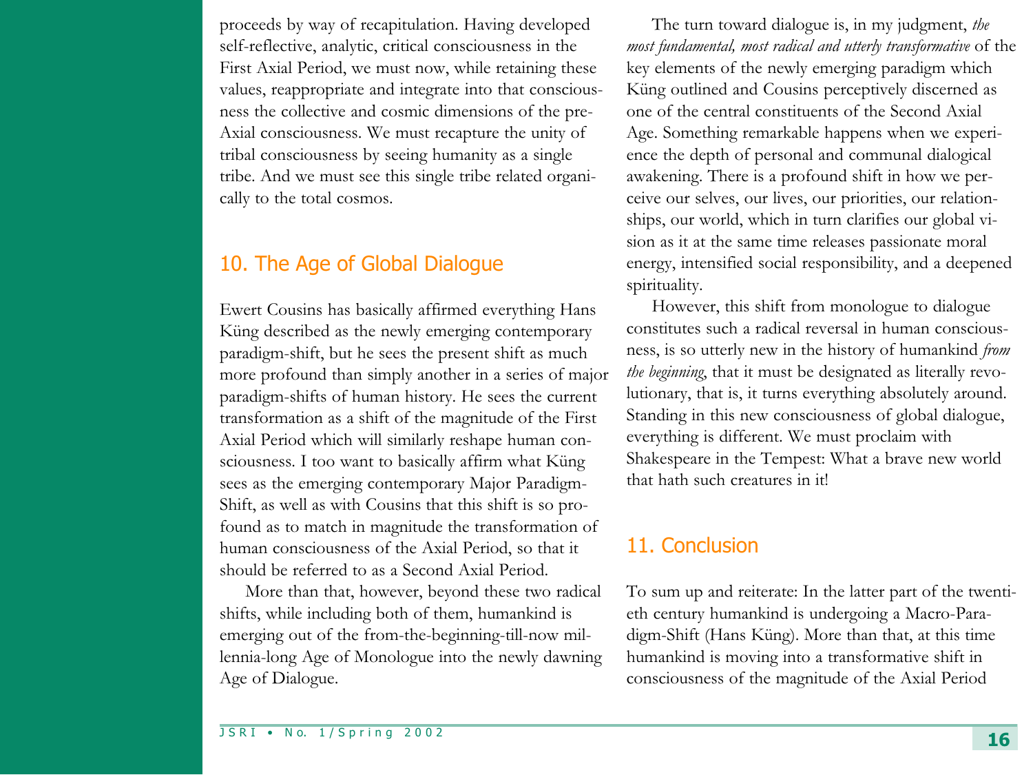proceeds by way of recapitulation. Having developed self-reflective, analytic, critical consciousness in the First Axial Period, we must now, while retaining these values, reappropriate and integrate into that consciousness the collective and cosmic dimensions of the pre-Axial consciousness. We must recapture the unity of tribal consciousness by seeing humanity as a single tribe. And we must see this single tribe related organically to the total cosmos.

## 10. The Age of Global Dialogue

Ewert Cousins has basically affirmed everything Hans Küng described as the newly emerging contemporary paradigm-shift, but he sees the present shift as much more profound than simply another in a series of major paradigm-shifts of human history. He sees the current transformation as a shift of the magnitude of the First Axial Period which will similarly reshape human consciousness. I too want to basically affirm what Küng sees as the emerging contemporary Major Paradigm-Shift, as well as with Cousins that this shift is so profound as to match in magnitude the transformation of human consciousness of the Axial Period, so that it should be referred to as a Second Axial Period.

More than that, however, beyond these two radical shifts, while including both of them, humankind is emerging out of the from-the-beginning-till-now millennia-long Age of Monologue into the newly dawning Age of Dialogue.

The turn toward dialogue is, in my judgment, the most fundamental, most radical and utterly transformative of the key elements of the newly emerging paradigm which Küng outlined and Cousins perceptively discerned as one of the central constituents of the Second Axial Age. Something remarkable happens when we experience the depth of personal and communal dialogical awakening. There is a profound shift in how we perceive our selves, our lives, our priorities, our relationships, our world, which in turn clarifies our global vision as it at the same time releases passionate moral energy, intensified social responsibility, and a deepened spirituality.

However, this shift from monologue to dialogue constitutes such a radical reversal in human consciousness, is so utterly new in the history of humankind from the beginning, that it must be designated as literally revolutionary, that is, it turns everything absolutely around. Standing in this new consciousness of global dialogue, everything is different. We must proclaim with Shakespeare in the Tempest: What a brave new world that hath such creatures in it!

## 11. Conclusion

To sum up and reiterate: In the latter part of the twentieth century humankind is undergoing a Macro-Paradigm-Shift (Hans Küng). More than that, at this time humankind is moving into a transformative shift in consciousness of the magnitude of the Axial Period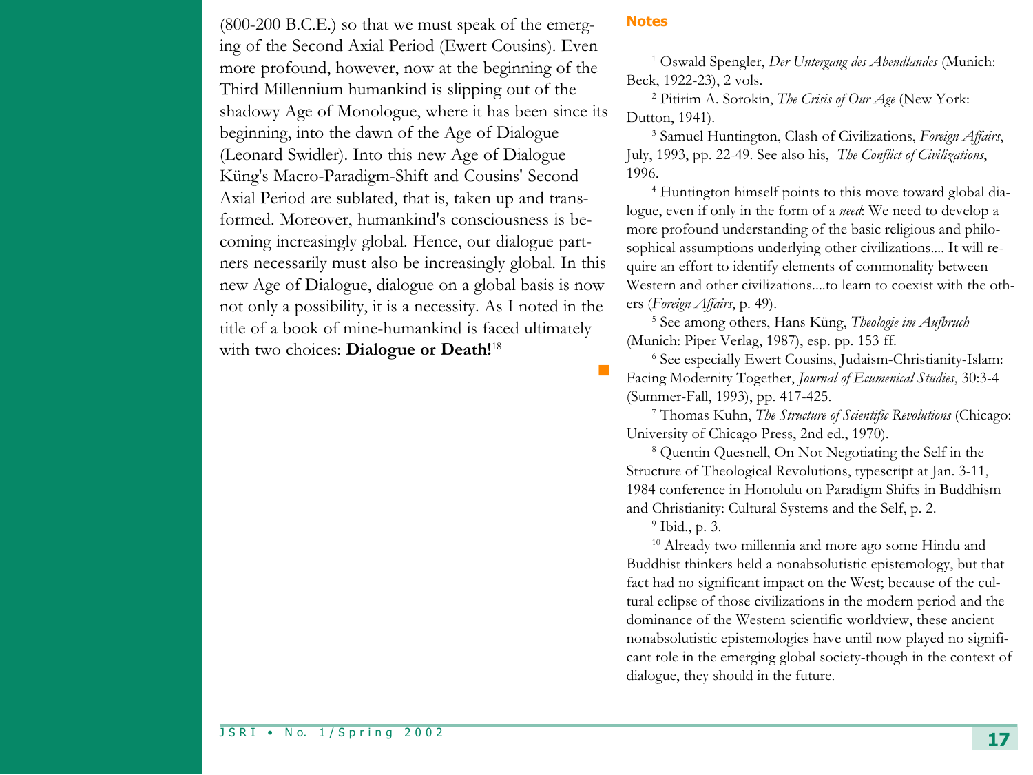(800-200 B.C.E.) so that we must speak of the emerging of the Second Axial Period (Ewert Cousins). Even more profound, however, now at the beginning of the Third Millennium humankind is slipping out of the shadowy Age of Monologue, where it has been since its beginning, into the dawn of the Age of Dialogue (Leonard Swidler). Into this new Age of Dialogue Küng's Macro-Paradigm-Shift and Cousins' Second Axial Period are sublated, that is, taken up and transformed. Moreover, humankind's consciousness is becoming increasingly global. Hence, our dialogue partners necessarily must also be increasingly global. In this new Age of Dialogue, dialogue on a global basis is now not only a possibility, it is a necessity. As I noted in the title of a book of mine-humankind is faced ultimately with two choices: Dialogue or Death!<sup>18</sup>

#### **Notes**

<sup>1</sup> Oswald Spengler, Der Untergang des Abendlandes (Munich: Beck, 1922-23), 2 vols.

<sup>2</sup> Pitirim A. Sorokin, *The Crisis of Our Age* (New York: Dutton, 1941).

<sup>3</sup> Samuel Huntington, Clash of Civilizations, Foreign Affairs, July, 1993, pp. 22-49. See also his, The Conflict of Civilizations, 1996.

<sup>4</sup> Huntington himself points to this move toward global dialogue, even if only in the form of a need: We need to develop a more profound understanding of the basic religious and philosophical assumptions underlying other civilizations.... It will require an effort to identify elements of commonality between Western and other civilizations....to learn to coexist with the others (Foreign Affairs, p. 49).

<sup>5</sup> See among others, Hans Küng, Theologie im Aufbruch (Munich: Piper Verlag, 1987), esp. pp. 153 ff.

<sup>6</sup> See especially Ewert Cousins, Judaism-Christianity-Islam: Facing Modernity Together, Journal of Ecumenical Studies, 30:3-4 (Summer-Fall, 1993), pp. 417-425.

<sup>7</sup> Thomas Kuhn, *The Structure of Scientific Revolutions* (Chicago: University of Chicago Press, 2nd ed., 1970).

<sup>8</sup> Quentin Quesnell, On Not Negotiating the Self in the Structure of Theological Revolutions, typescript at Jan. 3-11, 1984 conference in Honolulu on Paradigm Shifts in Buddhism and Christianity: Cultural Systems and the Self, p. 2.

 $<sup>9</sup>$  Ibid., p. 3.</sup>

<sup>10</sup> Already two millennia and more ago some Hindu and Buddhist thinkers held a nonabsolutistic epistemology, but that fact had no significant impact on the West; because of the cultural eclipse of those civilizations in the modern period and the dominance of the Western scientific worldview, these ancient nonabsolutistic epistemologies have until now played no significant role in the emerging global society-though in the context of dialogue, they should in the future.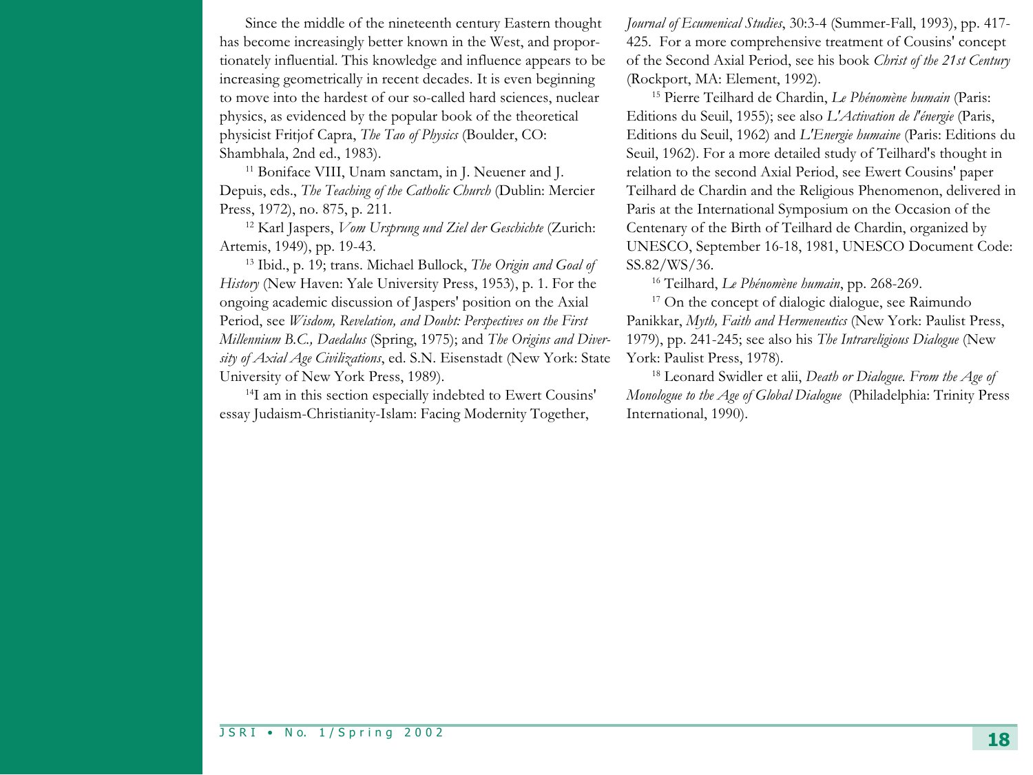Since the middle of the nineteenth century Eastern thought has become increasingly better known in the West, and proportionately influential. This knowledge and influence appears to be increasing geometrically in recent decades. It is even beginning to move into the hardest of our so-called hard sciences, nuclear physics, as evidenced by the popular book of the theoretical physicist Fritjof Capra, The Tao of Physics (Boulder, CO: Shambhala, 2nd ed., 1983).

<sup>11</sup> Boniface VIII, Unam sanctam, in J. Neuener and J. Depuis, eds., The Teaching of the Catholic Church (Dublin: Mercier Press, 1972), no. 875, p. 211.

<sup>12</sup> Karl Jaspers, *Vom Ursprung und Ziel der Geschichte* (Zurich: Artemis, 1949), pp. 19-43.

<sup>13</sup> Ibid., p. 19; trans. Michael Bullock, *The Origin and Goal of* History (New Haven: Yale University Press, 1953), p. 1. For the ongoing academic discussion of Jaspers' position on the Axial Period, see Wisdom, Revelation, and Doubt: Perspectives on the First Millennium B.C., Daedalus (Spring, 1975); and The Origins and Diversity of Axial Age Civilizations, ed. S.N. Eisenstadt (New York: State University of New York Press, 1989).

<sup>14</sup>I am in this section especially indebted to Ewert Cousins' essay Judaism-Christianity-Islam: Facing Modernity Together,

Journal of Ecumenical Studies, 30:3-4 (Summer-Fall, 1993), pp. 417-425. For a more comprehensive treatment of Cousins' concept of the Second Axial Period, see his book Christ of the 21st Century (Rockport, MA: Element, 1992).

<sup>15</sup> Pierre Teilhard de Chardin, Le Phénomène humain (Paris: Editions du Seuil, 1955); see also L'Activation de l'énergie (Paris, Editions du Seuil, 1962) and L'Energie humaine (Paris: Editions du Seuil, 1962). For a more detailed study of Teilhard's thought in relation to the second Axial Period, see Ewert Cousins' paper Teilhard de Chardin and the Religious Phenomenon, delivered in Paris at the International Symposium on the Occasion of the Centenary of the Birth of Teilhard de Chardin, organized by UNESCO, September 16-18, 1981, UNESCO Document Code: SS.82/WS/36.

<sup>16</sup> Teilhard, Le Phénomène humain, pp. 268-269.

<sup>17</sup> On the concept of dialogic dialogue, see Raimundo Panikkar, Myth, Faith and Hermeneutics (New York: Paulist Press, 1979), pp. 241-245; see also his The Intrareligious Dialogue (New York: Paulist Press, 1978).

<sup>18</sup> Leonard Swidler et alii, Death or Dialogue. From the Age of Monologue to the Age of Global Dialogue (Philadelphia: Trinity Press International, 1990).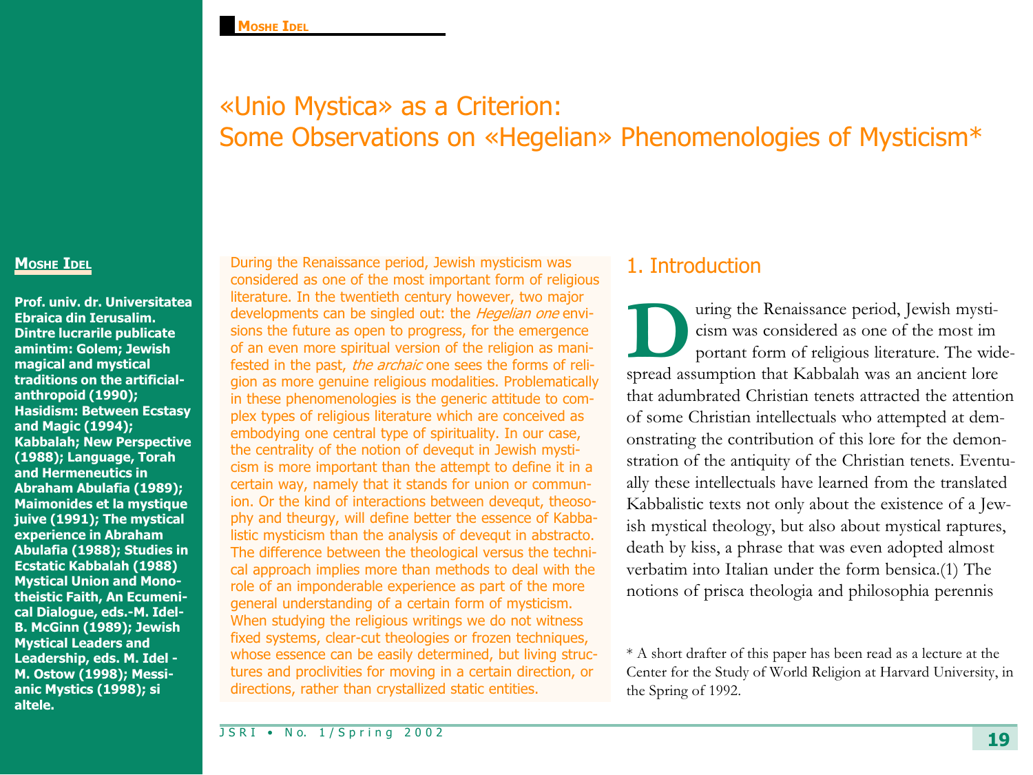# <span id="page-18-0"></span>«Unio Mystica» as a Criterion: Some Observations on «Hegelian» Phenomenologies of Mysticism\*

### **MOSHE IDEL**

Prof. univ. dr. Universitatea **Ebraica din Ierusalim. Dintre lucrarile publicate** amintim: Golem; Jewish magical and mystical traditions on the artificialanthropoid (1990); **Hasidism: Between Ecstasy** and Magic (1994); **Kabbalah; New Perspective** (1988); Language, Torah and Hermeneutics in Abraham Abulafia (1989); **Maimonides et la mystique** juive (1991); The mystical experience in Abraham Abulafia (1988); Studies in **Ecstatic Kabbalah (1988) Mystical Union and Mono**theistic Faith, An Ecumenical Dialogue, eds.-M. Idel-B. McGinn (1989); Jewish **Mystical Leaders and** Leadership, eds. M. Idel -M. Ostow (1998); Messianic Mystics (1998); si altele.

During the Renaissance period, Jewish mysticism was considered as one of the most important form of religious literature. In the twentieth century however, two major developments can be singled out: the *Hegelian one* envisions the future as open to progress, for the emergence of an even more spiritual version of the religion as manifested in the past, the archaic one sees the forms of religion as more genuine religious modalities. Problematically in these phenomenologies is the generic attitude to complex types of religious literature which are conceived as embodying one central type of spirituality. In our case, the centrality of the notion of devegut in Jewish mysticism is more important than the attempt to define it in a certain way, namely that it stands for union or communion. Or the kind of interactions between devequt, theosophy and theurgy, will define better the essence of Kabbalistic mysticism than the analysis of devequt in abstracto. The difference between the theological versus the technical approach implies more than methods to deal with the role of an imponderable experience as part of the more general understanding of a certain form of mysticism. When studying the religious writings we do not witness fixed systems, clear-cut theologies or frozen techniques, whose essence can be easily determined, but living structures and proclivities for moving in a certain direction, or directions, rather than crystallized static entities.

## 1. Introduction

uring the Renaissance period, Jewish mysticism was considered as one of the most im portant form of religious literature. The widespread assumption that Kabbalah was an ancient lore that adumbrated Christian tenets attracted the attention of some Christian intellectuals who attempted at demonstrating the contribution of this lore for the demonstration of the antiquity of the Christian tenets. Eventually these intellectuals have learned from the translated Kabbalistic texts not only about the existence of a Jewish mystical theology, but also about mystical raptures, death by kiss, a phrase that was even adopted almost verbatim into Italian under the form bensica.(1) The notions of prisca theologia and philosophia perennis

\* A short drafter of this paper has been read as a lecture at the Center for the Study of World Religion at Harvard University, in the Spring of 1992.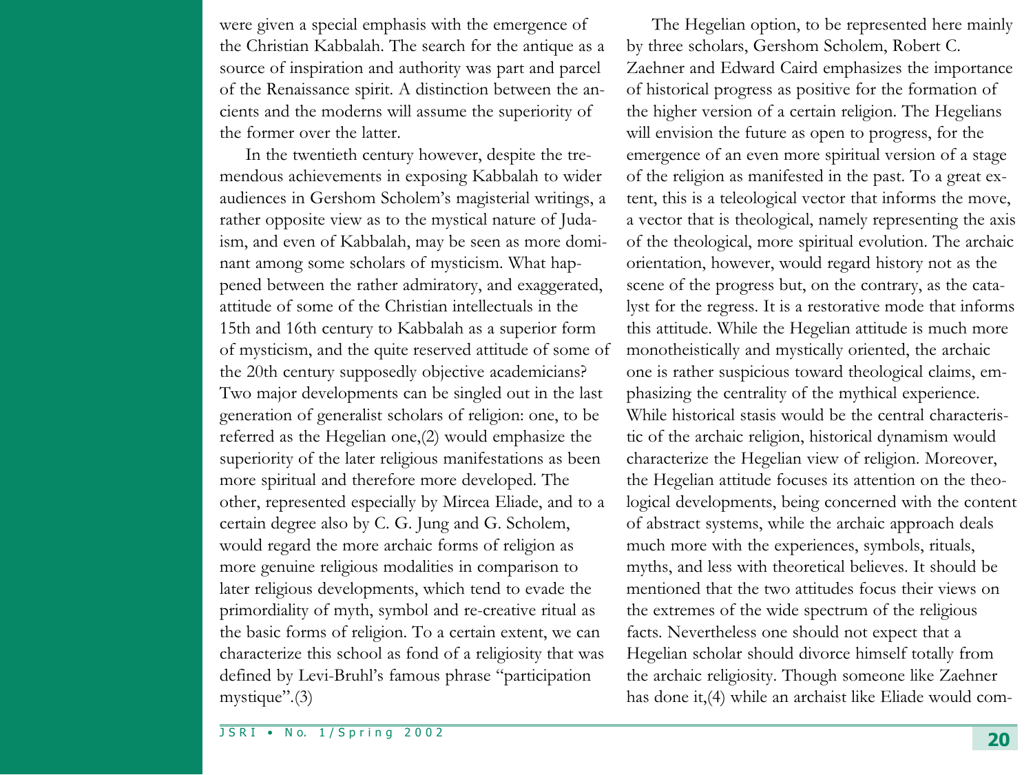were given a special emphasis with the emergence of the Christian Kabbalah. The search for the antique as a source of inspiration and authority was part and parcel of the Renaissance spirit. A distinction between the ancients and the moderns will assume the superiority of the former over the latter.

In the twentieth century however, despite the tremendous achievements in exposing Kabbalah to wider audiences in Gershom Scholem's magisterial writings, a rather opposite view as to the mystical nature of Judaism, and even of Kabbalah, may be seen as more dominant among some scholars of mysticism. What happened between the rather admiratory, and exaggerated, attitude of some of the Christian intellectuals in the 15th and 16th century to Kabbalah as a superior form of mysticism, and the quite reserved attitude of some of the 20th century supposedly objective academicians? Two major developments can be singled out in the last generation of generalist scholars of religion: one, to be referred as the Hegelian one, (2) would emphasize the superiority of the later religious manifestations as been more spiritual and therefore more developed. The other, represented especially by Mircea Eliade, and to a certain degree also by C. G. Jung and G. Scholem, would regard the more archaic forms of religion as more genuine religious modalities in comparison to later religious developments, which tend to evade the primordiality of myth, symbol and re-creative ritual as the basic forms of religion. To a certain extent, we can characterize this school as fond of a religiosity that was defined by Levi-Bruhl's famous phrase "participation mystique". $(3)$ 

The Hegelian option, to be represented here mainly by three scholars, Gershom Scholem, Robert C. Zaehner and Edward Caird emphasizes the importance of historical progress as positive for the formation of the higher version of a certain religion. The Hegelians will envision the future as open to progress, for the emergence of an even more spiritual version of a stage of the religion as manifested in the past. To a great extent, this is a teleological vector that informs the move, a vector that is theological, namely representing the axis of the theological, more spiritual evolution. The archaic orientation, however, would regard history not as the scene of the progress but, on the contrary, as the catalyst for the regress. It is a restorative mode that informs this attitude. While the Hegelian attitude is much more monotheistically and mystically oriented, the archaic one is rather suspicious toward theological claims, emphasizing the centrality of the mythical experience. While historical stasis would be the central characteristic of the archaic religion, historical dynamism would characterize the Hegelian view of religion. Moreover, the Hegelian attitude focuses its attention on the theological developments, being concerned with the content of abstract systems, while the archaic approach deals much more with the experiences, symbols, rituals, myths, and less with theoretical believes. It should be mentioned that the two attitudes focus their views on the extremes of the wide spectrum of the religious facts. Nevertheless one should not expect that a Hegelian scholar should divorce himself totally from the archaic religiosity. Though someone like Zaehner has done it, (4) while an archaist like Eliade would com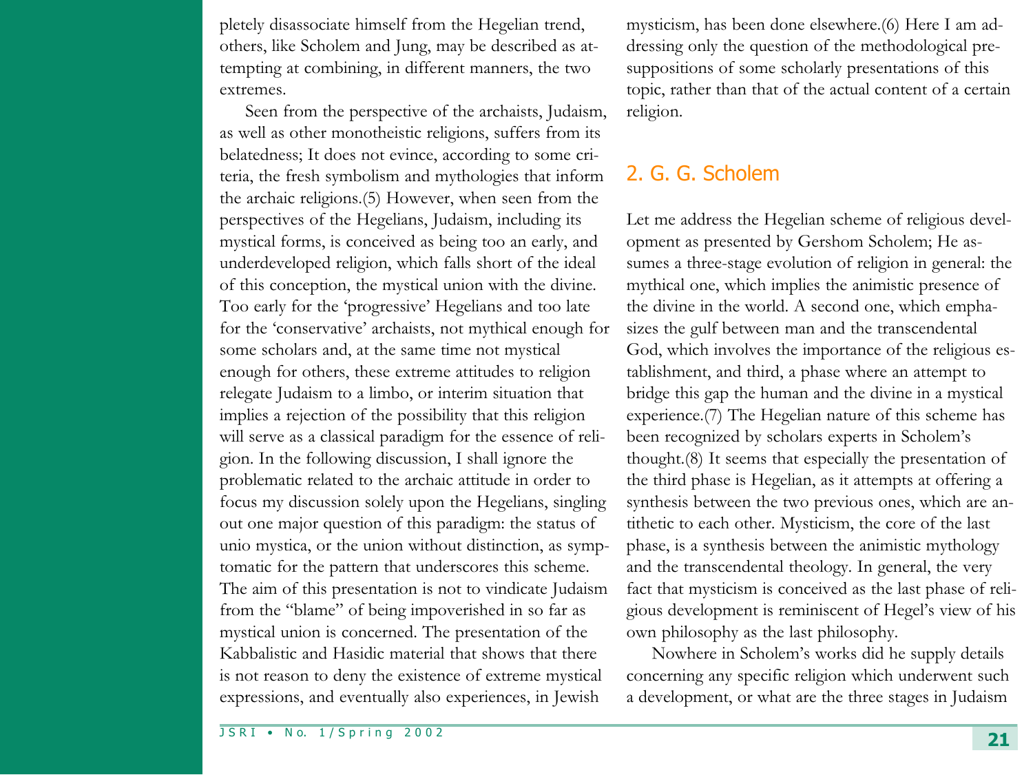pletely disassociate himself from the Hegelian trend, others, like Scholem and Jung, may be described as attempting at combining, in different manners, the two extremes.

Seen from the perspective of the archaists, Judaism, as well as other monotheistic religions, suffers from its belatedness; It does not evince, according to some criteria, the fresh symbolism and mythologies that inform the archaic religions.(5) However, when seen from the perspectives of the Hegelians, Judaism, including its mystical forms, is conceived as being too an early, and underdeveloped religion, which falls short of the ideal of this conception, the mystical union with the divine. Too early for the 'progressive' Hegelians and too late for the 'conservative' archaists, not mythical enough for some scholars and, at the same time not mystical enough for others, these extreme attitudes to religion relegate Judaism to a limbo, or interim situation that implies a rejection of the possibility that this religion will serve as a classical paradigm for the essence of religion. In the following discussion, I shall ignore the problematic related to the archaic attitude in order to focus my discussion solely upon the Hegelians, singling out one major question of this paradigm: the status of unio mystica, or the union without distinction, as symptomatic for the pattern that underscores this scheme. The aim of this presentation is not to vindicate Judaism from the "blame" of being impoverished in so far as mystical union is concerned. The presentation of the Kabbalistic and Hasidic material that shows that there is not reason to deny the existence of extreme mystical expressions, and eventually also experiences, in Jewish

mysticism, has been done elsewhere.(6) Here I am addressing only the question of the methodological presuppositions of some scholarly presentations of this topic, rather than that of the actual content of a certain religion.

## 2. G. G. Scholem

Let me address the Hegelian scheme of religious development as presented by Gershom Scholem; He assumes a three-stage evolution of religion in general: the mythical one, which implies the animistic presence of the divine in the world. A second one, which emphasizes the gulf between man and the transcendental God, which involves the importance of the religious establishment, and third, a phase where an attempt to bridge this gap the human and the divine in a mystical experience.(7) The Hegelian nature of this scheme has been recognized by scholars experts in Scholem's thought.(8) It seems that especially the presentation of the third phase is Hegelian, as it attempts at offering a synthesis between the two previous ones, which are antithetic to each other. Mysticism, the core of the last phase, is a synthesis between the animistic mythology and the transcendental theology. In general, the very fact that mysticism is conceived as the last phase of religious development is reminiscent of Hegel's view of his own philosophy as the last philosophy.

Nowhere in Scholem's works did he supply details concerning any specific religion which underwent such a development, or what are the three stages in Judaism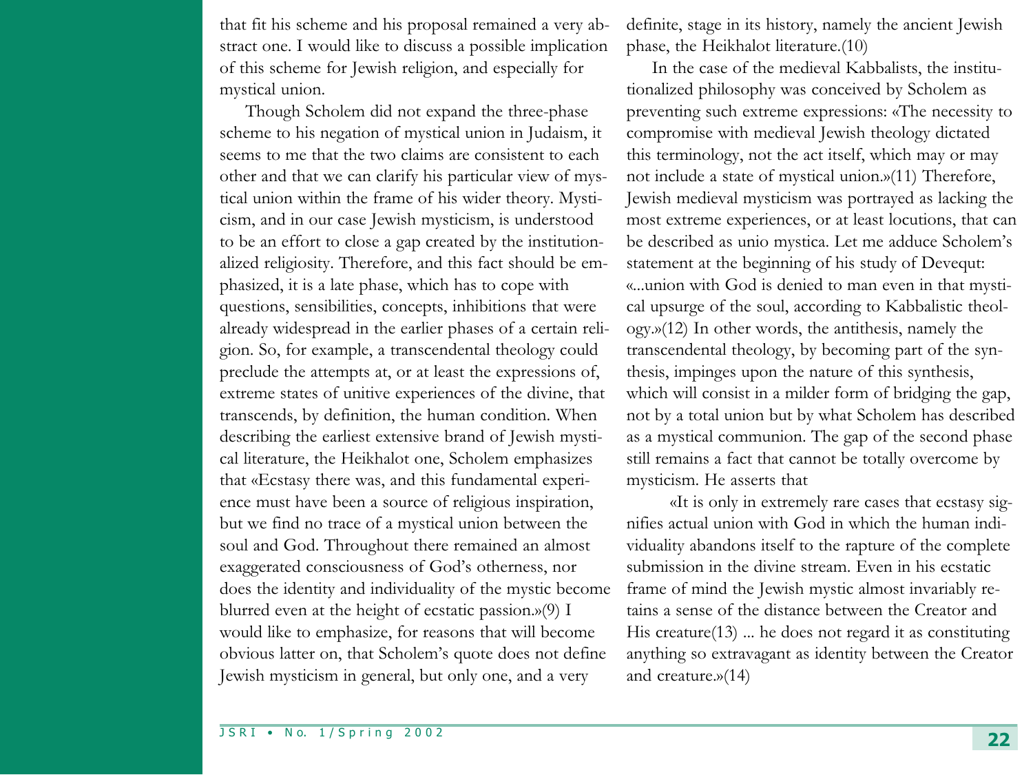that fit his scheme and his proposal remained a very abstract one. I would like to discuss a possible implication of this scheme for Jewish religion, and especially for mystical union.

Though Scholem did not expand the three-phase scheme to his negation of mystical union in Judaism, it seems to me that the two claims are consistent to each other and that we can clarify his particular view of mystical union within the frame of his wider theory. Mysticism, and in our case Jewish mysticism, is understood to be an effort to close a gap created by the institutionalized religiosity. Therefore, and this fact should be emphasized, it is a late phase, which has to cope with questions, sensibilities, concepts, inhibitions that were already widespread in the earlier phases of a certain religion. So, for example, a transcendental theology could preclude the attempts at, or at least the expressions of, extreme states of unitive experiences of the divine, that transcends, by definition, the human condition. When describing the earliest extensive brand of Jewish mystical literature, the Heikhalot one, Scholem emphasizes that «Ecstasy there was, and this fundamental experience must have been a source of religious inspiration, but we find no trace of a mystical union between the soul and God. Throughout there remained an almost exaggerated consciousness of God's otherness, nor does the identity and individuality of the mystic become blurred even at the height of ecstatic passion.»(9) I would like to emphasize, for reasons that will become obvious latter on, that Scholem's quote does not define Jewish mysticism in general, but only one, and a very

definite, stage in its history, namely the ancient Jewish phase, the Heikhalot literature.(10)

In the case of the medieval Kabbalists, the institutionalized philosophy was conceived by Scholem as preventing such extreme expressions: «The necessity to compromise with medieval Jewish theology dictated this terminology, not the act itself, which may or may not include a state of mystical union.»(11) Therefore, Jewish medieval mysticism was portrayed as lacking the most extreme experiences, or at least locutions, that can be described as unio mystica. Let me adduce Scholem's statement at the beginning of his study of Devequt: «...union with God is denied to man even in that mystical upsurge of the soul, according to Kabbalistic theol- $\log y$ .» $(12)$  In other words, the antithesis, namely the transcendental theology, by becoming part of the synthesis, impinges upon the nature of this synthesis, which will consist in a milder form of bridging the gap, not by a total union but by what Scholem has described as a mystical communion. The gap of the second phase still remains a fact that cannot be totally overcome by mysticism. He asserts that

«It is only in extremely rare cases that ecstasy signifies actual union with God in which the human individuality abandons itself to the rapture of the complete submission in the divine stream. Even in his ecstatic frame of mind the Jewish mystic almost invariably retains a sense of the distance between the Creator and His creature $(13)$  ... he does not regard it as constituting anything so extravagant as identity between the Creator and creature.»(14)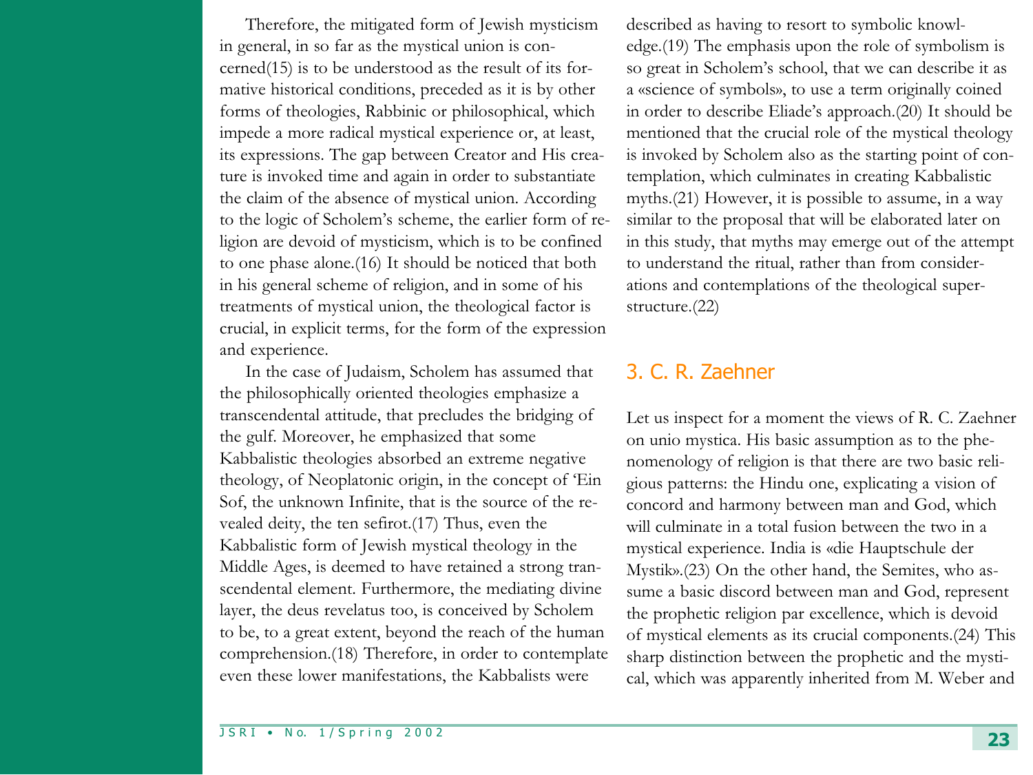Therefore, the mitigated form of Jewish mysticism in general, in so far as the mystical union is con $cerned(15)$  is to be understood as the result of its formative historical conditions, preceded as it is by other forms of theologies, Rabbinic or philosophical, which impede a more radical mystical experience or, at least, its expressions. The gap between Creator and His creature is invoked time and again in order to substantiate the claim of the absence of mystical union. According to the logic of Scholem's scheme, the earlier form of religion are devoid of mysticism, which is to be confined to one phase alone.(16) It should be noticed that both in his general scheme of religion, and in some of his treatments of mystical union, the theological factor is crucial, in explicit terms, for the form of the expression and experience.

In the case of Judaism, Scholem has assumed that the philosophically oriented theologies emphasize a transcendental attitude, that precludes the bridging of the gulf. Moreover, he emphasized that some Kabbalistic theologies absorbed an extreme negative theology, of Neoplatonic origin, in the concept of 'Ein Sof, the unknown Infinite, that is the source of the revealed deity, the ten sefirot.(17) Thus, even the Kabbalistic form of Jewish mystical theology in the Middle Ages, is deemed to have retained a strong transcendental element. Furthermore, the mediating divine layer, the deus revelatus too, is conceived by Scholem to be, to a great extent, beyond the reach of the human comprehension.(18) Therefore, in order to contemplate even these lower manifestations, the Kabbalists were

described as having to resort to symbolic knowledge.(19) The emphasis upon the role of symbolism is so great in Scholem's school, that we can describe it as a «science of symbols», to use a term originally coined in order to describe Eliade's approach.(20) It should be mentioned that the crucial role of the mystical theology is invoked by Scholem also as the starting point of contemplation, which culminates in creating Kabbalistic myths.(21) However, it is possible to assume, in a way similar to the proposal that will be elaborated later on in this study, that myths may emerge out of the attempt to understand the ritual, rather than from considerations and contemplations of the theological superstructure. $(22)$ 

## 3. C. R. Zaehner

Let us inspect for a moment the views of R. C. Zaehner on unio mystica. His basic assumption as to the phenomenology of religion is that there are two basic religious patterns: the Hindu one, explicating a vision of concord and harmony between man and God, which will culminate in a total fusion between the two in a mystical experience. India is «die Hauptschule der Mystik».(23) On the other hand, the Semites, who assume a basic discord between man and God, represent the prophetic religion par excellence, which is devoid of mystical elements as its crucial components.(24) This sharp distinction between the prophetic and the mystical, which was apparently inherited from M. Weber and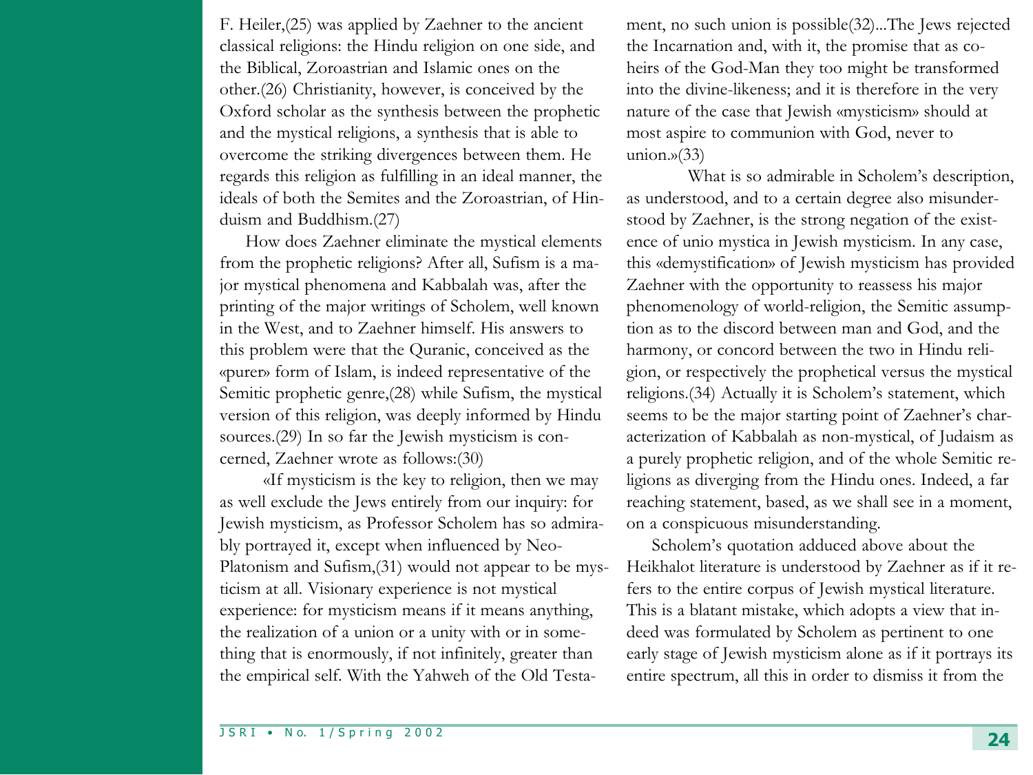F. Heiler, (25) was applied by Zaehner to the ancient classical religions: the Hindu religion on one side, and the Biblical, Zoroastrian and Islamic ones on the other. (26) Christianity, however, is conceived by the Oxford scholar as the synthesis between the prophetic and the mystical religions, a synthesis that is able to overcome the striking divergences between them. He regards this religion as fulfilling in an ideal manner, the ideals of both the Semites and the Zoroastrian, of Hinduism and Buddhism.(27)

How does Zaehner eliminate the mystical elements from the prophetic religions? After all, Sufism is a major mystical phenomena and Kabbalah was, after the printing of the major writings of Scholem, well known in the West, and to Zaehner himself. His answers to this problem were that the Quranic, conceived as the «purer» form of Islam, is indeed representative of the Semitic prophetic genre, (28) while Sufism, the mystical version of this religion, was deeply informed by Hindu sources.(29) In so far the Jewish mysticism is concerned, Zaehner wrote as follows: (30)

«If mysticism is the key to religion, then we may as well exclude the Jews entirely from our inquiry: for Jewish mysticism, as Professor Scholem has so admirably portrayed it, except when influenced by Neo-Platonism and Sufism, (31) would not appear to be mysticism at all. Visionary experience is not mystical experience: for mysticism means if it means anything, the realization of a union or a unity with or in something that is enormously, if not infinitely, greater than the empirical self. With the Yahweh of the Old Testament, no such union is possible(32)...The Jews rejected the Incarnation and, with it, the promise that as coheirs of the God-Man they too might be transformed into the divine-likeness; and it is therefore in the very nature of the case that Jewish «mysticism» should at most aspire to communion with God, never to union.» $(33)$ 

What is so admirable in Scholem's description, as understood, and to a certain degree also misunderstood by Zaehner, is the strong negation of the existence of unio mystica in Jewish mysticism. In any case, this «demystification» of Jewish mysticism has provided Zaehner with the opportunity to reassess his major phenomenology of world-religion, the Semitic assumption as to the discord between man and God, and the harmony, or concord between the two in Hindu religion, or respectively the prophetical versus the mystical religions. (34) Actually it is Scholem's statement, which seems to be the major starting point of Zaehner's characterization of Kabbalah as non-mystical, of Judaism as a purely prophetic religion, and of the whole Semitic religions as diverging from the Hindu ones. Indeed, a far reaching statement, based, as we shall see in a moment, on a conspicuous misunderstanding.

Scholem's quotation adduced above about the Heikhalot literature is understood by Zaehner as if it refers to the entire corpus of Jewish mystical literature. This is a blatant mistake, which adopts a view that indeed was formulated by Scholem as pertinent to one early stage of Jewish mysticism alone as if it portrays its entire spectrum, all this in order to dismiss it from the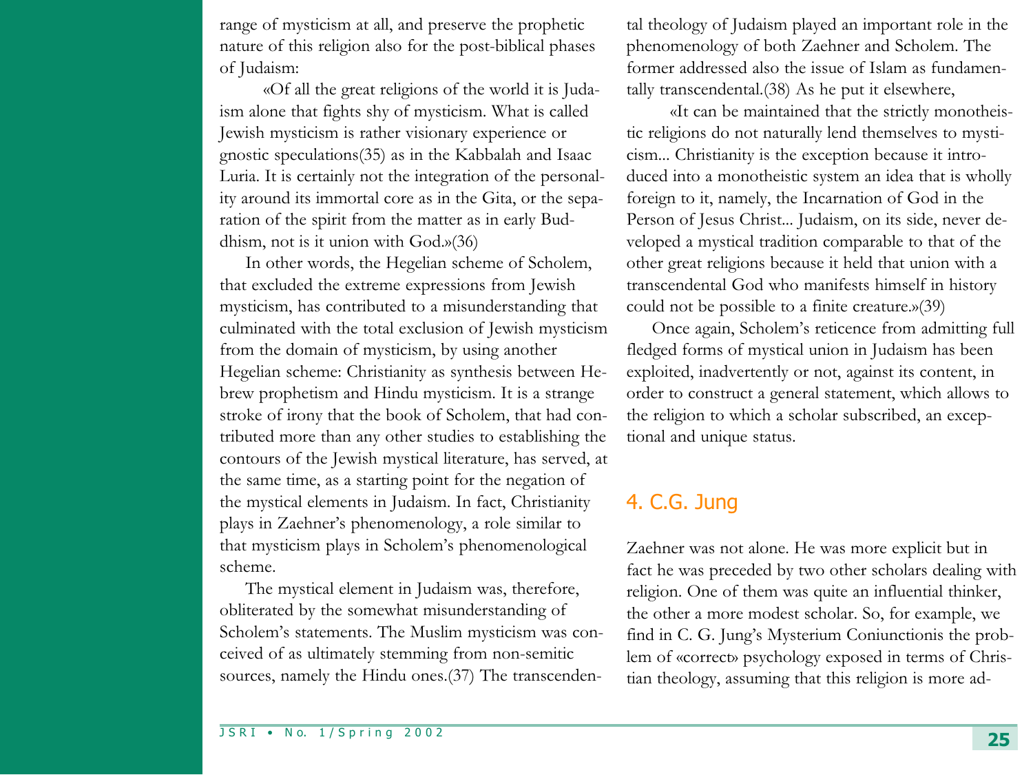range of mysticism at all, and preserve the prophetic nature of this religion also for the post-biblical phases of Judaism:

«Of all the great religions of the world it is Judaism alone that fights shy of mysticism. What is called Jewish mysticism is rather visionary experience or gnostic speculations (35) as in the Kabbalah and Isaac Luria. It is certainly not the integration of the personality around its immortal core as in the Gita, or the separation of the spirit from the matter as in early Buddhism, not is it union with  $God.$   $\mathcal{S}(36)$ 

In other words, the Hegelian scheme of Scholem, that excluded the extreme expressions from Jewish mysticism, has contributed to a misunderstanding that culminated with the total exclusion of Jewish mysticism from the domain of mysticism, by using another Hegelian scheme: Christianity as synthesis between Hebrew prophetism and Hindu mysticism. It is a strange stroke of irony that the book of Scholem, that had contributed more than any other studies to establishing the contours of the Jewish mystical literature, has served, at the same time, as a starting point for the negation of the mystical elements in Judaism. In fact, Christianity plays in Zaehner's phenomenology, a role similar to that mysticism plays in Scholem's phenomenological scheme.

The mystical element in Judaism was, therefore, obliterated by the somewhat misunderstanding of Scholem's statements. The Muslim mysticism was conceived of as ultimately stemming from non-semitic sources, namely the Hindu ones.(37) The transcenden-

tal theology of Judaism played an important role in the phenomenology of both Zaehner and Scholem. The former addressed also the issue of Islam as fundamentally transcendental.(38) As he put it elsewhere,

«It can be maintained that the strictly monotheistic religions do not naturally lend themselves to mysticism... Christianity is the exception because it introduced into a monotheistic system an idea that is wholly foreign to it, namely, the Incarnation of God in the Person of Jesus Christ... Judaism, on its side, never developed a mystical tradition comparable to that of the other great religions because it held that union with a transcendental God who manifests himself in history could not be possible to a finite creature.»(39)

Once again, Scholem's reticence from admitting full fledged forms of mystical union in Judaism has been exploited, inadvertently or not, against its content, in order to construct a general statement, which allows to the religion to which a scholar subscribed, an exceptional and unique status.

## 4. C.G. Jung

Zaehner was not alone. He was more explicit but in fact he was preceded by two other scholars dealing with religion. One of them was quite an influential thinker, the other a more modest scholar. So, for example, we find in C. G. Jung's Mysterium Coniunctionis the problem of «correct» psychology exposed in terms of Christian theology, assuming that this religion is more ad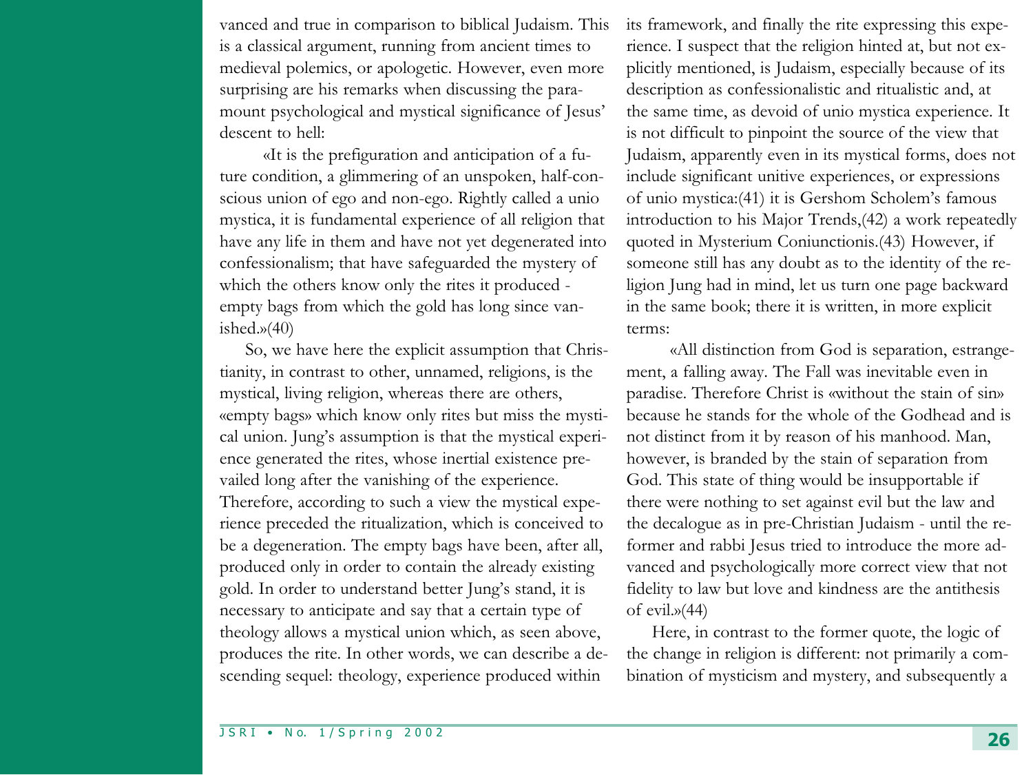vanced and true in comparison to biblical Judaism. This is a classical argument, running from ancient times to medieval polemics, or apologetic. However, even more surprising are his remarks when discussing the paramount psychological and mystical significance of Jesus' descent to hell:

«It is the prefiguration and anticipation of a future condition, a glimmering of an unspoken, half-conscious union of ego and non-ego. Rightly called a unio mystica, it is fundamental experience of all religion that have any life in them and have not yet degenerated into confessionalism; that have safeguarded the mystery of which the others know only the rites it produced empty bags from which the gold has long since vanished.» $(40)$ 

So, we have here the explicit assumption that Christianity, in contrast to other, unnamed, religions, is the mystical, living religion, whereas there are others, «empty bags» which know only rites but miss the mystical union. Jung's assumption is that the mystical experience generated the rites, whose inertial existence prevailed long after the vanishing of the experience. Therefore, according to such a view the mystical experience preceded the ritualization, which is conceived to be a degeneration. The empty bags have been, after all, produced only in order to contain the already existing gold. In order to understand better Jung's stand, it is necessary to anticipate and say that a certain type of theology allows a mystical union which, as seen above, produces the rite. In other words, we can describe a descending sequel: theology, experience produced within

its framework, and finally the rite expressing this experience. I suspect that the religion hinted at, but not explicitly mentioned, is Judaism, especially because of its description as confessionalistic and ritualistic and, at the same time, as devoid of unio mystica experience. It is not difficult to pinpoint the source of the view that Judaism, apparently even in its mystical forms, does not include significant unitive experiences, or expressions of unio mystica: (41) it is Gershom Scholem's famous introduction to his Major Trends, (42) a work repeatedly quoted in Mysterium Coniunctionis.(43) However, if someone still has any doubt as to the identity of the religion Jung had in mind, let us turn one page backward in the same book; there it is written, in more explicit terms:

«All distinction from God is separation, estrangement, a falling away. The Fall was inevitable even in paradise. Therefore Christ is «without the stain of sin» because he stands for the whole of the Godhead and is not distinct from it by reason of his manhood. Man, however, is branded by the stain of separation from God. This state of thing would be insupportable if there were nothing to set against evil but the law and the decalogue as in pre-Christian Judaism - until the reformer and rabbi Jesus tried to introduce the more advanced and psychologically more correct view that not fidelity to law but love and kindness are the antithesis of evil.» $(44)$ 

Here, in contrast to the former quote, the logic of the change in religion is different: not primarily a combination of mysticism and mystery, and subsequently a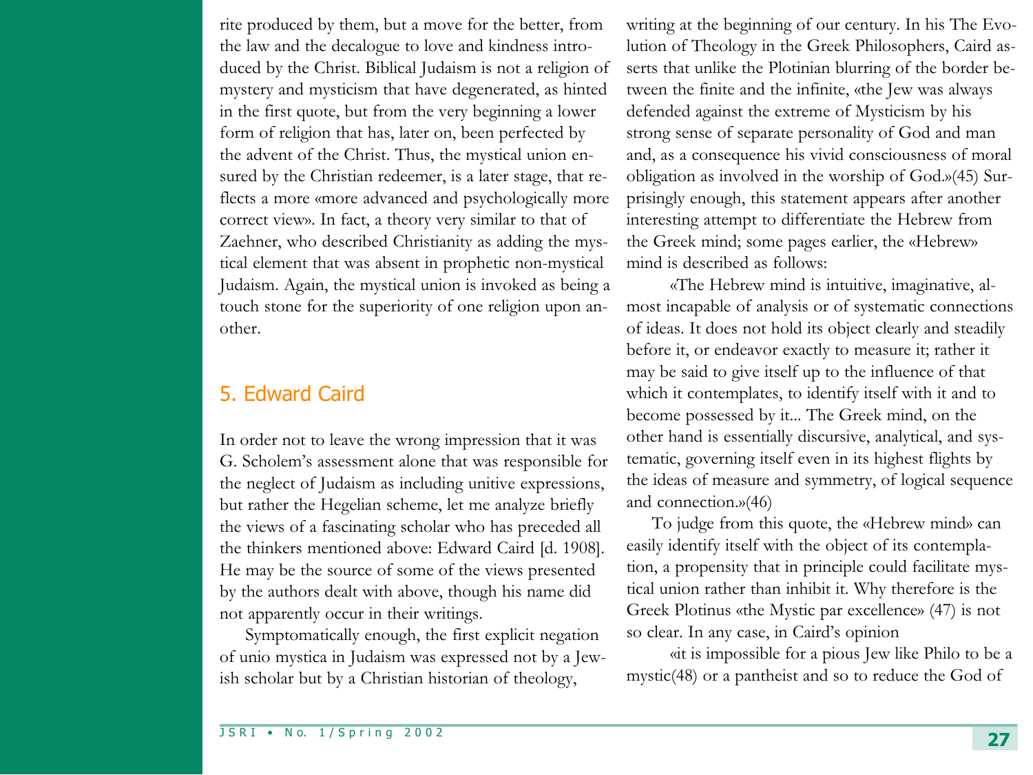rite produced by them, but a move for the better, from the law and the decalogue to love and kindness introduced by the Christ. Biblical Judaism is not a religion of mystery and mysticism that have degenerated, as hinted in the first quote, but from the very beginning a lower form of religion that has, later on, been perfected by the advent of the Christ. Thus, the mystical union ensured by the Christian redeemer, is a later stage, that reflects a more «more advanced and psychologically more correct view». In fact, a theory very similar to that of Zaehner, who described Christianity as adding the mystical element that was absent in prophetic non-mystical Judaism. Again, the mystical union is invoked as being a touch stone for the superiority of one religion upon another.

## 5. Edward Caird

In order not to leave the wrong impression that it was G. Scholem's assessment alone that was responsible for the neglect of Judaism as including unitive expressions, but rather the Hegelian scheme, let me analyze briefly the views of a fascinating scholar who has preceded all the thinkers mentioned above: Edward Caird [d. 1908]. He may be the source of some of the views presented by the authors dealt with above, though his name did not apparently occur in their writings.

Symptomatically enough, the first explicit negation of unio mystica in Judaism was expressed not by a Jewish scholar but by a Christian historian of theology,

writing at the beginning of our century. In his The Evolution of Theology in the Greek Philosophers, Caird asserts that unlike the Plotinian blurring of the border between the finite and the infinite, «the Jew was always defended against the extreme of Mysticism by his strong sense of separate personality of God and man and, as a consequence his vivid consciousness of moral obligation as involved in the worship of God.»(45) Surprisingly enough, this statement appears after another interesting attempt to differentiate the Hebrew from the Greek mind; some pages earlier, the «Hebrew» mind is described as follows:

«The Hebrew mind is intuitive, imaginative, almost incapable of analysis or of systematic connections of ideas. It does not hold its object clearly and steadily before it, or endeavor exactly to measure it; rather it may be said to give itself up to the influence of that which it contemplates, to identify itself with it and to become possessed by it... The Greek mind, on the other hand is essentially discursive, analytical, and systematic, governing itself even in its highest flights by the ideas of measure and symmetry, of logical sequence and connection.»(46)

To judge from this quote, the «Hebrew mind» can easily identify itself with the object of its contemplation, a propensity that in principle could facilitate mystical union rather than inhibit it. Why therefore is the Greek Plotinus «the Mystic par excellence» (47) is not so clear. In any case, in Caird's opinion

«it is impossible for a pious Jew like Philo to be a mystic(48) or a pantheist and so to reduce the God of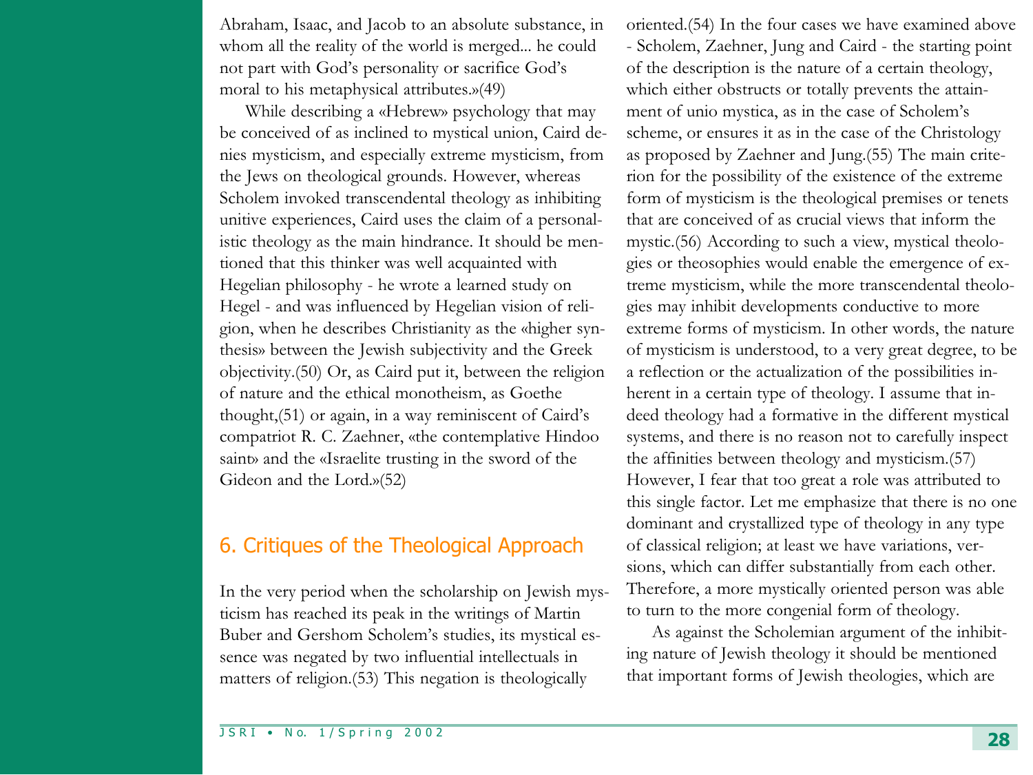Abraham, Isaac, and Jacob to an absolute substance, in whom all the reality of the world is merged... he could not part with God's personality or sacrifice God's moral to his metaphysical attributes.»(49)

While describing a «Hebrew» psychology that may be conceived of as inclined to mystical union, Caird denies mysticism, and especially extreme mysticism, from the Jews on theological grounds. However, whereas Scholem invoked transcendental theology as inhibiting unitive experiences, Caird uses the claim of a personalistic theology as the main hindrance. It should be mentioned that this thinker was well acquainted with Hegelian philosophy - he wrote a learned study on Hegel - and was influenced by Hegelian vision of religion, when he describes Christianity as the «higher synthesis» between the Jewish subjectivity and the Greek objectivity.(50) Or, as Caird put it, between the religion of nature and the ethical monotheism, as Goethe thought, (51) or again, in a way reminiscent of Caird's compatriot R. C. Zaehner, «the contemplative Hindoo saint» and the «Israelite trusting in the sword of the Gideon and the Lord.»(52)

## 6. Critiques of the Theological Approach

In the very period when the scholarship on Jewish mysticism has reached its peak in the writings of Martin Buber and Gershom Scholem's studies, its mystical essence was negated by two influential intellectuals in matters of religion. (53) This negation is theologically

oriented.(54) In the four cases we have examined above - Scholem, Zaehner, Jung and Caird - the starting point of the description is the nature of a certain theology, which either obstructs or totally prevents the attainment of unio mystica, as in the case of Scholem's scheme, or ensures it as in the case of the Christology as proposed by Zaehner and Jung.(55) The main criterion for the possibility of the existence of the extreme form of mysticism is the theological premises or tenets that are conceived of as crucial views that inform the mystic.(56) According to such a view, mystical theologies or theosophies would enable the emergence of extreme mysticism, while the more transcendental theologies may inhibit developments conductive to more extreme forms of mysticism. In other words, the nature of mysticism is understood, to a very great degree, to be a reflection or the actualization of the possibilities inherent in a certain type of theology. I assume that indeed theology had a formative in the different mystical systems, and there is no reason not to carefully inspect the affinities between theology and mysticism. (57) However, I fear that too great a role was attributed to this single factor. Let me emphasize that there is no one dominant and crystallized type of theology in any type of classical religion; at least we have variations, versions, which can differ substantially from each other. Therefore, a more mystically oriented person was able to turn to the more congenial form of theology.

As against the Scholemian argument of the inhibiting nature of Jewish theology it should be mentioned that important forms of Jewish theologies, which are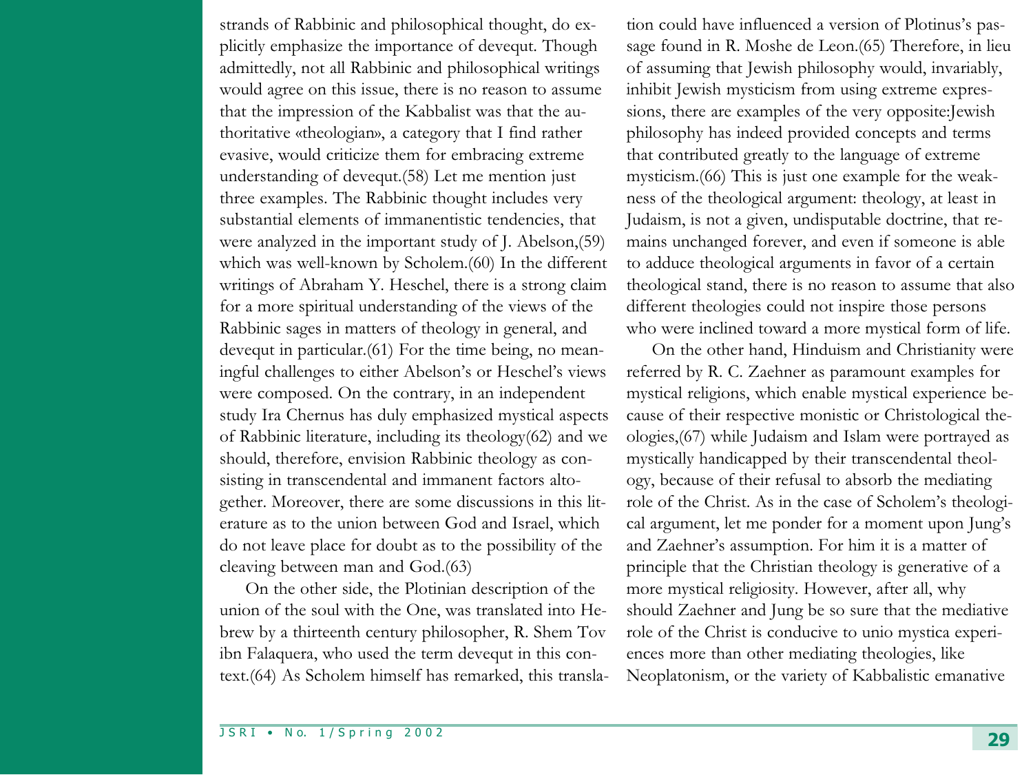strands of Rabbinic and philosophical thought, do explicitly emphasize the importance of devequt. Though admittedly, not all Rabbinic and philosophical writings would agree on this issue, there is no reason to assume that the impression of the Kabbalist was that the authoritative «theologian», a category that I find rather evasive, would criticize them for embracing extreme understanding of devequt.(58) Let me mention just three examples. The Rabbinic thought includes very substantial elements of immanentistic tendencies, that were analyzed in the important study of J. Abelson, (59) which was well-known by Scholem.(60) In the different writings of Abraham Y. Heschel, there is a strong claim for a more spiritual understanding of the views of the Rabbinic sages in matters of theology in general, and devequt in particular. (61) For the time being, no meaningful challenges to either Abelson's or Heschel's views were composed. On the contrary, in an independent study Ira Chernus has duly emphasized mystical aspects of Rabbinic literature, including its theology(62) and we should, therefore, envision Rabbinic theology as consisting in transcendental and immanent factors altogether. Moreover, there are some discussions in this literature as to the union between God and Israel, which do not leave place for doubt as to the possibility of the cleaving between man and God.(63)

On the other side, the Plotinian description of the union of the soul with the One, was translated into Hebrew by a thirteenth century philosopher, R. Shem Tov ibn Falaquera, who used the term devequt in this context. (64) As Scholem himself has remarked, this transla-

tion could have influenced a version of Plotinus's passage found in R. Moshe de Leon.(65) Therefore, in lieu of assuming that Jewish philosophy would, invariably, inhibit Jewish mysticism from using extreme expressions, there are examples of the very opposite:Jewish philosophy has indeed provided concepts and terms that contributed greatly to the language of extreme mysticism.(66) This is just one example for the weakness of the theological argument: theology, at least in Judaism, is not a given, undisputable doctrine, that remains unchanged forever, and even if someone is able to adduce theological arguments in favor of a certain theological stand, there is no reason to assume that also different theologies could not inspire those persons who were inclined toward a more mystical form of life.

On the other hand, Hinduism and Christianity were referred by R. C. Zaehner as paramount examples for mystical religions, which enable mystical experience because of their respective monistic or Christological theologies, (67) while Judaism and Islam were portrayed as mystically handicapped by their transcendental theology, because of their refusal to absorb the mediating role of the Christ. As in the case of Scholem's theological argument, let me ponder for a moment upon Jung's and Zaehner's assumption. For him it is a matter of principle that the Christian theology is generative of a more mystical religiosity. However, after all, why should Zaehner and Jung be so sure that the mediative role of the Christ is conducive to unio mystica experiences more than other mediating theologies, like Neoplatonism, or the variety of Kabbalistic emanative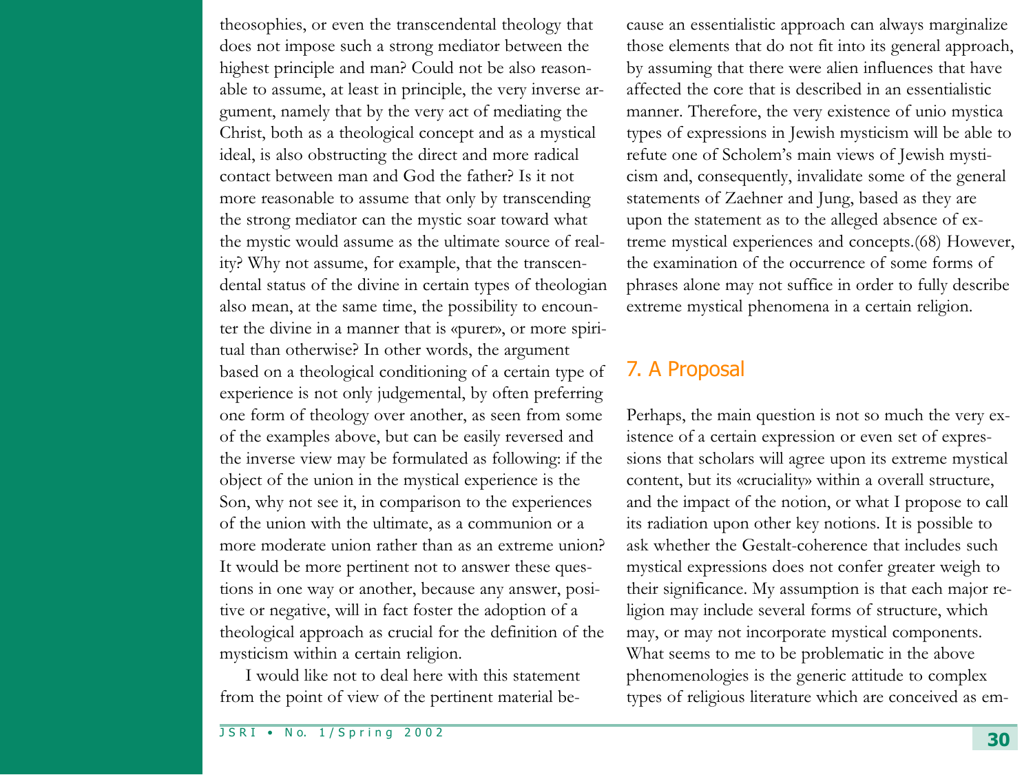theosophies, or even the transcendental theology that does not impose such a strong mediator between the highest principle and man? Could not be also reasonable to assume, at least in principle, the very inverse argument, namely that by the very act of mediating the Christ, both as a theological concept and as a mystical ideal, is also obstructing the direct and more radical contact between man and God the father? Is it not more reasonable to assume that only by transcending the strong mediator can the mystic soar toward what the mystic would assume as the ultimate source of reality? Why not assume, for example, that the transcendental status of the divine in certain types of theologian also mean, at the same time, the possibility to encounter the divine in a manner that is «purer», or more spiritual than otherwise? In other words, the argument based on a theological conditioning of a certain type of experience is not only judgemental, by often preferring one form of theology over another, as seen from some of the examples above, but can be easily reversed and the inverse view may be formulated as following: if the object of the union in the mystical experience is the Son, why not see it, in comparison to the experiences of the union with the ultimate, as a communion or a more moderate union rather than as an extreme union? It would be more pertinent not to answer these questions in one way or another, because any answer, positive or negative, will in fact foster the adoption of a theological approach as crucial for the definition of the mysticism within a certain religion.

I would like not to deal here with this statement from the point of view of the pertinent material because an essentialistic approach can always marginalize those elements that do not fit into its general approach, by assuming that there were alien influences that have affected the core that is described in an essentialistic manner. Therefore, the very existence of unio mystica types of expressions in Jewish mysticism will be able to refute one of Scholem's main views of Jewish mysticism and, consequently, invalidate some of the general statements of Zaehner and Jung, based as they are upon the statement as to the alleged absence of extreme mystical experiences and concepts.(68) However, the examination of the occurrence of some forms of phrases alone may not suffice in order to fully describe extreme mystical phenomena in a certain religion.

## 7. A Proposal

Perhaps, the main question is not so much the very existence of a certain expression or even set of expressions that scholars will agree upon its extreme mystical content, but its «cruciality» within a overall structure, and the impact of the notion, or what I propose to call its radiation upon other key notions. It is possible to ask whether the Gestalt-coherence that includes such mystical expressions does not confer greater weigh to their significance. My assumption is that each major religion may include several forms of structure, which may, or may not incorporate mystical components. What seems to me to be problematic in the above phenomenologies is the generic attitude to complex types of religious literature which are conceived as em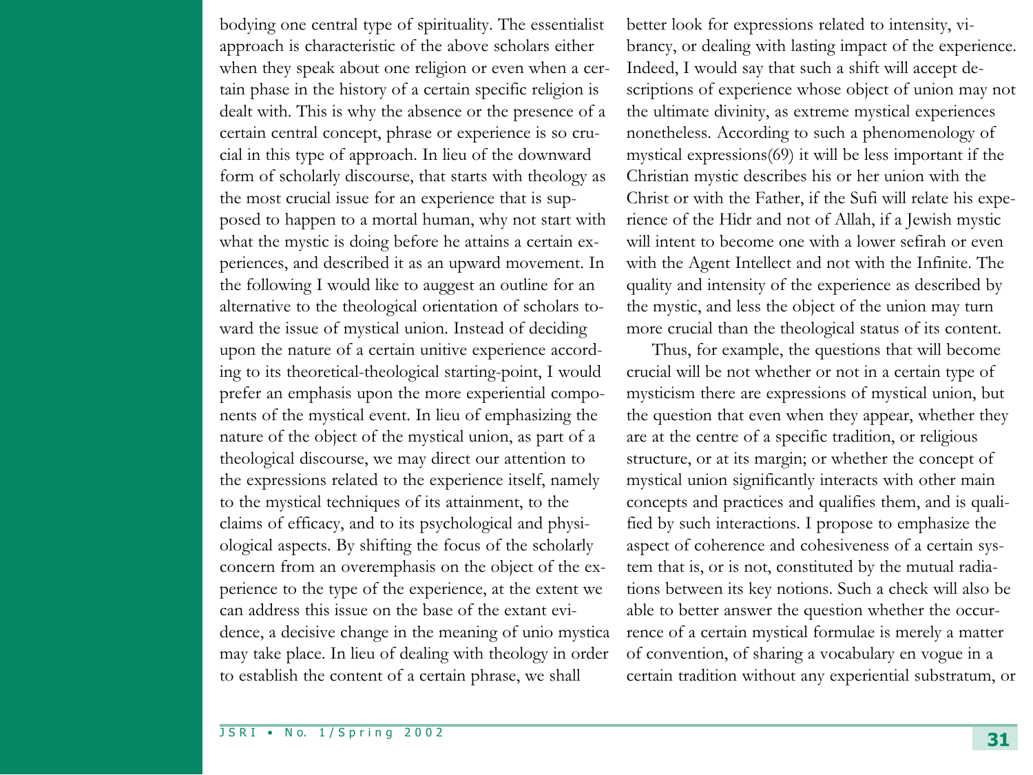bodying one central type of spirituality. The essentialist approach is characteristic of the above scholars either when they speak about one religion or even when a certain phase in the history of a certain specific religion is dealt with. This is why the absence or the presence of a certain central concept, phrase or experience is so crucial in this type of approach. In lieu of the downward form of scholarly discourse, that starts with theology as the most crucial issue for an experience that is supposed to happen to a mortal human, why not start with what the mystic is doing before he attains a certain experiences, and described it as an upward movement. In the following I would like to auggest an outline for an alternative to the theological orientation of scholars toward the issue of mystical union. Instead of deciding upon the nature of a certain unitive experience according to its theoretical-theological starting-point, I would prefer an emphasis upon the more experiential components of the mystical event. In lieu of emphasizing the nature of the object of the mystical union, as part of a theological discourse, we may direct our attention to the expressions related to the experience itself, namely to the mystical techniques of its attainment, to the claims of efficacy, and to its psychological and physiological aspects. By shifting the focus of the scholarly concern from an overemphasis on the object of the experience to the type of the experience, at the extent we can address this issue on the base of the extant evidence, a decisive change in the meaning of unio mystica may take place. In lieu of dealing with theology in order to establish the content of a certain phrase, we shall

better look for expressions related to intensity, vibrancy, or dealing with lasting impact of the experience. Indeed, I would say that such a shift will accept descriptions of experience whose object of union may not the ultimate divinity, as extreme mystical experiences nonetheless. According to such a phenomenology of mystical expressions(69) it will be less important if the Christian mystic describes his or her union with the Christ or with the Father, if the Sufi will relate his experience of the Hidr and not of Allah, if a Jewish mystic will intent to become one with a lower sefirah or even with the Agent Intellect and not with the Infinite. The quality and intensity of the experience as described by the mystic, and less the object of the union may turn more crucial than the theological status of its content.

Thus, for example, the questions that will become crucial will be not whether or not in a certain type of mysticism there are expressions of mystical union, but the question that even when they appear, whether they are at the centre of a specific tradition, or religious structure, or at its margin; or whether the concept of mystical union significantly interacts with other main concepts and practices and qualifies them, and is qualified by such interactions. I propose to emphasize the aspect of coherence and cohesiveness of a certain system that is, or is not, constituted by the mutual radiations between its key notions. Such a check will also be able to better answer the question whether the occurrence of a certain mystical formulae is merely a matter of convention, of sharing a vocabulary en vogue in a certain tradition without any experiential substratum, or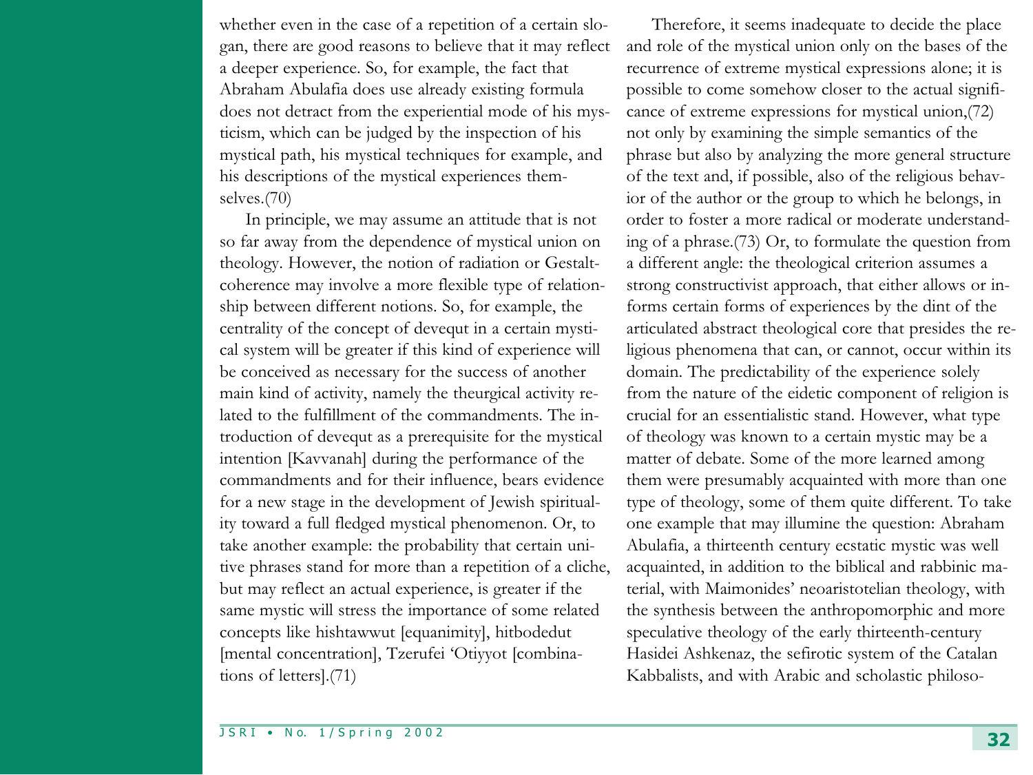whether even in the case of a repetition of a certain slogan, there are good reasons to believe that it may reflect a deeper experience. So, for example, the fact that Abraham Abulafia does use already existing formula does not detract from the experiential mode of his mysticism, which can be judged by the inspection of his mystical path, his mystical techniques for example, and his descriptions of the mystical experiences themselves. $(70)$ 

In principle, we may assume an attitude that is not so far away from the dependence of mystical union on theology. However, the notion of radiation or Gestaltcoherence may involve a more flexible type of relationship between different notions. So, for example, the centrality of the concept of devequt in a certain mystical system will be greater if this kind of experience will be conceived as necessary for the success of another main kind of activity, namely the theurgical activity related to the fulfillment of the commandments. The introduction of devequt as a prerequisite for the mystical intention [Kavvanah] during the performance of the commandments and for their influence, bears evidence for a new stage in the development of Jewish spirituality toward a full fledged mystical phenomenon. Or, to take another example: the probability that certain unitive phrases stand for more than a repetition of a cliche, but may reflect an actual experience, is greater if the same mystic will stress the importance of some related concepts like hishtawwut [equanimity], hitbodedut [mental concentration], Tzerufei 'Otiyyot [combinations of letters].(71)

Therefore, it seems inadequate to decide the place and role of the mystical union only on the bases of the recurrence of extreme mystical expressions alone; it is possible to come somehow closer to the actual significance of extreme expressions for mystical union, (72) not only by examining the simple semantics of the phrase but also by analyzing the more general structure of the text and, if possible, also of the religious behavior of the author or the group to which he belongs, in order to foster a more radical or moderate understanding of a phrase.(73) Or, to formulate the question from a different angle: the theological criterion assumes a strong constructivist approach, that either allows or informs certain forms of experiences by the dint of the articulated abstract theological core that presides the religious phenomena that can, or cannot, occur within its domain. The predictability of the experience solely from the nature of the eidetic component of religion is crucial for an essentialistic stand. However, what type of theology was known to a certain mystic may be a matter of debate. Some of the more learned among them were presumably acquainted with more than one type of theology, some of them quite different. To take one example that may illumine the question: Abraham Abulafia, a thirteenth century ecstatic mystic was well acquainted, in addition to the biblical and rabbinic material, with Maimonides' neoaristotelian theology, with the synthesis between the anthropomorphic and more speculative theology of the early thirteenth-century Hasidei Ashkenaz, the sefirotic system of the Catalan Kabbalists, and with Arabic and scholastic philoso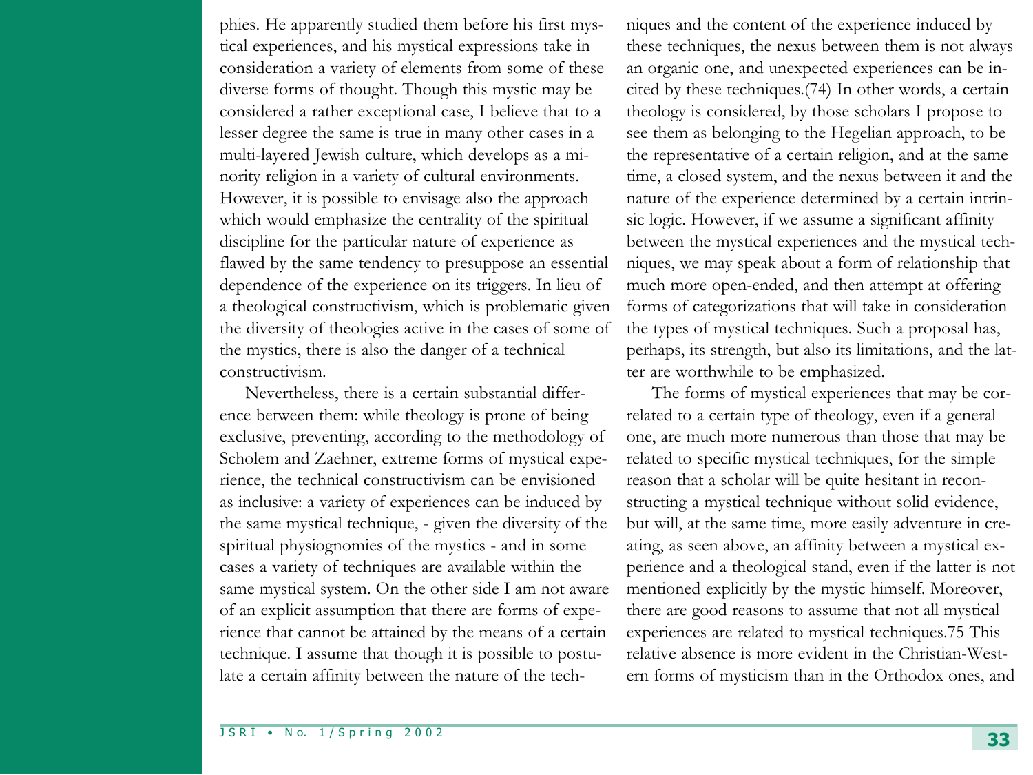phies. He apparently studied them before his first mystical experiences, and his mystical expressions take in consideration a variety of elements from some of these diverse forms of thought. Though this mystic may be considered a rather exceptional case, I believe that to a lesser degree the same is true in many other cases in a multi-layered Jewish culture, which develops as a minority religion in a variety of cultural environments. However, it is possible to envisage also the approach which would emphasize the centrality of the spiritual discipline for the particular nature of experience as flawed by the same tendency to presuppose an essential dependence of the experience on its triggers. In lieu of a theological constructivism, which is problematic given the diversity of theologies active in the cases of some of the mystics, there is also the danger of a technical constructivism.

Nevertheless, there is a certain substantial difference between them: while theology is prone of being exclusive, preventing, according to the methodology of Scholem and Zaehner, extreme forms of mystical experience, the technical constructivism can be envisioned as inclusive: a variety of experiences can be induced by the same mystical technique, - given the diversity of the spiritual physiognomies of the mystics - and in some cases a variety of techniques are available within the same mystical system. On the other side I am not aware of an explicit assumption that there are forms of experience that cannot be attained by the means of a certain technique. I assume that though it is possible to postulate a certain affinity between the nature of the tech-

niques and the content of the experience induced by these techniques, the nexus between them is not always an organic one, and unexpected experiences can be incited by these techniques. (74) In other words, a certain theology is considered, by those scholars I propose to see them as belonging to the Hegelian approach, to be the representative of a certain religion, and at the same time, a closed system, and the nexus between it and the nature of the experience determined by a certain intrinsic logic. However, if we assume a significant affinity between the mystical experiences and the mystical techniques, we may speak about a form of relationship that much more open-ended, and then attempt at offering forms of categorizations that will take in consideration the types of mystical techniques. Such a proposal has, perhaps, its strength, but also its limitations, and the latter are worthwhile to be emphasized.

The forms of mystical experiences that may be correlated to a certain type of theology, even if a general one, are much more numerous than those that may be related to specific mystical techniques, for the simple reason that a scholar will be quite hesitant in reconstructing a mystical technique without solid evidence, but will, at the same time, more easily adventure in creating, as seen above, an affinity between a mystical experience and a theological stand, even if the latter is not mentioned explicitly by the mystic himself. Moreover, there are good reasons to assume that not all mystical experiences are related to mystical techniques.75 This relative absence is more evident in the Christian-Western forms of mysticism than in the Orthodox ones, and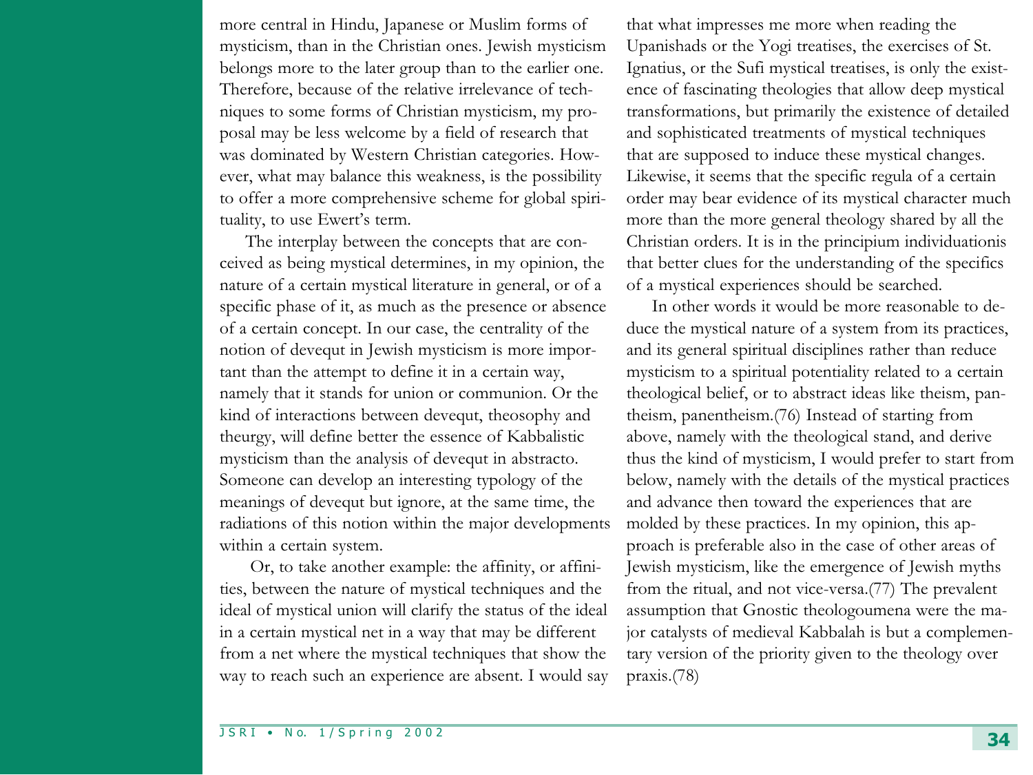more central in Hindu, Japanese or Muslim forms of mysticism, than in the Christian ones. Jewish mysticism belongs more to the later group than to the earlier one. Therefore, because of the relative irrelevance of techniques to some forms of Christian mysticism, my proposal may be less welcome by a field of research that was dominated by Western Christian categories. However, what may balance this weakness, is the possibility to offer a more comprehensive scheme for global spirituality, to use Ewert's term.

The interplay between the concepts that are conceived as being mystical determines, in my opinion, the nature of a certain mystical literature in general, or of a specific phase of it, as much as the presence or absence of a certain concept. In our case, the centrality of the notion of devequt in Jewish mysticism is more important than the attempt to define it in a certain way, namely that it stands for union or communion. Or the kind of interactions between devequt, theosophy and theurgy, will define better the essence of Kabbalistic mysticism than the analysis of devequt in abstracto. Someone can develop an interesting typology of the meanings of devequt but ignore, at the same time, the radiations of this notion within the major developments within a certain system.

Or, to take another example: the affinity, or affinities, between the nature of mystical techniques and the ideal of mystical union will clarify the status of the ideal in a certain mystical net in a way that may be different from a net where the mystical techniques that show the way to reach such an experience are absent. I would say

that what impresses me more when reading the Upanishads or the Yogi treatises, the exercises of St. Ignatius, or the Sufi mystical treatises, is only the existence of fascinating theologies that allow deep mystical transformations, but primarily the existence of detailed and sophisticated treatments of mystical techniques that are supposed to induce these mystical changes. Likewise, it seems that the specific regula of a certain order may bear evidence of its mystical character much more than the more general theology shared by all the Christian orders. It is in the principium individuationis that better clues for the understanding of the specifics of a mystical experiences should be searched.

In other words it would be more reasonable to deduce the mystical nature of a system from its practices, and its general spiritual disciplines rather than reduce mysticism to a spiritual potentiality related to a certain theological belief, or to abstract ideas like theism, pantheism, panentheism.(76) Instead of starting from above, namely with the theological stand, and derive thus the kind of mysticism, I would prefer to start from below, namely with the details of the mystical practices and advance then toward the experiences that are molded by these practices. In my opinion, this approach is preferable also in the case of other areas of Jewish mysticism, like the emergence of Jewish myths from the ritual, and not vice-versa.(77) The prevalent assumption that Gnostic theologoumena were the major catalysts of medieval Kabbalah is but a complementary version of the priority given to the theology over  $praxis.(78)$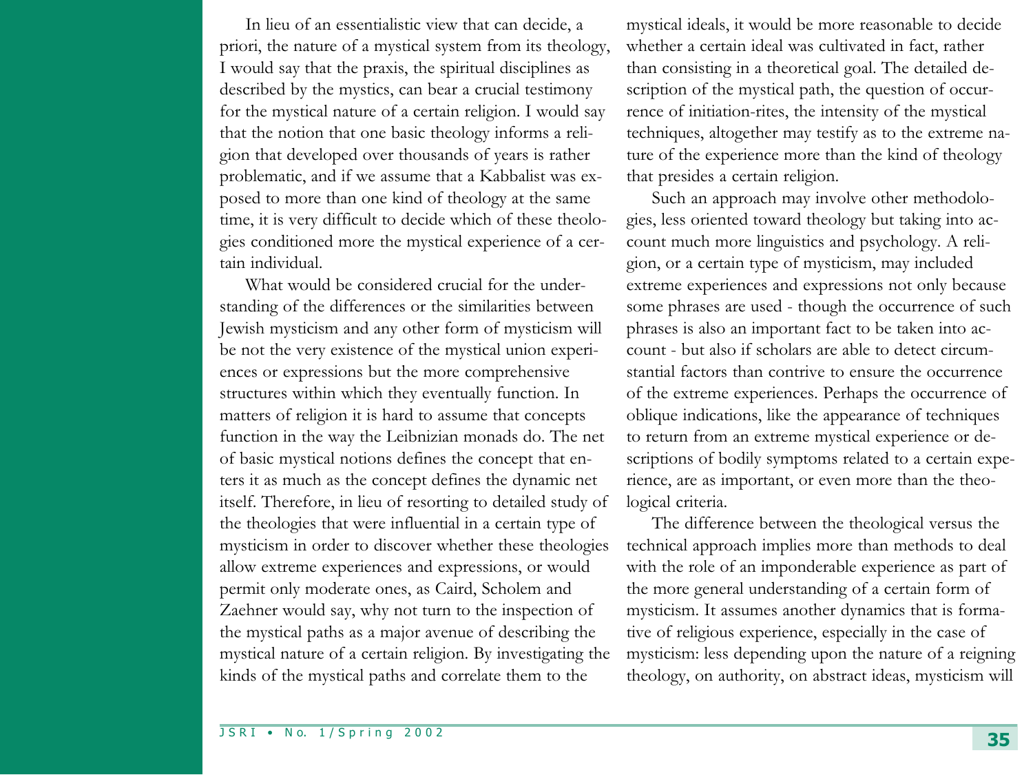In lieu of an essentialistic view that can decide, a priori, the nature of a mystical system from its theology, I would say that the praxis, the spiritual disciplines as described by the mystics, can bear a crucial testimony for the mystical nature of a certain religion. I would say that the notion that one basic theology informs a religion that developed over thousands of years is rather problematic, and if we assume that a Kabbalist was exposed to more than one kind of theology at the same time, it is very difficult to decide which of these theologies conditioned more the mystical experience of a certain individual.

What would be considered crucial for the understanding of the differences or the similarities between Jewish mysticism and any other form of mysticism will be not the very existence of the mystical union experiences or expressions but the more comprehensive structures within which they eventually function. In matters of religion it is hard to assume that concepts function in the way the Leibnizian monads do. The net of basic mystical notions defines the concept that enters it as much as the concept defines the dynamic net itself. Therefore, in lieu of resorting to detailed study of the theologies that were influential in a certain type of mysticism in order to discover whether these theologies allow extreme experiences and expressions, or would permit only moderate ones, as Caird, Scholem and Zaehner would say, why not turn to the inspection of the mystical paths as a major avenue of describing the mystical nature of a certain religion. By investigating the kinds of the mystical paths and correlate them to the

mystical ideals, it would be more reasonable to decide whether a certain ideal was cultivated in fact, rather than consisting in a theoretical goal. The detailed description of the mystical path, the question of occurrence of initiation-rites, the intensity of the mystical techniques, altogether may testify as to the extreme nature of the experience more than the kind of theology that presides a certain religion.

Such an approach may involve other methodologies, less oriented toward theology but taking into account much more linguistics and psychology. A religion, or a certain type of mysticism, may included extreme experiences and expressions not only because some phrases are used - though the occurrence of such phrases is also an important fact to be taken into account - but also if scholars are able to detect circumstantial factors than contrive to ensure the occurrence of the extreme experiences. Perhaps the occurrence of oblique indications, like the appearance of techniques to return from an extreme mystical experience or descriptions of bodily symptoms related to a certain experience, are as important, or even more than the theological criteria.

The difference between the theological versus the technical approach implies more than methods to deal with the role of an imponderable experience as part of the more general understanding of a certain form of mysticism. It assumes another dynamics that is formative of religious experience, especially in the case of mysticism: less depending upon the nature of a reigning theology, on authority, on abstract ideas, mysticism will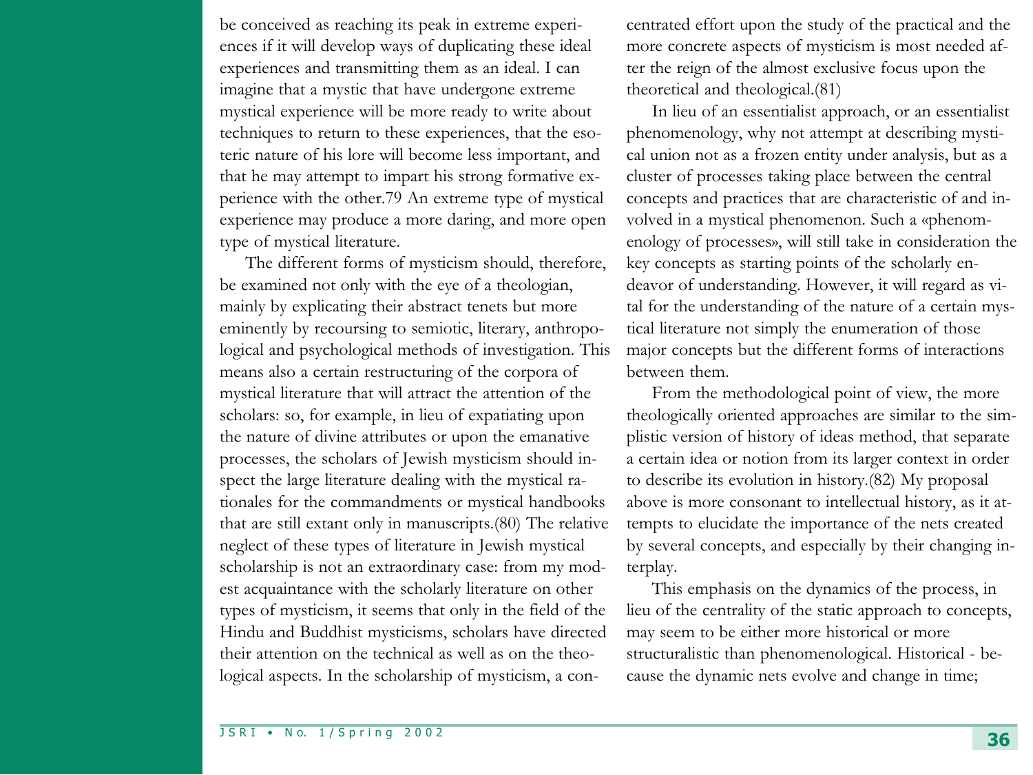be conceived as reaching its peak in extreme experiences if it will develop ways of duplicating these ideal experiences and transmitting them as an ideal. I can imagine that a mystic that have undergone extreme mystical experience will be more ready to write about techniques to return to these experiences, that the esoteric nature of his lore will become less important, and that he may attempt to impart his strong formative experience with the other.79 An extreme type of mystical experience may produce a more daring, and more open type of mystical literature.

The different forms of mysticism should, therefore, be examined not only with the eye of a theologian, mainly by explicating their abstract tenets but more eminently by recoursing to semiotic, literary, anthropological and psychological methods of investigation. This means also a certain restructuring of the corpora of mystical literature that will attract the attention of the scholars: so, for example, in lieu of expatiating upon the nature of divine attributes or upon the emanative processes, the scholars of Jewish mysticism should inspect the large literature dealing with the mystical rationales for the commandments or mystical handbooks that are still extant only in manuscripts.(80) The relative neglect of these types of literature in Jewish mystical scholarship is not an extraordinary case: from my modest acquaintance with the scholarly literature on other types of mysticism, it seems that only in the field of the Hindu and Buddhist mysticisms, scholars have directed their attention on the technical as well as on the theological aspects. In the scholarship of mysticism, a concentrated effort upon the study of the practical and the more concrete aspects of mysticism is most needed after the reign of the almost exclusive focus upon the theoretical and theological.(81)

In lieu of an essentialist approach, or an essentialist phenomenology, why not attempt at describing mystical union not as a frozen entity under analysis, but as a cluster of processes taking place between the central concepts and practices that are characteristic of and involved in a mystical phenomenon. Such a «phenomenology of processes», will still take in consideration the key concepts as starting points of the scholarly endeavor of understanding. However, it will regard as vital for the understanding of the nature of a certain mystical literature not simply the enumeration of those major concepts but the different forms of interactions between them.

From the methodological point of view, the more theologically oriented approaches are similar to the simplistic version of history of ideas method, that separate a certain idea or notion from its larger context in order to describe its evolution in history.(82) My proposal above is more consonant to intellectual history, as it attempts to elucidate the importance of the nets created by several concepts, and especially by their changing interplay.

This emphasis on the dynamics of the process, in lieu of the centrality of the static approach to concepts, may seem to be either more historical or more structuralistic than phenomenological. Historical - because the dynamic nets evolve and change in time;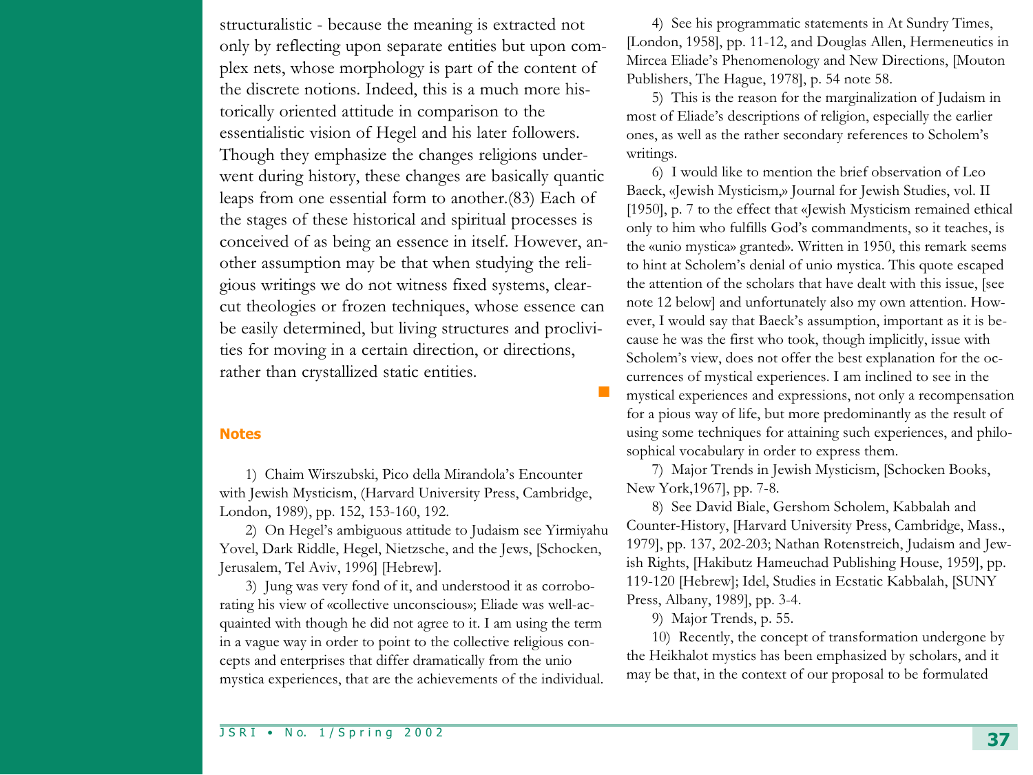structuralistic - because the meaning is extracted not only by reflecting upon separate entities but upon complex nets, whose morphology is part of the content of the discrete notions. Indeed, this is a much more historically oriented attitude in comparison to the essentialistic vision of Hegel and his later followers. Though they emphasize the changes religions underwent during history, these changes are basically quantic leaps from one essential form to another.(83) Each of the stages of these historical and spiritual processes is conceived of as being an essence in itself. However, another assumption may be that when studying the religious writings we do not witness fixed systems, clearcut theologies or frozen techniques, whose essence can be easily determined, but living structures and proclivities for moving in a certain direction, or directions, rather than crystallized static entities.

#### **Notes**

1) Chaim Wirszubski, Pico della Mirandola's Encounter with Jewish Mysticism, (Harvard University Press, Cambridge, London, 1989), pp. 152, 153-160, 192.

2) On Hegel's ambiguous attitude to Judaism see Yirmiyahu Yovel, Dark Riddle, Hegel, Nietzsche, and the Jews, [Schocken, Jerusalem, Tel Aviv, 1996] [Hebrew].

3) Jung was very fond of it, and understood it as corroborating his view of «collective unconscious»; Eliade was well-acquainted with though he did not agree to it. I am using the term in a vague way in order to point to the collective religious concepts and enterprises that differ dramatically from the unio mystica experiences, that are the achievements of the individual.

4) See his programmatic statements in At Sundry Times, [London, 1958], pp. 11-12, and Douglas Allen, Hermeneutics in Mircea Eliade's Phenomenology and New Directions, [Mouton Publishers, The Hague, 1978, p. 54 note 58.

5) This is the reason for the marginalization of Judaism in most of Eliade's descriptions of religion, especially the earlier ones, as well as the rather secondary references to Scholem's writings.

6) I would like to mention the brief observation of Leo Baeck, «Jewish Mysticism,» Journal for Jewish Studies, vol. II [1950], p. 7 to the effect that «Jewish Mysticism remained ethical only to him who fulfills God's commandments, so it teaches, is the «unio mystica» granted». Written in 1950, this remark seems to hint at Scholem's denial of unio mystica. This quote escaped the attention of the scholars that have dealt with this issue, [see note 12 below] and unfortunately also my own attention. However, I would say that Baeck's assumption, important as it is because he was the first who took, though implicitly, issue with Scholem's view, does not offer the best explanation for the occurrences of mystical experiences. I am inclined to see in the mystical experiences and expressions, not only a recompensation for a pious way of life, but more predominantly as the result of using some techniques for attaining such experiences, and philosophical vocabulary in order to express them.

7) Major Trends in Jewish Mysticism, [Schocken Books, New York, 1967, pp. 7-8.

8) See David Biale, Gershom Scholem, Kabbalah and Counter-History, [Harvard University Press, Cambridge, Mass., 1979], pp. 137, 202-203; Nathan Rotenstreich, Judaism and Jewish Rights, [Hakibutz Hameuchad Publishing House, 1959], pp. 119-120 [Hebrew]; Idel, Studies in Ecstatic Kabbalah, [SUNY Press, Albany, 1989], pp. 3-4.

9) Major Trends, p. 55.

a a

10) Recently, the concept of transformation undergone by the Heikhalot mystics has been emphasized by scholars, and it may be that, in the context of our proposal to be formulated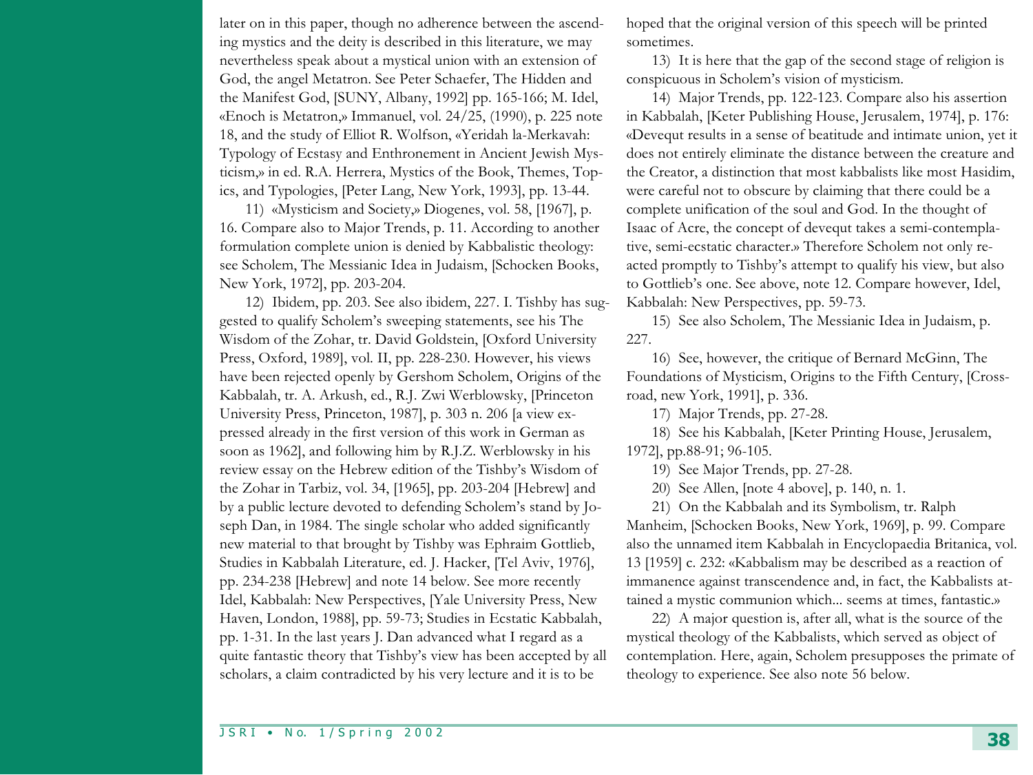later on in this paper, though no adherence between the ascending mystics and the deity is described in this literature, we may nevertheless speak about a mystical union with an extension of God, the angel Metatron. See Peter Schaefer, The Hidden and the Manifest God, [SUNY, Albany, 1992] pp. 165-166; M. Idel, «Enoch is Metatron,» Immanuel, vol. 24/25, (1990), p. 225 note 18, and the study of Elliot R. Wolfson, «Yeridah la-Merkavah: Typology of Ecstasy and Enthronement in Ancient Jewish Mysticism,» in ed. R.A. Herrera, Mystics of the Book, Themes, Topics, and Typologies, [Peter Lang, New York, 1993], pp. 13-44.

11) «Mysticism and Society,» Diogenes, vol. 58, [1967], p. 16. Compare also to Major Trends, p. 11. According to another formulation complete union is denied by Kabbalistic theology: see Scholem, The Messianic Idea in Judaism, [Schocken Books, New York, 1972], pp. 203-204.

12) Ibidem, pp. 203. See also ibidem, 227. I. Tishby has suggested to qualify Scholem's sweeping statements, see his The Wisdom of the Zohar, tr. David Goldstein, [Oxford University Press, Oxford, 1989], vol. II, pp. 228-230. However, his views have been rejected openly by Gershom Scholem, Origins of the Kabbalah, tr. A. Arkush, ed., R.J. Zwi Werblowsky, Princeton University Press, Princeton, 1987], p. 303 n. 206 [a view expressed already in the first version of this work in German as soon as 1962], and following him by R.J.Z. Werblowsky in his review essay on the Hebrew edition of the Tishby's Wisdom of the Zohar in Tarbiz, vol. 34, [1965], pp. 203-204 [Hebrew] and by a public lecture devoted to defending Scholem's stand by Joseph Dan, in 1984. The single scholar who added significantly new material to that brought by Tishby was Ephraim Gottlieb, Studies in Kabbalah Literature, ed. J. Hacker, [Tel Aviv, 1976], pp. 234-238 [Hebrew] and note 14 below. See more recently Idel, Kabbalah: New Perspectives, [Yale University Press, New Haven, London, 1988], pp. 59-73; Studies in Ecstatic Kabbalah, pp. 1-31. In the last years J. Dan advanced what I regard as a quite fantastic theory that Tishby's view has been accepted by all scholars, a claim contradicted by his very lecture and it is to be

hoped that the original version of this speech will be printed sometimes.

13) It is here that the gap of the second stage of religion is conspicuous in Scholem's vision of mysticism.

14) Major Trends, pp. 122-123. Compare also his assertion in Kabbalah, [Keter Publishing House, Jerusalem, 1974], p. 176: «Devequt results in a sense of beatitude and intimate union, yet it does not entirely eliminate the distance between the creature and the Creator, a distinction that most kabbalists like most Hasidim, were careful not to obscure by claiming that there could be a complete unification of the soul and God. In the thought of Isaac of Acre, the concept of devequt takes a semi-contemplative, semi-ecstatic character.» Therefore Scholem not only reacted promptly to Tishby's attempt to qualify his view, but also to Gottlieb's one. See above, note 12. Compare however, Idel, Kabbalah: New Perspectives, pp. 59-73.

15) See also Scholem, The Messianic Idea in Judaism, p. 227.

16) See, however, the critique of Bernard McGinn, The Foundations of Mysticism, Origins to the Fifth Century, [Crossroad, new York, 1991], p. 336.

17) Major Trends, pp. 27-28.

18) See his Kabbalah, [Keter Printing House, Jerusalem, 1972], pp.88-91; 96-105.

19) See Major Trends, pp. 27-28.

20) See Allen, [note 4 above], p. 140, n. 1.

21) On the Kabbalah and its Symbolism, tr. Ralph Manheim, [Schocken Books, New York, 1969], p. 99. Compare also the unnamed item Kabbalah in Encyclopaedia Britanica, vol. 13 [1959] c. 232: «Kabbalism may be described as a reaction of immanence against transcendence and, in fact, the Kabbalists attained a mystic communion which... seems at times, fantastic.»

22) A major question is, after all, what is the source of the mystical theology of the Kabbalists, which served as object of contemplation. Here, again, Scholem presupposes the primate of theology to experience. See also note 56 below.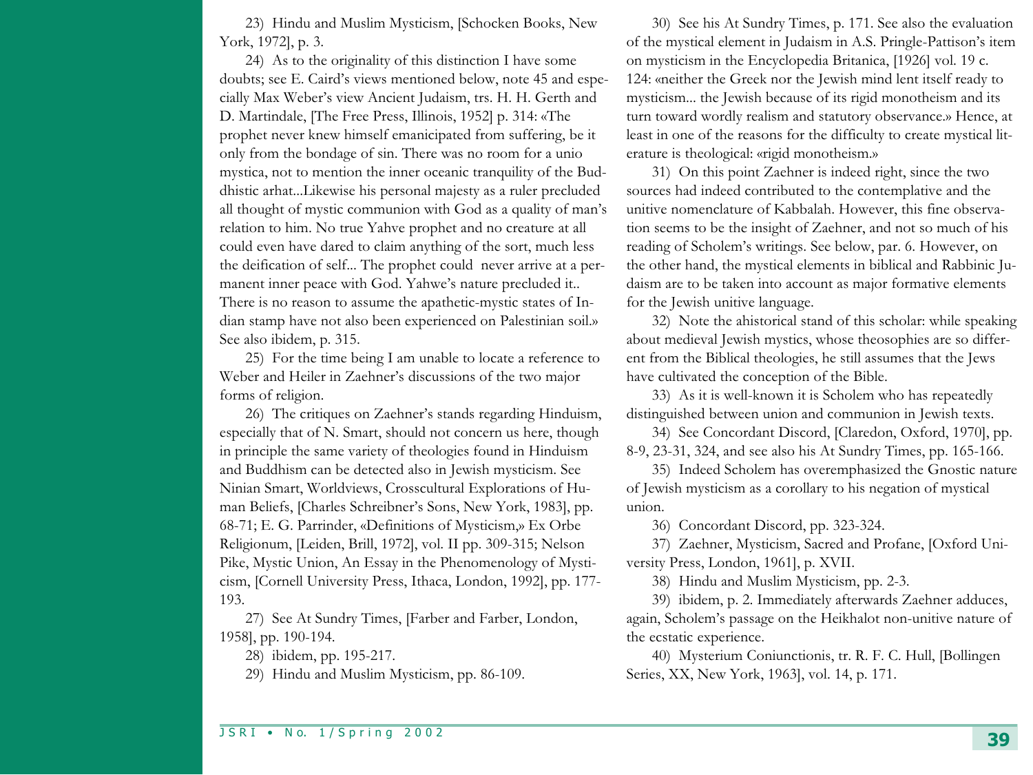23) Hindu and Muslim Mysticism, [Schocken Books, New York, 1972], p. 3.

24) As to the originality of this distinction I have some doubts; see E. Caird's views mentioned below, note 45 and especially Max Weber's view Ancient Judaism, trs. H. H. Gerth and D. Martindale, [The Free Press, Illinois, 1952] p. 314: «The prophet never knew himself emanicipated from suffering, be it only from the bondage of sin. There was no room for a unio mystica, not to mention the inner oceanic tranquility of the Buddhistic arhat...Likewise his personal majesty as a ruler precluded all thought of mystic communion with God as a quality of man's relation to him. No true Yahve prophet and no creature at all could even have dared to claim anything of the sort, much less the deification of self... The prophet could never arrive at a permanent inner peace with God. Yahwe's nature precluded it... There is no reason to assume the apathetic-mystic states of Indian stamp have not also been experienced on Palestinian soil.» See also ibidem, p. 315.

25) For the time being I am unable to locate a reference to Weber and Heiler in Zaehner's discussions of the two major forms of religion.

26) The critiques on Zaehner's stands regarding Hinduism, especially that of N. Smart, should not concern us here, though in principle the same variety of theologies found in Hinduism and Buddhism can be detected also in Jewish mysticism. See Ninian Smart, Worldviews, Crosscultural Explorations of Human Beliefs, [Charles Schreibner's Sons, New York, 1983], pp. 68-71; E. G. Parrinder, «Definitions of Mysticism,» Ex Orbe Religionum, [Leiden, Brill, 1972], vol. II pp. 309-315; Nelson Pike, Mystic Union, An Essay in the Phenomenology of Mysticism, [Cornell University Press, Ithaca, London, 1992], pp. 177-193.

27) See At Sundry Times, [Farber and Farber, London, 1958], pp. 190-194.

28) ibidem, pp. 195-217.

29) Hindu and Muslim Mysticism, pp. 86-109.

30) See his At Sundry Times, p. 171. See also the evaluation of the mystical element in Judaism in A.S. Pringle-Pattison's item on mysticism in the Encyclopedia Britanica, [1926] vol. 19 c. 124: «neither the Greek nor the Jewish mind lent itself ready to mysticism... the Jewish because of its rigid monotheism and its turn toward wordly realism and statutory observance.» Hence, at least in one of the reasons for the difficulty to create mystical literature is theological: «rigid monotheism.»

31) On this point Zaehner is indeed right, since the two sources had indeed contributed to the contemplative and the unitive nomenclature of Kabbalah. However, this fine observation seems to be the insight of Zaehner, and not so much of his reading of Scholem's writings. See below, par. 6. However, on the other hand, the mystical elements in biblical and Rabbinic Judaism are to be taken into account as major formative elements for the Jewish unitive language.

32) Note the ahistorical stand of this scholar: while speaking about medieval Jewish mystics, whose theosophies are so different from the Biblical theologies, he still assumes that the Jews have cultivated the conception of the Bible.

33) As it is well-known it is Scholem who has repeatedly distinguished between union and communion in Jewish texts.

34) See Concordant Discord, [Claredon, Oxford, 1970], pp. 8-9, 23-31, 324, and see also his At Sundry Times, pp. 165-166.

35) Indeed Scholem has overemphasized the Gnostic nature of Jewish mysticism as a corollary to his negation of mystical union.

36) Concordant Discord, pp. 323-324.

37) Zaehner, Mysticism, Sacred and Profane, [Oxford University Press, London, 1961], p. XVII.

38) Hindu and Muslim Mysticism, pp. 2-3.

39) ibidem, p. 2. Immediately afterwards Zaehner adduces, again, Scholem's passage on the Heikhalot non-unitive nature of the ecstatic experience.

40) Mysterium Coniunctionis, tr. R. F. C. Hull, [Bollingen Series, XX, New York, 1963], vol. 14, p. 171.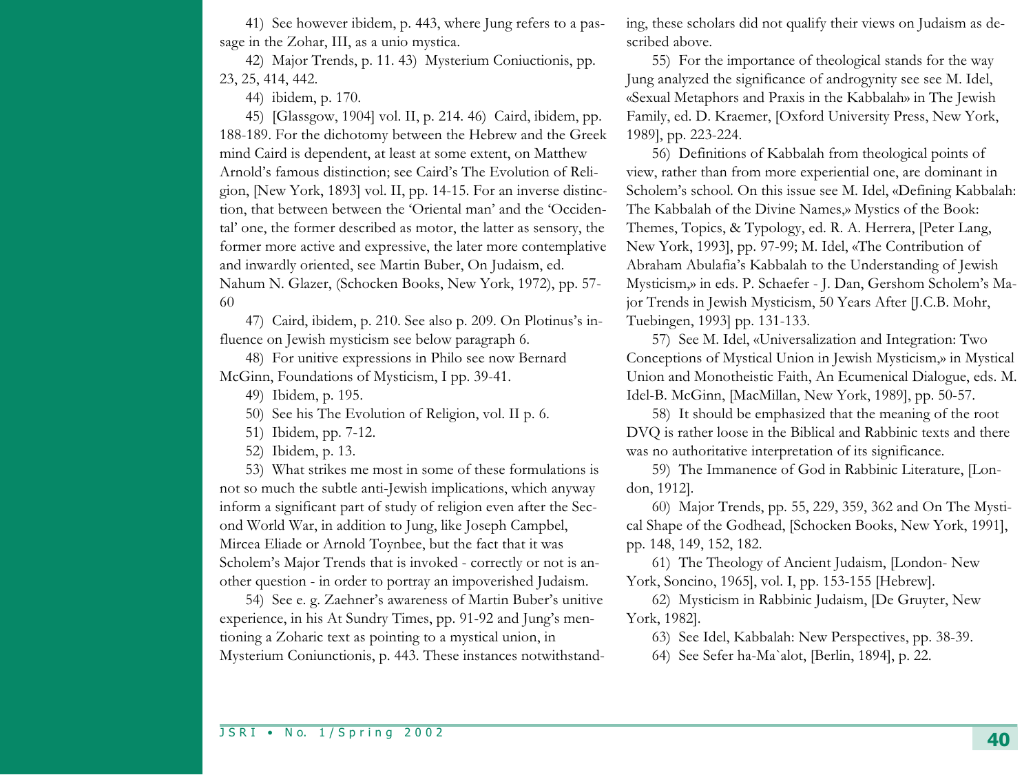41) See however ibidem, p. 443, where Jung refers to a passage in the Zohar, III, as a unio mystica.

42) Major Trends, p. 11. 43) Mysterium Coniuctionis, pp. 23, 25, 414, 442.

44) ibidem, p. 170.

45) [Glassgow, 1904] vol. II, p. 214. 46) Caird, ibidem, pp. 188-189. For the dichotomy between the Hebrew and the Greek mind Caird is dependent, at least at some extent, on Matthew Arnold's famous distinction; see Caird's The Evolution of Religion, [New York, 1893] vol. II, pp. 14-15. For an inverse distinction, that between between the 'Oriental man' and the 'Occidental' one, the former described as motor, the latter as sensory, the former more active and expressive, the later more contemplative and inwardly oriented, see Martin Buber, On Judaism, ed. Nahum N. Glazer, (Schocken Books, New York, 1972), pp. 57-60

47) Caird, ibidem, p. 210. See also p. 209. On Plotinus's influence on Jewish mysticism see below paragraph 6.

48) For unitive expressions in Philo see now Bernard McGinn, Foundations of Mysticism, I pp. 39-41.

49) Ibidem, p. 195.

- 50) See his The Evolution of Religion, vol. II p. 6.
- 51) Ibidem, pp. 7-12.
- 52) Ibidem, p. 13.

53) What strikes me most in some of these formulations is not so much the subtle anti-Jewish implications, which anyway inform a significant part of study of religion even after the Second World War, in addition to Jung, like Joseph Campbel, Mircea Eliade or Arnold Toynbee, but the fact that it was Scholem's Major Trends that is invoked - correctly or not is another question - in order to portray an impoverished Judaism.

54) See e. g. Zaehner's awareness of Martin Buber's unitive experience, in his At Sundry Times, pp. 91-92 and Jung's mentioning a Zoharic text as pointing to a mystical union, in Mysterium Coniunctionis, p. 443. These instances notwithstanding, these scholars did not qualify their views on Judaism as described above.

55) For the importance of theological stands for the way Jung analyzed the significance of androgynity see see M. Idel, «Sexual Metaphors and Praxis in the Kabbalah» in The Jewish Family, ed. D. Kraemer, [Oxford University Press, New York, 1989], pp. 223-224.

56) Definitions of Kabbalah from theological points of view, rather than from more experiential one, are dominant in Scholem's school. On this issue see M. Idel, «Defining Kabbalah: The Kabbalah of the Divine Names,» Mystics of the Book: Themes, Topics, & Typology, ed. R. A. Herrera, [Peter Lang, New York, 1993], pp. 97-99; M. Idel, «The Contribution of Abraham Abulafia's Kabbalah to the Understanding of Jewish Mysticism,» in eds. P. Schaefer - J. Dan, Gershom Scholem's Major Trends in Jewish Mysticism, 50 Years After J.C.B. Mohr, Tuebingen, 1993] pp. 131-133.

57) See M. Idel, «Universalization and Integration: Two Conceptions of Mystical Union in Jewish Mysticism,» in Mystical Union and Monotheistic Faith, An Ecumenical Dialogue, eds. M. Idel-B. McGinn, [MacMillan, New York, 1989], pp. 50-57.

58) It should be emphasized that the meaning of the root DVQ is rather loose in the Biblical and Rabbinic texts and there was no authoritative interpretation of its significance.

59) The Immanence of God in Rabbinic Literature, [London, 1912].

60) Major Trends, pp. 55, 229, 359, 362 and On The Mystical Shape of the Godhead, [Schocken Books, New York, 1991], pp. 148, 149, 152, 182.

61) The Theology of Ancient Judaism, [London- New York, Soncino, 1965], vol. I, pp. 153-155 [Hebrew].

62) Mysticism in Rabbinic Judaism, [De Gruyter, New York, 1982].

63) See Idel, Kabbalah: New Perspectives, pp. 38-39.

64) See Sefer ha-Ma`alot, [Berlin, 1894], p. 22.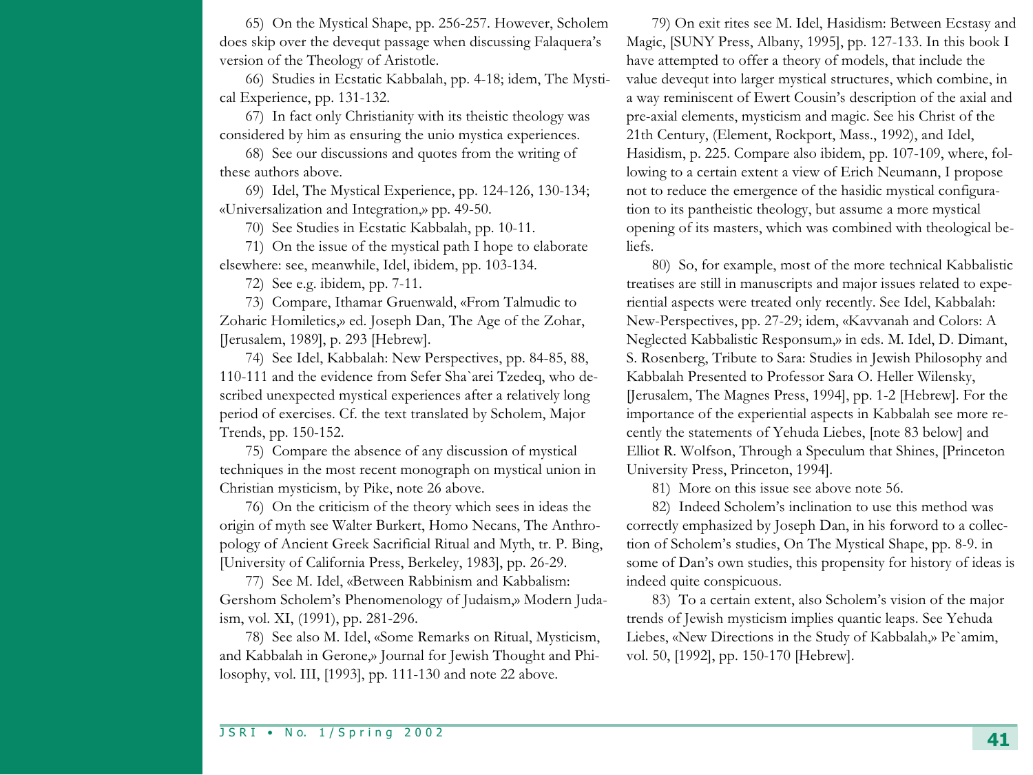65) On the Mystical Shape, pp. 256-257. However, Scholem does skip over the devequt passage when discussing Falaquera's version of the Theology of Aristotle.

66) Studies in Ecstatic Kabbalah, pp. 4-18; idem, The Mystical Experience, pp. 131-132.

67) In fact only Christianity with its theistic theology was considered by him as ensuring the unio mystica experiences.

68) See our discussions and quotes from the writing of these authors above.

69) Idel, The Mystical Experience, pp. 124-126, 130-134; «Universalization and Integration,» pp. 49-50.

70) See Studies in Ecstatic Kabbalah, pp. 10-11.

71) On the issue of the mystical path I hope to elaborate elsewhere: see, meanwhile, Idel, ibidem, pp. 103-134.

72) See e.g. ibidem, pp. 7-11.

73) Compare, Ithamar Gruenwald, «From Talmudic to Zoharic Homiletics,» ed. Joseph Dan, The Age of the Zohar, [Jerusalem, 1989], p. 293 [Hebrew].

74) See Idel, Kabbalah: New Perspectives, pp. 84-85, 88, 110-111 and the evidence from Sefer Sha'arei Tzedeq, who described unexpected mystical experiences after a relatively long period of exercises. Cf. the text translated by Scholem, Major Trends, pp. 150-152.

75) Compare the absence of any discussion of mystical techniques in the most recent monograph on mystical union in Christian mysticism, by Pike, note 26 above.

76) On the criticism of the theory which sees in ideas the origin of myth see Walter Burkert, Homo Necans, The Anthropology of Ancient Greek Sacrificial Ritual and Myth, tr. P. Bing, [University of California Press, Berkeley, 1983], pp. 26-29.

77) See M. Idel, «Between Rabbinism and Kabbalism: Gershom Scholem's Phenomenology of Judaism,» Modern Judaism, vol. XI, (1991), pp. 281-296.

78) See also M. Idel, «Some Remarks on Ritual, Mysticism, and Kabbalah in Gerone,» Journal for Jewish Thought and Philosophy, vol. III, [1993], pp. 111-130 and note 22 above.

79) On exit rites see M. Idel, Hasidism: Between Ecstasy and Magic, [SUNY Press, Albany, 1995], pp. 127-133. In this book I have attempted to offer a theory of models, that include the value devequt into larger mystical structures, which combine, in a way reminiscent of Ewert Cousin's description of the axial and pre-axial elements, mysticism and magic. See his Christ of the 21th Century, (Element, Rockport, Mass., 1992), and Idel, Hasidism, p. 225. Compare also ibidem, pp. 107-109, where, following to a certain extent a view of Erich Neumann, I propose not to reduce the emergence of the hasidic mystical configuration to its pantheistic theology, but assume a more mystical opening of its masters, which was combined with theological beliefs.

80) So, for example, most of the more technical Kabbalistic treatises are still in manuscripts and major issues related to experiential aspects were treated only recently. See Idel, Kabbalah: New-Perspectives, pp. 27-29; idem, «Kavvanah and Colors: A Neglected Kabbalistic Responsum,» in eds. M. Idel, D. Dimant, S. Rosenberg, Tribute to Sara: Studies in Jewish Philosophy and Kabbalah Presented to Professor Sara O. Heller Wilensky, [Jerusalem, The Magnes Press, 1994], pp. 1-2 [Hebrew]. For the importance of the experiential aspects in Kabbalah see more recently the statements of Yehuda Liebes, [note 83 below] and Elliot R. Wolfson, Through a Speculum that Shines, [Princeton University Press, Princeton, 1994].

81) More on this issue see above note 56.

82) Indeed Scholem's inclination to use this method was correctly emphasized by Joseph Dan, in his forword to a collection of Scholem's studies, On The Mystical Shape, pp. 8-9. in some of Dan's own studies, this propensity for history of ideas is indeed quite conspicuous.

83) To a certain extent, also Scholem's vision of the major trends of Jewish mysticism implies quantic leaps. See Yehuda Liebes, «New Directions in the Study of Kabbalah,» Pe`amim, vol. 50, [1992], pp. 150-170 [Hebrew].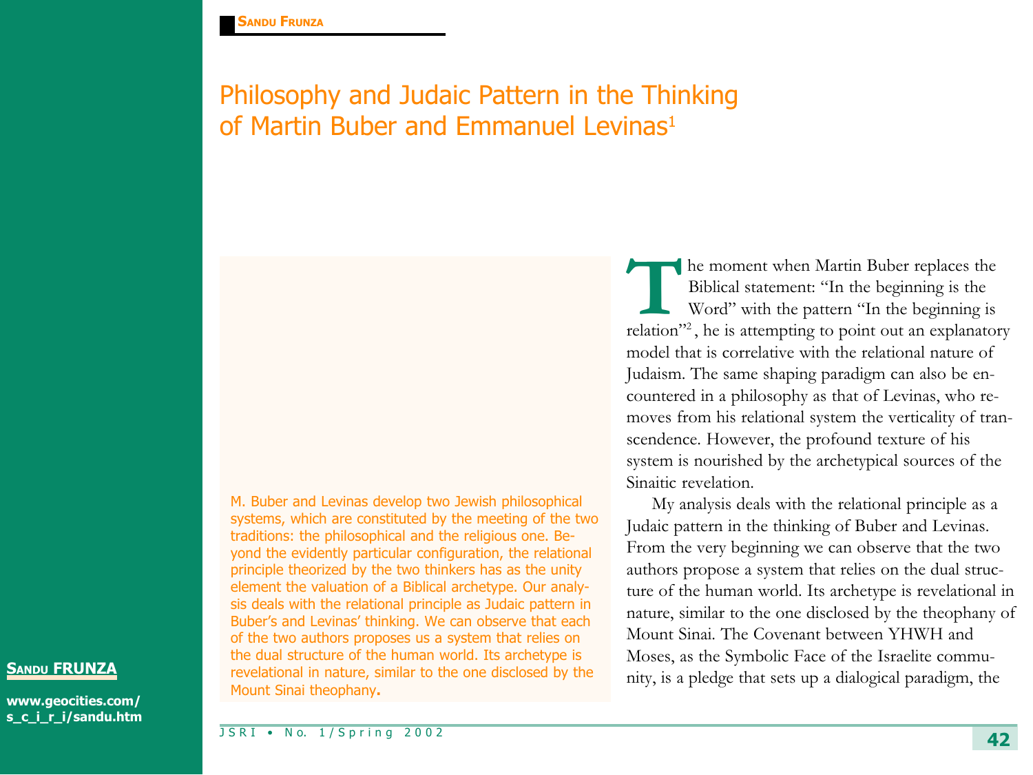# Philosophy and Judaic Pattern in the Thinking of Martin Buber and Emmanuel Levinas<sup>1</sup>

M. Buber and Levinas develop two Jewish philosophical systems, which are constituted by the meeting of the two traditions: the philosophical and the religious one. Beyond the evidently particular configuration, the relational principle theorized by the two thinkers has as the unity element the valuation of a Biblical archetype. Our analysis deals with the relational principle as Judaic pattern in Buber's and Levinas' thinking. We can observe that each of the two authors proposes us a system that relies on the dual structure of the human world. Its archetype is revelational in nature, similar to the one disclosed by the Mount Sinai theophany.

The moment when Martin Buber replaces the Biblical statement: "In the beginning is the Word" with the pattern "In the beginning is relation"<sup>2</sup>, he is attempting to point out an explanatory model that is correlative with the relational nature of Judaism. The same shaping paradigm can also be encountered in a philosophy as that of Levinas, who removes from his relational system the verticality of transcendence. However, the profound texture of his system is nourished by the archetypical sources of the Sinaitic revelation.

My analysis deals with the relational principle as a Judaic pattern in the thinking of Buber and Levinas. From the very beginning we can observe that the two authors propose a system that relies on the dual structure of the human world. Its archetype is revelational in nature, similar to the one disclosed by the theophany of Mount Sinai. The Covenant between YHWH and Moses, as the Symbolic Face of the Israelite community, is a pledge that sets up a dialogical paradigm, the

### **SANDU FRUNZA**

www.geocities.com/ s c i r i/sandu.htm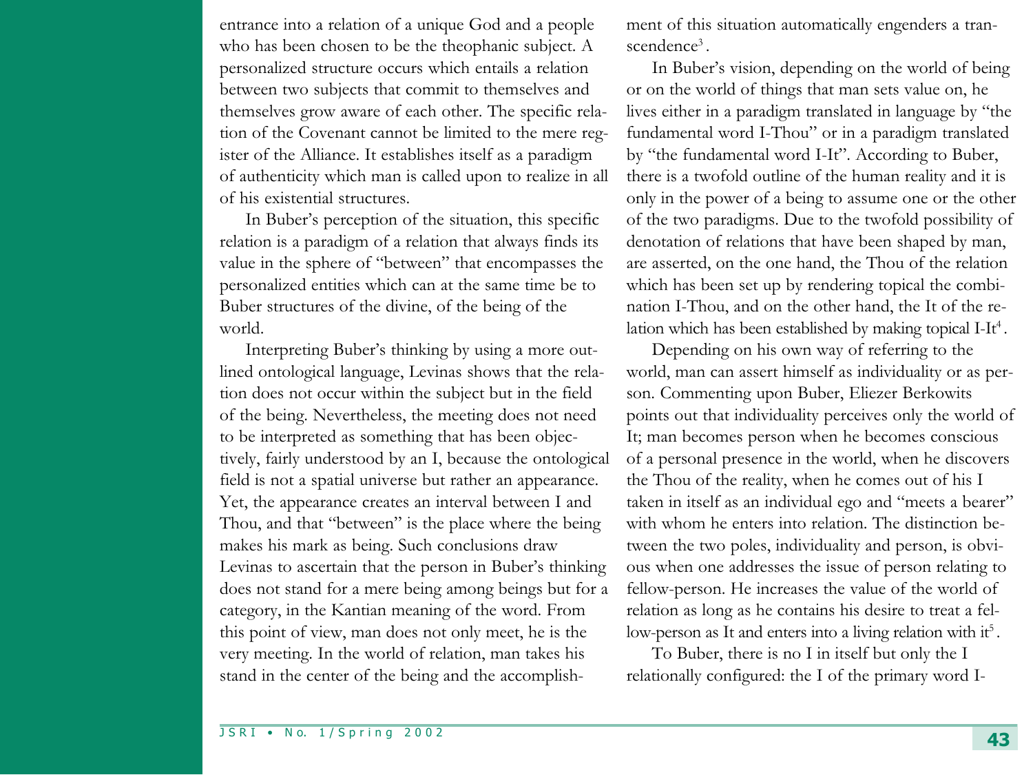entrance into a relation of a unique God and a people who has been chosen to be the theophanic subject. A personalized structure occurs which entails a relation between two subjects that commit to themselves and themselves grow aware of each other. The specific relation of the Covenant cannot be limited to the mere register of the Alliance. It establishes itself as a paradigm of authenticity which man is called upon to realize in all of his existential structures.

In Buber's perception of the situation, this specific relation is a paradigm of a relation that always finds its value in the sphere of "between" that encompasses the personalized entities which can at the same time be to Buber structures of the divine, of the being of the world.

Interpreting Buber's thinking by using a more outlined ontological language, Levinas shows that the relation does not occur within the subject but in the field of the being. Nevertheless, the meeting does not need to be interpreted as something that has been objectively, fairly understood by an I, because the ontological field is not a spatial universe but rather an appearance. Yet, the appearance creates an interval between I and Thou, and that "between" is the place where the being makes his mark as being. Such conclusions draw Levinas to ascertain that the person in Buber's thinking does not stand for a mere being among beings but for a category, in the Kantian meaning of the word. From this point of view, man does not only meet, he is the very meeting. In the world of relation, man takes his stand in the center of the being and the accomplishment of this situation automatically engenders a transcendence<sup>3</sup>.

In Buber's vision, depending on the world of being or on the world of things that man sets value on, he lives either in a paradigm translated in language by "the fundamental word I-Thou" or in a paradigm translated by "the fundamental word I-It". According to Buber, there is a twofold outline of the human reality and it is only in the power of a being to assume one or the other of the two paradigms. Due to the twofold possibility of denotation of relations that have been shaped by man, are asserted, on the one hand, the Thou of the relation which has been set up by rendering topical the combination I-Thou, and on the other hand, the It of the relation which has been established by making topical I-It<sup>4</sup>.

Depending on his own way of referring to the world, man can assert himself as individuality or as person. Commenting upon Buber, Eliezer Berkowits points out that individuality perceives only the world of It; man becomes person when he becomes conscious of a personal presence in the world, when he discovers the Thou of the reality, when he comes out of his I taken in itself as an individual ego and "meets a bearer" with whom he enters into relation. The distinction between the two poles, individuality and person, is obvious when one addresses the issue of person relating to fellow-person. He increases the value of the world of relation as long as he contains his desire to treat a fellow-person as It and enters into a living relation with it<sup>5</sup>.

To Buber, there is no I in itself but only the I relationally configured: the I of the primary word I-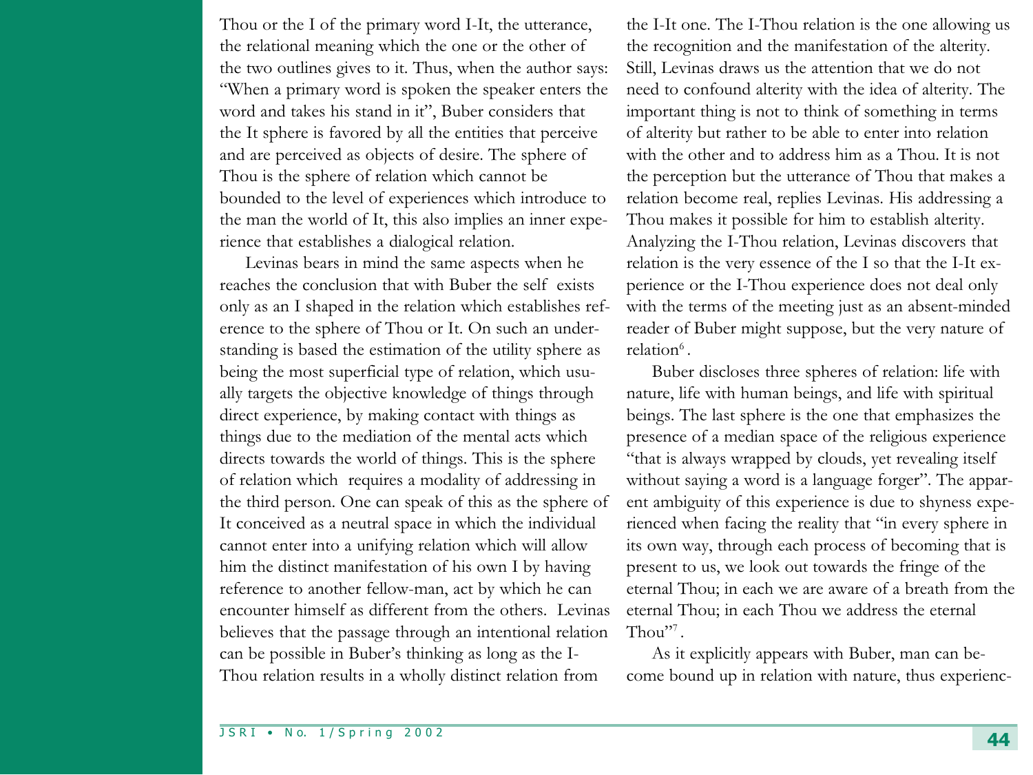Thou or the I of the primary word I-It, the utterance, the relational meaning which the one or the other of the two outlines gives to it. Thus, when the author says: "When a primary word is spoken the speaker enters the word and takes his stand in it", Buber considers that the It sphere is favored by all the entities that perceive and are perceived as objects of desire. The sphere of Thou is the sphere of relation which cannot be bounded to the level of experiences which introduce to the man the world of It, this also implies an inner experience that establishes a dialogical relation.

Levinas bears in mind the same aspects when he reaches the conclusion that with Buber the self exists only as an I shaped in the relation which establishes reference to the sphere of Thou or It. On such an understanding is based the estimation of the utility sphere as being the most superficial type of relation, which usually targets the objective knowledge of things through direct experience, by making contact with things as things due to the mediation of the mental acts which directs towards the world of things. This is the sphere of relation which requires a modality of addressing in the third person. One can speak of this as the sphere of It conceived as a neutral space in which the individual cannot enter into a unifying relation which will allow him the distinct manifestation of his own I by having reference to another fellow-man, act by which he can encounter himself as different from the others. Levinas believes that the passage through an intentional relation can be possible in Buber's thinking as long as the I-Thou relation results in a wholly distinct relation from

the I-It one. The I-Thou relation is the one allowing us the recognition and the manifestation of the alterity. Still, Levinas draws us the attention that we do not need to confound alterity with the idea of alterity. The important thing is not to think of something in terms of alterity but rather to be able to enter into relation with the other and to address him as a Thou. It is not the perception but the utterance of Thou that makes a relation become real, replies Levinas. His addressing a Thou makes it possible for him to establish alterity. Analyzing the I-Thou relation, Levinas discovers that relation is the very essence of the I so that the I-It experience or the I-Thou experience does not deal only with the terms of the meeting just as an absent-minded reader of Buber might suppose, but the very nature of relation<sup>6</sup>.

Buber discloses three spheres of relation: life with nature, life with human beings, and life with spiritual beings. The last sphere is the one that emphasizes the presence of a median space of the religious experience "that is always wrapped by clouds, yet revealing itself without saying a word is a language forger". The apparent ambiguity of this experience is due to shyness experienced when facing the reality that "in every sphere in its own way, through each process of becoming that is present to us, we look out towards the fringe of the eternal Thou; in each we are aware of a breath from the eternal Thou; in each Thou we address the eternal Thou".

As it explicitly appears with Buber, man can become bound up in relation with nature, thus experienc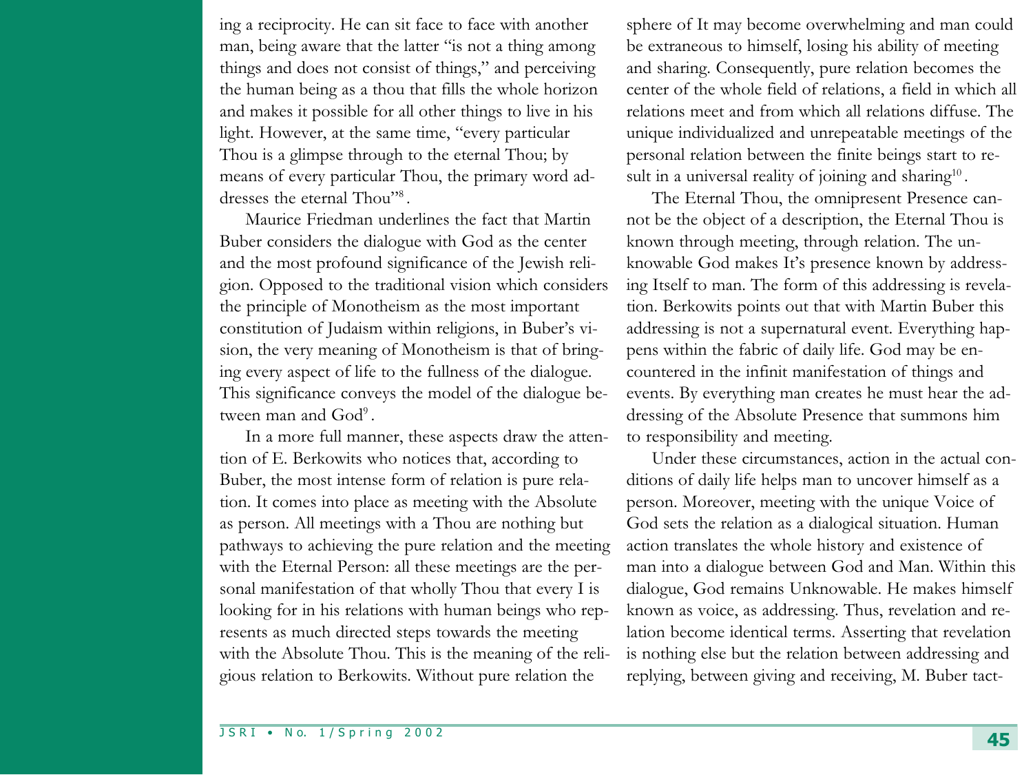ing a reciprocity. He can sit face to face with another man, being aware that the latter "is not a thing among things and does not consist of things," and perceiving the human being as a thou that fills the whole horizon and makes it possible for all other things to live in his light. However, at the same time, "every particular Thou is a glimpse through to the eternal Thou; by means of every particular Thou, the primary word addresses the eternal Thou"<sup>8</sup>.

Maurice Friedman underlines the fact that Martin Buber considers the dialogue with God as the center and the most profound significance of the Jewish religion. Opposed to the traditional vision which considers the principle of Monotheism as the most important constitution of Judaism within religions, in Buber's vision, the very meaning of Monotheism is that of bringing every aspect of life to the fullness of the dialogue. This significance conveys the model of the dialogue between man and God<sup>9</sup>.

In a more full manner, these aspects draw the attention of E. Berkowits who notices that, according to Buber, the most intense form of relation is pure relation. It comes into place as meeting with the Absolute as person. All meetings with a Thou are nothing but pathways to achieving the pure relation and the meeting with the Eternal Person: all these meetings are the personal manifestation of that wholly Thou that every I is looking for in his relations with human beings who represents as much directed steps towards the meeting with the Absolute Thou. This is the meaning of the religious relation to Berkowits. Without pure relation the

sphere of It may become overwhelming and man could be extraneous to himself, losing his ability of meeting and sharing. Consequently, pure relation becomes the center of the whole field of relations, a field in which all relations meet and from which all relations diffuse. The unique individualized and unrepeatable meetings of the personal relation between the finite beings start to result in a universal reality of joining and sharing<sup>10</sup>.

The Eternal Thou, the omnipresent Presence cannot be the object of a description, the Eternal Thou is known through meeting, through relation. The unknowable God makes It's presence known by addressing Itself to man. The form of this addressing is revelation. Berkowits points out that with Martin Buber this addressing is not a supernatural event. Everything happens within the fabric of daily life. God may be encountered in the infinit manifestation of things and events. By everything man creates he must hear the addressing of the Absolute Presence that summons him to responsibility and meeting.

Under these circumstances, action in the actual conditions of daily life helps man to uncover himself as a person. Moreover, meeting with the unique Voice of God sets the relation as a dialogical situation. Human action translates the whole history and existence of man into a dialogue between God and Man. Within this dialogue, God remains Unknowable. He makes himself known as voice, as addressing. Thus, revelation and relation become identical terms. Asserting that revelation is nothing else but the relation between addressing and replying, between giving and receiving, M. Buber tact-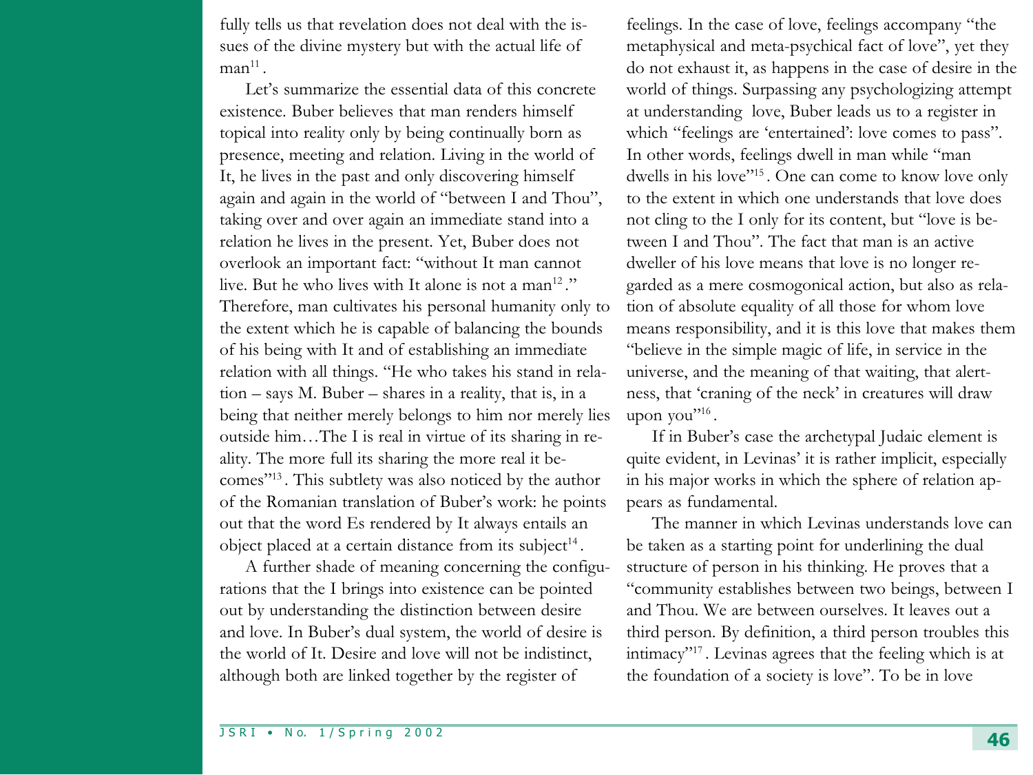fully tells us that revelation does not deal with the issues of the divine mystery but with the actual life of  $man<sup>11</sup>$ .

Let's summarize the essential data of this concrete existence. Buber believes that man renders himself topical into reality only by being continually born as presence, meeting and relation. Living in the world of It, he lives in the past and only discovering himself again and again in the world of "between I and Thou", taking over and over again an immediate stand into a relation he lives in the present. Yet, Buber does not overlook an important fact: "without It man cannot live. But he who lives with It alone is not a man<sup>12</sup>." Therefore, man cultivates his personal humanity only to the extent which he is capable of balancing the bounds of his being with It and of establishing an immediate relation with all things. "He who takes his stand in relation – says M. Buber – shares in a reality, that is, in a being that neither merely belongs to him nor merely lies outside him...The I is real in virtue of its sharing in reality. The more full its sharing the more real it becomes"<sup>13</sup>. This subtlety was also noticed by the author of the Romanian translation of Buber's work: he points out that the word Es rendered by It always entails an object placed at a certain distance from its subject<sup>14</sup>.

A further shade of meaning concerning the configurations that the I brings into existence can be pointed out by understanding the distinction between desire and love. In Buber's dual system, the world of desire is the world of It. Desire and love will not be indistinct, although both are linked together by the register of

feelings. In the case of love, feelings accompany "the metaphysical and meta-psychical fact of love", yet they do not exhaust it, as happens in the case of desire in the world of things. Surpassing any psychologizing attempt at understanding love, Buber leads us to a register in which "feelings are 'entertained': love comes to pass". In other words, feelings dwell in man while "man dwells in his love"<sup>15</sup>. One can come to know love only to the extent in which one understands that love does not cling to the I only for its content, but "love is between I and Thou". The fact that man is an active dweller of his love means that love is no longer regarded as a mere cosmogonical action, but also as relation of absolute equality of all those for whom love means responsibility, and it is this love that makes them "believe in the simple magic of life, in service in the universe, and the meaning of that waiting, that alertness, that 'craning of the neck' in creatures will draw upon you" $16$ .

If in Buber's case the archetypal Judaic element is quite evident, in Levinas' it is rather implicit, especially in his major works in which the sphere of relation appears as fundamental.

The manner in which Levinas understands love can be taken as a starting point for underlining the dual structure of person in his thinking. He proves that a "community establishes between two beings, between I and Thou. We are between ourselves. It leaves out a third person. By definition, a third person troubles this intimacy"<sup>17</sup>. Levinas agrees that the feeling which is at the foundation of a society is love". To be in love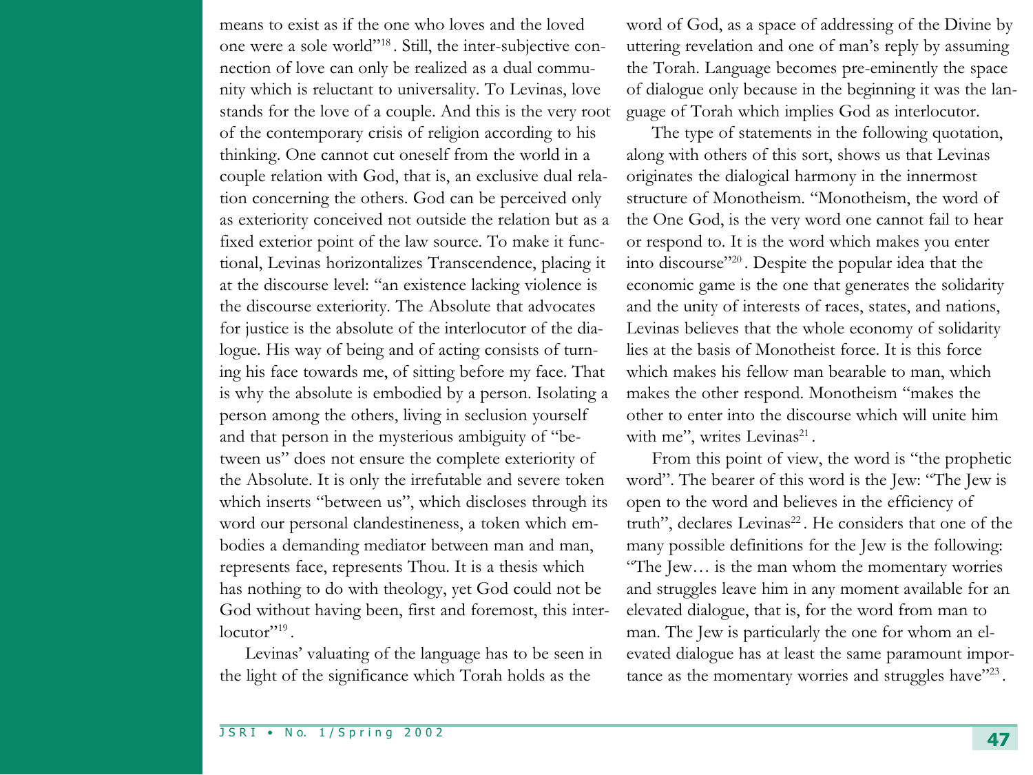means to exist as if the one who loves and the loved one were a sole world"<sup>18</sup>. Still, the inter-subjective connection of love can only be realized as a dual community which is reluctant to universality. To Levinas, love stands for the love of a couple. And this is the very root of the contemporary crisis of religion according to his thinking. One cannot cut oneself from the world in a couple relation with God, that is, an exclusive dual relation concerning the others. God can be perceived only as exteriority conceived not outside the relation but as a fixed exterior point of the law source. To make it functional, Levinas horizontalizes Transcendence, placing it at the discourse level: "an existence lacking violence is the discourse exteriority. The Absolute that advocates for justice is the absolute of the interlocutor of the dialogue. His way of being and of acting consists of turning his face towards me, of sitting before my face. That is why the absolute is embodied by a person. Isolating a person among the others, living in seclusion yourself and that person in the mysterious ambiguity of "between us" does not ensure the complete exteriority of the Absolute. It is only the irrefutable and severe token which inserts "between us", which discloses through its word our personal clandestineness, a token which embodies a demanding mediator between man and man, represents face, represents Thou. It is a thesis which has nothing to do with theology, yet God could not be God without having been, first and foremost, this interlocutor"<sup>19</sup>.

Levinas' valuating of the language has to be seen in the light of the significance which Torah holds as the

word of God, as a space of addressing of the Divine by uttering revelation and one of man's reply by assuming the Torah. Language becomes pre-eminently the space of dialogue only because in the beginning it was the language of Torah which implies God as interlocutor.

The type of statements in the following quotation, along with others of this sort, shows us that Levinas originates the dialogical harmony in the innermost structure of Monotheism. "Monotheism, the word of the One God, is the very word one cannot fail to hear or respond to. It is the word which makes you enter into discourse"<sup>20</sup>. Despite the popular idea that the economic game is the one that generates the solidarity and the unity of interests of races, states, and nations, Levinas believes that the whole economy of solidarity lies at the basis of Monotheist force. It is this force which makes his fellow man bearable to man, which makes the other respond. Monotheism "makes the other to enter into the discourse which will unite him with me", writes Levinas<sup>21</sup>.

From this point of view, the word is "the prophetic word". The bearer of this word is the Jew: "The Jew is open to the word and believes in the efficiency of truth", declares Levinas<sup>22</sup>. He considers that one of the many possible definitions for the Jew is the following: "The Jew... is the man whom the momentary worries and struggles leave him in any moment available for an elevated dialogue, that is, for the word from man to man. The Jew is particularly the one for whom an elevated dialogue has at least the same paramount importance as the momentary worries and struggles have"<sup>23</sup>.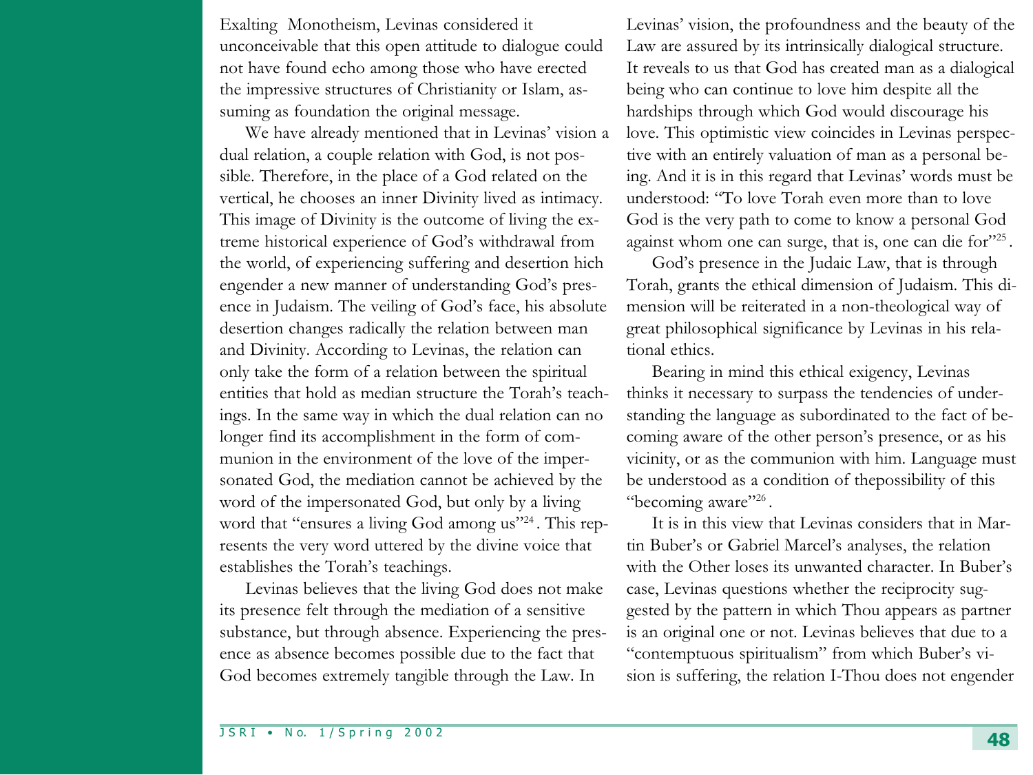Exalting Monotheism, Levinas considered it unconceivable that this open attitude to dialogue could not have found echo among those who have erected the impressive structures of Christianity or Islam, assuming as foundation the original message.

We have already mentioned that in Levinas' vision a dual relation, a couple relation with God, is not possible. Therefore, in the place of a God related on the vertical, he chooses an inner Divinity lived as intimacy. This image of Divinity is the outcome of living the extreme historical experience of God's withdrawal from the world, of experiencing suffering and desertion hich engender a new manner of understanding God's presence in Judaism. The veiling of God's face, his absolute desertion changes radically the relation between man and Divinity. According to Levinas, the relation can only take the form of a relation between the spiritual entities that hold as median structure the Torah's teachings. In the same way in which the dual relation can no longer find its accomplishment in the form of communion in the environment of the love of the impersonated God, the mediation cannot be achieved by the word of the impersonated God, but only by a living word that "ensures a living God among us"<sup>24</sup>. This represents the very word uttered by the divine voice that establishes the Torah's teachings.

Levinas believes that the living God does not make its presence felt through the mediation of a sensitive substance, but through absence. Experiencing the presence as absence becomes possible due to the fact that God becomes extremely tangible through the Law. In

Levinas' vision, the profoundness and the beauty of the Law are assured by its intrinsically dialogical structure. It reveals to us that God has created man as a dialogical being who can continue to love him despite all the hardships through which God would discourage his love. This optimistic view coincides in Levinas perspective with an entirely valuation of man as a personal being. And it is in this regard that Levinas' words must be understood: "To love Torah even more than to love God is the very path to come to know a personal God against whom one can surge, that is, one can die for"25.

God's presence in the Judaic Law, that is through Torah, grants the ethical dimension of Judaism. This dimension will be reiterated in a non-theological way of great philosophical significance by Levinas in his relational ethics.

Bearing in mind this ethical exigency, Levinas thinks it necessary to surpass the tendencies of understanding the language as subordinated to the fact of becoming aware of the other person's presence, or as his vicinity, or as the communion with him. Language must be understood as a condition of thepossibility of this "becoming aware"<sup>26</sup>.

It is in this view that Levinas considers that in Martin Buber's or Gabriel Marcel's analyses, the relation with the Other loses its unwanted character. In Buber's case, Levinas questions whether the reciprocity suggested by the pattern in which Thou appears as partner is an original one or not. Levinas believes that due to a "contemptuous spiritualism" from which Buber's vision is suffering, the relation I-Thou does not engender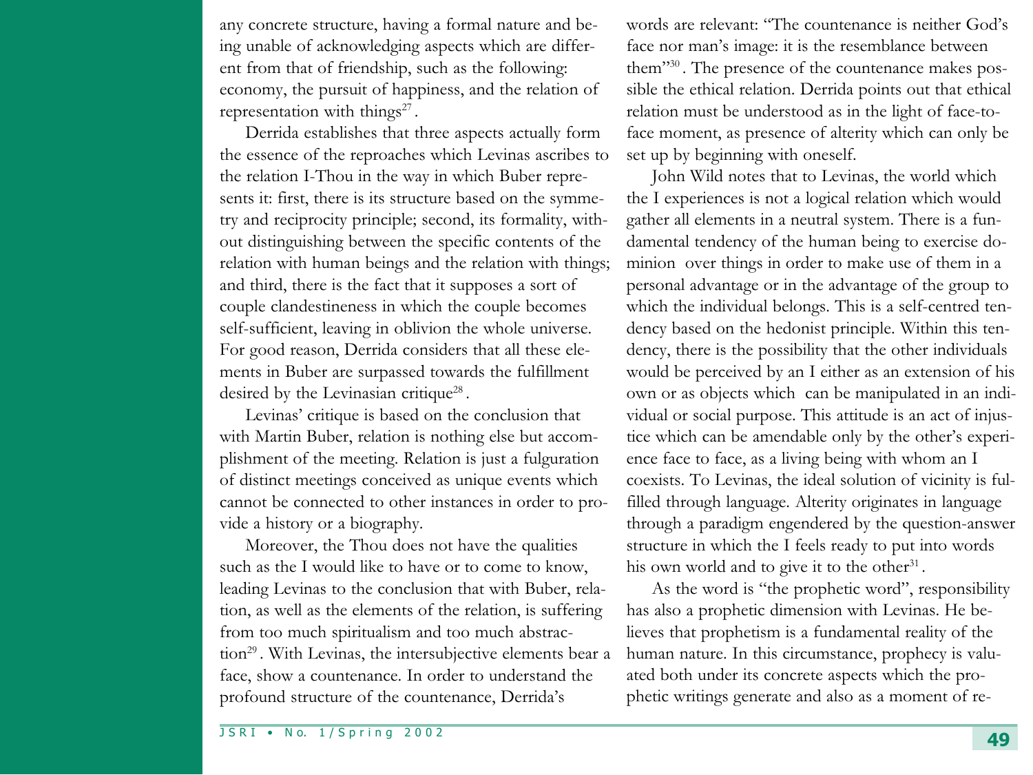any concrete structure, having a formal nature and being unable of acknowledging aspects which are different from that of friendship, such as the following: economy, the pursuit of happiness, and the relation of representation with things<sup>27</sup>.

Derrida establishes that three aspects actually form the essence of the reproaches which Levinas ascribes to the relation I-Thou in the way in which Buber represents it: first, there is its structure based on the symmetry and reciprocity principle; second, its formality, without distinguishing between the specific contents of the relation with human beings and the relation with things; and third, there is the fact that it supposes a sort of couple clandestineness in which the couple becomes self-sufficient, leaving in oblivion the whole universe. For good reason, Derrida considers that all these elements in Buber are surpassed towards the fulfillment desired by the Levinasian critique<sup>28</sup>.

Levinas' critique is based on the conclusion that with Martin Buber, relation is nothing else but accomplishment of the meeting. Relation is just a fulguration of distinct meetings conceived as unique events which cannot be connected to other instances in order to provide a history or a biography.

Moreover, the Thou does not have the qualities such as the I would like to have or to come to know, leading Levinas to the conclusion that with Buber, relation, as well as the elements of the relation, is suffering from too much spiritualism and too much abstraction<sup>29</sup>. With Levinas, the intersubjective elements bear a face, show a countenance. In order to understand the profound structure of the countenance, Derrida's

words are relevant: "The countenance is neither God's face nor man's image: it is the resemblance between them"<sup>30</sup>. The presence of the countenance makes possible the ethical relation. Derrida points out that ethical relation must be understood as in the light of face-toface moment, as presence of alterity which can only be set up by beginning with oneself.

John Wild notes that to Levinas, the world which the I experiences is not a logical relation which would gather all elements in a neutral system. There is a fundamental tendency of the human being to exercise dominion over things in order to make use of them in a personal advantage or in the advantage of the group to which the individual belongs. This is a self-centred tendency based on the hedonist principle. Within this tendency, there is the possibility that the other individuals would be perceived by an I either as an extension of his own or as objects which can be manipulated in an individual or social purpose. This attitude is an act of injustice which can be amendable only by the other's experience face to face, as a living being with whom an I coexists. To Levinas, the ideal solution of vicinity is fulfilled through language. Alterity originates in language through a paradigm engendered by the question-answer structure in which the I feels ready to put into words his own world and to give it to the other<sup>31</sup>.

As the word is "the prophetic word", responsibility has also a prophetic dimension with Levinas. He believes that prophetism is a fundamental reality of the human nature. In this circumstance, prophecy is valuated both under its concrete aspects which the prophetic writings generate and also as a moment of re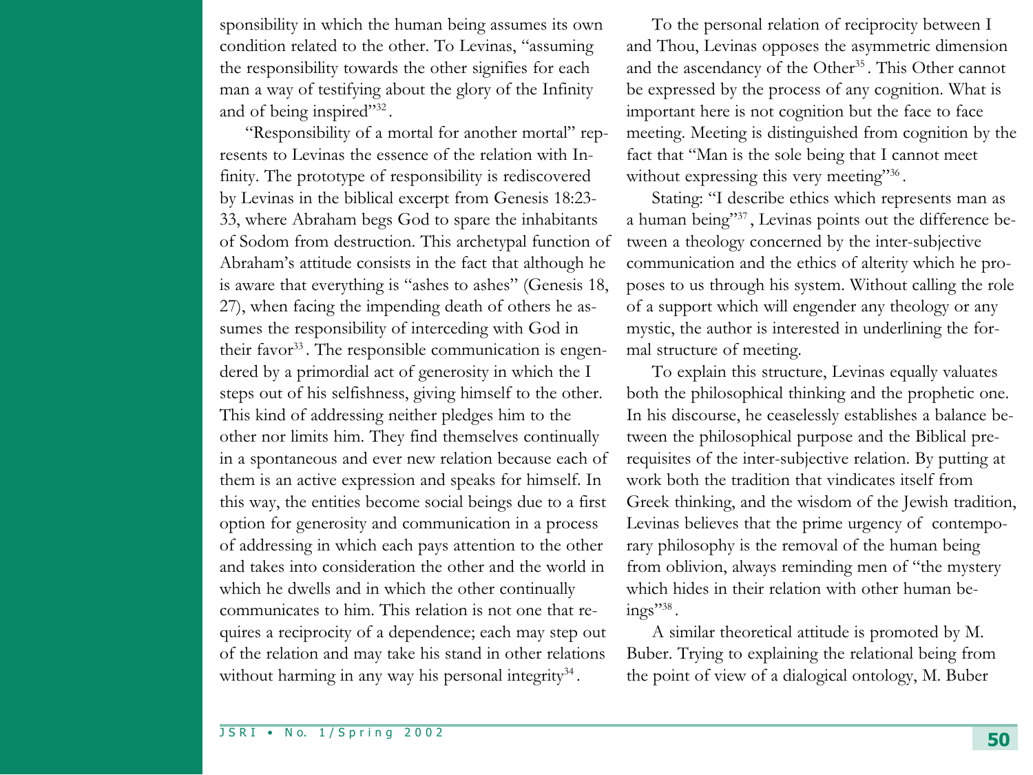sponsibility in which the human being assumes its own condition related to the other. To Levinas, "assuming the responsibility towards the other signifies for each man a way of testifying about the glory of the Infinity and of being inspired"32.

"Responsibility of a mortal for another mortal" represents to Levinas the essence of the relation with Infinity. The prototype of responsibility is rediscovered by Levinas in the biblical excerpt from Genesis 18:23-33, where Abraham begs God to spare the inhabitants of Sodom from destruction. This archetypal function of Abraham's attitude consists in the fact that although he is aware that everything is "ashes to ashes" (Genesis 18, 27), when facing the impending death of others he assumes the responsibility of interceding with God in their favor<sup>33</sup>. The responsible communication is engendered by a primordial act of generosity in which the I steps out of his selfishness, giving himself to the other. This kind of addressing neither pledges him to the other nor limits him. They find themselves continually in a spontaneous and ever new relation because each of them is an active expression and speaks for himself. In this way, the entities become social beings due to a first option for generosity and communication in a process of addressing in which each pays attention to the other and takes into consideration the other and the world in which he dwells and in which the other continually communicates to him. This relation is not one that requires a reciprocity of a dependence; each may step out of the relation and may take his stand in other relations without harming in any way his personal integrity<sup>34</sup>.

To the personal relation of reciprocity between I and Thou, Levinas opposes the asymmetric dimension and the ascendancy of the Other<sup>35</sup>. This Other cannot be expressed by the process of any cognition. What is important here is not cognition but the face to face meeting. Meeting is distinguished from cognition by the fact that "Man is the sole being that I cannot meet without expressing this very meeting"36.

Stating: "I describe ethics which represents man as a human being"<sup>37</sup>, Levinas points out the difference between a theology concerned by the inter-subjective communication and the ethics of alterity which he proposes to us through his system. Without calling the role of a support which will engender any theology or any mystic, the author is interested in underlining the formal structure of meeting.

To explain this structure, Levinas equally valuates both the philosophical thinking and the prophetic one. In his discourse, he ceaselessly establishes a balance between the philosophical purpose and the Biblical prerequisites of the inter-subjective relation. By putting at work both the tradition that vindicates itself from Greek thinking, and the wisdom of the Jewish tradition, Levinas believes that the prime urgency of contemporary philosophy is the removal of the human being from oblivion, always reminding men of "the mystery which hides in their relation with other human beings"38.

A similar theoretical attitude is promoted by M. Buber. Trying to explaining the relational being from the point of view of a dialogical ontology, M. Buber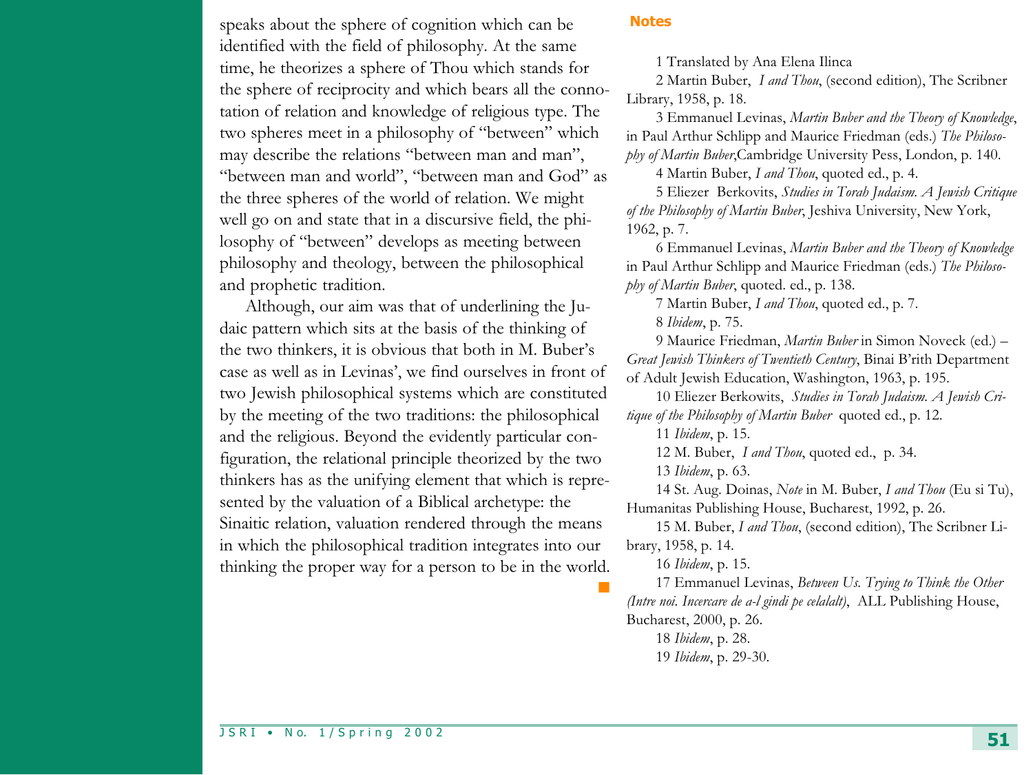speaks about the sphere of cognition which can be identified with the field of philosophy. At the same time, he theorizes a sphere of Thou which stands for the sphere of reciprocity and which bears all the connotation of relation and knowledge of religious type. The two spheres meet in a philosophy of "between" which may describe the relations "between man and man", "between man and world", "between man and God" as the three spheres of the world of relation. We might well go on and state that in a discursive field, the philosophy of "between" develops as meeting between philosophy and theology, between the philosophical and prophetic tradition.

Although, our aim was that of underlining the Judaic pattern which sits at the basis of the thinking of the two thinkers, it is obvious that both in M. Buber's case as well as in Levinas', we find ourselves in front of two Jewish philosophical systems which are constituted by the meeting of the two traditions: the philosophical and the religious. Beyond the evidently particular configuration, the relational principle theorized by the two thinkers has as the unifying element that which is represented by the valuation of a Biblical archetype: the Sinaitic relation, valuation rendered through the means in which the philosophical tradition integrates into our thinking the proper way for a person to be in the world.

#### **Notes**

1 Translated by Ana Elena Ilinca

2 Martin Buber, *I and Thou*, (second edition), The Scribner Library, 1958, p. 18.

3 Emmanuel Levinas, Martin Buber and the Theory of Knowledge, in Paul Arthur Schlipp and Maurice Friedman (eds.) The Philosophy of Martin Buber, Cambridge University Pess, London, p. 140.

4 Martin Buber, I and Thou, quoted ed., p. 4.

5 Eliezer Berkovits, Studies in Torah Judaism. A Jewish Critique of the Philosophy of Martin Buber, Jeshiva University, New York, 1962, p. 7.

6 Emmanuel Levinas, Martin Buber and the Theory of Knowledge in Paul Arthur Schlipp and Maurice Friedman (eds.) The Philosophy of Martin Buber, quoted. ed., p. 138.

7 Martin Buber, I and Thou, quoted ed., p. 7.

8 Ibidem, p. 75.

9 Maurice Friedman, Martin Buber in Simon Noveck (ed.) -Great Jewish Thinkers of Twentieth Century, Binai B'rith Department of Adult Jewish Education, Washington, 1963, p. 195.

10 Eliezer Berkowits, Studies in Torah Judaism. A Jewish Critique of the Philosophy of Martin Buber quoted ed., p. 12.

11 *Ibidem*, p. 15.

12 M. Buber, *I and Thou*, quoted ed., p. 34.

13 Ibidem, p. 63.

14 St. Aug. Doinas, Note in M. Buber, I and Thou (Eu si Tu), Humanitas Publishing House, Bucharest, 1992, p. 26.

15 M. Buber, I and Thou, (second edition), The Scribner Library, 1958, p. 14.

16 Ibidem, p. 15.

17 Emmanuel Levinas, Between Us. Trying to Think the Other (Intre noi. Incercare de a-l gindi pe celalalt), ALL Publishing House, Bucharest, 2000, p. 26.

18 Ibidem, p. 28.

19 Ibidem, p. 29-30.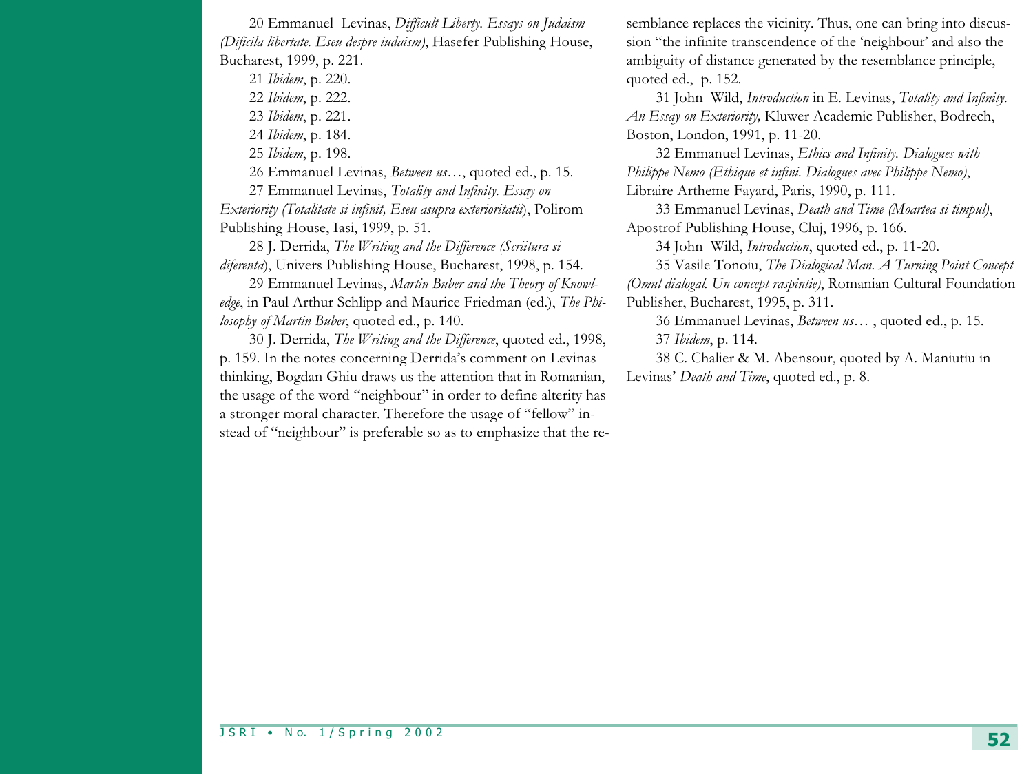20 Emmanuel Levinas, Difficult Liberty. Essays on Judaism (Dificila libertate. Eseu despre iudaism), Hasefer Publishing House, Bucharest, 1999, p. 221.

- 21 Ibidem, p. 220.
- 22 Ibidem, p. 222.
- 23 Ibidem, p. 221.
- 24 Ibidem, p. 184.
- 25 Ibidem, p. 198.

26 Emmanuel Levinas, Between us..., quoted ed., p. 15. 27 Emmanuel Levinas, Totality and Infinity. Essay on Exteriority (Totalitate si infinit, Eseu asupra exterioritatii), Polirom Publishing House, Iasi, 1999, p. 51.

28 J. Derrida, The Writing and the Difference (Scriitura si diferenta), Univers Publishing House, Bucharest, 1998, p. 154.

29 Emmanuel Levinas, Martin Buber and the Theory of Knowledge, in Paul Arthur Schlipp and Maurice Friedman (ed.), The Philosophy of Martin Buber, quoted ed., p. 140.

30 J. Derrida, The Writing and the Difference, quoted ed., 1998, p. 159. In the notes concerning Derrida's comment on Levinas thinking, Bogdan Ghiu draws us the attention that in Romanian, the usage of the word "neighbour" in order to define alterity has a stronger moral character. Therefore the usage of "fellow" instead of "neighbour" is preferable so as to emphasize that the resemblance replaces the vicinity. Thus, one can bring into discussion "the infinite transcendence of the 'neighbour' and also the ambiguity of distance generated by the resemblance principle, quoted ed., p. 152.

31 John Wild, Introduction in E. Levinas, Totality and Infinity. An Essay on Exteriority, Kluwer Academic Publisher, Bodrech, Boston, London, 1991, p. 11-20.

32 Emmanuel Levinas, Ethics and Infinity. Dialogues with Philippe Nemo (Ethique et infini. Dialogues avec Philippe Nemo), Libraire Artheme Fayard, Paris, 1990, p. 111.

33 Emmanuel Levinas, Death and Time (Moartea si timpul), Apostrof Publishing House, Cluj, 1996, p. 166.

34 John Wild, Introduction, quoted ed., p. 11-20.

35 Vasile Tonoiu, The Dialogical Man. A Turning Point Concept (Omul dialogal. Un concept raspintie), Romanian Cultural Foundation Publisher, Bucharest, 1995, p. 311.

36 Emmanuel Levinas, Between us..., quoted ed., p. 15. 37 Ibidem, p. 114.

38 C. Chalier & M. Abensour, quoted by A. Maniutiu in Levinas' Death and Time, quoted ed., p. 8.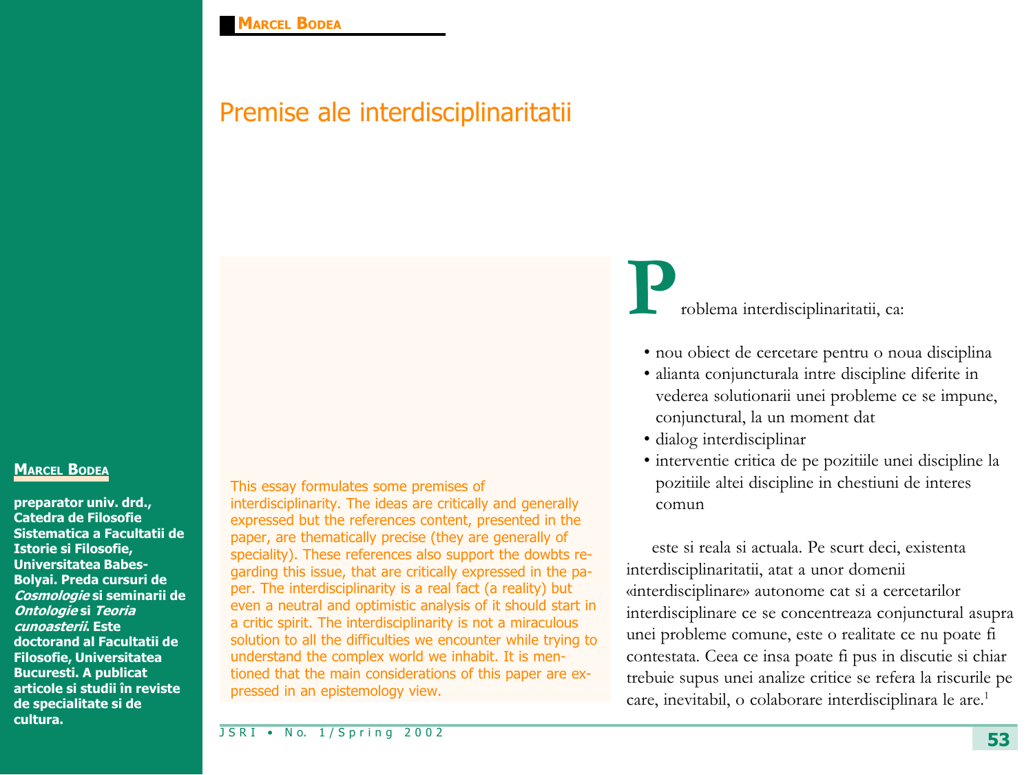**MARCEL BODEA** 

# Premise ale interdisciplinaritatii

### **MARCEL BODEA**

preparator univ. drd., **Catedra de Filosofie** Sistematica a Facultatii de Istorie și Filosofie, **Universitatea Babes-Bolyai. Preda cursuri de** Cosmologie si seminarii de **Ontologie si Teoria** *cunoasterii*. Este doctorand al Facultatii de **Filosofie, Universitatea Bucuresti. A publicat** articole și studii în reviste de specialitate si de cultura.

This essay formulates some premises of interdisciplinarity. The ideas are critically and generally expressed but the references content, presented in the paper, are thematically precise (they are generally of speciality). These references also support the dowbts regarding this issue, that are critically expressed in the paper. The interdisciplinarity is a real fact (a reality) but even a neutral and optimistic analysis of it should start in a critic spirit. The interdisciplinarity is not a miraculous solution to all the difficulties we encounter while trying to understand the complex world we inhabit. It is mentioned that the main considerations of this paper are expressed in an epistemology view.

roblema interdisciplinaritatii, ca:

- · nou obiect de cercetare pentru o noua disciplina
- · alianta conjuncturala intre discipline diferite in vederea solutionarii unei probleme ce se impune, conjunctural, la un moment dat
- · dialog interdisciplinar
- · interventie critica de pe pozitiile unei discipline la pozitiile altei discipline in chestiuni de interes comun

este si reala si actuala. Pe scurt deci, existenta interdisciplinaritatii, atat a unor domenii «interdisciplinare» autonome cat si a cercetarilor interdisciplinare ce se concentreaza conjunctural asupra unei probleme comune, este o realitate ce nu poate fi contestata. Ceea ce insa poate fi pus in discutie si chiar trebuie supus unei analize critice se refera la riscurile pe care, inevitabil, o colaborare interdisciplinara le are.<sup>1</sup>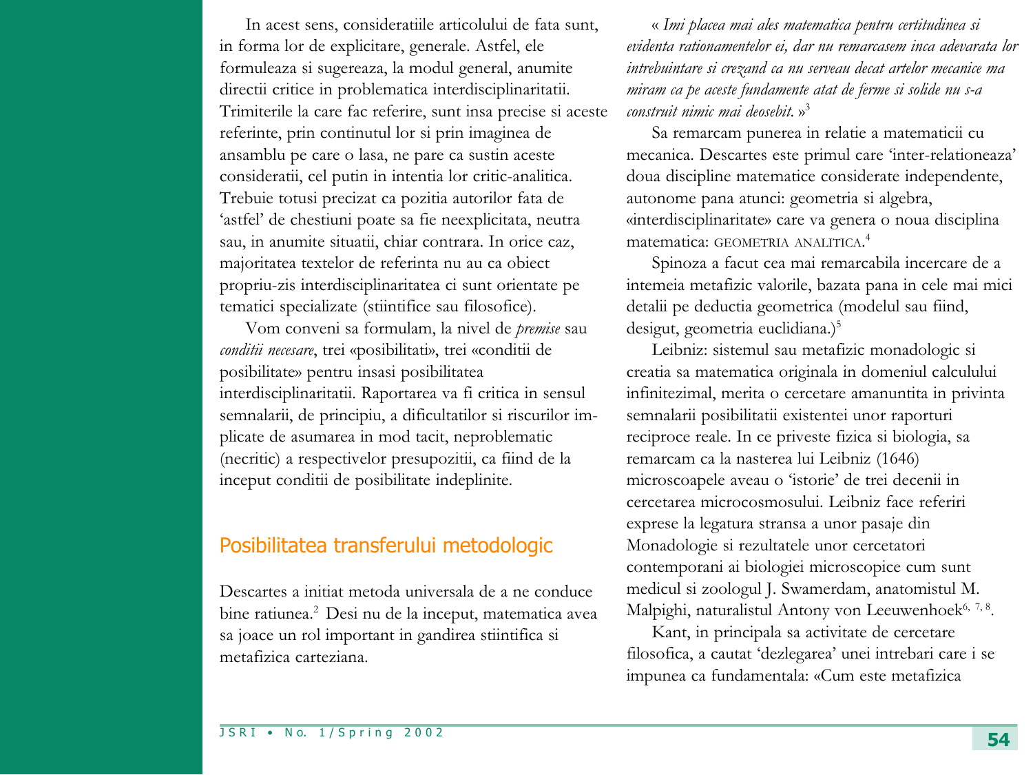In acest sens, consideratiile articolului de fata sunt, in forma lor de explicitare, generale. Astfel, ele formuleaza si sugereaza, la modul general, anumite directii critice in problematica interdisciplinaritatii. Trimiterile la care fac referire, sunt insa precise si aceste referinte, prin continutul lor si prin imaginea de ansamblu pe care o lasa, ne pare ca sustin aceste consideratii, cel putin in intentia lor critic-analitica. Trebuie totusi precizat ca pozitia autorilor fata de 'astfel' de chestiuni poate sa fie neexplicitata, neutra sau, in anumite situatii, chiar contrara. In orice caz, majoritatea textelor de referinta nu au ca obiect propriu-zis interdisciplinaritatea ci sunt orientate pe tematici specializate (stiintifice sau filosofice).

Vom conveni sa formulam, la nivel de premise sau conditii necesare, trei «posibilitati», trei «conditii de posibilitate» pentru insasi posibilitatea interdisciplinaritatii. Raportarea va fi critica in sensul semnalarii, de principiu, a dificultatilor si riscurilor implicate de asumarea in mod tacit, neproblematic (necritic) a respectivelor presupozitii, ca fiind de la inceput conditii de posibilitate indeplinite.

### Posibilitatea transferului metodologic

Descartes a initiat metoda universala de a ne conduce bine ratiunea.<sup>2</sup> Desi nu de la inceput, matematica avea sa joace un rol important in gandirea stiintifica si metafizica carteziana.

« Imi placea mai ales matematica pentru certitudinea si evidenta rationamentelor ei, dar nu remarcasem inca adevarata lor intrebuintare si crezand ca nu serveau decat artelor mecanice ma miram ca pe aceste fundamente atat de ferme si solide nu s-a construit nimic mai deosebit.  $x^3$ 

Sa remarcam punerea in relatie a matematicii cu mecanica. Descartes este primul care 'inter-relationeaza' doua discipline matematice considerate independente, autonome pana atunci: geometria si algebra, «interdisciplinaritate» care va genera o noua disciplina matematica: GEOMETRIA ANALITICA.<sup>4</sup>

Spinoza a facut cea mai remarcabila incercare de a intemeia metafizic valorile, bazata pana in cele mai mici detalii pe deductia geometrica (modelul sau fiind, desigut, geometria euclidiana.)<sup>5</sup>

Leibniz: sistemul sau metafizic monadologic si creatia sa matematica originala in domeniul calculului infinitezimal, merita o cercetare amanuntita in privinta semnalarii posibilitatii existentei unor raporturi reciproce reale. In ce priveste fizica si biologia, sa remarcam ca la nasterea lui Leibniz (1646) microscoapele aveau o 'istorie' de trei decenii in cercetarea microcosmosului. Leibniz face referiri exprese la legatura stransa a unor pasaje din Monadologie si rezultatele unor cercetatori contemporani ai biologiei microscopice cum sunt medicul si zoologul J. Swamerdam, anatomistul M. Malpighi, naturalistul Antony von Leeuwenhoek<sup>6, 7, 8</sup>.

Kant, in principala sa activitate de cercetare filosofica, a cautat 'dezlegarea' unei intrebari care i se impunea ca fundamentala: «Cum este metafizica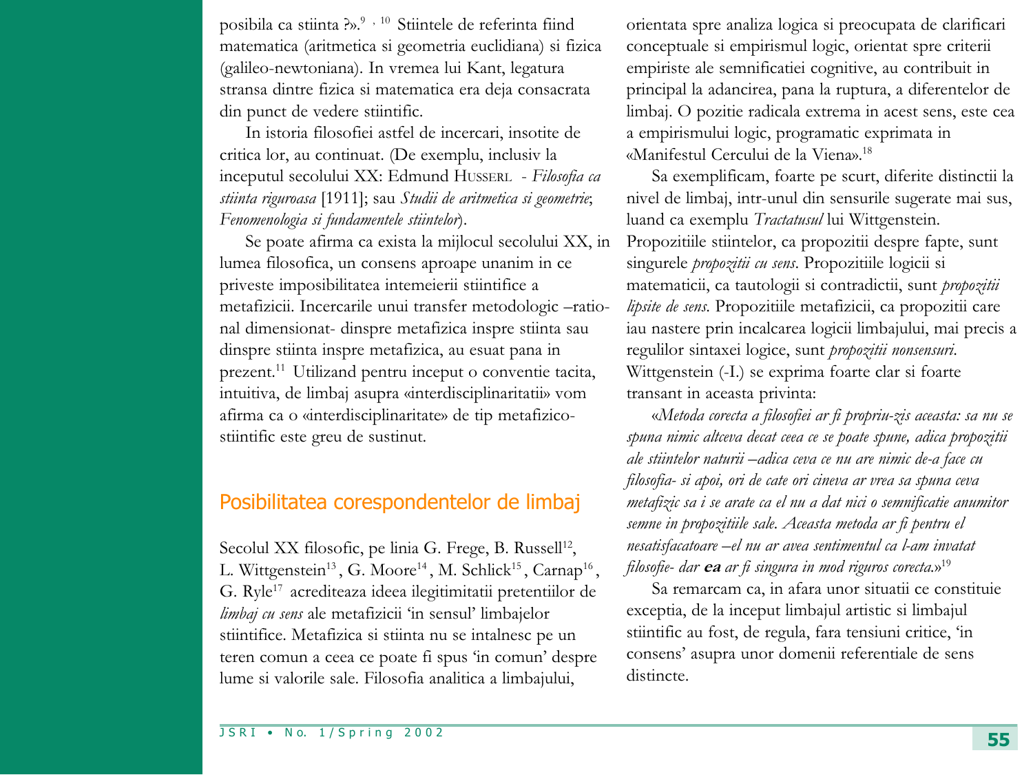posibila ca stiinta ?».<sup>9, 10</sup> Stiintele de referinta fiind matematica (aritmetica si geometria euclidiana) si fizica (galileo-newtoniana). In vremea lui Kant, legatura stransa dintre fizica si matematica era deja consacrata din punct de vedere stiintific.

In istoria filosofiei astfel de incercari, insotite de critica lor, au continuat. (De exemplu, inclusiv la inceputul secolului XX: Edmund HUSSERL - Filosofia ca stiinta riguroasa [1911]; sau Studii de aritmetica si geometrie; Fenomenologia si fundamentele stiintelor).

Se poate afirma ca exista la mijlocul secolului XX, in lumea filosofica, un consens aproape unanim in ce priveste imposibilitatea intemeierii stiintifice a metafizicii. Incercarile unui transfer metodologic -rational dimensionat- dinspre metafizica inspre stiinta sau dinspre stiinta inspre metafizica, au esuat pana in prezent.<sup>11</sup> Utilizand pentru inceput o conventie tacita, intuitiva, de limbaj asupra «interdisciplinaritatii» vom afirma ca o «interdisciplinaritate» de tip metafizicostiintific este greu de sustinut.

### Posibilitatea corespondentelor de limbaj

Secolul XX filosofic, pe linia G. Frege, B. Russell<sup>12</sup>, L. Wittgenstein<sup>13</sup>, G. Moore<sup>14</sup>, M. Schlick<sup>15</sup>, Carnap<sup>16</sup>, G. Ryle<sup>17</sup> acrediteaza ideea ilegitimitatii pretentiilor de limbaj cu sens ale metafizicii 'in sensul' limbajelor stiintifice. Metafizica si stiinta nu se intalnesc pe un teren comun a ceea ce poate fi spus 'in comun' despre lume si valorile sale. Filosofia analitica a limbajului,

orientata spre analiza logica si preocupata de clarificari conceptuale si empirismul logic, orientat spre criterii empiriste ale semnificatiei cognitive, au contribuit in principal la adancirea, pana la ruptura, a diferentelor de limbaj. O pozitie radicala extrema in acest sens, este cea a empirismului logic, programatic exprimata in «Manifestul Cercului de la Viena».<sup>18</sup>

Sa exemplificam, foarte pe scurt, diferite distinctii la nivel de limbaj, intr-unul din sensurile sugerate mai sus, luand ca exemplu Tractatusul lui Wittgenstein. Propozitiile stiintelor, ca propozitii despre fapte, sunt singurele *propozitii cu sens*. Propozitiile logicii si matematicii, ca tautologii si contradictii, sunt propozitii lipsite de sens. Propozitiile metafizicii, ca propozitii care iau nastere prin incalcarea logicii limbajului, mai precis a regulilor sintaxei logice, sunt propozitii nonsensuri. Wittgenstein (-I.) se exprima foarte clar si foarte transant in aceasta privinta:

«Metoda corecta a filosofiei ar fi propriu-zis aceasta: sa nu se spuna nimic altceva decat ceea ce se poate spune, adica propozitii ale stiintelor naturii -adica ceva ce nu are nimic de-a face cu filosofia- si apoi, ori de cate ori cineva ar vrea sa spuna ceva metafizic sa i se arate ca el nu a dat nici o semnificatie anumitor semne in propozitiile sale. Aceasta metoda ar fi pentru el nesatisfacatoare -el nu ar avea sentimentul ca l-am invatat filosofie- dar ea ar fi singura in mod riguros corecta.»<sup>19</sup>

Sa remarcam ca, in afara unor situatii ce constituie exceptia, de la inceput limbajul artistic si limbajul stiintific au fost, de regula, fara tensiuni critice, 'in consens' asupra unor domenii referentiale de sens distincte.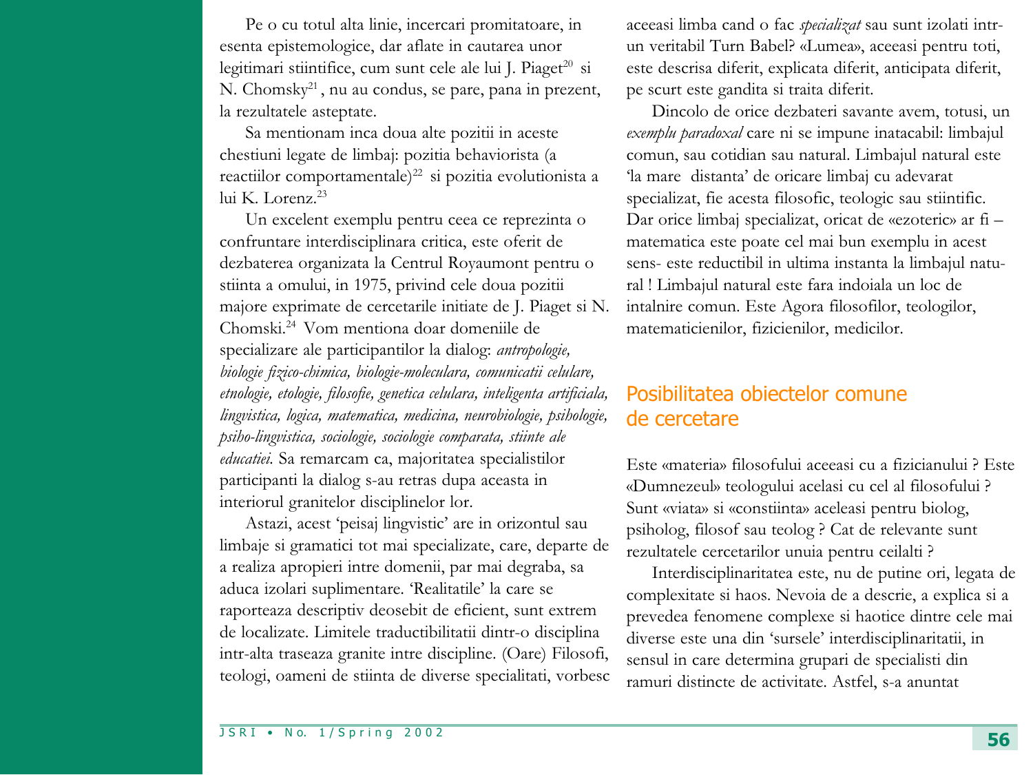Pe o cu totul alta linie, incercari promitatoare, in esenta epistemologice, dar aflate in cautarea unor legitimari stiintifice, cum sunt cele ale lui J. Piaget<sup>20</sup> si N. Chomsky<sup>21</sup>, nu au condus, se pare, pana in prezent, la rezultatele asteptate.

Sa mentionam inca doua alte pozitii in aceste chestiuni legate de limbaj: pozitia behaviorista (a reactiilor comportamentale)<sup>22</sup> si pozitia evolutionista a lui K. Lorenz.<sup>23</sup>

Un excelent exemplu pentru ceea ce reprezinta o confruntare interdisciplinara critica, este oferit de dezbaterea organizata la Centrul Royaumont pentru o stiinta a omului, in 1975, privind cele doua pozitii majore exprimate de cercetarile initiate de J. Piaget si N. Chomski.<sup>24</sup> Vom mentiona doar domeniile de specializare ale participantilor la dialog: antropologie, biologie fizico-chimica, biologie-moleculara, comunicatii celulare, etnologie, etologie, filosofie, genetica celulara, inteligenta artificiala, lingvistica, logica, matematica, medicina, neurobiologie, psihologie, psiho-lingvistica, sociologie, sociologie comparata, stiinte ale educatiei. Sa remarcam ca, majoritatea specialistilor participanti la dialog s-au retras dupa aceasta in interiorul granitelor disciplinelor lor.

Astazi, acest 'peisaj lingvistic' are in orizontul sau limbaje si gramatici tot mai specializate, care, departe de a realiza apropieri intre domenii, par mai degraba, sa aduca izolari suplimentare. 'Realitatile' la care se raporteaza descriptiv deosebit de eficient, sunt extrem de localizate. Limitele traductibilitatii dintr-o disciplina intr-alta traseaza granite intre discipline. (Oare) Filosofi, teologi, oameni de stiinta de diverse specialitati, vorbesc

aceeasi limba cand o fac specializat sau sunt izolati intrun veritabil Turn Babel? «Lumea», aceeasi pentru toti, este descrisa diferit, explicata diferit, anticipata diferit, pe scurt este gandita si traita diferit.

Dincolo de orice dezbateri savante avem, totusi, un exemplu paradoxal care ni se impune inatacabil: limbajul comun, sau cotidian sau natural. Limbajul natural este 'la mare distanta' de oricare limbaj cu adevarat specializat, fie acesta filosofic, teologic sau stiintific. Dar orice limbaj specializat, oricat de «ezoteric» ar fi matematica este poate cel mai bun exemplu in acest sens- este reductibil in ultima instanta la limbajul natural ! Limbajul natural este fara indoiala un loc de intalnire comun. Este Agora filosofilor, teologilor, matematicienilor, fizicienilor, medicilor.

## Posibilitatea objectelor comune de cercetare

Este «materia» filosofului aceeasi cu a fizicianului ? Este «Dumnezeul» teologului acelasi cu cel al filosofului ? Sunt «viata» si «constiinta» aceleasi pentru biolog, psiholog, filosof sau teolog ? Cat de relevante sunt rezultatele cercetarilor unuia pentru ceilalti ?

Interdisciplinaritatea este, nu de putine ori, legata de complexitate si haos. Nevoia de a descrie, a explica si a prevedea fenomene complexe si haotice dintre cele mai diverse este una din 'sursele' interdisciplinaritatii, in sensul in care determina grupari de specialisti din ramuri distincte de activitate. Astfel, s-a anuntat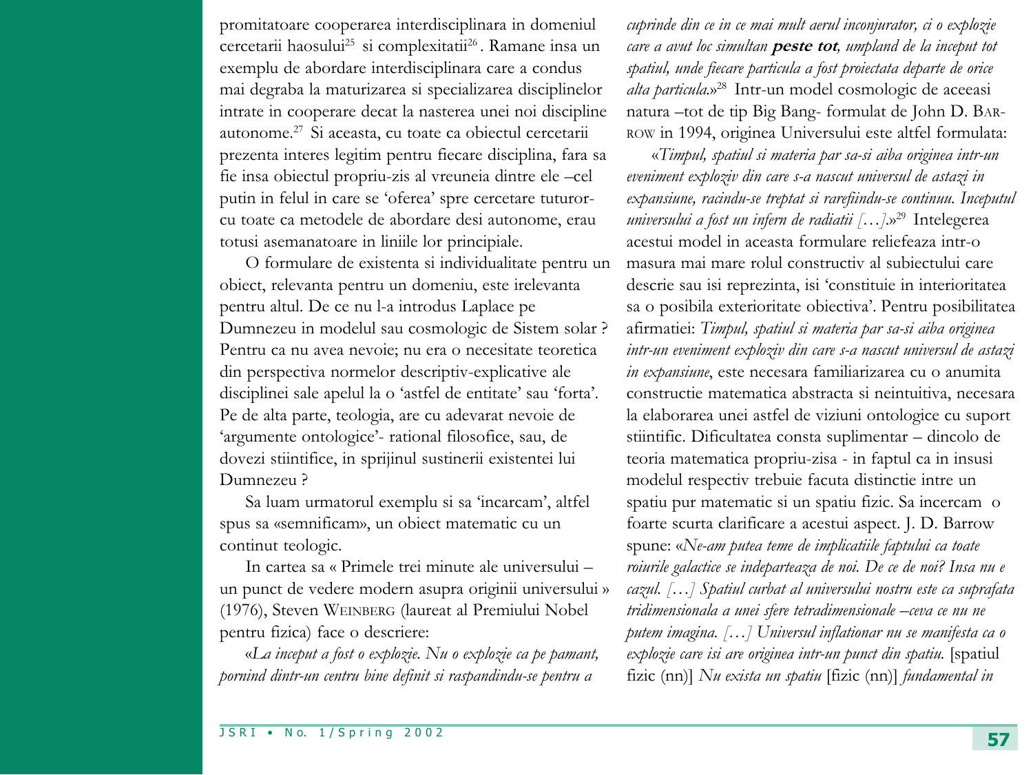promitatoare cooperarea interdisciplinara in domeniul cercetarii haosului<sup>25</sup> si complexitatii<sup>26</sup>. Ramane insa un exemplu de abordare interdisciplinara care a condus mai degraba la maturizarea si specializarea disciplinelor intrate in cooperare decat la nasterea unei noi discipline autonome.<sup>27</sup> Si aceasta, cu toate ca obiectul cercetarii prezenta interes legitim pentru fiecare disciplina, fara sa fie insa obiectul propriu-zis al vreuneia dintre ele-cel putin in felul in care se 'oferea' spre cercetare tuturorcu toate ca metodele de abordare desi autonome, erau totusi asemanatoare in liniile lor principiale.

O formulare de existenta si individualitate pentru un obiect, relevanta pentru un domeniu, este irelevanta pentru altul. De ce nu l-a introdus Laplace pe Dumnezeu in modelul sau cosmologic de Sistem solar ? Pentru ca nu avea nevoie; nu era o necesitate teoretica din perspectiva normelor descriptiv-explicative ale disciplinei sale apelul la o 'astfel de entitate' sau 'forta'. Pe de alta parte, teologia, are cu adevarat nevoie de 'argumente ontologice'- rational filosofice, sau, de dovezi stiintifice, in sprijinul sustinerii existentei lui Dumnezeu?

Sa luam urmatorul exemplu si sa 'incarcam', altfel spus sa «semnificam», un obiect matematic cu un continut teologic.

In cartea sa « Primele trei minute ale universului un punct de vedere modern asupra originii universului » (1976), Steven WEINBERG (laureat al Premiului Nobel pentru fizica) face o descriere:

«La inceput a fost o explozie. Nu o explozie ca pe pamant, pornind dintr-un centru bine definit si raspandindu-se pentru a

cuprinde din ce in ce mai mult aerul inconjurator, ci o explozie care a avut loc simultan peste tot, umpland de la inceput tot spatiul, unde fiecare particula a fost proiectata departe de orice alta particula.»<sup>28</sup> Intr-un model cosmologic de aceeasi natura - tot de tip Big Bang- formulat de John D. BAR-ROW in 1994, originea Universului este altfel formulata:

«Timpul, spatiul si materia par sa-si aiba originea intr-un eveniment exploziv din care s-a nascut universul de astazi in expansiune, racindu-se treptat si rarefiindu-se continuu. Inceputul universului a fost un infern de radiatii  $\left[ \ldots \right]$ . Thitelegerea acestui model in aceasta formulare reliefeaza intr-o masura mai mare rolul constructiv al subiectului care descrie sau isi reprezinta, isi 'constituie in interioritatea sa o posibila exterioritate obiectiva'. Pentru posibilitatea afirmatiei: Timpul, spatiul si materia par sa-si aiba originea intr-un eveniment exploziv din care s-a nascut universul de astazi in expansiune, este necesara familiarizarea cu o anumita constructie matematica abstracta si neintuitiva, necesara la elaborarea unei astfel de viziuni ontologice cu suport stiintific. Dificultatea consta suplimentar - dincolo de teoria matematica propriu-zisa - in faptul ca in insusi modelul respectiv trebuie facuta distinctie intre un spatiu pur matematic si un spatiu fizic. Sa incercam o foarte scurta clarificare a acestui aspect. J. D. Barrow spune: «Ne-am putea teme de implicatiile faptului ca toate roiurile galactice se indeparteaza de noi. De ce de noi? Insa nu e cazul. [...] Spatiul curbat al universului nostru este ca suprafata tridimensionala a unei sfere tetradimensionale -ceva ce nu ne putem imagina. [...] Universul inflationar nu se manifesta ca o explozie care isi are originea intr-un punct din spatiu. [spatiul fizic  $(nn)$ ] Nu exista un spatiu [fizic  $(nn)$ ] fundamental in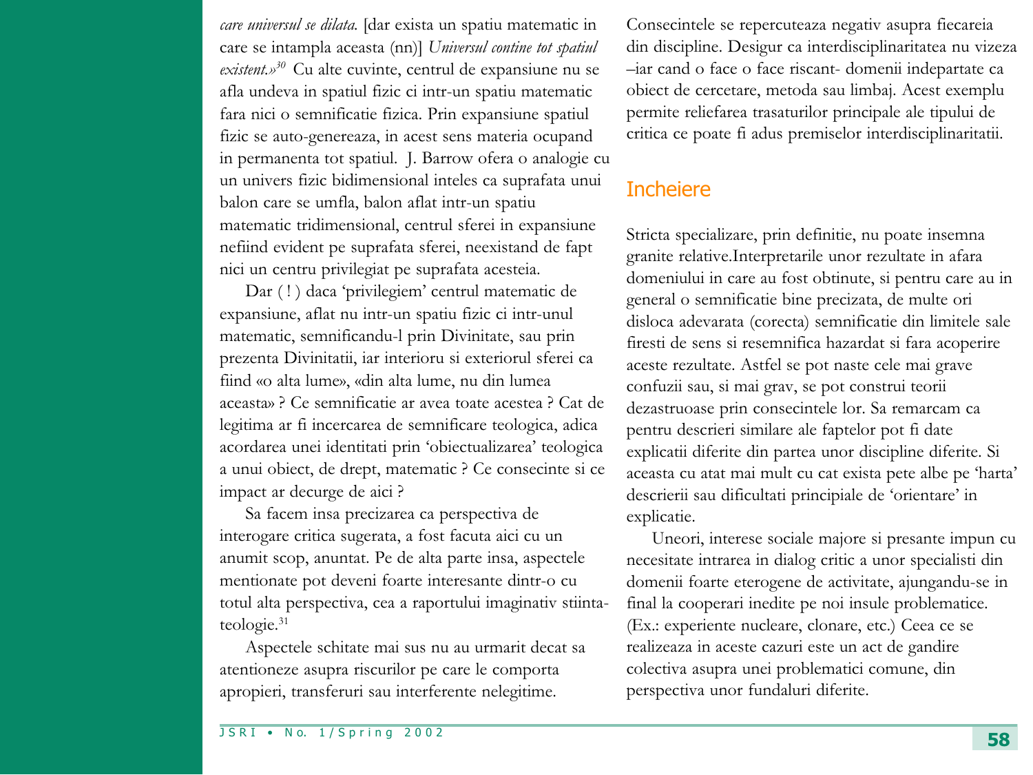care universul se dilata. [dar exista un spatiu matematic in care se intampla aceasta (nn)] Universul contine tot spatiul existent.»<sup>30</sup> Cu alte cuvinte, centrul de expansiune nu se afla undeva in spatiul fizic ci intr-un spatiu matematic fara nici o semnificatie fizica. Prin expansiune spatiul fizic se auto-genereaza, in acest sens materia ocupand in permanenta tot spatiul. J. Barrow ofera o analogie cu un univers fizic bidimensional inteles ca suprafata unui balon care se umfla, balon aflat intr-un spatiu matematic tridimensional, centrul sferei in expansiune nefiind evident pe suprafata sferei, neexistand de fapt nici un centru privilegiat pe suprafata acesteia.

Dar (!) daca 'privilegiem' centrul matematic de expansiune, aflat nu intr-un spatiu fizic ci intr-unul matematic, semnificandu-l prin Divinitate, sau prin prezenta Divinitatii, iar interioru si exteriorul sferei ca fiind «o alta lume», «din alta lume, nu din lumea aceasta»? Ce semnificatie ar avea toate acestea? Cat de legitima ar fi incercarea de semnificare teologica, adica acordarea unei identitati prin 'obiectualizarea' teologica a unui obiect, de drept, matematic ? Ce consecinte si ce impact ar decurge de aici ?

Sa facem insa precizarea ca perspectiva de interogare critica sugerata, a fost facuta aici cu un anumit scop, anuntat. Pe de alta parte insa, aspectele mentionate pot deveni foarte interesante dintr-o cu totul alta perspectiva, cea a raportului imaginativ stiintateologie.<sup>31</sup>

Aspectele schitate mai sus nu au urmarit decat sa atentioneze asupra riscurilor pe care le comporta apropieri, transferuri sau interferente nelegitime.

Consecintele se repercuteaza negativ asupra fiecareia din discipline. Desigur ca interdisciplinaritatea nu vizeza -iar cand o face o face riscant- domenii indepartate ca obiect de cercetare, metoda sau limbaj. Acest exemplu permite reliefarea trasaturilor principale ale tipului de critica ce poate fi adus premiselor interdisciplinaritatii.

### **Incheiere**

Stricta specializare, prin definitie, nu poate insemna granite relative.Interpretarile unor rezultate in afara domeniului in care au fost obtinute, si pentru care au in general o semnificatie bine precizata, de multe ori disloca adevarata (corecta) semnificatie din limitele sale firesti de sens si resemnifica hazardat si fara acoperire aceste rezultate. Astfel se pot naste cele mai grave confuzii sau, si mai grav, se pot construi teorii dezastruoase prin consecintele lor. Sa remarcam ca pentru descrieri similare ale faptelor pot fi date explicatii diferite din partea unor discipline diferite. Si aceasta cu atat mai mult cu cat exista pete albe pe 'harta' descrierii sau dificultati principiale de 'orientare' in explicatie.

Uneori, interese sociale majore si presante impun cu necesitate intrarea in dialog critic a unor specialisti din domenii foarte eterogene de activitate, ajungandu-se in final la cooperari inedite pe noi insule problematice. (Ex.: experiente nucleare, clonare, etc.) Ceea ce se realizeaza in aceste cazuri este un act de gandire colectiva asupra unei problematici comune, din perspectiva unor fundaluri diferite.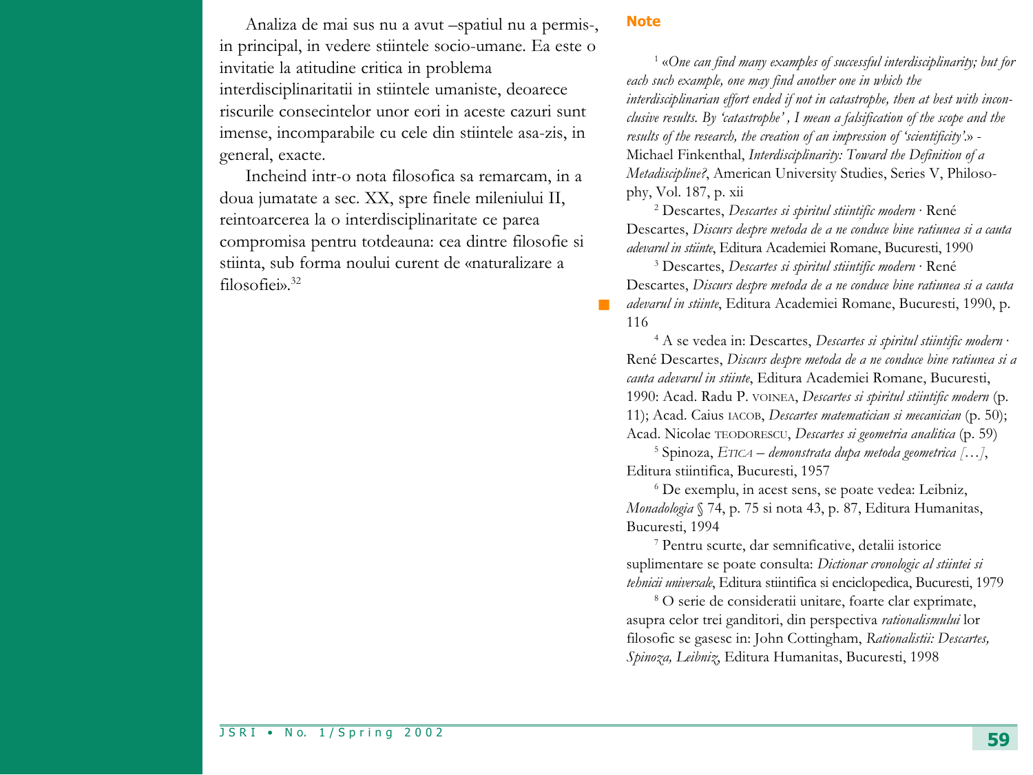Analiza de mai sus nu a avut -spatiul nu a permis-, in principal, in vedere stiintele socio-umane. Ea este o invitatie la atitudine critica in problema interdisciplinaritatii in stiintele umaniste, deoarece riscurile consecintelor unor eori in aceste cazuri sunt. imense, incomparabile cu cele din stiintele asa-zis, in general, exacte.

Incheind intr-o nota filosofica sa remarcam, in a doua jumatate a sec. XX, spre finele mileniului II, reintoarcerea la o interdisciplinaritate ce parea compromisa pentru totdeauna: cea dintre filosofie si stiinta, sub forma noului curent de «naturalizare a filosofiei».<sup>32</sup>

#### **Note**

 $1$  «One can find many examples of successful interdisciplinarity; but for each such example, one may find another one in which the interdisciplinarian effort ended if not in catastrophe, then at best with inconclusive results. By 'catastrophe', I mean a falsification of the scope and the results of the research, the creation of an impression of 'scientificity'.» -Michael Finkenthal, Interdisciplinarity: Toward the Definition of a Metadiscipline?, American University Studies, Series V, Philosophy, Vol. 187, p. xii

<sup>2</sup> Descartes, *Descartes si spiritul stiintific modern*  $\cdot$  René Descartes, Discurs despre metoda de a ne conduce bine ratiunea si a cauta adevarul in stiinte, Editura Academiei Romane, Bucuresti, 1990

<sup>3</sup> Descartes, *Descartes si spiritul stiintific modern*  $\cdot$  René Descartes, Discurs despre metoda de a ne conduce bine ratiunea si a cauta adevarul in stiinte, Editura Academiei Romane, Bucuresti, 1990, p. 116

<sup>4</sup> A se vedea in: Descartes, Descartes si spiritul stiintific modern · René Descartes, Discurs despre metoda de a ne conduce bine ratiunea si a cauta adevarul in stiinte, Editura Academiei Romane, Bucuresti, 1990: Acad. Radu P. VOINEA, Descartes si spiritul stiintific modern (p. 11); Acad. Caius IACOB, Descartes matematician si mecanician (p. 50); Acad. Nicolae TEODORESCU, Descartes si geometria analitica (p. 59)

<sup>5</sup> Spinoza, ETICA – demonstrata dupa metoda geometrica [...], Editura stiintifica, Bucuresti, 1957

<sup>6</sup> De exemplu, in acest sens, se poate vedea: Leibniz, Monadologia § 74, p. 75 si nota 43, p. 87, Editura Humanitas, Bucuresti, 1994

7 Pentru scurte, dar semnificative, detalii istorice suplimentare se poate consulta: Dictionar cronologic al stiintei si tehnicii universale, Editura stiintifica si enciclopedica, Bucuresti, 1979

<sup>8</sup> O serie de consideratii unitare, foarte clar exprimate, asupra celor trei ganditori, din perspectiva rationalismului lor filosofic se gasesc in: John Cottingham, Rationalistii: Descartes, Spinoza, Leibniz, Editura Humanitas, Bucuresti, 1998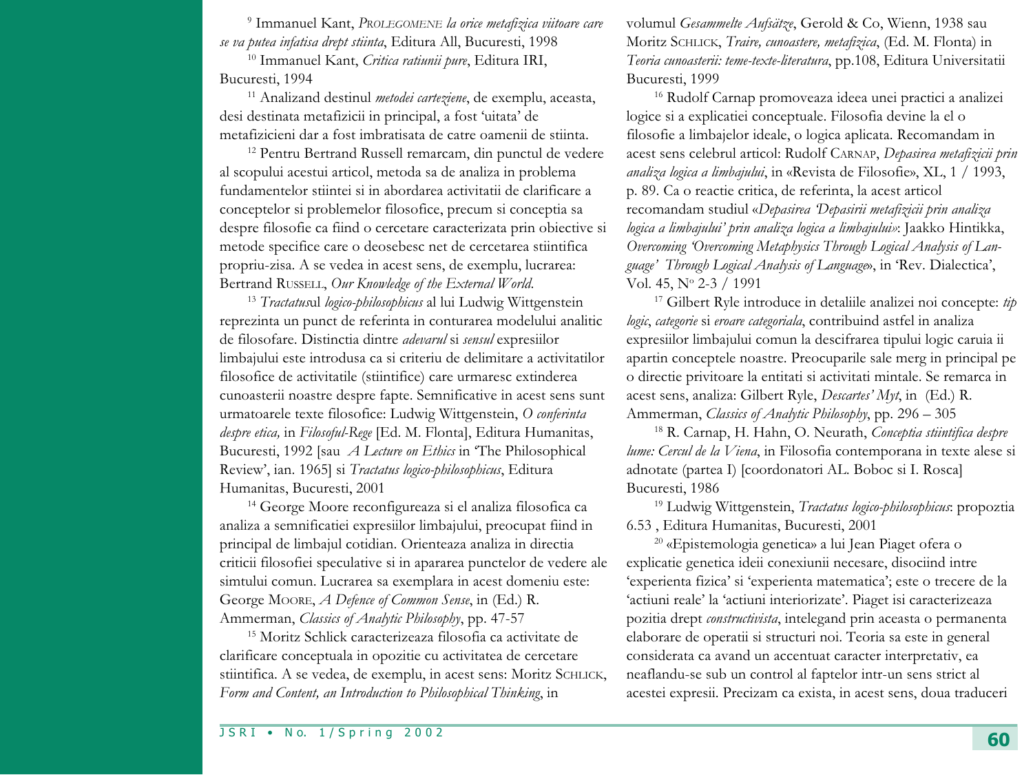<sup>9</sup> Immanuel Kant, PROLEGOMENE la orice metafizica viitoare care se va putea infatisa drept stiinta, Editura All, Bucuresti, 1998

<sup>10</sup> Immanuel Kant, Critica ratiunii pure, Editura IRI, Bucuresti, 1994

<sup>11</sup> Analizand destinul *metodei carteziene*, de exemplu, aceasta, desi destinata metafizicii in principal, a fost 'uitata' de metafizicieni dar a fost imbratisata de catre oamenii de stiinta.

<sup>12</sup> Pentru Bertrand Russell remarcam, din punctul de vedere al scopului acestui articol, metoda sa de analiza in problema fundamentelor stiintei și in abordarea activitatii de clarificare a conceptelor si problemelor filosofice, precum si conceptia sa despre filosofie ca fiind o cercetare caracterizata prin obiective si metode specifice care o deosebesc net de cercetarea stiintifica propriu-zisa. A se vedea in acest sens, de exemplu, lucrarea: Bertrand RUSSELL, Our Knowledge of the External World.

<sup>13</sup> Tractatusul logico-philosophicus al lui Ludwig Wittgenstein reprezinta un punct de referinta in conturarea modelului analitic de filosofare. Distinctia dintre adevarul si sensul expresiilor limbajului este introdusa ca si criteriu de delimitare a activitatilor filosofice de activitatile (stiintifice) care urmaresc extinderea cunoasterii noastre despre fapte. Semnificative in acest sens sunt urmatoarele texte filosofice: Ludwig Wittgenstein, O conferinta despre etica, in Filosoful-Rege [Ed. M. Flonta], Editura Humanitas, Bucuresti, 1992 [sau A Lecture on Ethics in 'The Philosophical Review', ian. 1965] si Tractatus logico-philosophicus, Editura Humanitas, Bucuresti, 2001

<sup>14</sup> George Moore reconfigureaza si el analiza filosofica ca analiza a semnificatiei expresiilor limbajului, preocupat fiind in principal de limbajul cotidian. Orienteaza analiza in directia criticii filosofiei speculative si in apararea punctelor de vedere ale simtului comun. Lucrarea sa exemplara in acest domeniu este: George MOORE, A Defence of Common Sense, in (Ed.) R. Ammerman, Classics of Analytic Philosophy, pp. 47-57

<sup>15</sup> Moritz Schlick caracterizeaza filosofia ca activitate de clarificare conceptuala in opozitie cu activitatea de cercetare stiintifica. A se vedea, de exemplu, in acest sens: Moritz SCHLICK, Form and Content, an Introduction to Philosophical Thinking, in

volumul Gesammelte Aufsätze, Gerold & Co, Wienn, 1938 sau Moritz SCHLICK, Traire, cunoastere, metafizica, (Ed. M. Flonta) in Teoria cunoasterii: teme-texte-literatura, pp.108, Editura Universitatii Bucuresti, 1999

<sup>16</sup> Rudolf Carnap promoveaza ideea unei practici a analizei logice si a explicatiei conceptuale. Filosofia devine la el o filosofie a limbajelor ideale, o logica aplicata. Recomandam in acest sens celebrul articol: Rudolf CARNAP, Depasirea metafizicii prin analiza logica a limbajului, in «Revista de Filosofie», XL, 1 / 1993, p. 89. Ca o reactie critica, de referinta, la acest articol recomandam studiul «Depasirea 'Depasirii metafizicii prin analiza logica a limbajului' prin analiza logica a limbajului»: Jaakko Hintikka, Overcoming 'Overcoming Metaphysics Through Logical Analysis of Language' Through Logical Analysis of Language», in 'Rev. Dialectica', Vol. 45,  $N^{\circ}$  2-3 / 1991

<sup>17</sup> Gilbert Ryle introduce in detaliile analizei noi concepte:  $tip$ logic, categorie si eroare categoriala, contribuind astfel in analiza expresiilor limbajului comun la descifrarea tipului logic caruia ii apartin conceptele noastre. Preocuparile sale merg in principal pe o directie privitoare la entitati si activitati mintale. Se remarca in acest sens, analiza: Gilbert Ryle, *Descartes' Myt*, in (Ed.) R. Ammerman, Classics of Analytic Philosophy, pp. 296 - 305

<sup>18</sup> R. Carnap, H. Hahn, O. Neurath, Conceptia stiintifica despre lume: Cercul de la Viena, in Filosofia contemporana in texte alese si adnotate (partea I) [coordonatori AL. Boboc si I. Rosca] Bucuresti, 1986

<sup>19</sup> Ludwig Wittgenstein, Tractatus logico-philosophicus: propoztia 6.53, Editura Humanitas, Bucuresti, 2001

<sup>20</sup> «Epistemologia genetica» a lui Jean Piaget ofera o explicatie genetica ideii conexiunii necesare, disociind intre 'experienta fizica' si 'experienta matematica'; este o trecere de la 'actiuni reale' la 'actiuni interiorizate'. Piaget isi caracterizeaza pozitia drept constructivista, intelegand prin aceasta o permanenta elaborare de operatii si structuri noi. Teoria sa este in general considerata ca avand un accentuat caracter interpretativ, ea neaflandu-se sub un control al faptelor intr-un sens strict al acestei expresii. Precizam ca exista, in acest sens, doua traduceri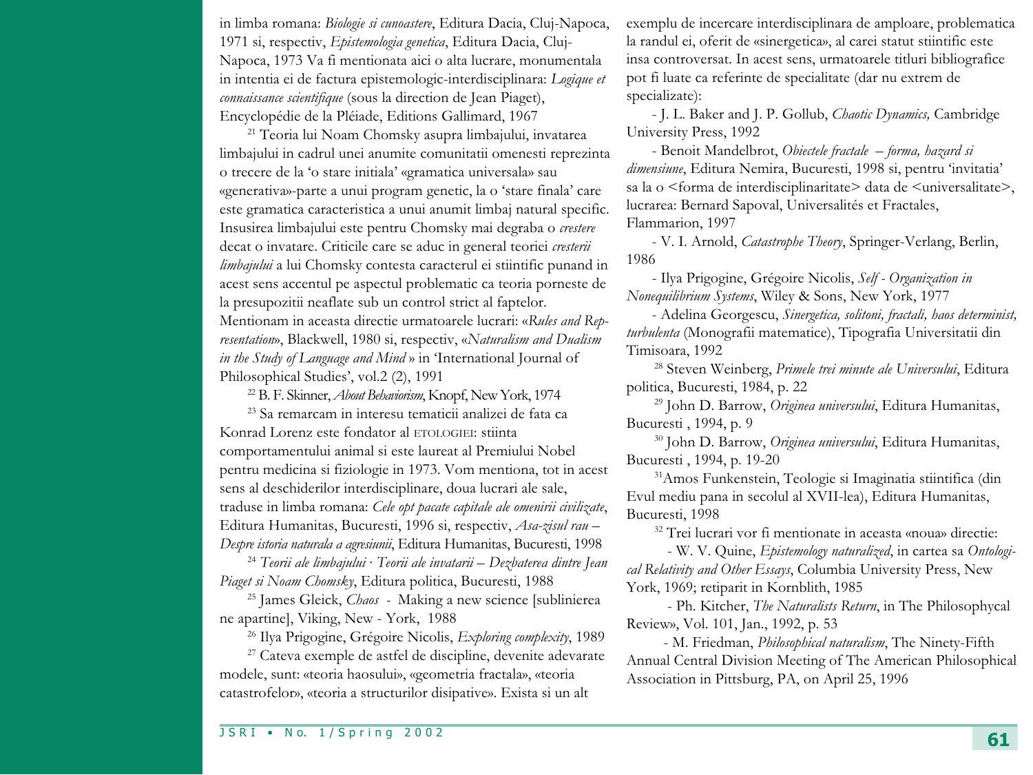in limba romana: Biologie si cunoastere, Editura Dacia, Cluj-Napoca, 1971 si, respectiv, Epistemologia genetica, Editura Dacia, Cluj-Napoca, 1973 Va fi mentionata aici o alta lucrare, monumentala in intentia ei de factura epistemologic-interdisciplinara: Logique et connaissance scientifique (sous la direction de Jean Piaget), Encyclopédie de la Pléiade, Editions Gallimard, 1967

<sup>21</sup> Teoria lui Noam Chomsky asupra limbajului, invatarea limbajului in cadrul unei anumite comunitatii omenesti reprezinta o trecere de la 'o stare initiala' «gramatica universala» sau «generativa»-parte a unui program genetic, la o 'stare finala' care este gramatica caracteristica a unui anumit limbaj natural specific. Insusirea limbajului este pentru Chomsky mai degraba o crestere decat o invatare. Criticile care se aduc in general teoriei cresterii limbajului a lui Chomsky contesta caracterul ei stiintific punand in acest sens accentul pe aspectul problematic ca teoria porneste de la presupozitii neaflate sub un control strict al faptelor. Mentionam in aceasta directie urmatoarele lucrari: «Rules and Representation», Blackwell, 1980 si, respectiv, «Naturalism and Dualism in the Study of Language and Mind » in 'International Journal of Philosophical Studies', vol.2 (2), 1991

<sup>22</sup> B. F. Skinner, *About Behaviorism*, Knopf, New York, 1974

<sup>23</sup> Sa remarcam in interesu tematicii analizei de fata ca Konrad Lorenz este fondator al ETOLOGIEI: stiinta comportamentului animal si este laureat al Premiului Nobel pentru medicina si fiziologie in 1973. Vom mentiona, tot in acest sens al deschiderilor interdisciplinare, doua lucrari ale sale, traduse in limba romana: Cele opt pacate capitale ale omenirii civilizate, Editura Humanitas, Bucuresti, 1996 si, respectiv, Asa-zisul rau -Despre istoria naturala a agresiunii, Editura Humanitas, Bucuresti, 1998

 $24$  Teorii ale limbajului Teorii ale invatarii – Dezbaterea dintre Jean Piaget si Noam Chomsky, Editura politica, Bucuresti, 1988

<sup>25</sup> James Gleick, *Chaos* - Making a new science [sublinierea ne apartine], Viking, New - York, 1988

<sup>26</sup> Ilya Prigogine, Grégoire Nicolis, Exploring complexity, 1989

<sup>27</sup> Cateva exemple de astfel de discipline, devenite adevarate modele, sunt: «teoria haosului», «geometria fractala», «teoria catastrofelor», «teoria a structurilor disipative». Exista si un alt

exemplu de incercare interdisciplinara de amploare, problematica la randul ei, oferit de «sinergetica», al carei statut stiintific este insa controversat. In acest sens, urmatoarele titluri bibliografice pot fi luate ca referinte de specialitate (dar nu extrem de specializate):

- J. L. Baker and J. P. Gollub, *Chaotic Dynamics*, Cambridge University Press, 1992

- Benoit Mandelbrot, Obiectele fractale - forma, hazard si dimensiune, Editura Nemira, Bucuresti, 1998 si, pentru 'invitatia' sa la o <forma de interdisciplinaritate> data de <universalitate>, lucrarea: Bernard Sapoval, Universalités et Fractales, Flammarion, 1997

- V. I. Arnold, *Catastrophe Theory*, Springer-Verlang, Berlin, 1986

- Ilya Prigogine, Grégoire Nicolis, Self - Organization in Nonequilibrium Systems, Wiley & Sons, New York, 1977

- Adelina Georgescu, Sinergetica, solitoni, fractali, haos determinist, turbulenta (Monografii matematice), Tipografia Universitatii din Timisoara, 1992

<sup>28</sup> Steven Weinberg, Primele trei minute ale Universului, Editura politica, Bucuresti, 1984, p. 22

<sup>29</sup> John D. Barrow, Originea universului, Editura Humanitas, Bucuresti, 1994, p. 9

<sup>30</sup> John D. Barrow, Originea universului, Editura Humanitas, Bucuresti, 1994, p. 19-20

<sup>31</sup>Amos Funkenstein, Teologie si Imaginatia stiintifica (din Evul mediu pana in secolul al XVII-lea), Editura Humanitas, Bucuresti, 1998

<sup>32</sup> Trei lucrari vor fi mentionate in aceasta «noua» directie:

- W. V. Quine, Epistemology naturalized, in cartea sa Ontological Relativity and Other Essays, Columbia University Press, New York, 1969; retiparit in Kornblith, 1985

- Ph. Kitcher, The Naturalists Return, in The Philosophycal Review», Vol. 101, Jan., 1992, p. 53

- M. Friedman, *Philosophical naturalism*, The Ninety-Fifth Annual Central Division Meeting of The American Philosophical Association in Pittsburg, PA, on April 25, 1996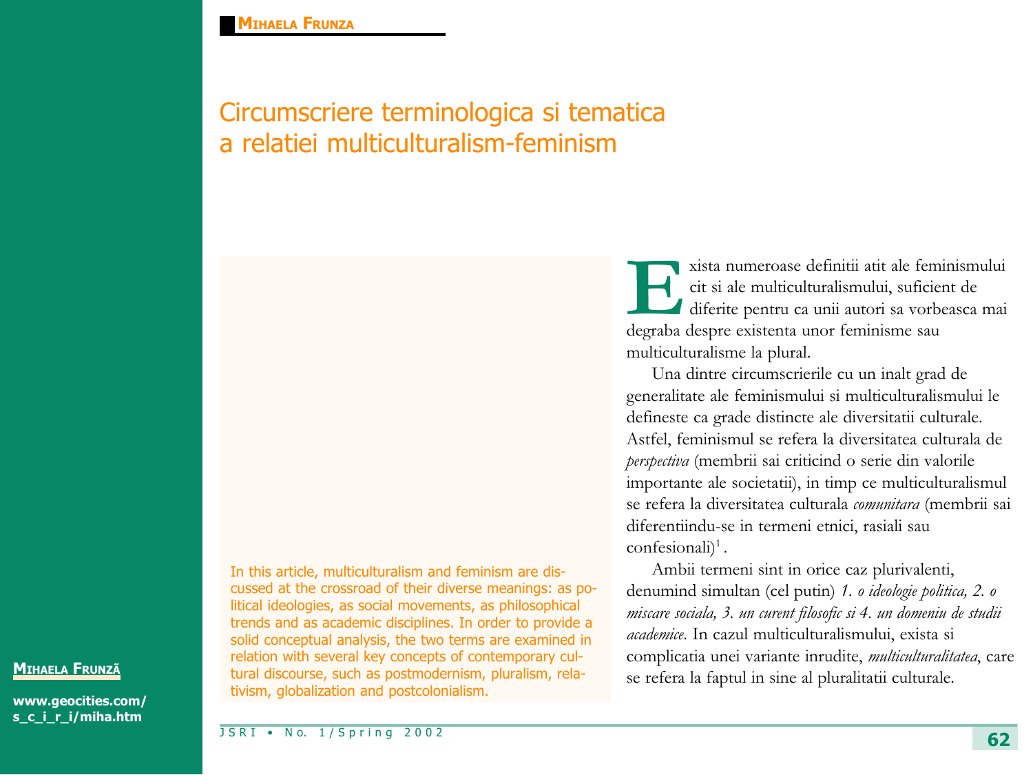# Circumscriere terminologica si tematica a relatiei multiculturalism-feminism

xista numeroase definitii atit ale feminismului cit si ale multiculturalismului, suficient de diferite pentru ca unii autori sa vorbeasca mai degraba despre existenta unor feminisme sau multiculturalisme la plural.

Una dintre circumscrierile cu un inalt grad de generalitate ale feminismului si multiculturalismului le defineste ca grade distincte ale diversitatii culturale. Astfel, feminismul se refera la diversitatea culturala de perspectiva (membrii sai criticind o serie din valorile importante ale societatii), in timp ce multiculturalismul se refera la diversitatea culturala comunitara (membrii sai diferentiindu-se in termeni etnici, rasiali sau confesionali $)^1$ .

Ambii termeni sint in orice caz plurivalenti, denumind simultan (cel putin) 1. o ideologie politica, 2. o miscare sociala, 3. un curent filosofic si 4. un domeniu de studii academice. In cazul multiculturalismului, exista si complicatia unei variante inrudite, multiculturalitatea, care se refera la faptul in sine al pluralitatii culturale.

**MIHAELA FRUNZÃ** 

www.geocities.com/ s\_c\_i\_r\_i/miha.htm

In this article, multiculturalism and feminism are discussed at the crossroad of their diverse meanings: as political ideologies, as social movements, as philosophical trends and as academic disciplines. In order to provide a solid conceptual analysis, the two terms are examined in relation with several key concepts of contemporary cultural discourse, such as postmodernism, pluralism, relativism, globalization and postcolonialism.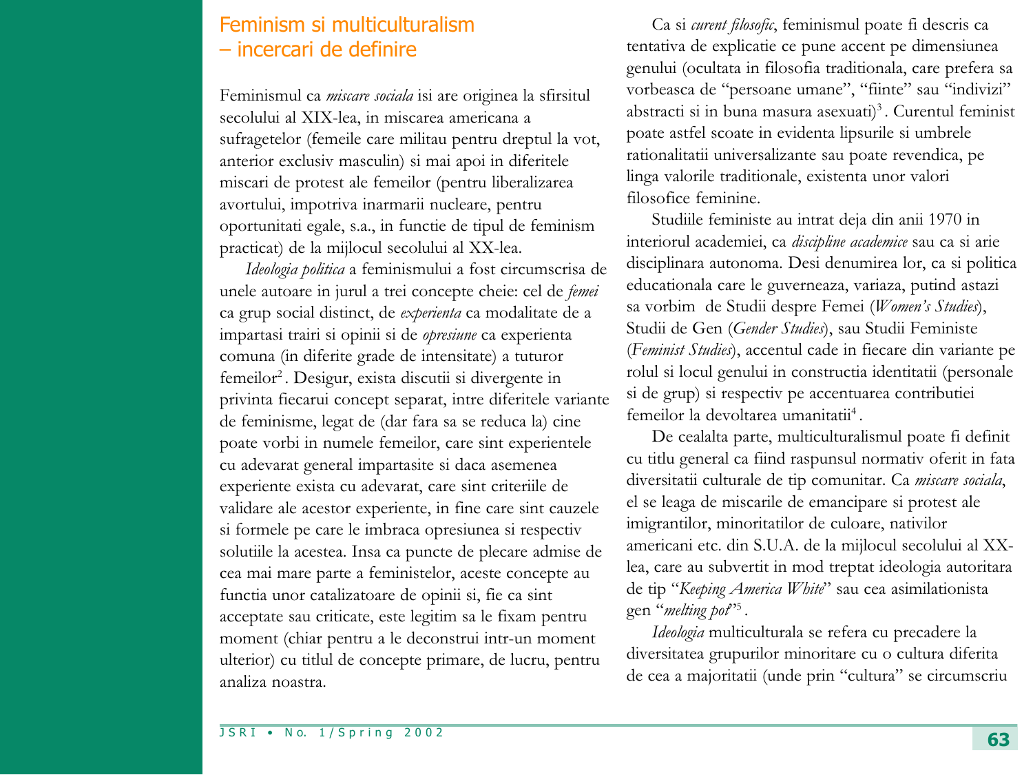# Feminism si multiculturalism - incercari de definire

Feminismul ca *miscare sociala* isi are originea la sfirsitul secolului al XIX-lea, in miscarea americana a sufragetelor (femeile care militau pentru dreptul la vot. anterior exclusiv masculin) si mai apoi in diferitele miscari de protest ale femeilor (pentru liberalizarea avortului, impotriva inarmarii nucleare, pentru oportunitati egale, s.a., in functie de tipul de feminism practicat) de la mijlocul secolului al XX-lea.

Ideologia politica a feminismului a fost circumscrisa de unele autoare in jurul a trei concepte cheie: cel de femei ca grup social distinct, de experienta ca modalitate de a impartasi trairi si opinii si de opresiune ca experienta comuna (in diferite grade de intensitate) a tuturor femeilor<sup>2</sup>. Desigur, exista discutii si divergente in privinta fiecarui concept separat, intre diferitele variante de feminisme, legat de (dar fara sa se reduca la) cine poate vorbi in numele femeilor, care sint experientele cu adevarat general impartasite si daca asemenea experiente exista cu adevarat, care sint criteriile de validare ale acestor experiente, in fine care sint cauzele si formele pe care le imbraca opresiunea si respectiv solutiile la acestea. Insa ca puncte de plecare admise de cea mai mare parte a feministelor, aceste concepte au functia unor catalizatoare de opinii si, fie ca sint acceptate sau criticate, este legitim sa le fixam pentru moment (chiar pentru a le deconstrui intr-un moment ulterior) cu titlul de concepte primare, de lucru, pentru analiza noastra.

Ca si curent filosofic, feminismul poate fi descris ca tentativa de explicatie ce pune accent pe dimensiunea genului (ocultata in filosofia traditionala, care prefera sa vorbeasca de "persoane umane", "fiinte" sau "indivizi" abstracti si in buna masura asexuati)<sup>3</sup>. Curentul feminist poate astfel scoate in evidenta lipsurile si umbrele rationalitatii universalizante sau poate revendica, pe linga valorile traditionale, existenta unor valori filosofice feminine.

Studiile feministe au intrat deja din anii 1970 in interiorul academiei, ca discipline academice sau ca si arie disciplinara autonoma. Desi denumirea lor, ca si politica educationala care le guverneaza, variaza, putind astazi sa vorbim de Studii despre Femei (Women's Studies), Studii de Gen (Gender Studies), sau Studii Feministe (Feminist Studies), accentul cade in fiecare din variante pe rolul si locul genului in constructia identitatii (personale si de grup) si respectiv pe accentuarea contributiei femeilor la devoltarea umanitatii<sup>4</sup>.

De cealalta parte, multiculturalismul poate fi definit cu titlu general ca fiind raspunsul normativ oferit in fata diversitatii culturale de tip comunitar. Ca miscare sociala, el se leaga de miscarile de emancipare si protest ale imigrantilor, minoritatilor de culoare, nativilor americani etc. din S.U.A. de la mijlocul secolului al XXlea, care au subvertit in mod treptat ideologia autoritara de tip "Keeping America White" sau cea asimilationista gen "*melting pot*"<sup>5</sup>.

Ideologia multiculturala se refera cu precadere la diversitatea grupurilor minoritare cu o cultura diferita de cea a majoritatii (unde prin "cultura" se circumscriu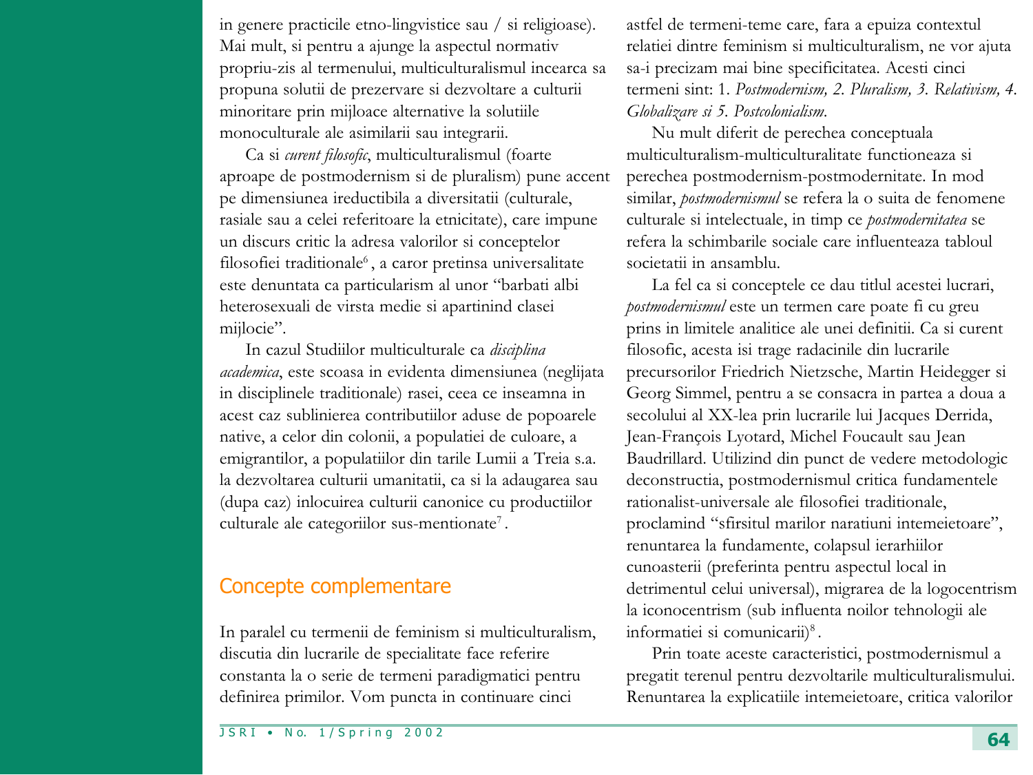in genere practicile etno-lingvistice sau / si religioase). Mai mult, si pentru a ajunge la aspectul normativ propriu-zis al termenului, multiculturalismul incearca sa propuna solutii de prezervare si dezvoltare a culturii minoritare prin mijloace alternative la solutiile monoculturale ale asimilarii sau integrarii.

Ca si curent filosofic, multiculturalismul (foarte aproape de postmodernism si de pluralism) pune accent pe dimensiunea ireductibila a diversitatii (culturale, rasiale sau a celei referitoare la etnicitate), care impune un discurs critic la adresa valorilor si conceptelor filosofiei traditionale<sup>6</sup>, a caror pretinsa universalitate este denuntata ca particularism al unor "barbati albi heterosexuali de virsta medie si apartinind clasei mijlocie".

In cazul Studiilor multiculturale ca disciplina academica, este scoasa in evidenta dimensiunea (neglijata in disciplinele traditionale) rasei, ceea ce inseamna in acest caz sublinierea contributiilor aduse de popoarele native, a celor din colonii, a populatiei de culoare, a emigrantilor, a populatiilor din tarile Lumii a Treia s.a. la dezvoltarea culturii umanitatii, ca si la adaugarea sau (dupa caz) inlocuirea culturii canonice cu productiilor culturale ale categoriilor sus-mentionate<sup>7</sup>.

## Concepte complementare

In paralel cu termenii de feminism si multiculturalism, discutia din lucrarile de specialitate face referire constanta la o serie de termeni paradigmatici pentru definirea primilor. Vom puncta in continuare cinci

astfel de termeni-teme care, fara a epuiza contextul relatiei dintre feminism si multiculturalism, ne vor ajuta sa-i precizam mai bine specificitatea. Acesti cinci termeni sint: 1. Postmodernism, 2. Pluralism, 3. Relativism, 4. Globalizare si 5. Postcolonialism.

Nu mult diferit de perechea conceptuala multiculturalism-multiculturalitate functioneaza si perechea postmodernism-postmodernitate. In mod similar, postmodernismul se refera la o suita de fenomene culturale si intelectuale, in timp ce postmodernitatea se refera la schimbarile sociale care influenteaza tabloul societatii in ansamblu.

La fel ca si conceptele ce dau titlul acestei lucrari, postmodernismul este un termen care poate fi cu greu prins in limitele analitice ale unei definitii. Ca si curent filosofic, acesta isi trage radacinile din lucrarile precursorilor Friedrich Nietzsche, Martin Heidegger si Georg Simmel, pentru a se consacra in partea a doua a secolului al XX-lea prin lucrarile lui Jacques Derrida, Jean-François Lyotard, Michel Foucault sau Jean Baudrillard. Utilizind din punct de vedere metodologic deconstructia, postmodernismul critica fundamentele rationalist-universale ale filosofiei traditionale, proclamind "sfirsitul marilor naratiuni intemeietoare", renuntarea la fundamente, colapsul ierarhiilor cunoasterii (preferinta pentru aspectul local in detrimentul celui universal), migrarea de la logocentrism la iconocentrism (sub influenta noilor tehnologii ale informatiei si comunicarii)<sup>8</sup>.

Prin toate aceste caracteristici, postmodernismul a pregatit terenul pentru dezvoltarile multiculturalismului. Renuntarea la explicatiile intemeietoare, critica valorilor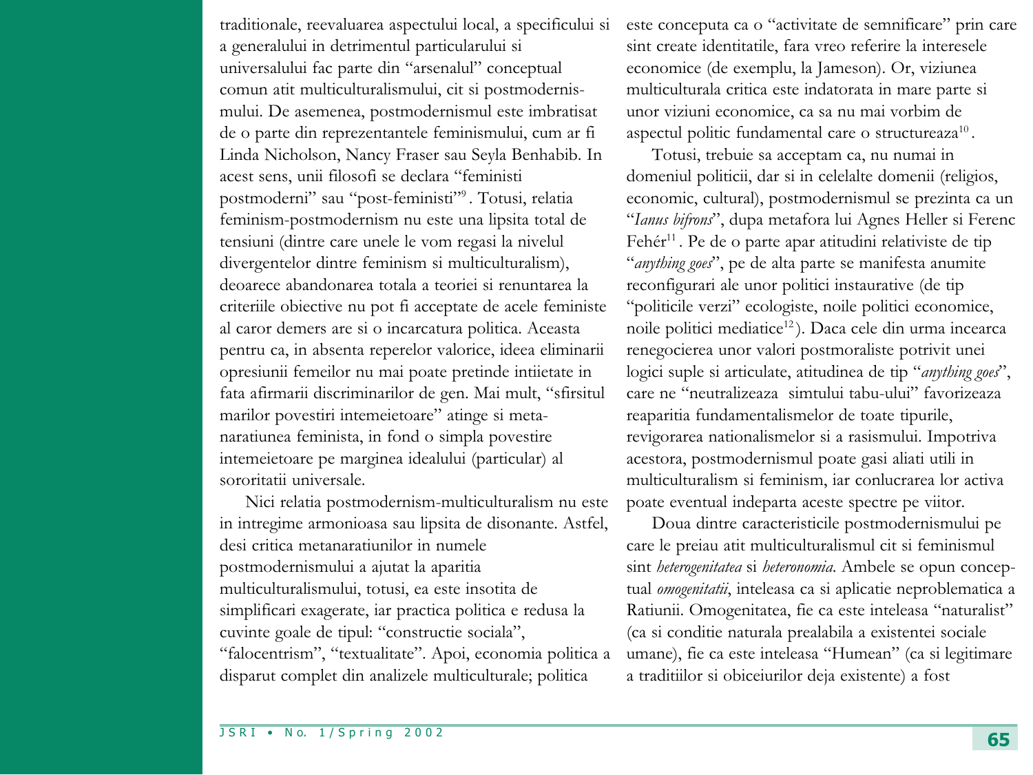traditionale, reevaluarea aspectului local, a specificului si a generalului in detrimentul particularului si universalului fac parte din "arsenalul" conceptual comun atit multiculturalismului, cit si postmodernismului. De asemenea, postmodernismul este imbratisat de o parte din reprezentantele feminismului, cum ar fi Linda Nicholson, Nancy Fraser sau Seyla Benhabib. In acest sens, unii filosofi se declara "feministi postmoderni" sau "post-feministi"<sup>9</sup>. Totusi, relatia feminism-postmodernism nu este una lipsita total de tensiuni (dintre care unele le vom regasi la nivelul divergentelor dintre feminism si multiculturalism), deoarece abandonarea totala a teoriei si renuntarea la criteriile obiective nu pot fi acceptate de acele feministe al caror demers are si o incarcatura politica. Aceasta pentru ca, in absenta reperelor valorice, ideea eliminarii opresiunii femeilor nu mai poate pretinde intiietate in fata afirmarii discriminarilor de gen. Mai mult, "sfirsitul marilor povestiri intemeietoare" atinge si metanaratiunea feminista, in fond o simpla povestire intemeietoare pe marginea idealului (particular) al sororitatii universale.

Nici relatia postmodernism-multiculturalism nu este in intregime armonioasa sau lipsita de disonante. Astfel, desi critica metanaratiunilor in numele postmodernismului a ajutat la aparitia multiculturalismului, totusi, ea este insotita de simplificari exagerate, iar practica politica e redusa la cuvinte goale de tipul: "constructie sociala", "falocentrism", "textualitate". Apoi, economia politica a disparut complet din analizele multiculturale; politica

este conceputa ca o "activitate de semnificare" prin care sint create identitatile, fara vreo referire la interesele economice (de exemplu, la Jameson). Or, viziunea multiculturala critica este indatorata in mare parte si unor viziuni economice, ca sa nu mai vorbim de aspectul politic fundamental care o structureaza<sup>10</sup>.

Totusi, trebuie sa acceptam ca, nu numai in domeniul politicii, dar si in celelalte domenii (religios, economic, cultural), postmodernismul se prezinta ca un "Ianus bifrons", dupa metafora lui Agnes Heller si Ferenc Fehér<sup>11</sup>. Pe de o parte apar atitudini relativiste de tip "anything goes", pe de alta parte se manifesta anumite reconfigurari ale unor politici instaurative (de tip "politicile verzi" ecologiste, noile politici economice, noile politici mediatice<sup>12</sup>). Daca cele din urma incearca renegocierea unor valori postmoraliste potrivit unei logici suple si articulate, atitudinea de tip "anything goes", care ne "neutralizeaza simtului tabu-ului" favorizeaza reaparitia fundamentalismelor de toate tipurile, revigorarea nationalismelor si a rasismului. Impotriva acestora, postmodernismul poate gasi aliati utili in multiculturalism si feminism, iar conlucrarea lor activa poate eventual indeparta aceste spectre pe viitor.

Doua dintre caracteristicile postmodernismului pe care le preiau atit multiculturalismul cit si feminismul sint heterogenitatea si heteronomia. Ambele se opun conceptual omogenitatii, inteleasa ca si aplicatie neproblematica a Ratiunii. Omogenitatea, fie ca este inteleasa "naturalist" (ca si conditie naturala prealabila a existentei sociale umane), fie ca este inteleasa "Humean" (ca si legitimare a traditiilor si obiceiurilor deja existente) a fost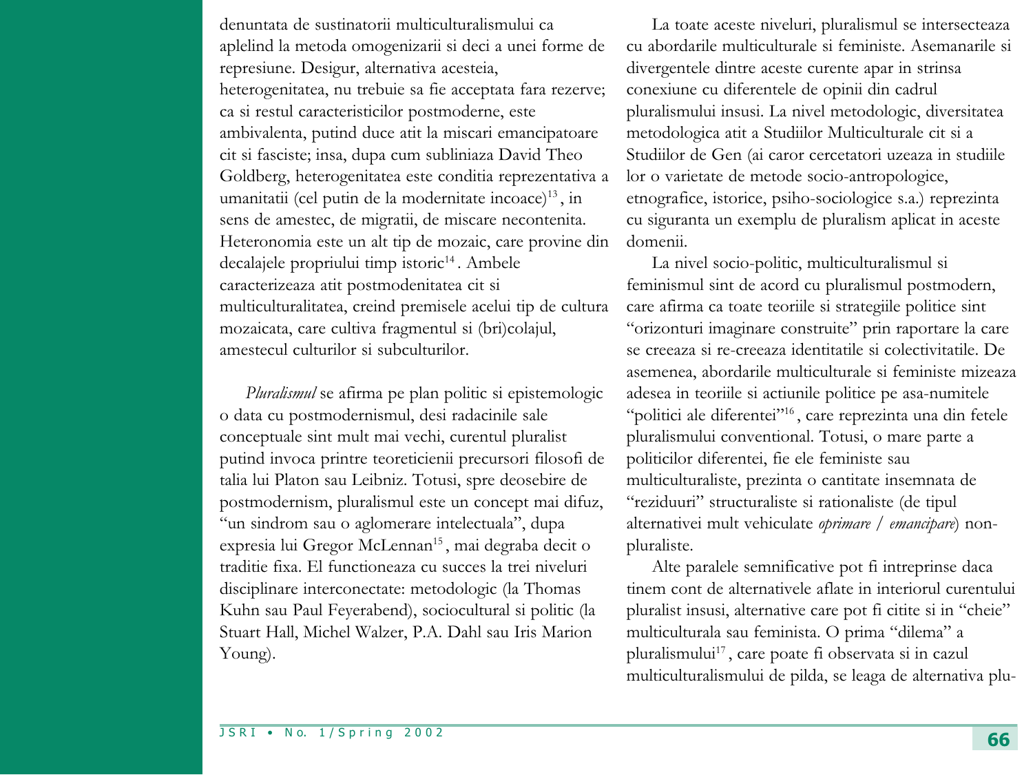denuntata de sustinatorii multiculturalismului ca aplelind la metoda omogenizarii si deci a unei forme de represiune. Desigur, alternativa acesteia, heterogenitatea, nu trebuie sa fie acceptata fara rezerve; ca si restul caracteristicilor postmoderne, este ambivalenta, putind duce atit la miscari emancipatoare cit si fasciste; insa, dupa cum subliniaza David Theo Goldberg, heterogenitatea este conditia reprezentativa a umanitatii (cel putin de la modernitate incoace)<sup>13</sup>, in sens de amestec, de migratii, de miscare necontenita. Heteronomia este un alt tip de mozaic, care provine din decalajele propriului timp istoric<sup>14</sup>. Ambele caracterizeaza atit postmodenitatea cit si multiculturalitatea, creind premisele acelui tip de cultura mozaicata, care cultiva fragmentul si (bri)colajul, amestecul culturilor si subculturilor.

Pluralismul se afirma pe plan politic si epistemologic o data cu postmodernismul, desi radacinile sale conceptuale sint mult mai vechi, curentul pluralist putind invoca printre teoreticienii precursori filosofi de talia lui Platon sau Leibniz. Totusi, spre deosebire de postmodernism, pluralismul este un concept mai difuz, "un sindrom sau o aglomerare intelectuala", dupa expresia lui Gregor McLennan<sup>15</sup>, mai degraba decit o traditie fixa. El functioneaza cu succes la trei niveluri disciplinare interconectate: metodologic (la Thomas Kuhn sau Paul Feyerabend), sociocultural si politic (la Stuart Hall, Michel Walzer, P.A. Dahl sau Iris Marion Young).

La toate aceste niveluri, pluralismul se intersecteaza cu abordarile multiculturale și feministe. Asemanarile și divergentele dintre aceste curente apar in strinsa conexiune cu diferentele de opinii din cadrul pluralismului insusi. La nivel metodologic, diversitatea metodologica atit a Studiilor Multiculturale cit si a Studiilor de Gen (ai caror cercetatori uzeaza in studiile lor o varietate de metode socio-antropologice, etnografice, istorice, psiho-sociologice s.a.) reprezinta cu siguranta un exemplu de pluralism aplicat in aceste domenii.

La nivel socio-politic, multiculturalismul si feminismul sint de acord cu pluralismul postmodern, care afirma ca toate teoriile si strategiile politice sint "orizonturi imaginare construite" prin raportare la care se creeaza si re-creeaza identitatile si colectivitatile. De asemenea, abordarile multiculturale si feministe mizeaza adesea in teoriile si actiunile politice pe asa-numitele "politici ale diferentei"<sup>16</sup>, care reprezinta una din fetele pluralismului conventional. Totusi, o mare parte a politicilor diferentei, fie ele feministe sau multiculturaliste, prezinta o cantitate insemnata de "reziduuri" structuraliste si rationaliste (de tipul alternativei mult vehiculate oprimare / emancipare) nonpluraliste.

Alte paralele semnificative pot fi intreprinse daca tinem cont de alternativele aflate in interiorul curentului pluralist insusi, alternative care pot fi citite si in "cheie" multiculturala sau feminista. O prima "dilema" a pluralismului<sup>17</sup>, care poate fi observata si in cazul multiculturalismului de pilda, se leaga de alternativa plu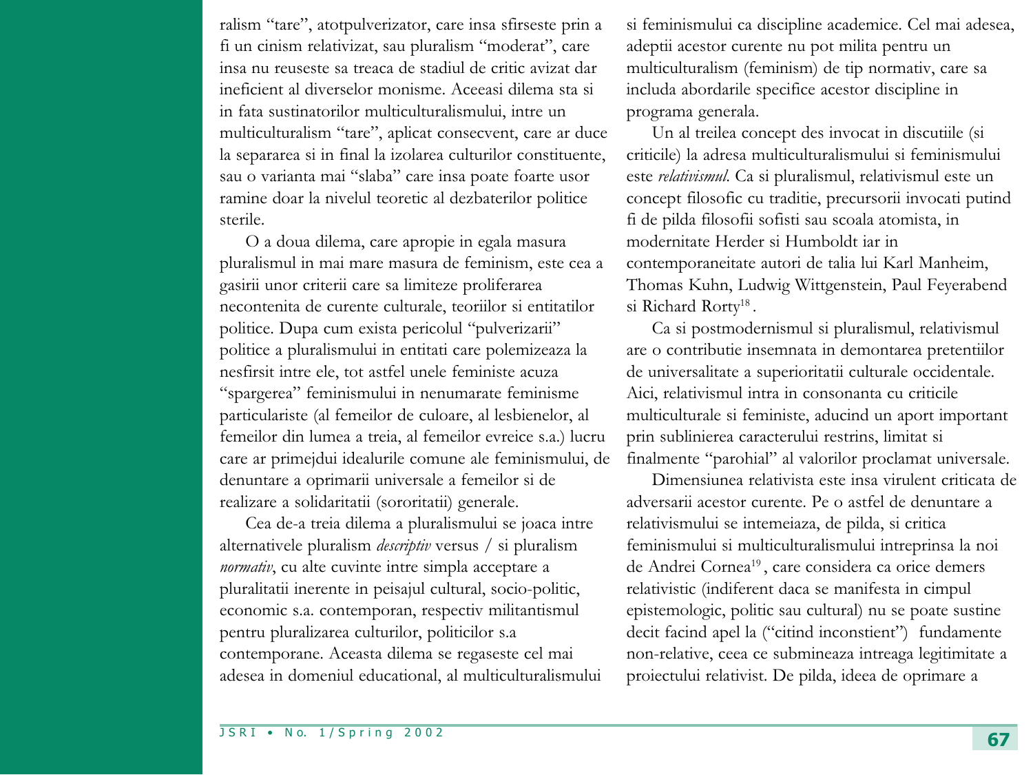ralism "tare", atotpulverizator, care insa sfirseste prin a fi un cinism relativizat, sau pluralism "moderat", care insa nu reuseste sa treaca de stadiul de critic avizat dar ineficient al diverselor monisme. Aceeasi dilema sta si in fata sustinatorilor multiculturalismului, intre un multiculturalism "tare", aplicat consecvent, care ar duce la separarea si in final la izolarea culturilor constituente, sau o varianta mai "slaba" care insa poate foarte usor ramine doar la nivelul teoretic al dezbaterilor politice sterile.

O a doua dilema, care apropie in egala masura pluralismul in mai mare masura de feminism, este cea a gasirii unor criterii care sa limiteze proliferarea necontenita de curente culturale, teoriilor si entitatilor politice. Dupa cum exista pericolul "pulverizarii" politice a pluralismului in entitati care polemizeaza la nesfirsit intre ele, tot astfel unele feministe acuza "spargerea" feminismului in nenumarate feminisme particulariste (al femeilor de culoare, al lesbienelor, al femeilor din lumea a treia, al femeilor evreice s.a.) lucru care ar primejdui idealurile comune ale feminismului, de denuntare a oprimarii universale a femeilor si de realizare a solidaritatii (sororitatii) generale.

Cea de-a treia dilema a pluralismului se joaca intre alternativele pluralism *descriptiv* versus / si pluralism normativ, cu alte cuvinte intre simpla acceptare a pluralitatii inerente in peisajul cultural, socio-politic, economic s.a. contemporan, respectiv militantismul pentru pluralizarea culturilor, politicilor s.a contemporane. Aceasta dilema se regaseste cel mai adesea in domeniul educational, al multiculturalismului si feminismului ca discipline academice. Cel mai adesea, adeptii acestor curente nu pot milita pentru un multiculturalism (feminism) de tip normativ, care sa includa abordarile specifice acestor discipline in programa generala.

Un al treilea concept des invocat in discutiile (si criticile) la adresa multiculturalismului si feminismului este relativismul. Ca si pluralismul, relativismul este un concept filosofic cu traditie, precursorii invocati putind fi de pilda filosofii sofisti sau scoala atomista, in modernitate Herder si Humboldt iar in contemporaneitate autori de talia lui Karl Manheim, Thomas Kuhn, Ludwig Wittgenstein, Paul Feyerabend si Richard Rorty<sup>18</sup>.

Ca si postmodernismul si pluralismul, relativismul are o contributie insemnata in demontarea pretentiilor de universalitate a superioritatii culturale occidentale. Aici, relativismul intra in consonanta cu criticile multiculturale si feministe, aducind un aport important prin sublinierea caracterului restrins, limitat si finalmente "parohial" al valorilor proclamat universale.

Dimensiunea relativista este insa virulent criticata de adversarii acestor curente. Pe o astfel de denuntare a relativismului se intemeiaza, de pilda, si critica feminismului si multiculturalismului intreprinsa la noi de Andrei Cornea<sup>19</sup>, care considera ca orice demers relativistic (indiferent daca se manifesta in cimpul epistemologic, politic sau cultural) nu se poate sustine decit facind apel la ("citind inconstient") fundamente non-relative, ceea ce submineaza intreaga legitimitate a proiectului relativist. De pilda, ideea de oprimare a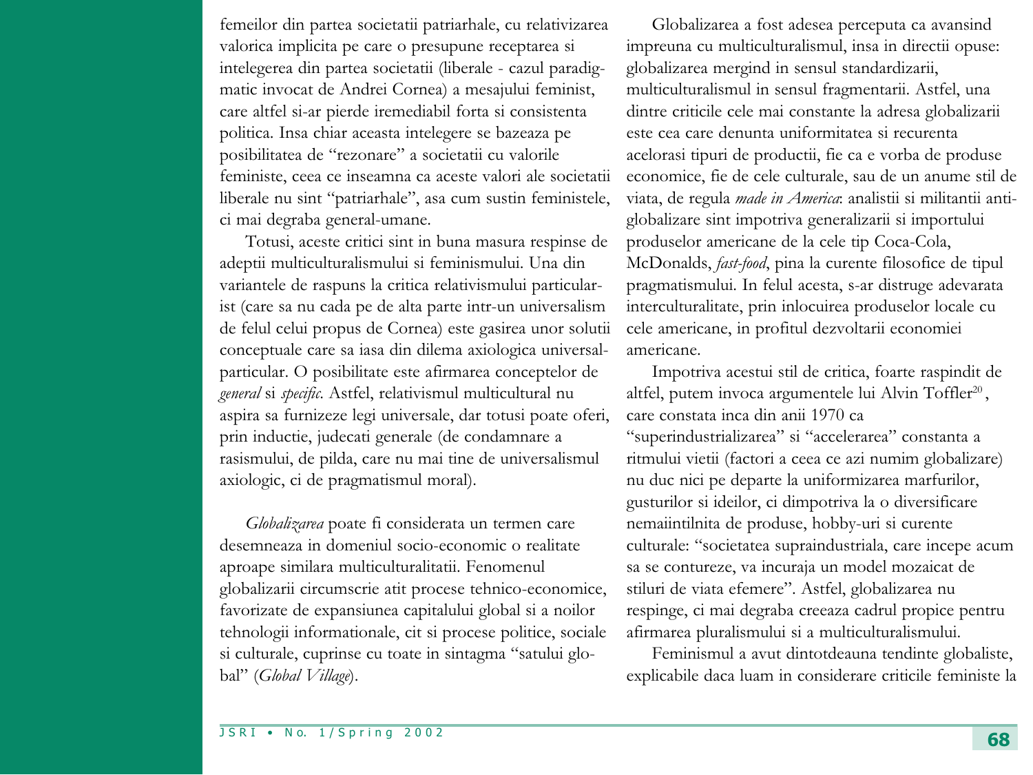femeilor din partea societatii patriarhale, cu relativizarea valorica implicita pe care o presupune receptarea si intelegerea din partea societatii (liberale - cazul paradigmatic invocat de Andrei Cornea) a mesajului feminist, care altfel si-ar pierde iremediabil forta si consistenta politica. Insa chiar aceasta intelegere se bazeaza pe posibilitatea de "rezonare" a societatii cu valorile feministe, ceea ce inseamna ca aceste valori ale societatii liberale nu sint "patriarhale", asa cum sustin feministele, ci mai degraba general-umane.

Totusi, aceste critici sint in buna masura respinse de adeptii multiculturalismului si feminismului. Una din variantele de raspuns la critica relativismului particularist (care sa nu cada pe de alta parte intr-un universalism de felul celui propus de Cornea) este gasirea unor solutii conceptuale care sa iasa din dilema axiologica universalparticular. O posibilitate este afirmarea conceptelor de general si specific. Astfel, relativismul multicultural nu aspira sa furnizeze legi universale, dar totusi poate oferi, prin inductie, judecati generale (de condamnare a rasismului, de pilda, care nu mai tine de universalismul axiologic, ci de pragmatismul moral).

Globalizarea poate fi considerata un termen care desemneaza in domeniul socio-economic o realitate aproape similara multiculturalitatii. Fenomenul globalizarii circumscrie atit procese tehnico-economice, favorizate de expansiunea capitalului global si a noilor tehnologii informationale, cit si procese politice, sociale si culturale, cuprinse cu toate in sintagma "satului global" (Global Village).

Globalizarea a fost adesea perceputa ca avansind impreuna cu multiculturalismul, insa in directii opuse: globalizarea mergind in sensul standardizarii, multiculturalismul in sensul fragmentarii. Astfel, una dintre criticile cele mai constante la adresa globalizarii este cea care denunta uniformitatea si recurenta acelorasi tipuri de productii, fie ca e vorba de produse economice, fie de cele culturale, sau de un anume stil de viata, de regula made in America: analistii si militantii antiglobalizare sint impotriva generalizarii si importului produselor americane de la cele tip Coca-Cola, McDonalds, *fast-food*, pina la curente filosofice de tipul pragmatismului. In felul acesta, s-ar distruge adevarata interculturalitate, prin inlocuirea produselor locale cu cele americane, in profitul dezvoltarii economiei americane.

Impotriva acestui stil de critica, foarte raspindit de altfel, putem invoca argumentele lui Alvin Toffler<sup>20</sup>, care constata inca din anii 1970 ca

"superindustrializarea" si "accelerarea" constanta a ritmului vietii (factori a ceea ce azi numim globalizare) nu duc nici pe departe la uniformizarea marfurilor, gusturilor si ideilor, ci dimpotriva la o diversificare nemaiintilnita de produse, hobby-uri si curente culturale: "societatea supraindustriala, care incepe acum sa se contureze, va incuraja un model mozaicat de stiluri de viata efemere". Astfel, globalizarea nu respinge, ci mai degraba creeaza cadrul propice pentru afirmarea pluralismului si a multiculturalismului.

Feminismul a avut dintotdeauna tendinte globaliste, explicabile daca luam in considerare criticile feministe la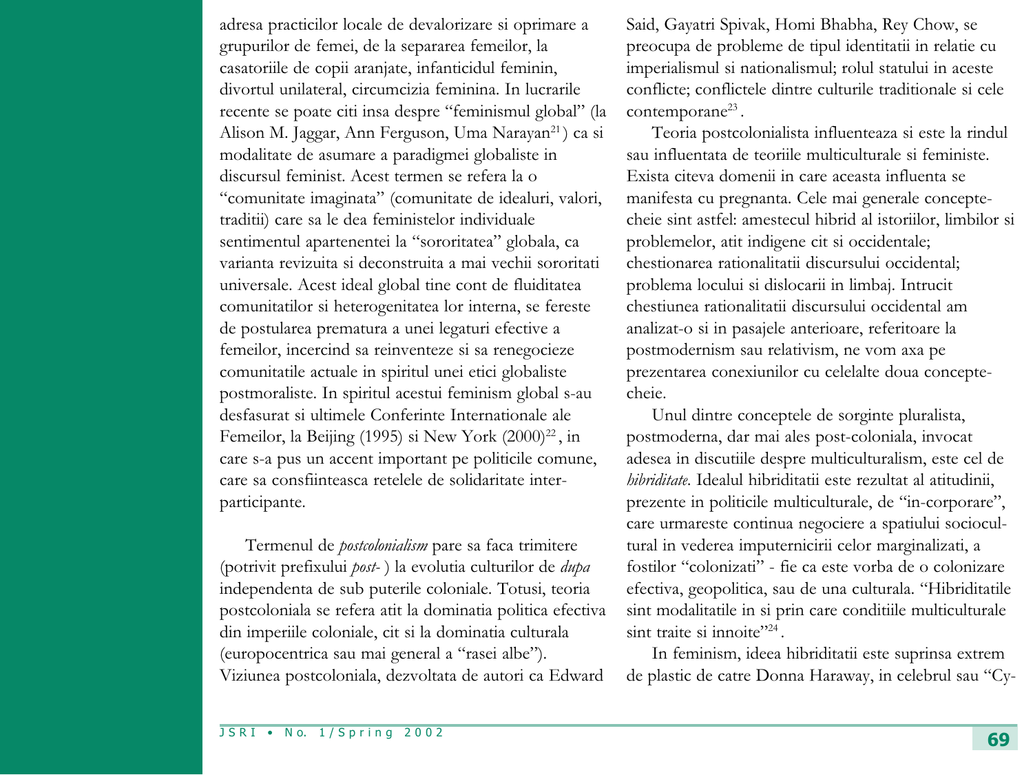adresa practicilor locale de devalorizare si oprimare a grupurilor de femei, de la separarea femeilor, la casatoriile de copii aranjate, infanticidul feminin, divortul unilateral, circumcizia feminina. In lucrarile recente se poate citi insa despre "feminismul global" (la Alison M. Jaggar, Ann Ferguson, Uma Narayan<sup>21</sup>) ca si modalitate de asumare a paradigmei globaliste in discursul feminist. Acest termen se refera la o "comunitate imaginata" (comunitate de idealuri, valori, traditii) care sa le dea feministelor individuale sentimentul apartenentei la "sororitatea" globala, ca varianta revizuita si deconstruita a mai vechii sororitati universale. Acest ideal global tine cont de fluiditatea comunitatilor si heterogenitatea lor interna, se fereste de postularea prematura a unei legaturi efective a femeilor, incercind sa reinventeze si sa renegocieze comunitatile actuale in spiritul unei etici globaliste postmoraliste. In spiritul acestui feminism global s-au desfasurat si ultimele Conferinte Internationale ale Femeilor, la Beijing (1995) si New York (2000)<sup>22</sup>, in care s-a pus un accent important pe politicile comune, care sa consfiinteasca retelele de solidaritate interparticipante.

Termenul de *postcolonialism* pare sa faca trimitere (potrivit prefixului post-) la evolutia culturilor de dupa independenta de sub puterile coloniale. Totusi, teoria postcoloniala se refera atit la dominatia politica efectiva din imperiile coloniale, cit si la dominatia culturala (europocentrica sau mai general a "rasei albe"). Viziunea postcoloniala, dezvoltata de autori ca Edward

Said, Gayatri Spivak, Homi Bhabha, Rey Chow, se preocupa de probleme de tipul identitatii in relatie cu imperialismul si nationalismul; rolul statului in aceste conflicte; conflictele dintre culturile traditionale si cele contemporane<sup>23</sup>.

Teoria postcolonialista influenteaza si este la rindul sau influentata de teoriile multiculturale si feministe. Exista citeva domenii in care aceasta influenta se manifesta cu pregnanta. Cele mai generale conceptecheie sint astfel: amestecul hibrid al istoriilor, limbilor si problemelor, atit indigene cit si occidentale; chestionarea rationalitatii discursului occidental; problema locului si dislocarii in limbaj. Intrucit chestiunea rationalitatii discursului occidental am analizat-o si in pasajele anterioare, referitoare la postmodernism sau relativism, ne vom axa pe prezentarea conexiunilor cu celelalte doua conceptecheie.

Unul dintre conceptele de sorginte pluralista, postmoderna, dar mai ales post-coloniala, invocat adesea in discutiile despre multiculturalism, este cel de hibriditate. Idealul hibriditatii este rezultat al atitudinii. prezente in politicile multiculturale, de "in-corporare", care urmareste continua negociere a spatiului sociocultural in vederea imputernicirii celor marginalizati, a fostilor "colonizati" - fie ca este vorba de o colonizare efectiva, geopolitica, sau de una culturala. "Hibriditatile sint modalitatile in si prin care conditiile multiculturale sint traite si innoite"<sup>24</sup>.

In feminism, ideea hibriditatii este suprinsa extrem de plastic de catre Donna Haraway, in celebrul sau "Cy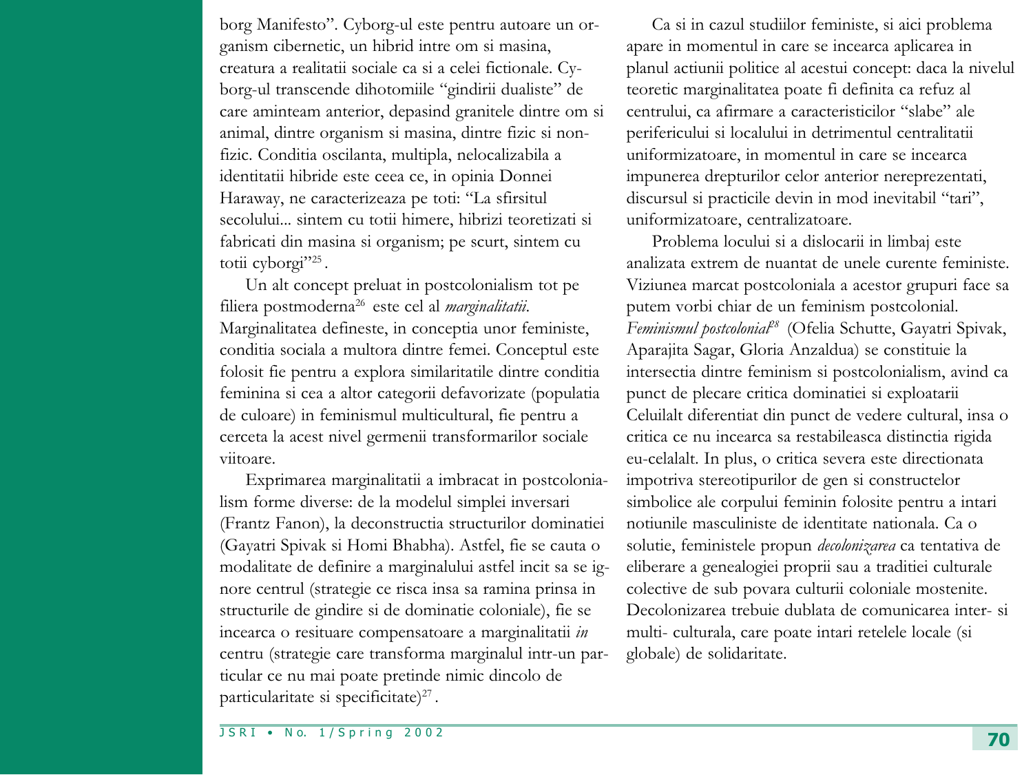borg Manifesto". Cyborg-ul este pentru autoare un organism cibernetic, un hibrid intre om si masina, creatura a realitatii sociale ca si a celei fictionale. Cyborg-ul transcende dihotomiile "gindirii dualiste" de care aminteam anterior, depasind granitele dintre om si animal, dintre organism si masina, dintre fizic si nonfizic. Conditia oscilanta, multipla, nelocalizabila a identitatii hibride este ceea ce, in opinia Donnei Haraway, ne caracterizeaza pe toti: "La sfirsitul secolului... sintem cu totii himere, hibrizi teoretizati si fabricati din masina si organism; pe scurt, sintem cu totii cyborgi"<sup>25</sup>.

Un alt concept preluat in postcolonialism tot pe filiera postmoderna<sup>26</sup> este cel al *marginalitatii*. Marginalitatea defineste, in conceptia unor feministe, conditia sociala a multora dintre femei. Conceptul este folosit fie pentru a explora similaritatile dintre conditia feminina si cea a altor categorii defavorizate (populatia de culoare) in feminismul multicultural, fie pentru a cerceta la acest nivel germenii transformarilor sociale viitoare.

Exprimarea marginalitatii a imbracat in postcolonialism forme diverse: de la modelul simplei inversari (Frantz Fanon), la deconstructia structurilor dominatiei (Gayatri Spivak si Homi Bhabha). Astfel, fie se cauta o modalitate de definire a marginalului astfel incit sa se ignore centrul (strategie ce risca insa sa ramina prinsa in structurile de gindire si de dominatie coloniale), fie se incearca o resituare compensatoare a marginalitatii in centru (strategie care transforma marginalul intr-un particular ce nu mai poate pretinde nimic dincolo de particularitate si specificitate)<sup>27</sup>.

Ca si in cazul studiilor feministe, si aici problema apare in momentul in care se incearca aplicarea in planul actiunii politice al acestui concept: daca la nivelul teoretic marginalitatea poate fi definita ca refuz al centrului, ca afirmare a caracteristicilor "slabe" ale perifericului si localului in detrimentul centralitatii uniformizatoare, in momentul in care se incearca impunerea drepturilor celor anterior nereprezentati, discursul si practicile devin in mod inevitabil "tari", uniformizatoare, centralizatoare.

Problema locului si a dislocarii in limbaj este analizata extrem de nuantat de unele curente feministe. Viziunea marcat postcoloniala a acestor grupuri face sa putem vorbi chiar de un feminism postcolonial. Feminismul postcolonial<sup>28</sup> (Ofelia Schutte, Gayatri Spivak, Aparajita Sagar, Gloria Anzaldua) se constituie la intersectia dintre feminism si postcolonialism, avind ca punct de plecare critica dominatiei si exploatarii Celuilalt diferentiat din punct de vedere cultural, insa o critica ce nu incearca sa restabileasca distinctia rigida eu-celalalt. In plus, o critica severa este directionata impotriva stereotipurilor de gen si constructelor simbolice ale corpului feminin folosite pentru a intari notiunile masculiniste de identitate nationala. Ca o solutie, feministele propun decolonizarea ca tentativa de eliberare a genealogiei proprii sau a traditiei culturale colective de sub povara culturii coloniale mostenite. Decolonizarea trebuie dublata de comunicarea inter-si multi- culturala, care poate intari retelele locale (si globale) de solidaritate.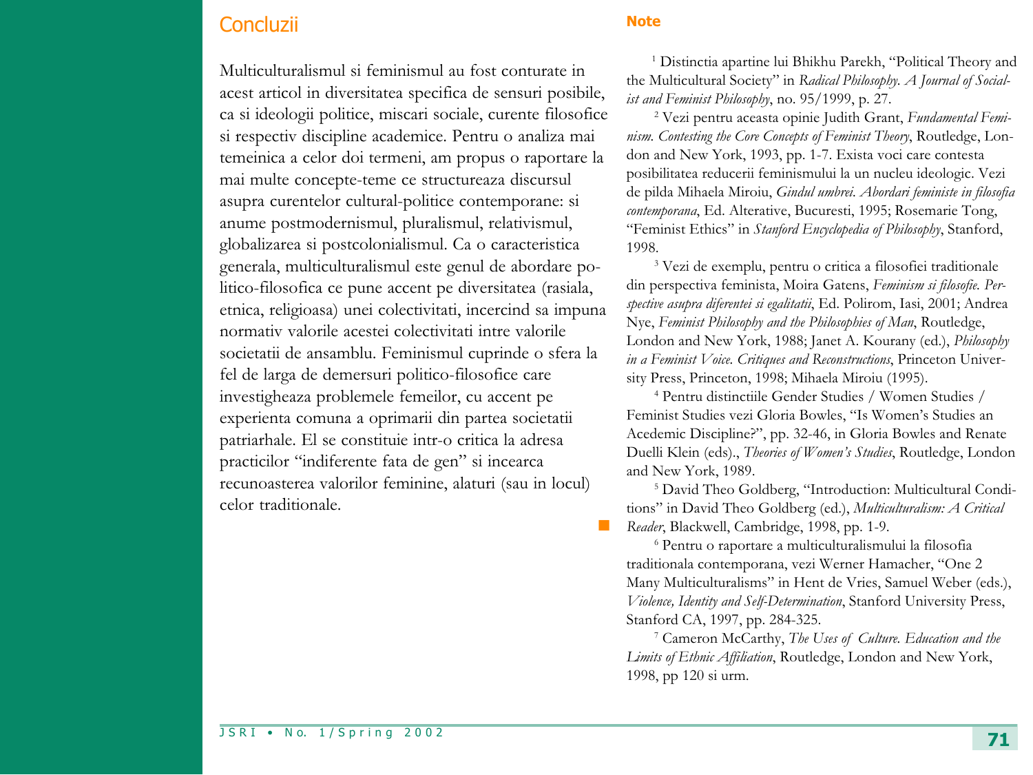### Concluzii

Multiculturalismul si feminismul au fost conturate in acest articol in diversitatea specifica de sensuri posibile, ca si ideologii politice, miscari sociale, curente filosofice si respectiv discipline academice. Pentru o analiza mai temeinica a celor doi termeni, am propus o raportare la mai multe concepte-teme ce structureaza discursul asupra curentelor cultural-politice contemporane: si anume postmodernismul, pluralismul, relativismul, globalizarea si postcolonialismul. Ca o caracteristica generala, multiculturalismul este genul de abordare politico-filosofica ce pune accent pe diversitatea (rasiala, etnica, religioasa) unei colectivitati, incercind sa impuna normativ valorile acestei colectivitati intre valorile societatii de ansamblu. Feminismul cuprinde o sfera la fel de larga de demersuri politico-filosofice care investigheaza problemele femeilor, cu accent pe experienta comuna a oprimarii din partea societatii patriarhale. El se constituie intr-o critica la adresa practicilor "indiferente fata de gen" si incearca recunoasterea valorilor feminine, alaturi (sau in locul) celor traditionale.

#### **Note**

 $\mathcal{L}_{\mathcal{A}}$ 

<sup>1</sup> Distinctia apartine lui Bhikhu Parekh, "Political Theory and the Multicultural Society" in Radical Philosophy. A Journal of Socialist and Feminist Philosophy, no. 95/1999, p. 27.

<sup>2</sup> Vezi pentru aceasta opinie Judith Grant, Fundamental Feminism. Contesting the Core Concepts of Feminist Theory, Routledge, London and New York, 1993, pp. 1-7. Exista voci care contesta posibilitatea reducerii feminismului la un nucleu ideologic. Vezi de pilda Mihaela Miroiu, Gindul umbrei. Abordari feministe in filosofia contemporana, Ed. Alterative, Bucuresti, 1995; Rosemarie Tong, "Feminist Ethics" in Stanford Encyclopedia of Philosophy, Stanford, 1998.

<sup>3</sup> Vezi de exemplu, pentru o critica a filosofiei traditionale din perspectiva feminista, Moira Gatens, Feminism si filosofie. Perspective asupra diferentei si egalitatii, Ed. Polirom, Iasi, 2001; Andrea Nye, Feminist Philosophy and the Philosophies of Man, Routledge, London and New York, 1988; Janet A. Kourany (ed.), Philosophy in a Feminist Voice. Critiques and Reconstructions, Princeton University Press, Princeton, 1998; Mihaela Miroiu (1995).

<sup>4</sup> Pentru distinctiile Gender Studies / Women Studies / Feminist Studies vezi Gloria Bowles, "Is Women's Studies an Acedemic Discipline?", pp. 32-46, in Gloria Bowles and Renate Duelli Klein (eds)., Theories of Women's Studies, Routledge, London and New York, 1989.

<sup>5</sup> David Theo Goldberg, "Introduction: Multicultural Conditions" in David Theo Goldberg (ed.), Multiculturalism: A Critical Reader, Blackwell, Cambridge, 1998, pp. 1-9.

<sup>6</sup> Pentru o raportare a multiculturalismului la filosofia traditionala contemporana, vezi Werner Hamacher, "One 2 Many Multiculturalisms" in Hent de Vries, Samuel Weber (eds.), Violence, Identity and Self-Determination, Stanford University Press, Stanford CA, 1997, pp. 284-325.

<sup>7</sup> Cameron McCarthy, The Uses of Culture. Education and the Limits of Ethnic Affiliation, Routledge, London and New York, 1998, pp 120 si urm.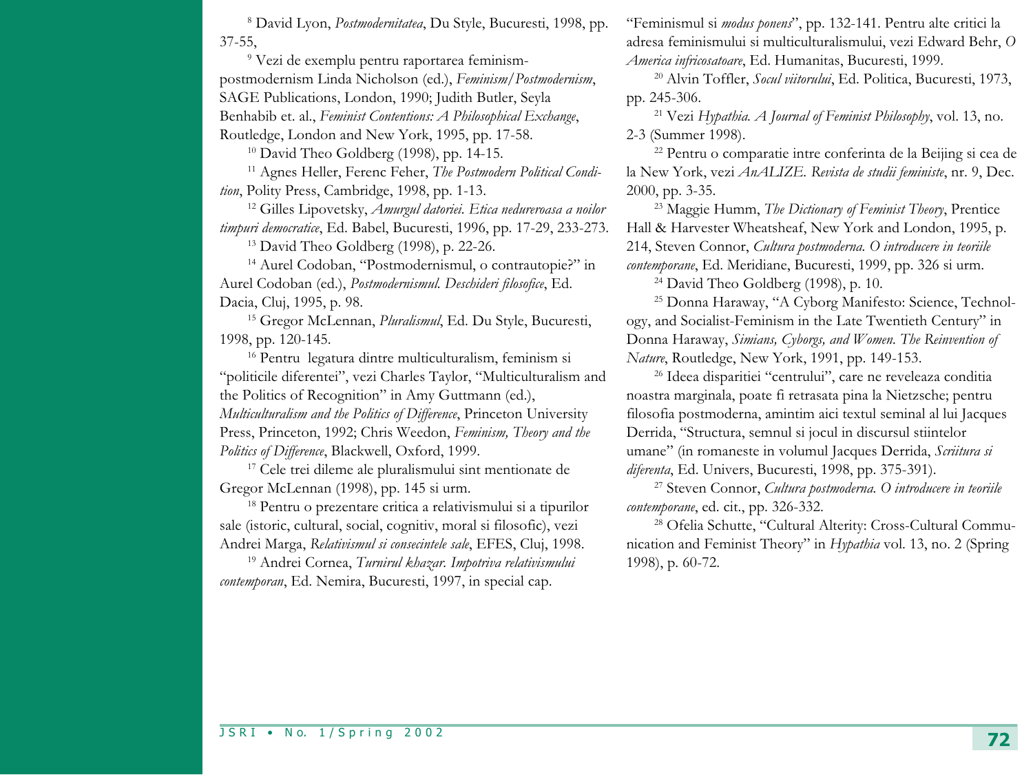<sup>8</sup> David Lyon, *Postmodernitatea*, Du Style, Bucuresti, 1998, pp.  $37 - 55$ ,

<sup>9</sup> Vezi de exemplu pentru raportarea feminismpostmodernism Linda Nicholson (ed.), Feminism / Postmodernism, SAGE Publications, London, 1990; Judith Butler, Seyla Benhabib et. al., Feminist Contentions: A Philosophical Exchange, Routledge, London and New York, 1995, pp. 17-58.

 $10$  David Theo Goldberg (1998), pp. 14-15.

<sup>11</sup> Agnes Heller, Ferenc Feher, *The Postmodern Political Condi*tion, Polity Press, Cambridge, 1998, pp. 1-13.

<sup>12</sup> Gilles Lipovetsky, Amurgul datoriei. Etica nedureroasa a noilor timpuri democratice, Ed. Babel, Bucuresti, 1996, pp. 17-29, 233-273.

<sup>13</sup> David Theo Goldberg (1998), p. 22-26.

<sup>14</sup> Aurel Codoban, "Postmodernismul, o contrautopie?" in Aurel Codoban (ed.), Postmodernismul. Deschideri filosofice, Ed. Dacia, Cluj, 1995, p. 98.

<sup>15</sup> Gregor McLennan, *Pluralismul*, Ed. Du Style, Bucuresti, 1998, pp. 120-145.

<sup>16</sup> Pentru legatura dintre multiculturalism, feminism si "politicile diferentei", vezi Charles Taylor, "Multiculturalism and the Politics of Recognition" in Amy Guttmann (ed.), Multiculturalism and the Politics of Difference, Princeton University Press, Princeton, 1992; Chris Weedon, Feminism, Theory and the Politics of Difference, Blackwell, Oxford, 1999.

<sup>17</sup> Cele trei dileme ale pluralismului sint mentionate de Gregor McLennan (1998), pp. 145 si urm.

<sup>18</sup> Pentru o prezentare critica a relativismului si a tipurilor sale (istoric, cultural, social, cognitiv, moral si filosofic), vezi Andrei Marga, Relativismul si consecintele sale, EFES, Cluj, 1998.

<sup>19</sup> Andrei Cornea, Turnirul khazar. Impotriva relativismului contemporan, Ed. Nemira, Bucuresti, 1997, in special cap.

"Feminismul si modus ponens", pp. 132-141. Pentru alte critici la adresa feminismului si multiculturalismului, vezi Edward Behr, O America infricosatoare, Ed. Humanitas, Bucuresti, 1999.

<sup>20</sup> Alvin Toffler, *Socul viitorului*, Ed. Politica, Bucuresti, 1973, pp. 245-306.

<sup>21</sup> Vezi Hypathia. A Journal of Feminist Philosophy, vol. 13, no. 2-3 (Summer 1998).

<sup>22</sup> Pentru o comparatie intre conferinta de la Beijing si cea de la New York, vezi AnALIZE. Revista de studii feministe, nr. 9, Dec. 2000, pp. 3-35.

<sup>23</sup> Maggie Humm, *The Dictionary of Feminist Theory*, Prentice Hall & Harvester Wheatsheaf, New York and London, 1995, p. 214, Steven Connor, Cultura postmoderna. O introducere in teoriile contemporane, Ed. Meridiane, Bucuresti, 1999, pp. 326 si urm.

<sup>24</sup> David Theo Goldberg (1998), p. 10.

<sup>25</sup> Donna Haraway, "A Cyborg Manifesto: Science, Technology, and Socialist-Feminism in the Late Twentieth Century" in Donna Haraway, Simians, Cyborgs, and Women. The Reinvention of Nature, Routledge, New York, 1991, pp. 149-153.

<sup>26</sup> Ideea disparitiei "centrului", care ne reveleaza conditia noastra marginala, poate fi retrasata pina la Nietzsche; pentru filosofia postmoderna, amintim aici textul seminal al lui Jacques Derrida, "Structura, semnul si jocul in discursul stiintelor umane" (in romaneste in volumul Jacques Derrida, Scriitura si diferenta, Ed. Univers, Bucuresti, 1998, pp. 375-391).

<sup>27</sup> Steven Connor, Cultura postmoderna. O introducere in teoriile contemporane, ed. cit., pp. 326-332.

<sup>28</sup> Ofelia Schutte, "Cultural Alterity: Cross-Cultural Communication and Feminist Theory" in Hypathia vol. 13, no. 2 (Spring 1998), p. 60-72.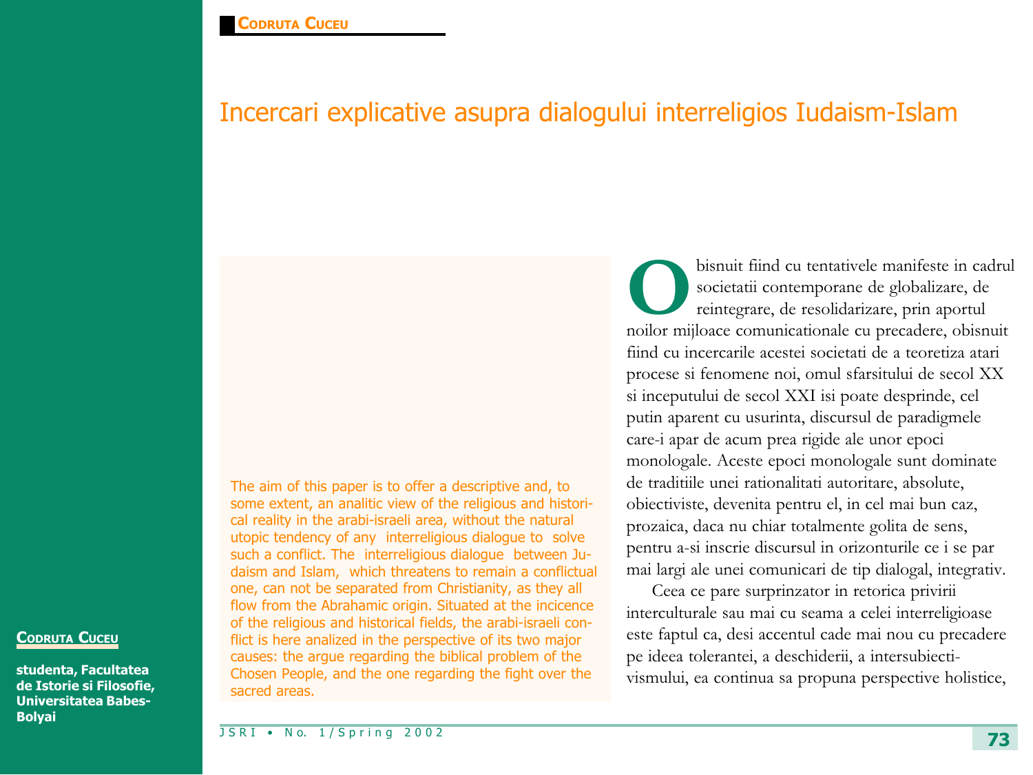# Incercari explicative asupra dialogului interreligios Iudaism-Islam

#### The aim of this paper is to offer a descriptive and, to some extent, an analitic view of the religious and historical reality in the arabi-israeli area, without the natural utopic tendency of any interreligious dialogue to solve such a conflict. The interreligious dialogue between Judaism and Islam, which threatens to remain a conflictual one, can not be separated from Christianity, as they all flow from the Abrahamic origin. Situated at the incicence of the religious and historical fields, the arabi-israeli conflict is here analized in the perspective of its two major causes: the arque regarding the biblical problem of the Chosen People, and the one regarding the fight over the sacred areas.

bisnuit fiind cu tentativele manifeste in cadrul societatii contemporane de globalizare, de reintegrare, de resolidarizare, prin aportul noilor mijloace comunicationale cu precadere, obisnuit fiind cu incercarile acestei societati de a teoretiza atari procese si fenomene noi, omul sfarsitului de secol XX si inceputului de secol XXI isi poate desprinde, cel putin aparent cu usurinta, discursul de paradigmele care-i apar de acum prea rigide ale unor epoci monologale. Aceste epoci monologale sunt dominate de traditiile unei rationalitati autoritare, absolute, obiectiviste, devenita pentru el, in cel mai bun caz, prozaica, daca nu chiar totalmente golita de sens, pentru a-si inscrie discursul in orizonturile ce i se par mai largi ale unei comunicari de tip dialogal, integrativ.

Ceea ce pare surprinzator in retorica privirii interculturale sau mai cu seama a celei interreligioase este faptul ca, desi accentul cade mai nou cu precadere pe ideea tolerantei, a deschiderii, a intersubiectivismului, ea continua sa propuna perspective holistice,

#### **CODRUTA CUCEU**

studenta, Facultatea de Istorie si Filosofie, **Universitatea Babes-Bolyai**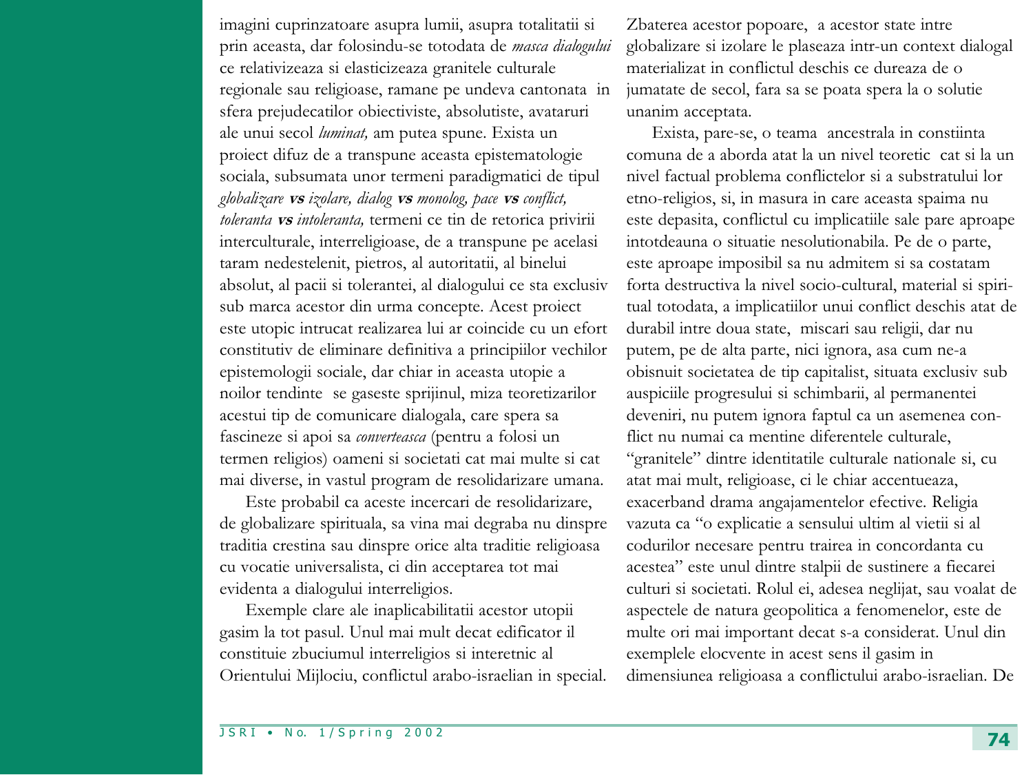imagini cuprinzatoare asupra lumii, asupra totalitatii si prin aceasta, dar folosindu-se totodata de masca dialogului ce relativizeaza si elasticizeaza granitele culturale regionale sau religioase, ramane pe undeva cantonata in sfera prejudecatilor obiectiviste, absolutiste, avataruri ale unui secol luminat, am putea spune. Exista un proiect difuz de a transpune aceasta epistematologie sociala, subsumata unor termeni paradigmatici de tipul globalizare vs izolare, dialog vs monolog, pace vs conflict, toleranta vs intoleranta, termeni ce tin de retorica privirii interculturale, interreligioase, de a transpune pe acelasi taram nedestelenit, pietros, al autoritatii, al binelui absolut, al pacii si tolerantei, al dialogului ce sta exclusiv sub marca acestor din urma concepte. Acest proiect este utopic intrucat realizarea lui ar coincide cu un efort constitutiv de eliminare definitiva a principiilor vechilor epistemologii sociale, dar chiar in aceasta utopie a noilor tendinte se gaseste sprijinul, miza teoretizarilor acestui tip de comunicare dialogala, care spera sa fascineze si apoi sa converteasca (pentru a folosi un termen religios) oameni si societati cat mai multe si cat mai diverse, in vastul program de resolidarizare umana.

Este probabil ca aceste incercari de resolidarizare, de globalizare spirituala, sa vina mai degraba nu dinspre traditia crestina sau dinspre orice alta traditie religioasa cu vocatie universalista, ci din acceptarea tot mai evidenta a dialogului interreligios.

Exemple clare ale inaplicabilitatii acestor utopii gasim la tot pasul. Unul mai mult decat edificator il constituie zbuciumul interreligios si interetnic al Orientului Mijlociu, conflictul arabo-israelian in special.

Zbaterea acestor popoare, a acestor state intre globalizare si izolare le plaseaza intr-un context dialogal materializat in conflictul deschis ce dureaza de o jumatate de secol, fara sa se poata spera la o solutie unanim acceptata.

Exista, pare-se, o teama ancestrala in constiinta comuna de a aborda atat la un nivel teoretic cat si la un nivel factual problema conflictelor si a substratului lor etno-religios, si, in masura in care aceasta spaima nu este depasita, conflictul cu implicatiile sale pare aproape intotdeauna o situatie nesolutionabila. Pe de o parte, este aproape imposibil sa nu admitem si sa costatam forta destructiva la nivel socio-cultural, material si spiritual totodata, a implicatiilor unui conflict deschis atat de durabil intre doua state, miscari sau religii, dar nu putem, pe de alta parte, nici ignora, asa cum ne-a obisnuit societatea de tip capitalist, situata exclusiv sub auspiciile progresului si schimbarii, al permanentei deveniri, nu putem ignora faptul ca un asemenea conflict nu numai ca mentine diferentele culturale, "granitele" dintre identitatile culturale nationale si, cu atat mai mult, religioase, ci le chiar accentueaza, exacerband drama angajamentelor efective. Religia vazuta ca "o explicatie a sensului ultim al vietii si al codurilor necesare pentru trairea in concordanta cu acestea" este unul dintre stalpii de sustinere a fiecarei culturi si societati. Rolul ei, adesea neglijat, sau voalat de aspectele de natura geopolitica a fenomenelor, este de multe ori mai important decat s-a considerat. Unul din exemplele elocvente in acest sens il gasim in dimensiunea religioasa a conflictului arabo-israelian. De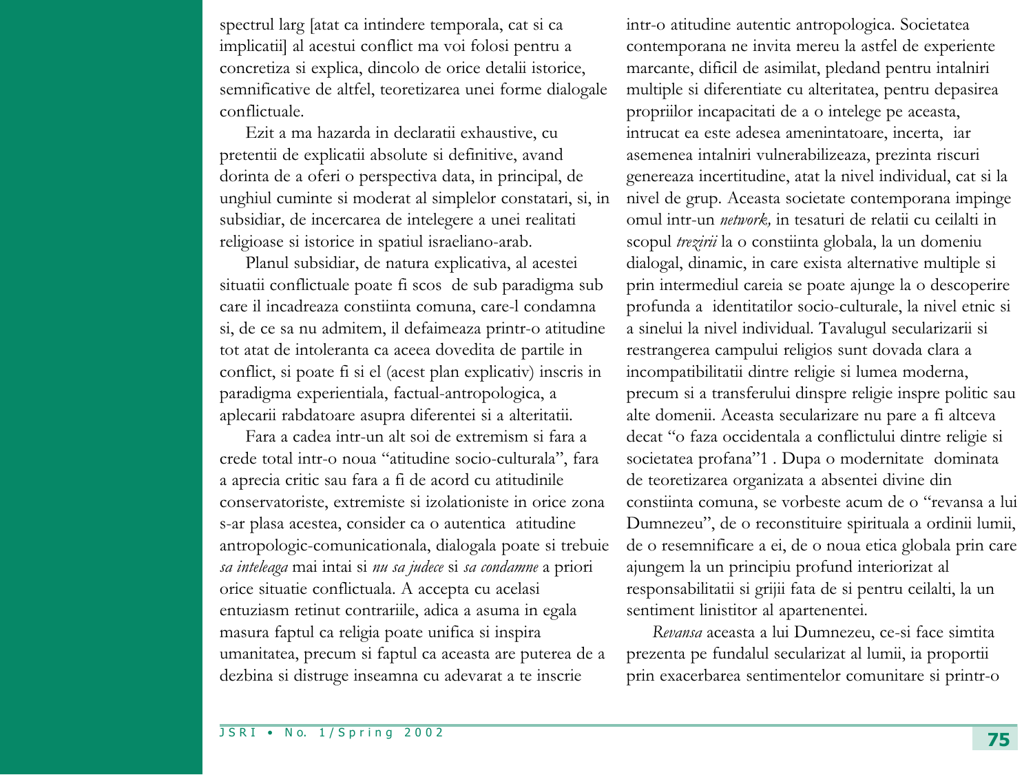spectrul larg [atat ca intindere temporala, cat si ca implicatii] al acestui conflict ma voi folosi pentru a concretiza si explica, dincolo de orice detalii istorice, semnificative de altfel, teoretizarea unei forme dialogale conflictuale.

Ezit a ma hazarda in declaratii exhaustive, cu pretentii de explicatii absolute si definitive, avand dorinta de a oferi o perspectiva data, in principal, de unghiul cuminte si moderat al simplelor constatari, si, in subsidiar, de incercarea de intelegere a unei realitati religioase si istorice in spatiul israeliano-arab.

Planul subsidiar, de natura explicativa, al acestei situatii conflictuale poate fi scos de sub paradigma sub care il incadreaza constiinta comuna, care-l condamna si, de ce sa nu admitem, il defaimeaza printr-o atitudine tot atat de intoleranta ca aceea dovedita de partile in conflict, si poate fi si el (acest plan explicativ) inscris in paradigma experientiala, factual-antropologica, a aplecarii rabdatoare asupra diferentei si a alteritatii.

Fara a cadea intr-un alt soi de extremism si fara a crede total intr-o noua "atitudine socio-culturala", fara a aprecia critic sau fara a fi de acord cu atitudinile conservatoriste, extremiste si izolationiste in orice zona s-ar plasa acestea, consider ca o autentica atitudine antropologic-comunicationala, dialogala poate si trebuie sa inteleaga mai intai si nu sa judece si sa condamne a priori orice situatie conflictuala. A accepta cu acelasi entuziasm retinut contrariile, adica a asuma in egala masura faptul ca religia poate unifica si inspira umanitatea, precum si faptul ca aceasta are puterea de a dezbina si distruge inseamna cu adevarat a te inscrie

intr-o atitudine autentic antropologica. Societatea contemporana ne invita mereu la astfel de experiente marcante, dificil de asimilat, pledand pentru intalniri multiple si diferentiate cu alteritatea, pentru depasirea propriilor incapacitati de a o intelege pe aceasta, intrucat ea este adesea amenintatoare, incerta, iar asemenea intalniri vulnerabilizeaza, prezinta riscuri genereaza incertitudine, atat la nivel individual, cat si la nivel de grup. Aceasta societate contemporana impinge omul intr-un network, in tesaturi de relatii cu ceilalti in scopul trezirii la o constiinta globala, la un domeniu dialogal, dinamic, in care exista alternative multiple si prin intermediul careia se poate ajunge la o descoperire profunda a identitatilor socio-culturale, la nivel etnic si a sinelui la nivel individual. Tavalugul secularizarii si restrangerea campului religios sunt dovada clara a incompatibilitatii dintre religie si lumea moderna, precum si a transferului dinspre religie inspre politic sau alte domenii. Aceasta secularizare nu pare a fi altceva decat "o faza occidentala a conflictului dintre religie si societatea profana"1. Dupa o modernitate dominata de teoretizarea organizata a absentei divine din constiinta comuna, se vorbeste acum de o "revansa a lui Dumnezeu", de o reconstituire spirituala a ordinii lumii, de o resemnificare a ei, de o noua etica globala prin care ajungem la un principiu profund interiorizat al responsabilitatii si grijii fata de si pentru ceilalti, la un sentiment linistitor al apartenentei.

Revansa aceasta a lui Dumnezeu, ce-si face simtita prezenta pe fundalul secularizat al lumii, ia proportii prin exacerbarea sentimentelor comunitare si printr-o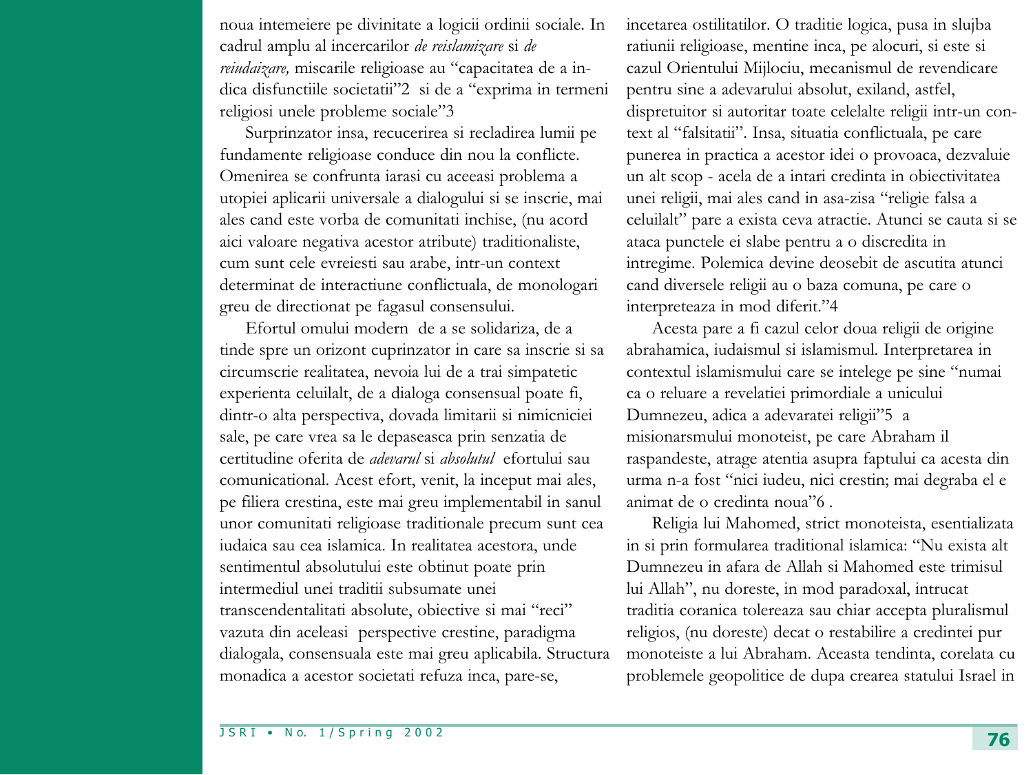noua intemeiere pe divinitate a logicii ordinii sociale. In cadrul amplu al incercarilor de reislamizare si de reiudaizare, miscarile religioase au "capacitatea de a indica disfunctiile societatii"2 si de a "exprima in termeni religiosi unele probleme sociale"3

Surprinzator insa, recucerirea si recladirea lumii pe fundamente religioase conduce din nou la conflicte. Omenirea se confrunta iarasi cu aceeasi problema a utopiei aplicarii universale a dialogului si se inscrie, mai ales cand este vorba de comunitati inchise, (nu acord aici valoare negativa acestor atribute) traditionaliste, cum sunt cele evreiesti sau arabe, intr-un context determinat de interactiune conflictuala, de monologari greu de directionat pe fagasul consensului.

Efortul omului modern de a se solidariza, de a tinde spre un orizont cuprinzator in care sa inscrie si sa circumscrie realitatea, nevoia lui de a trai simpatetic experienta celuilalt, de a dialoga consensual poate fi, dintr-o alta perspectiva, dovada limitarii si nimicniciei sale, pe care vrea sa le depaseasca prin senzatia de certitudine oferita de *adevarul* si *absolutul* efortului sau comunicational. Acest efort, venit, la inceput mai ales, pe filiera crestina, este mai greu implementabil in sanul unor comunitati religioase traditionale precum sunt cea iudaica sau cea islamica. In realitatea acestora, unde sentimentul absolutului este obtinut poate prin intermediul unei traditii subsumate unei transcendentalitati absolute, obiective si mai "reci" vazuta din aceleasi perspective crestine, paradigma dialogala, consensuala este mai greu aplicabila. Structura monadica a acestor societati refuza inca, pare-se,

incetarea ostilitatilor. O traditie logica, pusa in slujba ratiunii religioase, mentine inca, pe alocuri, si este si cazul Orientului Mijlociu, mecanismul de revendicare pentru sine a adevarului absolut, exiland, astfel, dispretuitor si autoritar toate celelalte religii intr-un context al "falsitatii". Insa, situatia conflictuala, pe care punerea in practica a acestor idei o provoaca, dezvaluie un alt scop - acela de a intari credinta in obiectivitatea unei religii, mai ales cand in asa-zisa "religie falsa a celuilalt" pare a exista ceva atractie. Atunci se cauta si se ataca punctele ei slabe pentru a o discredita in intregime. Polemica devine deosebit de ascutita atunci cand diversele religii au o baza comuna, pe care o interpreteaza in mod diferit."4

Acesta pare a fi cazul celor doua religii de origine abrahamica, iudaismul si islamismul. Interpretarea in contextul islamismului care se intelege pe sine "numai ca o reluare a revelatiei primordiale a unicului Dumnezeu, adica a adevaratei religii"5 a misionarsmului monoteist, pe care Abraham il raspandeste, atrage atentia asupra faptului ca acesta din urma n-a fost "nici iudeu, nici crestin; mai degraba el e animat de o credinta noua"6.

Religia lui Mahomed, strict monoteista, esentializata in si prin formularea traditional islamica: "Nu exista alt Dumnezeu in afara de Allah si Mahomed este trimisul lui Allah", nu doreste, in mod paradoxal, intrucat traditia coranica tolereaza sau chiar accepta pluralismul religios, (nu doreste) decat o restabilire a credintei pur monoteiste a lui Abraham. Aceasta tendinta, corelata cu problemele geopolitice de dupa crearea statului Israel in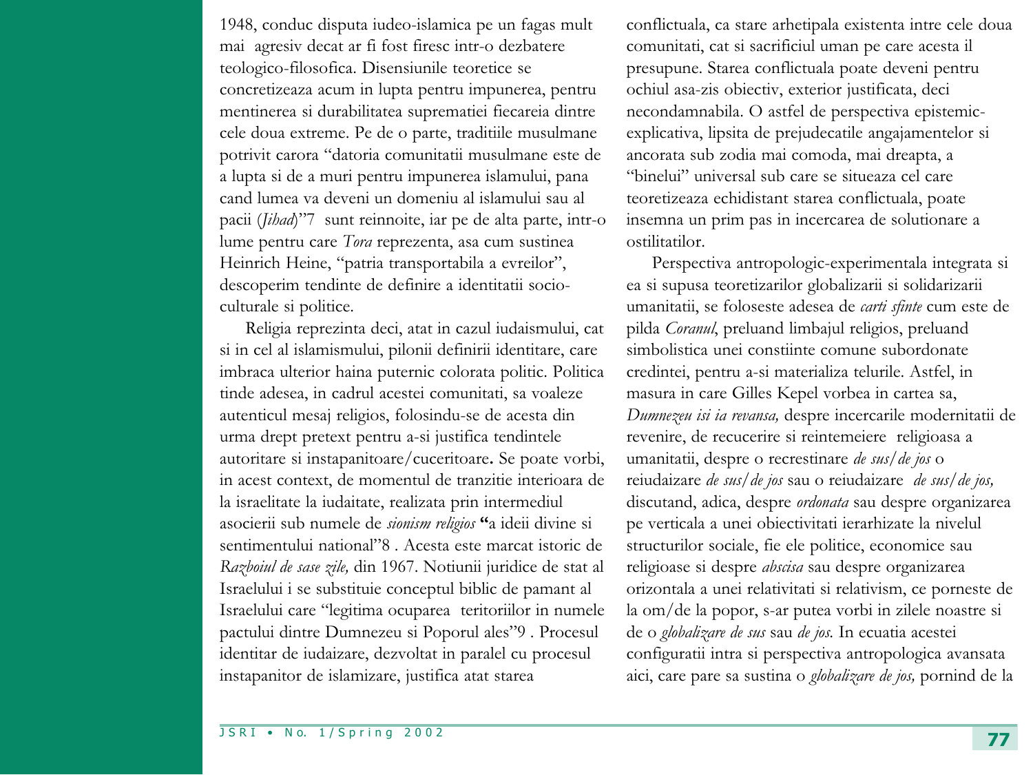1948, conduc disputa iudeo-islamica pe un fagas mult mai agresiv decat ar fi fost firesc intr-o dezbatere teologico-filosofica. Disensiunile teoretice se concretizeaza acum in lupta pentru impunerea, pentru mentinerea si durabilitatea suprematiei fiecareia dintre cele doua extreme. Pe de o parte, traditiile musulmane potrivit carora "datoria comunitatii musulmane este de a lupta si de a muri pentru impunerea islamului, pana cand lumea va deveni un domeniu al islamului sau al pacii (*Jihad*)"7 sunt reinnoite, iar pe de alta parte, intr-o lume pentru care Tora reprezenta, asa cum sustinea Heinrich Heine, "patria transportabila a evreilor", descoperim tendinte de definire a identitatii socioculturale si politice.

Religia reprezinta deci, atat in cazul iudaismului, cat si in cel al islamismului, pilonii definirii identitare, care imbraca ulterior haina puternic colorata politic. Politica tinde adesea, in cadrul acestei comunitati, sa voaleze autenticul mesaj religios, folosindu-se de acesta din urma drept pretext pentru a-si justifica tendintele autoritare si instapanitoare/cuceritoare. Se poate vorbi, in acest context, de momentul de tranzitie interioara de la israelitate la iudaitate, realizata prin intermediul asocierii sub numele de sionism religios "a ideii divine si sentimentului national"8. Acesta este marcat istoric de Razboiul de sase zile, din 1967. Notiunii juridice de stat al Israelului i se substituie conceptul biblic de pamant al Israelului care "legitima ocuparea teritoriilor in numele pactului dintre Dumnezeu si Poporul ales"9 . Procesul identitar de iudaizare, dezvoltat in paralel cu procesul instapanitor de islamizare, justifica atat starea

conflictuala, ca stare arhetipala existenta intre cele doua comunitati, cat si sacrificiul uman pe care acesta il presupune. Starea conflictuala poate deveni pentru ochiul asa-zis obiectiv, exterior justificata, deci necondamnabila. O astfel de perspectiva epistemicexplicativa, lipsita de prejudecatile angajamentelor si ancorata sub zodia mai comoda, mai dreapta, a "binelui" universal sub care se situeaza cel care teoretizeaza echidistant starea conflictuala, poate insemna un prim pas in incercarea de solutionare a ostilitatilor.

Perspectiva antropologic-experimentala integrata si ea si supusa teoretizarilor globalizarii si solidarizarii umanitatii, se foloseste adesea de carti sfinte cum este de pilda Coranul, preluand limbajul religios, preluand simbolistica unei constiinte comune subordonate credintei, pentru a-si materializa telurile. Astfel, in masura in care Gilles Kepel vorbea in cartea sa, Dumnezeu isi ia revansa, despre incercarile modernitatii de revenire, de recucerire si reintemeiere religioasa a umanitatii, despre o recrestinare de sus/de jos o reiudaizare de sus/de jos sau o reiudaizare de sus/de jos, discutand, adica, despre ordonata sau despre organizarea pe verticala a unei obiectivitati ierarhizate la nivelul structurilor sociale, fie ele politice, economice sau religioase si despre *abscisa* sau despre organizarea orizontala a unei relativitati si relativism, ce porneste de la om/de la popor, s-ar putea vorbi in zilele noastre si de o globalizare de sus sau de jos. In ecuatia acestei configuratii intra si perspectiva antropologica avansata aici, care pare sa sustina o globalizare de jos, pornind de la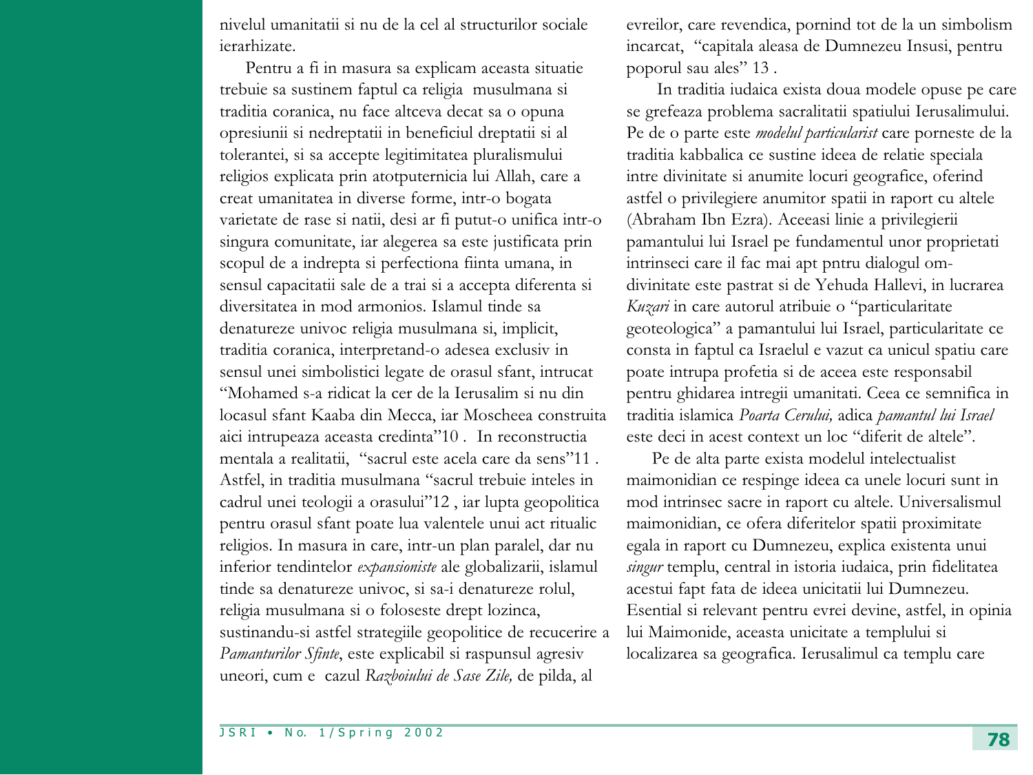nivelul umanitatii si nu de la cel al structurilor sociale ierarhizate.

Pentru a fi in masura sa explicam aceasta situatie trebuie sa sustinem faptul ca religia musulmana si traditia coranica, nu face alteeva decat sa o opuna opresiunii si nedreptatii in beneficiul dreptatii si al tolerantei, si sa accepte legitimitatea pluralismului religios explicata prin atotputernicia lui Allah, care a creat umanitatea in diverse forme, intr-o bogata varietate de rase si natii, desi ar fi putut-o unifica intr-o singura comunitate, iar alegerea sa este justificata prin scopul de a indrepta si perfectiona fiinta umana, in sensul capacitatii sale de a trai si a accepta diferenta si diversitatea in mod armonios. Islamul tinde sa denatureze univoc religia musulmana si, implicit, traditia coranica, interpretand-o adesea exclusiv in sensul unei simbolistici legate de orasul sfant, intrucat "Mohamed s-a ridicat la cer de la Ierusalim si nu din locasul sfant Kaaba din Mecca, iar Moscheea construita aici intrupeaza aceasta credinta"10. In reconstructia mentala a realitatii, "sacrul este acela care da sens"11. Astfel, in traditia musulmana "sacrul trebuie inteles in cadrul unei teologii a orasului"12, iar lupta geopolitica pentru orasul sfant poate lua valentele unui act ritualic religios. In masura in care, intr-un plan paralel, dar nu inferior tendintelor expansioniste ale globalizarii, islamul tinde sa denatureze univoc, si sa-i denatureze rolul, religia musulmana si o foloseste drept lozinca, sustinandu-si astfel strategiile geopolitice de recucerire a Pamanturilor Sfinte, este explicabil si raspunsul agresiv uneori, cum e cazul Razboiului de Sase Zile, de pilda, al

evreilor, care revendica, pornind tot de la un simbolism incarcat, "capitala aleasa de Dumnezeu Insusi, pentru poporul sau ales" 13.

In traditia iudaica exista doua modele opuse pe care se grefeaza problema sacralitatii spatiului Ierusalimului. Pe de o parte este modelul particularist care porneste de la traditia kabbalica ce sustine ideea de relatie speciala intre divinitate si anumite locuri geografice, oferind astfel o privilegiere anumitor spatii in raport cu altele (Abraham Ibn Ezra). Aceeasi linie a privilegierii pamantului lui Israel pe fundamentul unor proprietati intrinseci care il fac mai apt pntru dialogul omdivinitate este pastrat si de Yehuda Hallevi, in lucrarea Kuzari in care autorul atribuie o "particularitate geoteologica" a pamantului lui Israel, particularitate ce consta in faptul ca Israelul e vazut ca unicul spatiu care poate intrupa profetia si de aceea este responsabil pentru ghidarea intregii umanitati. Ceea ce semnifica in traditia islamica Poarta Cerului, adica pamantul lui Israel este deci in acest context un loc "diferit de altele".

Pe de alta parte exista modelul intelectualist maimonidian ce respinge ideea ca unele locuri sunt in mod intrinsec sacre in raport cu altele. Universalismul maimonidian, ce ofera diferitelor spatii proximitate egala in raport cu Dumnezeu, explica existenta unui singur templu, central in istoria iudaica, prin fidelitatea acestui fapt fata de ideea unicitatii lui Dumnezeu. Esential si relevant pentru evrei devine, astfel, in opinia lui Maimonide, aceasta unicitate a templului si localizarea sa geografica. Ierusalimul ca templu care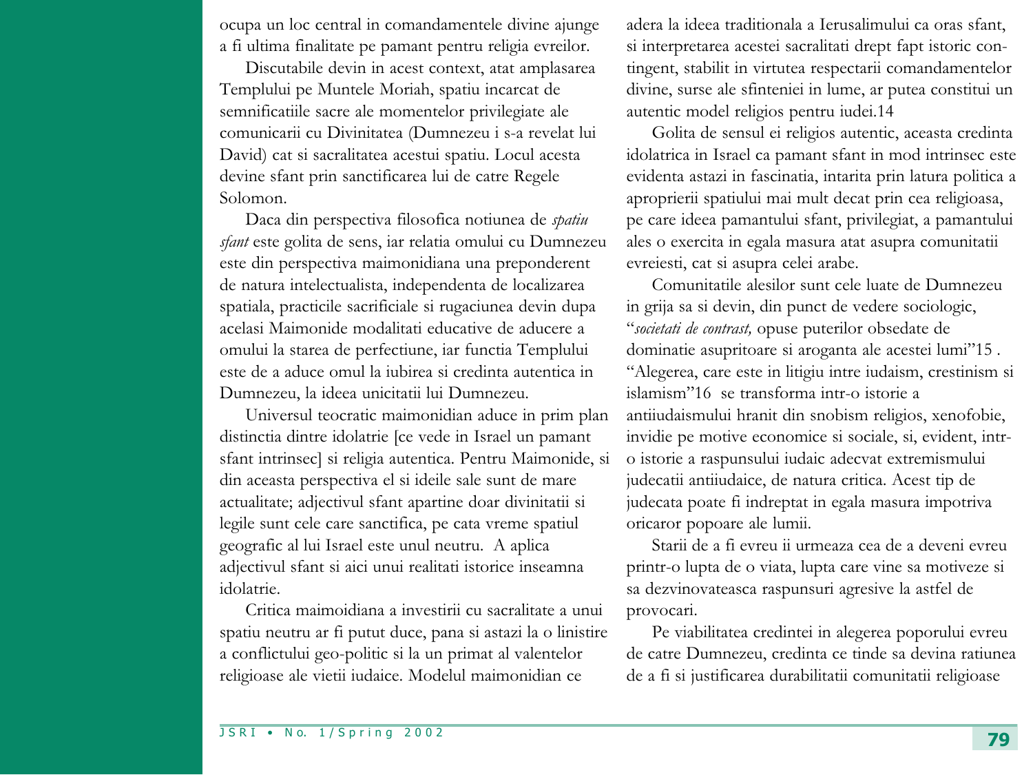ocupa un loc central in comandamentele divine ajunge a fi ultima finalitate pe pamant pentru religia evreilor.

Discutabile devin in acest context, atat amplasarea Templului pe Muntele Moriah, spatiu incarcat de semnificatiile sacre ale momentelor privilegiate ale comunicarii cu Divinitatea (Dumnezeu i s-a revelat lui David) cat si sacralitatea acestui spatiu. Locul acesta devine sfant prin sanctificarea lui de catre Regele Solomon.

Daca din perspectiva filosofica notiunea de spatiu sfant este golita de sens, iar relatia omului cu Dumnezeu este din perspectiva maimonidiana una preponderent de natura intelectualista, independenta de localizarea spatiala, practicile sacrificiale si rugaciunea devin dupa acelasi Maimonide modalitati educative de aducere a omului la starea de perfectiune, iar functia Templului este de a aduce omul la jubirea si credinta autentica in Dumnezeu, la ideea unicitatii lui Dumnezeu.

Universul teocratic maimonidian aduce in prim plan distinctia dintre idolatrie [ce vede in Israel un pamant sfant intrinsec] si religia autentica. Pentru Maimonide, si din aceasta perspectiva el si ideile sale sunt de mare actualitate; adjectivul sfant apartine doar divinitatii si legile sunt cele care sanctifica, pe cata vreme spatiul geografic al lui Israel este unul neutru. A aplica adjectivul sfant si aici unui realitati istorice inseamna idolatrie.

Critica maimoidiana a investirii cu sacralitate a unui spatiu neutru ar fi putut duce, pana si astazi la o linistire a conflictului geo-politic si la un primat al valentelor religioase ale vietii iudaice. Modelul maimonidian ce

adera la ideea traditionala a Ierusalimului ca oras sfant, si interpretarea acestei sacralitati drept fapt istoric contingent, stabilit in virtutea respectarii comandamentelor divine, surse ale sfinteniei in lume, ar putea constitui un autentic model religios pentru iudei.14

Golita de sensul ei religios autentic, aceasta credinta idolatrica in Israel ca pamant sfant in mod intrinsec este evidenta astazi in fascinatia, intarita prin latura politica a aproprierii spatiului mai mult decat prin cea religioasa, pe care ideea pamantului sfant, privilegiat, a pamantului ales o exercita in egala masura atat asupra comunitatii evreiesti, cat si asupra celei arabe.

Comunitatile alesilor sunt cele luate de Dumnezeu in grija sa si devin, din punct de vedere sociologic, "societati de contrast, opuse puterilor obsedate de dominatie asupritoare si aroganta ale acestei lumi"15. "Alegerea, care este in litigiu intre iudaism, crestinism si islamism"16 se transforma intr-o istorie a antijudaismului hranit din snobism religios, xenofobie, invidie pe motive economice si sociale, si, evident, intro istorie a raspunsului iudaic adecvat extremismului judecatii antiiudaice, de natura critica. Acest tip de judecata poate fi indreptat in egala masura impotriva oricaror popoare ale lumii.

Starii de a fi evreu ji urmeaza cea de a deveni evreu printr-o lupta de o viata, lupta care vine sa motiveze si sa dezvinovateasca raspunsuri agresive la astfel de provocari.

Pe viabilitatea credintei in alegerea poporului evreu de catre Dumnezeu, credinta ce tinde sa devina ratiunea de a fi si justificarea durabilitatii comunitatii religioase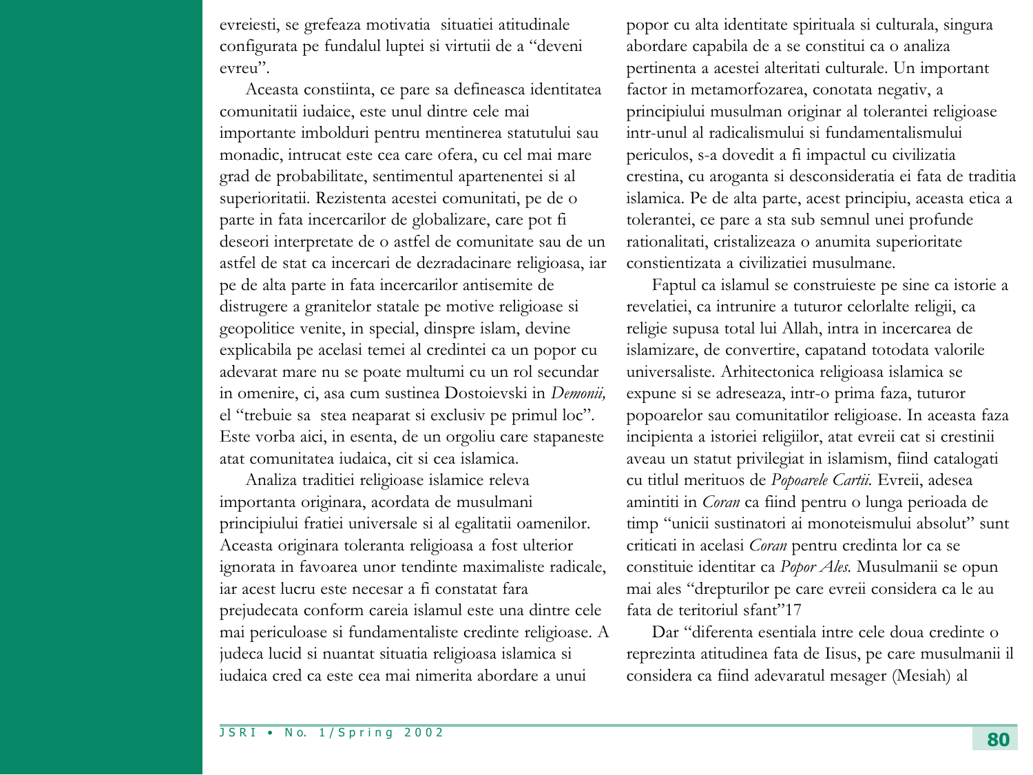evreiesti, se grefeaza motivatia situatiei atitudinale configurata pe fundalul luptei si virtutii de a "deveni evreu".

Aceasta constiinta, ce pare sa defineasca identitatea comunitatii iudaice, este unul dintre cele mai importante imbolduri pentru mentinerea statutului sau monadic, intrucat este cea care ofera, cu cel mai mare grad de probabilitate, sentimentul apartenentei si al superioritatii. Rezistenta acestei comunitati, pe de o parte in fata incercarilor de globalizare, care pot fi deseori interpretate de o astfel de comunitate sau de un astfel de stat ca incercari de dezradacinare religioasa, iar pe de alta parte in fata incercarilor antisemite de distrugere a granitelor statale pe motive religioase si geopolitice venite, in special, dinspre islam, devine explicabila pe acelasi temei al credintei ca un popor cu adevarat mare nu se poate multumi cu un rol secundar in omenire, ci, asa cum sustinea Dostoievski in Demonii, el "trebuie sa stea neaparat si exclusiv pe primul loc". Este vorba aici, in esenta, de un orgoliu care stapaneste atat comunitatea iudaica, cit si cea islamica.

Analiza traditiei religioase islamice releva importanta originara, acordata de musulmani principiului fratiei universale si al egalitatii oamenilor. Aceasta originara toleranta religioasa a fost ulterior ignorata in favoarea unor tendinte maximaliste radicale, iar acest lucru este necesar a fi constatat fara prejudecata conform careia islamul este una dintre cele mai periculoase si fundamentaliste credinte religioase. A judeca lucid si nuantat situatia religioasa islamica si judaica cred ca este cea mai nimerita abordare a unui

popor cu alta identitate spirituala si culturala, singura abordare capabila de a se constitui ca o analiza pertinenta a acestei alteritati culturale. Un important factor in metamorfozarea, conotata negativ, a principiului musulman originar al tolerantei religioase intr-unul al radicalismului si fundamentalismului periculos, s-a dovedit a fi impactul cu civilizatia crestina, cu aroganta si desconsideratia ei fata de traditia islamica. Pe de alta parte, acest principiu, aceasta etica a tolerantei, ce pare a sta sub semnul unei profunde rationalitati, cristalizeaza o anumita superioritate constientizata a civilizatiei musulmane.

Faptul ca islamul se construieste pe sine ca istorie a revelatiei, ca intrunire a tuturor celorlalte religii, ca religie supusa total lui Allah, intra in incercarea de islamizare, de convertire, capatand totodata valorile universaliste. Arhitectonica religioasa islamica se expune si se adreseaza, intr-o prima faza, tuturor popoarelor sau comunitatilor religioase. In aceasta faza incipienta a istoriei religiilor, atat evreii cat si crestinii aveau un statut privilegiat in islamism, fiind catalogati cu titlul merituos de Popoarele Cartii. Evreii, adesea amintiti in Coran ca fiind pentru o lunga perioada de timp "unicii sustinatori ai monoteismului absolut" sunt criticati in acelasi Coran pentru credinta lor ca se constituie identitar ca Popor Ales. Musulmanii se opun mai ales "drepturilor pe care evreii considera ca le au fata de teritoriul sfant"17

Dar "diferenta esentiala intre cele doua credinte o reprezinta atitudinea fata de Iisus, pe care musulmanii il considera ca fiind adevaratul mesager (Mesiah) al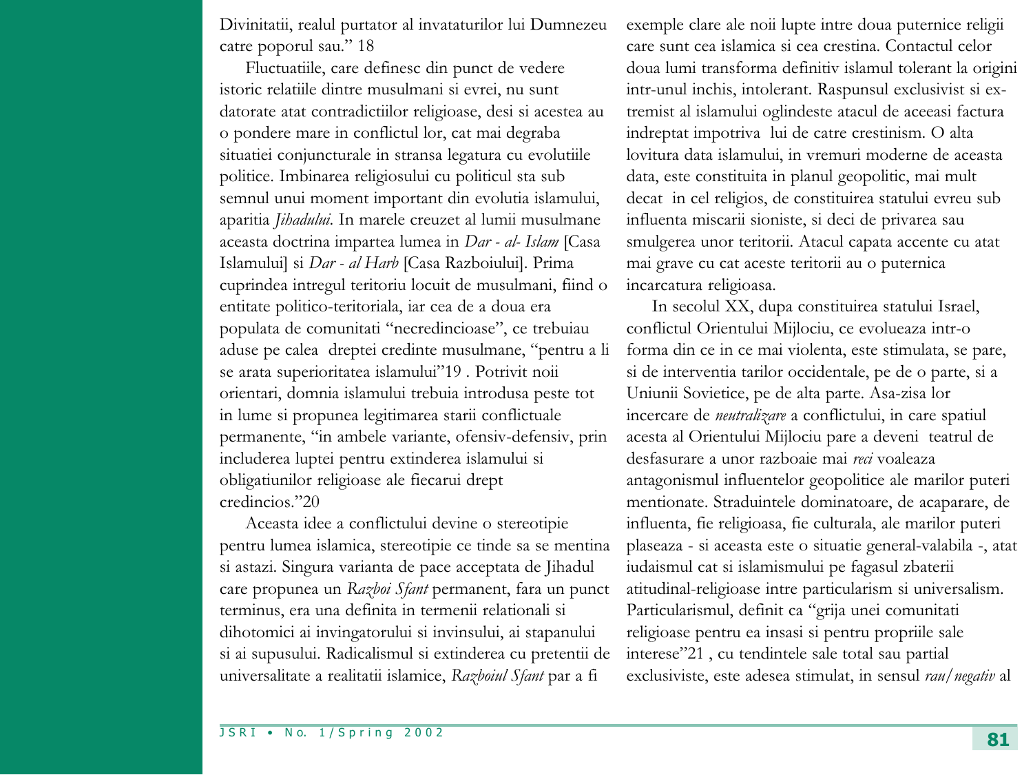Divinitatii, realul purtator al invataturilor lui Dumnezeu catre poporul sau." 18

Fluctuatiile, care definesc din punct de vedere istoric relatiile dintre musulmani si evrei, nu sunt datorate atat contradictiilor religioase, desi si acestea au o pondere mare in conflictul lor, cat mai degraba situatiei conjuncturale in stransa legatura cu evolutiile politice. Imbinarea religiosului cu politicul sta sub semnul unui moment important din evolutia islamului, aparitia *[ihadului*. In marele creuzet al lumii musulmane aceasta doctrina impartea lumea in Dar - al- Islam [Casa Islamului] si Dar - al Harb [Casa Razboiului]. Prima cuprindea intregul teritoriu locuit de musulmani, fiind o entitate politico-teritoriala, iar cea de a doua era populata de comunitati "necredincioase", ce trebuiau aduse pe calea dreptei credinte musulmane, "pentru a li se arata superioritatea islamului"19 . Potrivit noii orientari, domnia islamului trebuia introdusa peste tot in lume si propunea legitimarea starii conflictuale permanente, "in ambele variante, ofensiv-defensiv, prin includerea luptei pentru extinderea islamului si obligatiunilor religioase ale fiecarui drept credincios."20

Aceasta idee a conflictului devine o stereotipie pentru lumea islamica, stereotipie ce tinde sa se mentina si astazi. Singura varianta de pace acceptata de Jihadul care propunea un Razboi Sfant permanent, fara un punct terminus, era una definita in termenii relationali si dihotomici ai invingatorului si invinsului, ai stapanului si ai supusului. Radicalismul si extinderea cu pretentii de universalitate a realitatii islamice, Razboiul Sfant par a fi

exemple clare ale noii lupte intre doua puternice religii care sunt cea islamica si cea crestina. Contactul celor doua lumi transforma definitiv islamul tolerant la origini intr-unul inchis, intolerant. Raspunsul exclusivist si extremist al islamului oglindeste atacul de aceeasi factura indreptat impotriva lui de catre crestinism. O alta lovitura data islamului, in vremuri moderne de aceasta data, este constituita in planul geopolitic, mai mult decat in cel religios, de constituirea statului evreu sub influenta miscarii sioniste, si deci de privarea sau smulgerea unor teritorii. Atacul capata accente cu atat mai grave cu cat aceste teritorii au o puternica incarcatura religioasa.

In secolul XX, dupa constituirea statului Israel, conflictul Orientului Mijlociu, ce evolueaza intr-o forma din ce in ce mai violenta, este stimulata, se pare, si de interventia tarilor occidentale, pe de o parte, si a Uniunii Sovietice, pe de alta parte. Asa-zisa lor incercare de neutralizare a conflictului, in care spatiul acesta al Orientului Mijlociu pare a deveni teatrul de desfasurare a unor razboaie mai reci voaleaza antagonismul influentelor geopolitice ale marilor puteri mentionate. Straduintele dominatoare, de acaparare, de influenta, fie religioasa, fie culturala, ale marilor puteri plaseaza - si aceasta este o situatie general-valabila -, atat iudaismul cat si islamismului pe fagasul zbaterii atitudinal-religioase intre particularism si universalism. Particularismul, definit ca "grija unei comunitati religioase pentru ea insasi si pentru propriile sale interese"21, cu tendintele sale total sau partial exclusiviste, este adesea stimulat, in sensul rau/negativ al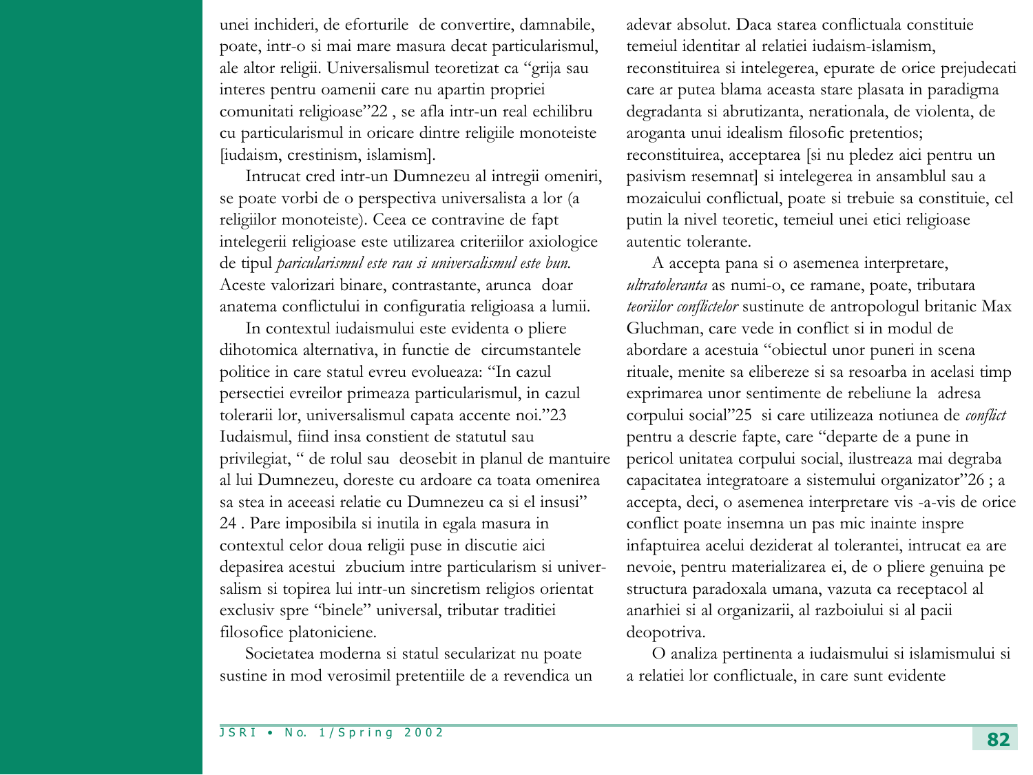unei inchideri, de eforturile de convertire, damnabile, poate, intr-o si mai mare masura decat particularismul, ale altor religii. Universalismul teoretizat ca "grija sau interes pentru oamenii care nu apartin propriei comunitati religioase"22, se afla intr-un real echilibru cu particularismul in oricare dintre religiile monoteiste fiudaism, crestinism, islamism].

Intrucat cred intr-un Dumnezeu al intregii omeniri, se poate vorbi de o perspectiva universalista a lor (a religiilor monoteiste). Ceea ce contravine de fapt intelegerii religioase este utilizarea criteriilor axiologice de tipul paricularismul este rau si universalismul este bun. Aceste valorizari binare, contrastante, arunca doar anatema conflictului in configuratia religioasa a lumii.

In contextul iudaismului este evidenta o pliere dihotomica alternativa, in functie de circumstantele politice in care statul evreu evolueaza: "In cazul persectiei evreilor primeaza particularismul, in cazul tolerarii lor, universalismul capata accente noi."23 Iudaismul, fiind insa constient de statutul sau privilegiat, " de rolul sau deosebit in planul de mantuire al lui Dumnezeu, doreste cu ardoare ca toata omenirea sa stea in aceeasi relatie cu Dumnezeu ca si el insusi" 24. Pare imposibila si inutila in egala masura in contextul celor doua religii puse in discutie aici depasirea acestui zbucium intre particularism si universalism si topirea lui intr-un sincretism religios orientat exclusiv spre "binele" universal, tributar traditiei filosofice platoniciene.

Societatea moderna si statul secularizat nu poate sustine in mod verosimil pretentiile de a revendica un adevar absolut. Daca starea conflictuala constituie temeiul identitar al relatiei iudaism-islamism, reconstituirea si intelegerea, epurate de orice prejudecati care ar putea blama aceasta stare plasata in paradigma degradanta si abrutizanta, nerationala, de violenta, de aroganta unui idealism filosofic pretentios; reconstituirea, acceptarea [si nu pledez aici pentru un pasivism resemnat] si intelegerea in ansamblul sau a mozaicului conflictual, poate si trebuie sa constituie, cel putin la nivel teoretic, temeiul unei etici religioase autentic tolerante.

A accepta pana si o asemenea interpretare, ultratoleranta as numi-o, ce ramane, poate, tributara teoriilor conflictelor sustinute de antropologul britanic Max Gluchman, care vede in conflict si in modul de abordare a acestuia "obiectul unor puneri in scena rituale, menite sa elibereze si sa resoarba in acelasi timp exprimarea unor sentimente de rebeliune la adresa corpului social"25 si care utilizeaza notiunea de conflict pentru a descrie fapte, care "departe de a pune in pericol unitatea corpului social, ilustreaza mai degraba capacitatea integratoare a sistemului organizator"26 ; a accepta, deci, o asemenea interpretare vis-a-vis de orice conflict poate insemna un pas mic inainte inspre infaptuirea acelui deziderat al tolerantei, intrucat ea are nevoie, pentru materializarea ei, de o pliere genuina pe structura paradoxala umana, vazuta ca receptacol al anarhiei si al organizarii, al razboiului si al pacii deopotriva.

O analiza pertinenta a iudaismului si islamismului si a relatiei lor conflictuale, in care sunt evidente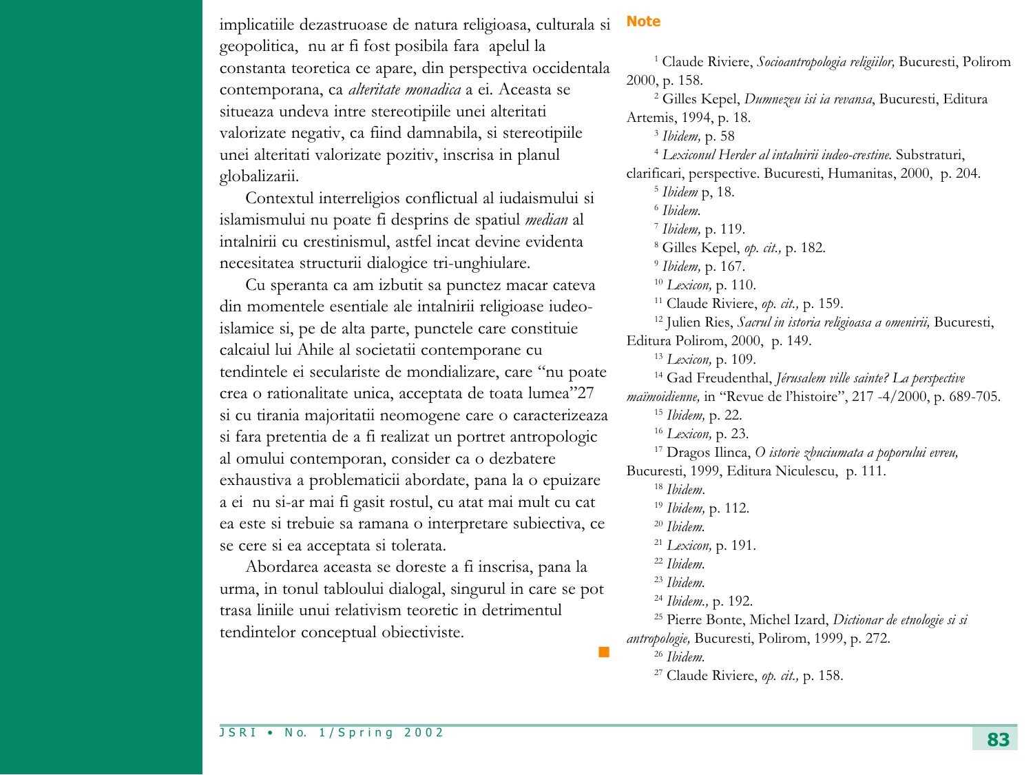implicatiile dezastruoase de natura religioasa, culturala si geopolitica, nu ar fi fost posibila fara apelul la constanta teoretica ce apare, din perspectiva occidentala contemporana, ca alteritate monadica a ei. Aceasta se situeaza undeva intre stereotipiile unei alteritati valorizate negativ, ca fiind damnabila, si stereotipiile unei alteritati valorizate pozitiv, inscrisa in planul globalizarii.

Contextul interreligios conflictual al iudaismului si islamismului nu poate fi desprins de spatiul median al intalnirii cu crestinismul, astfel incat devine evidenta necesitatea structurii dialogice tri-unghiulare.

Cu speranta ca am izbutit sa punctez macar cateva din momentele esentiale ale intalnirii religioase iudeoislamice si, pe de alta parte, punctele care constituie calcaiul lui Ahile al societatii contemporane cu tendintele ei seculariste de mondializare, care "nu poate crea o rationalitate unica, acceptata de toata lumea"27 si cu tirania majoritatii neomogene care o caracterizeaza si fara pretentia de a fi realizat un portret antropologic al omului contemporan, consider ca o dezbatere exhaustiva a problematicii abordate, pana la o epuizare a ei nu si-ar mai fi gasit rostul, cu atat mai mult cu cat ea este si trebuie sa ramana o interpretare subiectiva, ce se cere si ea acceptata si tolerata.

Abordarea aceasta se doreste a fi inscrisa, pana la urma, in tonul tabloului dialogal, singurul in care se pot trasa liniile unui relativism teoretic in detrimentul tendintelor conceptual objectiviste.

#### **Note**

<sup>1</sup> Claude Riviere, Socioantropologia religiilor, Bucuresti, Polirom 2000, p. 158. <sup>2</sup> Gilles Kepel, Dumnezeu isi ia revansa, Bucuresti, Editura Artemis, 1994, p. 18.  $3$  Ibidem, p. 58 <sup>4</sup> Lexiconul Herder al intalnirii iudeo-crestine. Substraturi, clarificari, perspective. Bucuresti, Humanitas, 2000, p. 204.  $5$  Ibidem p, 18.  $6$  I bidem. <sup>7</sup> Ibidem, p. 119.  $8$  Gilles Kepel, *op. cit.*, p. 182.  $9$  Ibidem, p. 167.  $10$  Lexicon, p. 110. <sup>11</sup> Claude Riviere, *op. cit.*, p. 159. <sup>12</sup> Julien Ries, Sacrul in istoria religioasa a omenirii, Bucuresti, Editura Polirom, 2000, p. 149.  $13$  Lexicon, p. 109. <sup>14</sup> Gad Freudenthal, Jérusalem ville sainte? La perspective maïmoidienne, in "Revue de l'histoire", 217 -4/2000, p. 689-705.  $15$  Ibidem, p. 22.  $16$  Lexicon, p. 23. <sup>17</sup> Dragos Ilinca, O istorie zbuciumata a poporului evreu, Bucuresti, 1999, Editura Niculescu, p. 111.  $18$  Ibidem. <sup>19</sup> Ibidem, p. 112.  $20$  Ibidem. <sup>21</sup> Lexicon, p. 191.  $22$  Ibidem.  $23$  Ibidem. <sup>24</sup> Ibidem., p. 192. <sup>25</sup> Pierre Bonte, Michel Izard, *Dictionar de etnologie si si* antropologie, Bucuresti, Polirom, 1999, p. 272. <sup>26</sup> Ibidem. <sup>27</sup> Claude Riviere, *op. cit.*, p. 158.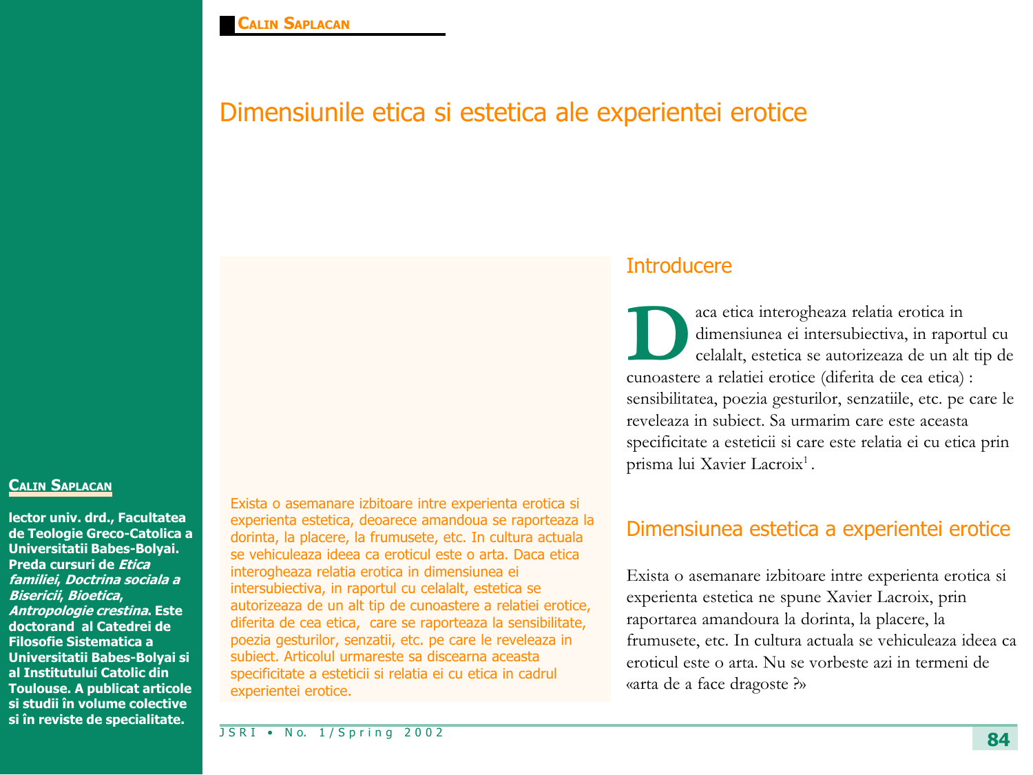# Dimensiunile etica si estetica ale experientei erotice

#### **CALIN SAPLACAN**

lector univ. drd., Facultatea de Teologie Greco-Catolica a Universitatii Babes-Bolyai. Preda cursuri de Etica familiei, Doctrina sociala a **Bisericii, Bioetica,** *Antropologie crestina*. Este doctorand al Catedrei de **Filosofie Sistematica a** Universitatii Babes-Bolyai si al Institutului Catolic din **Toulouse. A publicat articole** si studii în volume colective si în reviste de specialitate.

Exista o asemanare izbitoare intre experienta erotica si experienta estetica, deoarece amandoua se raporteaza la dorinta, la placere, la frumusete, etc. In cultura actuala se vehiculeaza ideea ca eroticul este o arta. Daca etica interogheaza relatia erotica in dimensiunea ei intersubiectiva, in raportul cu celalalt, estetica se autorizeaza de un alt tip de cunoastere a relatiei erotice, diferita de cea etica, care se raporteaza la sensibilitate, poezia gesturilor, senzatii, etc. pe care le reveleaza in subject. Articolul urmareste sa discearna aceasta specificitate a esteticii si relatia ei cu etica in cadrul experientei erotice.

### **Introducere**

aca etica interogheaza relatia erotica in dimensiunea ei intersubiectiva, in raportul cu celalalt, estetica se autorizeaza de un alt tip de cunoastere a relatiei erotice (diferita de cea etica) : sensibilitatea, poezia gesturilor, senzatiile, etc. pe care le reveleaza in subiect. Sa urmarim care este aceasta specificitate a esteticii si care este relatia ei cu etica prin prisma lui Xavier Lacroix<sup>1</sup>.

### Dimensiunea estetica a experientei erotice

Exista o asemanare izbitoare intre experienta erotica si experienta estetica ne spune Xavier Lacroix, prin raportarea amandoura la dorinta, la placere, la frumusete, etc. In cultura actuala se vehiculeaza ideea ca eroticul este o arta. Nu se vorbeste azi in termeni de «arta de a face dragoste ?»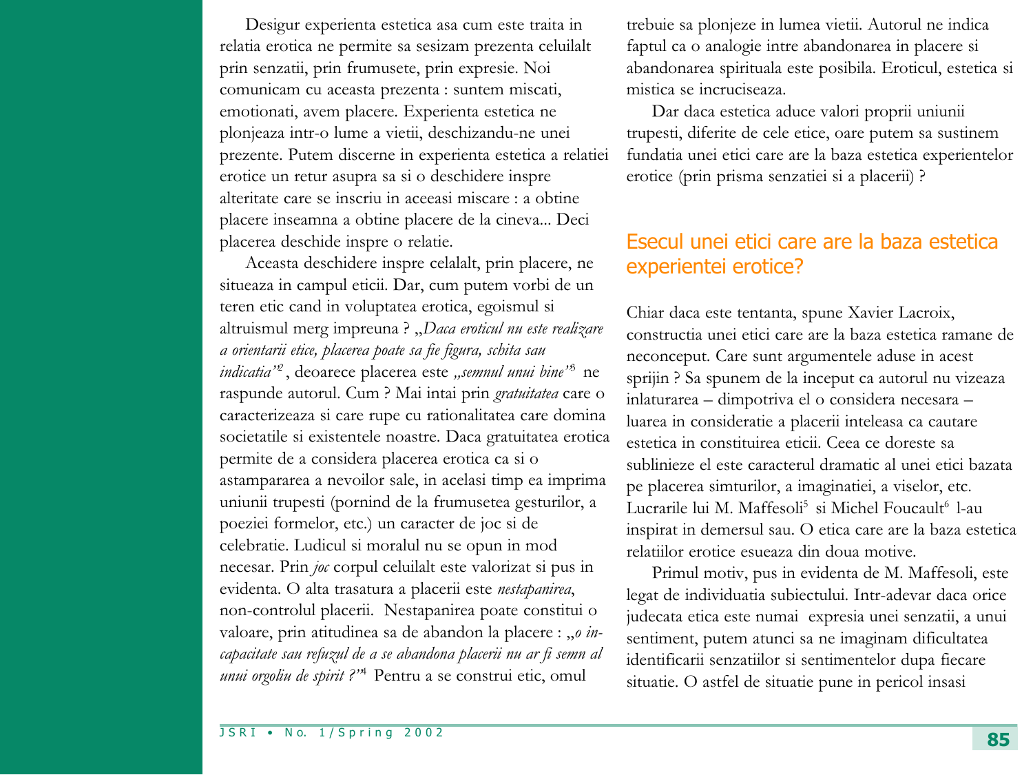Desigur experienta estetica asa cum este traita in relatia erotica ne permite sa sesizam prezenta celuilalt prin senzatii, prin frumusete, prin expresie. Noi comunicam cu aceasta prezenta : suntem miscati, emotionati, avem placere. Experienta estetica ne plonjeaza intr-o lume a vietii, deschizandu-ne unei prezente. Putem discerne in experienta estetica a relatiei erotice un retur asupra sa si o deschidere inspre alteritate care se inscriu in aceeasi miscare : a obtine placere inseamna a obtine placere de la cineva... Deci placerea deschide inspre o relatie.

Aceasta deschidere inspre celalalt, prin placere, ne situeaza in campul eticii. Dar, cum putem vorbi de un teren etic cand in voluptatea erotica, egoismul si altruismul merg impreuna ? "Daca eroticul nu este realizare a orientarii etice, placerea poate sa fie figura, schita sau *indicatia*<sup>32</sup>, deoarece placerea este "semnul unui bine<sup>35</sup> ne raspunde autorul. Cum ? Mai intai prin gratuitatea care o caracterizeaza si care rupe cu rationalitatea care domina societatile si existentele noastre. Daca gratuitatea erotica permite de a considera placerea erotica ca si o astampararea a nevoilor sale, in acelasi timp ea imprima uniunii trupesti (pornind de la frumusetea gesturilor, a poeziei formelor, etc.) un caracter de joc si de celebratie. Ludicul si moralul nu se opun in mod necesar. Prin joc corpul celuilalt este valorizat si pus in evidenta. O alta trasatura a placerii este nestapanirea, non-controlul placerii. Nestapanirea poate constitui o valoare, prin atitudinea sa de abandon la placere : "o incapacitate sau refuzul de a se abandona placerii nu ar fi semn al unui orgoliu de spirit ?"<sup>4</sup> Pentru a se construi etic, omul

trebuie sa plonjeze in lumea vietii. Autorul ne indica faptul ca o analogie intre abandonarea in placere si abandonarea spirituala este posibila. Eroticul, estetica si mistica se incruciseaza.

Dar daca estetica aduce valori proprii uniunii trupesti, diferite de cele etice, oare putem sa sustinem fundatia unei etici care are la baza estetica experientelor erotice (prin prisma senzatiei si a placerii) ?

## Esecul unei etici care are la baza estetica experientei erotice?

Chiar daca este tentanta, spune Xavier Lacroix, constructia unei etici care are la baza estetica ramane de neconceput. Care sunt argumentele aduse in acest sprijin ? Sa spunem de la inceput ca autorul nu vizeaza inlaturarea - dimpotriva el o considera necesara luarea in consideratie a placerii inteleasa ca cautare estetica in constituirea eticii. Ceea ce doreste sa sublinieze el este caracterul dramatic al unei etici bazata pe placerea simturilor, a imaginatiei, a viselor, etc. Lucrarile lui M. Maffesoli<sup>5</sup> si Michel Foucault<sup>6</sup> l-au inspirat in demersul sau. O etica care are la baza estetica relatiilor erotice esueaza din doua motive.

Primul motiv, pus in evidenta de M. Maffesoli, este legat de individuatia subiectului. Intr-adevar daca orice judecata etica este numai expresia unei senzatii, a unui sentiment, putem atunci sa ne imaginam dificultatea identificarii senzatiilor si sentimentelor dupa fiecare situatie. O astfel de situatie pune in pericol insasi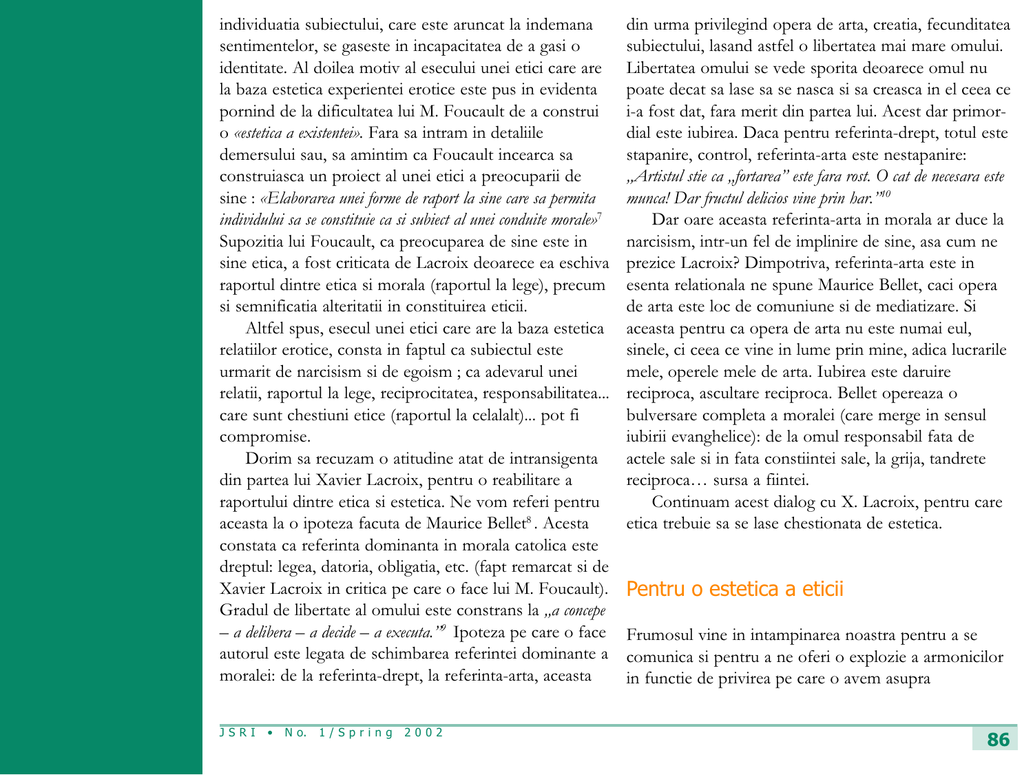individuatia subiectului, care este aruncat la indemana sentimentelor, se gaseste in incapacitatea de a gasi o identitate. Al doilea motiv al esecului unei etici care are la baza estetica experientei erotice este pus in evidenta pornind de la dificultatea lui M. Foucault de a construi o «estetica a existentei». Fara sa intram in detaliile demersului sau, sa amintim ca Foucault incearca sa construiasca un proiect al unei etici a preocuparii de sine : «Elaborarea unei forme de raport la sine care sa permita individului sa se constituie ca si subiect al unei conduite morales<sup>7</sup> Supozitia lui Foucault, ca preocuparea de sine este in sine etica, a fost criticata de Lacroix deoarece ea eschiva raportul dintre etica si morala (raportul la lege), precum si semnificatia alteritatii in constituirea eticii.

Altfel spus, esecul unei etici care are la baza estetica relatiilor erotice, consta in faptul ca subiectul este urmarit de narcisism si de egoism ; ca adevarul unei relatii, raportul la lege, reciprocitatea, responsabilitatea... care sunt chestiuni etice (raportul la celalalt)... pot fi compromise.

Dorim sa recuzam o atitudine atat de intransigenta din partea lui Xavier Lacroix, pentru o reabilitare a raportului dintre etica si estetica. Ne vom referi pentru aceasta la o ipoteza facuta de Maurice Bellet<sup>8</sup>. Acesta constata ca referinta dominanta in morala catolica este dreptul: legea, datoria, obligatia, etc. (fapt remarcat si de Xavier Lacroix in critica pe care o face lui M. Foucault). Gradul de libertate al omului este constrans la "a concepe  $-a$  delibera - a decide - a executa."<sup>9</sup> Ipoteza pe care o face autorul este legata de schimbarea referintei dominante a moralei: de la referinta-drept, la referinta-arta, aceasta

din urma privilegind opera de arta, creatia, fecunditatea subiectului, lasand astfel o libertatea mai mare omului. Libertatea omului se vede sporita deoarece omul nu poate decat sa lase sa se nasca si sa creasca in el ceea ce i-a fost dat, fara merit din partea lui. Acest dar primordial este iubirea. Daca pentru referinta-drept, totul este stapanire, control, referinta-arta este nestapanire:

### "Artistul stie ca "fortarea" este fara rost. O cat de necesara este munca! Dar fructul delicios vine prin har."<sup>10</sup>

Dar oare aceasta referinta-arta in morala ar duce la narcisism, intr-un fel de implinire de sine, asa cum ne prezice Lacroix? Dimpotriva, referinta-arta este in esenta relationala ne spune Maurice Bellet, caci opera de arta este loc de comuniune si de mediatizare. Si aceasta pentru ca opera de arta nu este numai eul, sinele, ci ceea ce vine in lume prin mine, adica lucrarile mele, operele mele de arta. Iubirea este daruire reciproca, ascultare reciproca. Bellet opereaza o bulversare completa a moralei (care merge in sensul iubirii evanghelice): de la omul responsabil fata de actele sale si in fata constiintei sale, la grija, tandrete reciproca... sursa a fiintei.

Continuam acest dialog cu X. Lacroix, pentru care etica trebuie sa se lase chestionata de estetica.

### Pentru o estetica a eticii

Frumosul vine in intampinarea noastra pentru a se comunica si pentru a ne oferi o explozie a armonicilor in functie de privirea pe care o avem asupra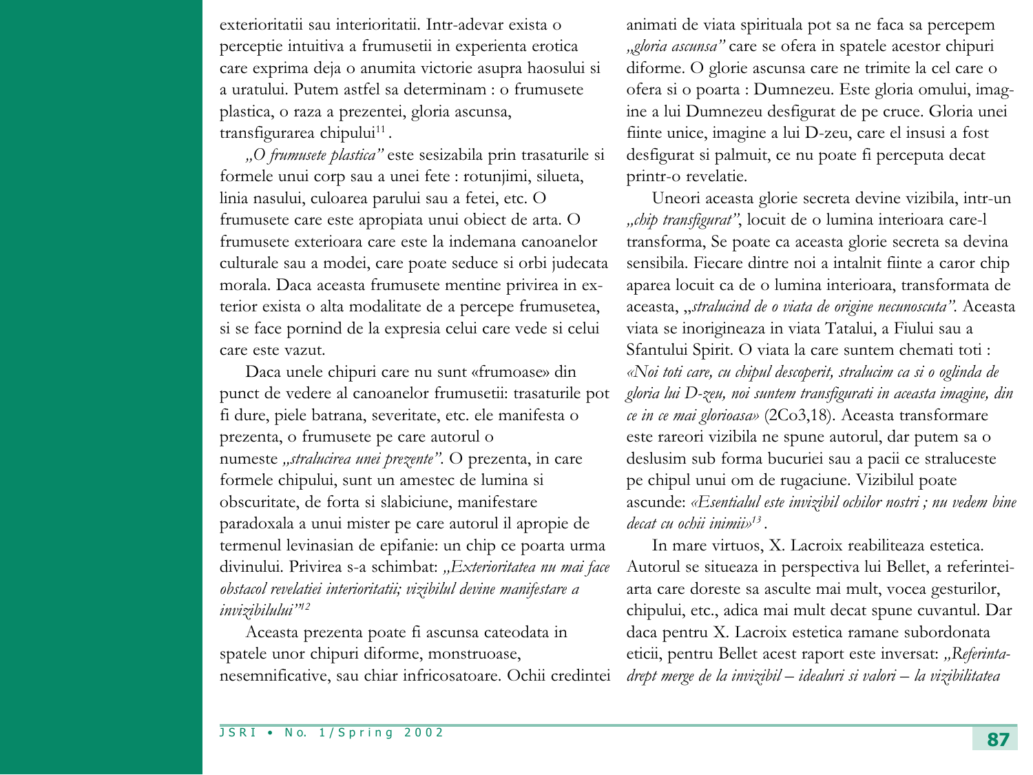exterioritatii sau interioritatii. Intr-adevar exista o perceptie intuitiva a frumusetii in experienta erotica care exprima deja o anumita victorie asupra haosului si a uratului. Putem astfel sa determinam : o frumusete plastica, o raza a prezentei, gloria ascunsa, transfigurarea chipului<sup>11</sup>.

"O frumusete plastica" este sesizabila prin trasaturile si formele unui corp sau a unei fete : rotunjimi, silueta, linia nasului, culoarea parului sau a fetei, etc. O frumusete care este apropiata unui obiect de arta. O frumusete exterioara care este la indemana canoanelor culturale sau a modei, care poate seduce si orbi judecata morala. Daca aceasta frumusete mentine privirea in exterior exista o alta modalitate de a percepe frumusetea, si se face pornind de la expresia celui care vede si celui care este vazut.

Daca unele chipuri care nu sunt «frumoase» din punct de vedere al canoanelor frumusetii: trasaturile pot fi dure, piele batrana, severitate, etc. ele manifesta o prezenta, o frumusete pe care autorul o numeste "stralucirea unei prezente". O prezenta, in care formele chipului, sunt un amestec de lumina si obscuritate, de forta si slabiciune, manifestare paradoxala a unui mister pe care autorul il apropie de termenul levinasian de epifanie: un chip ce poarta urma divinului. Privirea s-a schimbat: "Exterioritatea nu mai face obstacol revelatiei interioritatii; vizibilul devine manifestare a invizibilului"<sup>12</sup>

Aceasta prezenta poate fi ascunsa cateodata in spatele unor chipuri diforme, monstruoase, nesemnificative, sau chiar infricosatoare. Ochii credintei

animati de viata spirituala pot sa ne faca sa percepem "gloria ascunsa" care se ofera in spatele acestor chipuri diforme. O glorie ascunsa care ne trimite la cel care o ofera si o poarta : Dumnezeu. Este gloria omului, imagine a lui Dumnezeu desfigurat de pe cruce. Gloria unei fiinte unice, imagine a lui D-zeu, care el insusi a fost desfigurat si palmuit, ce nu poate fi perceputa decat printr-o revelatie.

Uneori aceasta glorie secreta devine vizibila, intr-un "chip transfigurat", locuit de o lumina interioara care-l transforma, Se poate ca aceasta glorie secreta sa devina sensibila. Fiecare dintre noi a intalnit fiinte a caror chip aparea locuit ca de o lumina interioara, transformata de aceasta, "stralucind de o viata de origine necunoscuta". Aceasta viata se inorigineaza in viata Tatalui, a Fiului sau a Sfantului Spirit. O viata la care suntem chemati toti : «Noi toti care, cu chipul descoperit, stralucim ca si o oglinda de gloria lui D-zeu, noi suntem transfigurati in aceasta imagine, din ce in ce mai glorioasa» (2Co3,18). Aceasta transformare este rareori vizibila ne spune autorul, dar putem sa o deslusim sub forma bucuriei sau a pacii ce straluceste pe chipul unui om de rugaciune. Vizibilul poate ascunde: «Esentialul este invizibil ochilor nostri ; nu vedem bine decat cu ochii inimii $y^{13}$ .

In mare virtuos, X. Lacroix reabiliteaza estetica. Autorul se situeaza in perspectiva lui Bellet, a referinteiarta care doreste sa asculte mai mult, vocea gesturilor, chipului, etc., adica mai mult decat spune cuvantul. Dar daca pentru X. Lacroix estetica ramane subordonata eticii, pentru Bellet acest raport este inversat: "Referintadrept merge de la invizibil – idealuri si valori – la vizibilitatea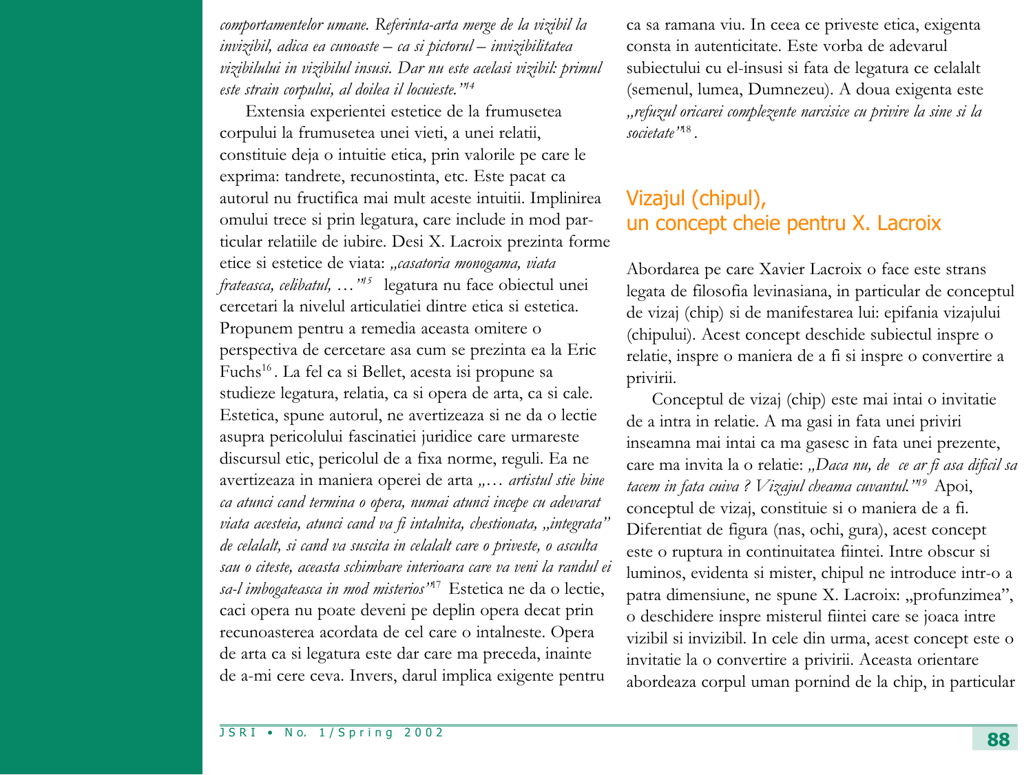comportamentelor umane. Referinta-arta merge de la vizibil la invizibil, adica ea cunoaste - ca si pictorul - invizibilitatea vizibilului in vizibilul insusi. Dar nu este acelasi vizibil: primul este strain corpului, al doilea il locuieste."<sup>14</sup>

Extensia experientei estetice de la frumusetea corpului la frumusetea unei vieti, a unei relatii, constituie deja o intuitie etica, prin valorile pe care le exprima: tandrete, recunostinta, etc. Este pacat ca autorul nu fructifica mai mult aceste intuitii. Implinirea omului trece si prin legatura, care include in mod particular relatiile de iubire. Desi X. Lacroix prezinta forme etice si estetice de viata: "casatoria monogama, viata *frateasca, celibatul, ...*"<sup>5</sup> legatura nu face obiectul unei cercetari la nivelul articulatiei dintre etica si estetica. Propunem pentru a remedia aceasta omitere o perspectiva de cercetare asa cum se prezinta ea la Eric Fuchs<sup>16</sup>. La fel ca si Bellet, acesta isi propune sa studieze legatura, relatia, ca si opera de arta, ca si cale. Estetica, spune autorul, ne avertizeaza si ne da o lectie asupra pericolului fascinatiei juridice care urmareste discursul etic, pericolul de a fixa norme, reguli. Ea ne avertizeaza in maniera operei de arta "... artistul stie bine ca atunci cand termina o opera, numai atunci incepe cu adevarat viata acesteia, atunci cand va fi intalnita, chestionata, "integrata" de celalalt, si cand va suscita in celalalt care o priveste, o asculta sau o citeste, aceasta schimbare interioara care va veni la randul ei sa-l imbogateasca in mod misterios"<sup>17</sup> Estetica ne da o lectie, caci opera nu poate deveni pe deplin opera decat prin recunoasterea acordata de cel care o intalneste. Opera de arta ca si legatura este dar care ma preceda, inainte de a-mi cere ceva. Invers, darul implica exigente pentru

ca sa ramana viu. In ceea ce priveste etica, exigenta consta in autenticitate. Este vorba de adevarul subiectului cu el-insusi si fata de legatura ce celalalt (semenul, lumea, Dumnezeu). A doua exigenta este "refuzul oricarei complezente narcisice cu privire la sine si la societate $^{918}$ .

## Vizajul (chipul), un concept cheie pentru X. Lacroix

Abordarea pe care Xavier Lacroix o face este strans legata de filosofia levinasiana, in particular de conceptul de vizaj (chip) si de manifestarea lui: epifania vizajului (chipului). Acest concept deschide subiectul inspre o relatie, inspre o maniera de a fi si inspre o convertire a privirii.

Conceptul de vizaj (chip) este mai intai o invitatie de a intra in relatie. A ma gasi in fata unei priviri inseamna mai intai ca ma gasesc in fata unei prezente, care ma invita la o relatie: "Daca nu, de ce ar fi asa dificil sa tacem in fata cuiva ? Vizajul cheama cuvantul."<sup>19</sup> Apoi, conceptul de vizaj, constituie si o maniera de a fi. Diferentiat de figura (nas, ochi, gura), acest concept este o ruptura in continuitatea fiintei. Intre obscur si luminos, evidenta si mister, chipul ne introduce intr-o a patra dimensiune, ne spune X. Lacroix: "profunzimea", o deschidere inspre misterul fiintei care se joaca intre vizibil si invizibil. In cele din urma, acest concept este o invitatie la o convertire a privirii. Aceasta orientare abordeaza corpul uman pornind de la chip, in particular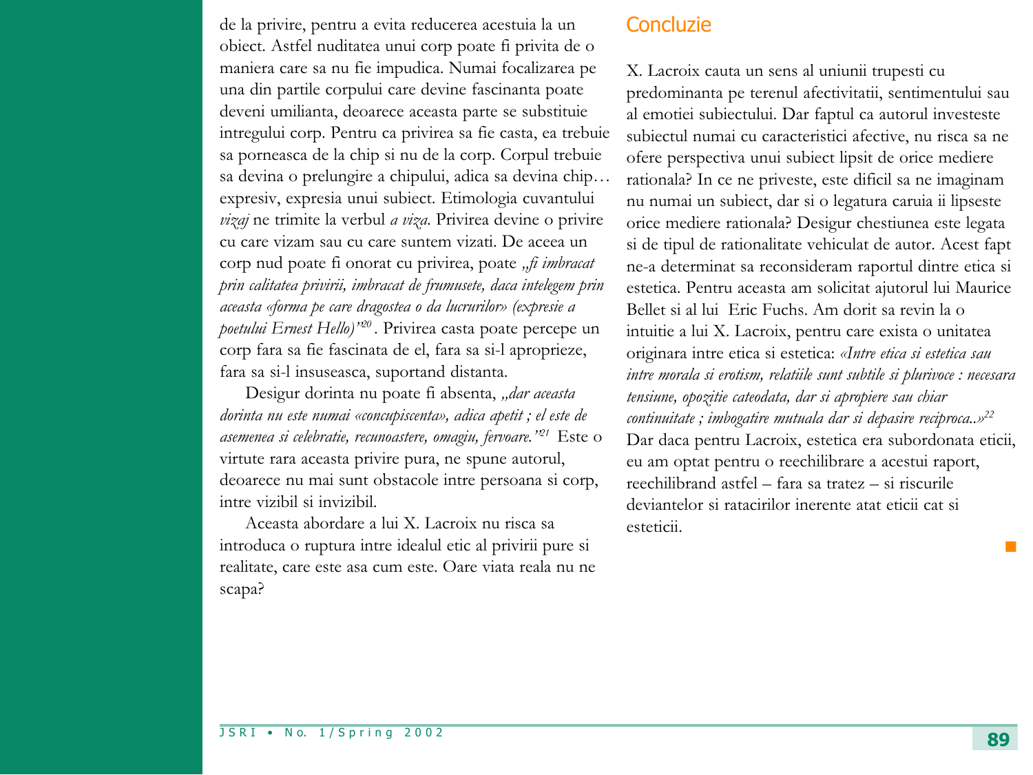de la privire, pentru a evita reducerea acestuia la un obiect. Astfel nuditatea unui corp poate fi privita de o maniera care sa nu fie impudica. Numai focalizarea pe una din partile corpului care devine fascinanta poate deveni umilianta, deoarece aceasta parte se substituie intregului corp. Pentru ca privirea sa fie casta, ea trebuie sa porneasca de la chip si nu de la corp. Corpul trebuie sa devina o prelungire a chipului, adica sa devina chip... expresiv, expresia unui subiect. Etimologia cuvantului vizaj ne trimite la verbul a viza. Privirea devine o privire cu care vizam sau cu care suntem vizati. De aceea un corp nud poate fi onorat cu privirea, poate "fi imbracat prin calitatea privirii, imbracat de frumusete, daca intelegem prin aceasta «forma pe care dragostea o da lucrurilor» (expresie a poetului Ernest Hello)<sup>120</sup>. Privirea casta poate percepe un corp fara sa fie fascinata de el, fara sa si-l aproprieze, fara sa si-l insuseasca, suportand distanta.

Desigur dorinta nu poate fi absenta, "dar aceasta dorinta nu este numai «concupiscenta», adica apetit ; el este de asemenea si celebratie, recunoastere, omagiu, fervoare."<sup>21</sup> Este o virtute rara aceasta privire pura, ne spune autorul, deoarece nu mai sunt obstacole intre persoana si corp, intre vizibil si invizibil.

Aceasta abordare a lui X. Lacroix nu risca sa introduca o ruptura intre idealul etic al privirii pure si realitate, care este asa cum este. Oare viata reala nu ne scapa?

### Concluzie

X. Lacroix cauta un sens al uniunii trupesti cu predominanta pe terenul afectivitatii, sentimentului sau al emotiei subiectului. Dar faptul ca autorul investeste subiectul numai cu caracteristici afective, nu risca sa ne ofere perspectiva unui subiect lipsit de orice mediere rationala? In ce ne priveste, este dificil sa ne imaginam nu numai un subiect, dar si o legatura caruia ii lipseste orice mediere rationala? Desigur chestiunea este legata si de tipul de rationalitate vehiculat de autor. Acest fapt ne-a determinat sa reconsideram raportul dintre etica si estetica. Pentru aceasta am solicitat ajutorul lui Maurice Bellet și al lui Eric Fuchs. Am dorit sa revin la o intuitie a lui X. Lacroix, pentru care exista o unitatea originara intre etica si estetica: «Intre etica si estetica sau intre morala si erotism, relatiile sunt subtile si plurivoce : necesara tensiune, opozitie cateodata, dar si apropiere sau chiar continuitate; imbogatire mutuala dar si depasire reciproca. $x^{22}$ Dar daca pentru Lacroix, estetica era subordonata eticii, eu am optat pentru o reechilibrare a acestui raport, reechilibrand astfel – fara sa tratez – si riscurile deviantelor si ratacirilor inerente atat eticii cat si esteticii.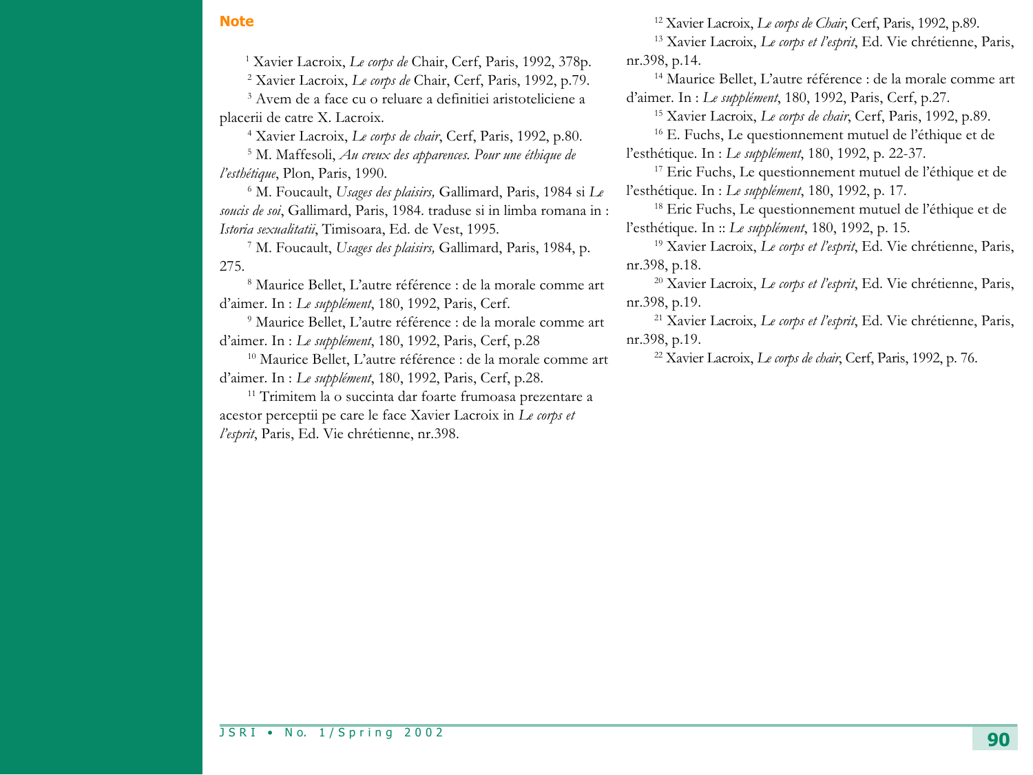#### **Note**

<sup>1</sup> Xavier Lacroix, *Le corps de* Chair, Cerf, Paris, 1992, 378p.

<sup>2</sup> Xavier Lacroix, *Le corps de* Chair, Cerf, Paris, 1992, p.79.

<sup>3</sup> Avem de a face cu o reluare a definitiei aristoteliciene a placerii de catre X. Lacroix.

<sup>4</sup> Xavier Lacroix, *Le corps de chair*, Cerf, Paris, 1992, p.80.

 $5$  M. Maffesoli, Au creux des apparences. Pour une éthique de l'esthétique, Plon, Paris, 1990.

<sup>6</sup> M. Foucault, Usages des plaisirs, Gallimard, Paris, 1984 si Le soucis de soi, Gallimard, Paris, 1984. traduse si in limba romana in : Istoria sexualitatii, Timisoara, Ed. de Vest, 1995.

<sup>7</sup> M. Foucault, Usages des plaisirs, Gallimard, Paris, 1984, p. 275.

<sup>8</sup> Maurice Bellet, L'autre référence : de la morale comme art d'aimer. In : Le supplément, 180, 1992, Paris, Cerf.

<sup>9</sup> Maurice Bellet, L'autre référence : de la morale comme art d'aimer. In : Le supplément, 180, 1992, Paris, Cerf, p.28

<sup>10</sup> Maurice Bellet, L'autre référence : de la morale comme art d'aimer. In : Le supplément, 180, 1992, Paris, Cerf, p.28.

<sup>11</sup> Trimitem la o succinta dar foarte frumoasa prezentare a acestor perceptii pe care le face Xavier Lacroix in Le corps et l'esprit, Paris, Ed. Vie chrétienne, nr.398.

<sup>12</sup> Xavier Lacroix, *Le corps de Chair*, Cerf, Paris, 1992, p.89.

<sup>13</sup> Xavier Lacroix, *Le corps et l'esprit*, Ed. Vie chrétienne, Paris, nr.398, p.14.

<sup>14</sup> Maurice Bellet, L'autre référence : de la morale comme art d'aimer. In : Le supplément, 180, 1992, Paris, Cerf, p.27.

<sup>15</sup> Xavier Lacroix, Le corps de chair, Cerf, Paris, 1992, p.89.

<sup>16</sup> E. Fuchs, Le questionnement mutuel de l'éthique et de l'esthétique. In : Le supplément, 180, 1992, p. 22-37.

<sup>17</sup> Eric Fuchs, Le questionnement mutuel de l'éthique et de l'esthétique. In : Le supplément, 180, 1992, p. 17.

<sup>18</sup> Eric Fuchs, Le questionnement mutuel de l'éthique et de l'esthétique. In :: Le supplément, 180, 1992, p. 15.

<sup>19</sup> Xavier Lacroix, *Le corps et l'esprit*, Ed. Vie chrétienne, Paris, nr.398, p.18.

<sup>20</sup> Xavier Lacroix, *Le corps et l'esprit*, Ed. Vie chrétienne, Paris, nr.398, p.19.

<sup>21</sup> Xavier Lacroix, *Le corps et l'esprit*, Ed. Vie chrétienne, Paris, nr.398, p.19.

<sup>22</sup> Xavier Lacroix, Le corps de chair, Cerf, Paris, 1992, p. 76.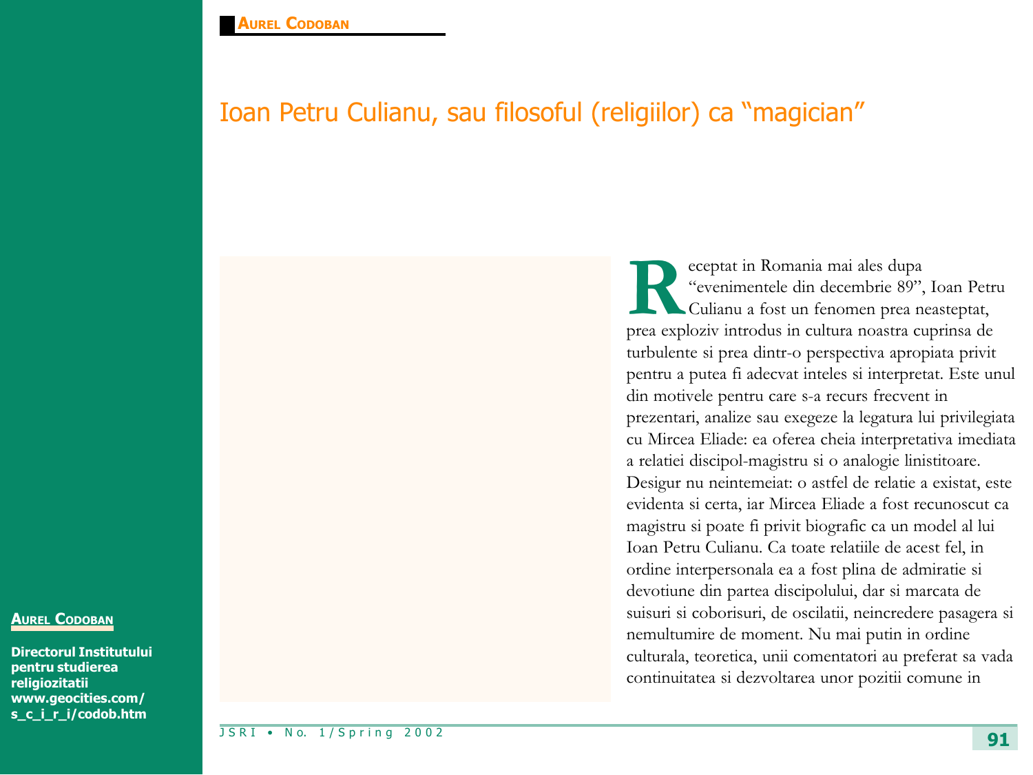# Ioan Petru Culianu, sau filosoful (religiilor) ca "magician"

#### **AUREL CODOBAN**

**Directorul Institutului** pentru studierea religiozitatii www.geocities.com/ s\_c\_i\_r\_i/codob.htm

eceptat in Romania mai ales dupa "evenimentele din decembrie 89", Ioan Petru<br>Culianu a fost un fenomen prea neasteptat, prea exploziv introdus in cultura noastra cuprinsa de turbulente si prea dintr-o perspectiva apropiata privit pentru a putea fi adecvat inteles si interpretat. Este unul din motivele pentru care s-a recurs frecvent in prezentari, analize sau exegeze la legatura lui privilegiata cu Mircea Eliade: ea oferea cheia interpretativa imediata a relatiei discipol-magistru si o analogie linistitoare. Desigur nu neintemeiat: o astfel de relatie a existat, este evidenta si certa, iar Mircea Eliade a fost recunoscut ca magistru si poate fi privit biografic ca un model al lui Ioan Petru Culianu. Ca toate relatiile de acest fel, in ordine interpersonala ea a fost plina de admiratie si devotiune din partea discipolului, dar si marcata de suisuri si coborisuri, de oscilatii, neincredere pasagera si nemultumire de moment. Nu mai putin in ordine culturala, teoretica, unii comentatori au preferat sa vada continuitatea si dezvoltarea unor pozitii comune in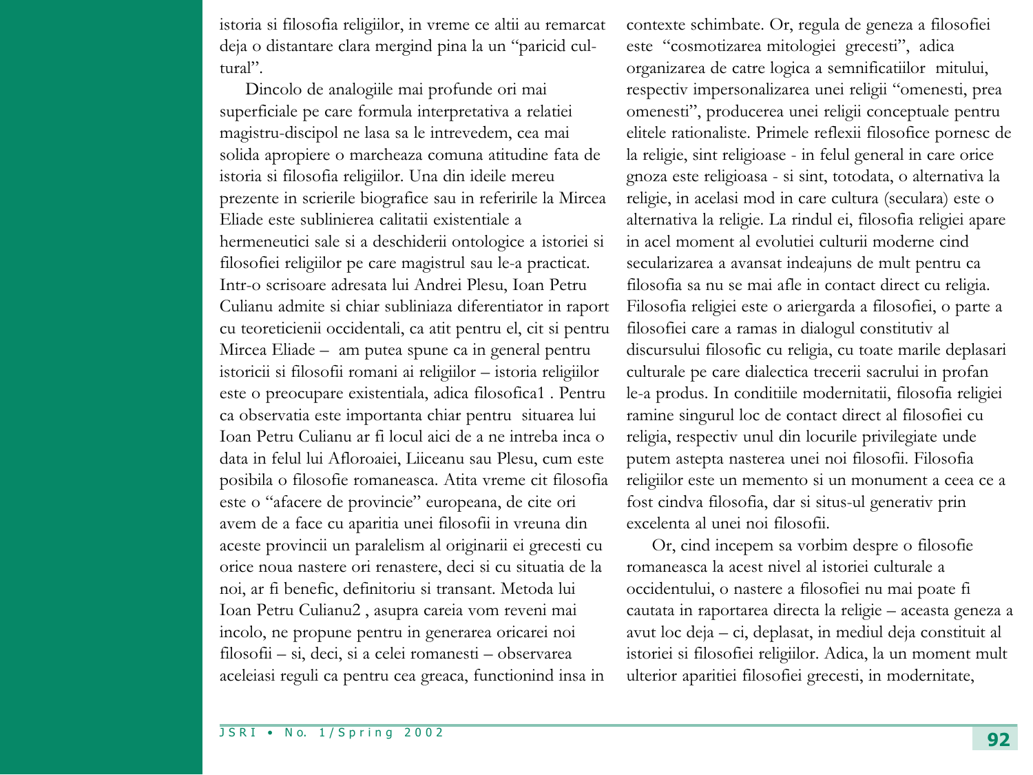istoria si filosofia religiilor, in vreme ce altii au remarcat deja o distantare clara mergind pina la un "paricid cultural".

Dincolo de analogiile mai profunde ori mai superficiale pe care formula interpretativa a relatiei magistru-discipol ne lasa sa le intrevedem, cea mai solida apropiere o marcheaza comuna atitudine fata de istoria si filosofia religiilor. Una din ideile mereu prezente in scrierile biografice sau in referirile la Mircea Eliade este sublinierea calitatii existentiale a hermeneutici sale si a deschiderii ontologice a istoriei si filosofiei religiilor pe care magistrul sau le-a practicat. Intr-o scrisoare adresata lui Andrei Plesu, Ioan Petru Culianu admite si chiar subliniaza diferentiator in raport cu teoreticienii occidentali, ca atit pentru el, cit si pentru Mircea Eliade - am putea spune ca in general pentru istoricii si filosofii romani ai religiilor - istoria religiilor este o preocupare existentiala, adica filosofica1. Pentru ca observatia este importanta chiar pentru situarea lui Ioan Petru Culianu ar fi locul aici de a ne intreba inca o data in felul lui Afloroaiei, Liiceanu sau Plesu, cum este posibila o filosofie romaneasca. Atita vreme cit filosofia este o "afacere de provincie" europeana, de cite ori avem de a face cu aparitia unei filosofii in vreuna din aceste provincii un paralelism al originarii ei grecesti cu orice noua nastere ori renastere, deci si cu situatia de la noi, ar fi benefic, definitoriu si transant. Metoda lui Ioan Petru Culianu2, asupra careia vom reveni mai incolo, ne propune pentru in generarea oricarei noi filosofii - si, deci, si a celei romanesti - observarea aceleiasi reguli ca pentru cea greaca, functionind insa in

contexte schimbate. Or, regula de geneza a filosofiei este "cosmotizarea mitologiei grecesti", adica organizarea de catre logica a semnificatiilor mitului, respectiv impersonalizarea unei religii "omenesti, prea omenesti", producerea unei religii conceptuale pentru elitele rationaliste. Primele reflexii filosofice pornesc de la religie, sint religioase - in felul general in care orice gnoza este religioasa - si sint, totodata, o alternativa la religie, in acelasi mod in care cultura (seculara) este o alternativa la religie. La rindul ei, filosofia religiei apare in acel moment al evolutiei culturii moderne cind secularizarea a avansat indeajuns de mult pentru ca filosofia sa nu se mai afle in contact direct cu religia. Filosofia religiei este o ariergarda a filosofiei, o parte a filosofiei care a ramas in dialogul constitutiv al discursului filosofic cu religia, cu toate marile deplasari culturale pe care dialectica trecerii sacrului in profan le-a produs. In conditiile modernitatii, filosofia religiei ramine singurul loc de contact direct al filosofiei cu religia, respectiv unul din locurile privilegiate unde putem astepta nasterea unei noi filosofii. Filosofia religiilor este un memento si un monument a ceea ce a fost cindva filosofia, dar si situs-ul generativ prin excelenta al unei noi filosofii.

Or, cind incepem sa vorbim despre o filosofie romaneasca la acest nivel al istoriei culturale a occidentului, o nastere a filosofiei nu mai poate fi cautata in raportarea directa la religie - aceasta geneza a avut loc deja - ci, deplasat, in mediul deja constituit al istoriei si filosofiei religiilor. Adica, la un moment mult ulterior aparitiei filosofiei grecesti, in modernitate,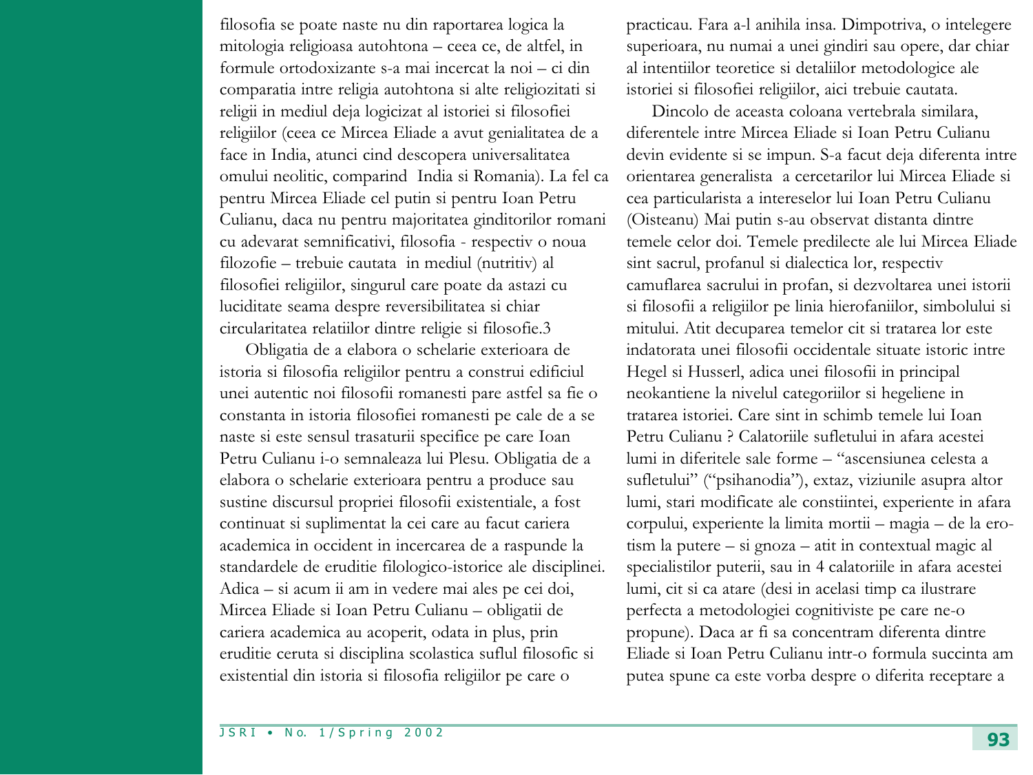filosofia se poate naste nu din raportarea logica la mitologia religioasa autohtona - ceea ce, de altfel, in formule ortodoxizante s-a mai incercat la noi – ci din comparatia intre religia autohtona si alte religiozitati si religii in mediul deja logicizat al istoriei si filosofiei religiilor (ceea ce Mircea Eliade a avut genialitatea de a face in India, atunci cind descopera universalitatea omului neolitic, comparind India si Romania). La fel ca pentru Mircea Eliade cel putin si pentru Ioan Petru Culianu, daca nu pentru majoritatea ginditorilor romani cu adevarat semnificativi, filosofia - respectiv o noua filozofie - trebuie cautata in mediul (nutritiv) al filosofiei religiilor, singurul care poate da astazi cu luciditate seama despre reversibilitatea si chiar circularitatea relatiilor dintre religie si filosofie.3

Obligatia de a elabora o schelarie exterioara de istoria si filosofia religiilor pentru a construi edificiul unei autentic noi filosofii romanesti pare astfel sa fie o constanta in istoria filosofiei romanesti pe cale de a se naste si este sensul trasaturii specifice pe care Ioan Petru Culianu i-o semnaleaza lui Plesu. Obligatia de a elabora o schelarie exterioara pentru a produce sau sustine discursul propriei filosofii existentiale, a fost continuat si suplimentat la cei care au facut cariera academica in occident in incercarea de a raspunde la standardele de eruditie filologico-istorice ale disciplinei. Adica – si acum ii am in vedere mai ales pe cei doi, Mircea Eliade si Ioan Petru Culianu - obligatii de cariera academica au acoperit, odata in plus, prin eruditie ceruta si disciplina scolastica suflul filosofic si existential din istoria si filosofia religiilor pe care o

practicau. Fara a-l anihila insa. Dimpotriva, o intelegere superioara, nu numai a unei gindiri sau opere, dar chiar al intentiilor teoretice si detaliilor metodologice ale istoriei si filosofiei religiilor, aici trebuie cautata.

Dincolo de aceasta coloana vertebrala similara, diferentele intre Mircea Eliade si Ioan Petru Culianu devin evidente si se impun. S-a facut deja diferenta intre orientarea generalista a cercetarilor lui Mircea Eliade si cea particularista a intereselor lui Ioan Petru Culianu (Oisteanu) Mai putin s-au observat distanta dintre temele celor doi. Temele predilecte ale lui Mircea Eliade sint sacrul, profanul si dialectica lor, respectiv camuflarea sacrului in profan, si dezvoltarea unei istorii si filosofii a religiilor pe linia hierofaniilor, simbolului si mitului. Atit decuparea temelor cit si tratarea lor este indatorata unei filosofii occidentale situate istoric intre Hegel si Husserl, adica unei filosofii in principal neokantiene la nivelul categoriilor si hegeliene in tratarea istoriei. Care sint in schimb temele lui Ioan Petru Culianu ? Calatoriile sufletului in afara acestei lumi in diferitele sale forme - "ascensiunea celesta a sufletului" ("psihanodia"), extaz, viziunile asupra altor lumi, stari modificate ale constiintei, experiente in afara corpului, experiente la limita mortii - magia - de la erotism la putere - si gnoza - atit in contextual magic al specialistilor puterii, sau in 4 calatoriile in afara acestei lumi, cit si ca atare (desi in acelasi timp ca ilustrare perfecta a metodologiei cognitiviste pe care ne-o propune). Daca ar fi sa concentram diferenta dintre Eliade si Ioan Petru Culianu intr-o formula succinta am putea spune ca este vorba despre o diferita receptare a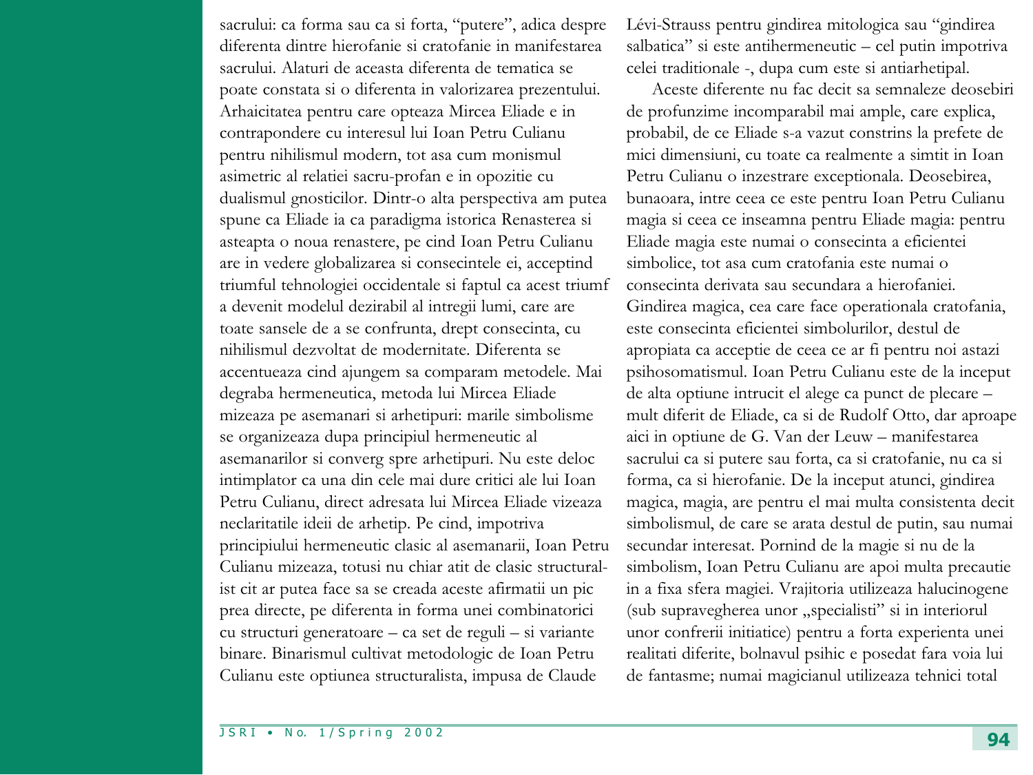sacrului: ca forma sau ca si forta, "putere", adica despre diferenta dintre hierofanie si cratofanie in manifestarea sacrului. Alaturi de aceasta diferenta de tematica se poate constata si o diferenta in valorizarea prezentului. Arhaicitatea pentru care opteaza Mircea Eliade e in contrapondere cu interesul lui Ioan Petru Culianu pentru nihilismul modern, tot asa cum monismul asimetric al relatiei sacru-profan e in opozitie cu dualismul gnosticilor. Dintr-o alta perspectiva am putea spune ca Eliade ia ca paradigma istorica Renasterea si asteapta o noua renastere, pe cind Ioan Petru Culianu are in vedere globalizarea si consecintele ei, acceptind triumful tehnologiei occidentale si faptul ca acest triumf a devenit modelul dezirabil al intregii lumi, care are toate sansele de a se confrunta, drept consecinta, cu nihilismul dezvoltat de modernitate. Diferenta se accentueaza cind ajungem sa comparam metodele. Mai degraba hermeneutica, metoda lui Mircea Eliade mizeaza pe asemanari si arhetipuri: marile simbolisme se organizeaza dupa principiul hermeneutic al asemanarilor si converg spre arhetipuri. Nu este deloc intimplator ca una din cele mai dure critici ale lui Ioan Petru Culianu, direct adresata lui Mircea Eliade vizeaza neclaritatile ideii de arhetip. Pe cind, impotriva principiului hermeneutic clasic al asemanarii, Ioan Petru Culianu mizeaza, totusi nu chiar atit de clasic structuralist cit ar putea face sa se creada aceste afirmatii un pic prea directe, pe diferenta in forma unei combinatorici cu structuri generatoare - ca set de reguli - si variante binare. Binarismul cultivat metodologic de Ioan Petru Culianu este optiunea structuralista, impusa de Claude

Lévi-Strauss pentru gindirea mitologica sau "gindirea salbatica" si este antihermeneutic - cel putin impotriva celei traditionale -, dupa cum este si antiarhetipal.

Aceste diferente nu fac decit sa semnaleze deosebiri de profunzime incomparabil mai ample, care explica, probabil, de ce Eliade s-a vazut constrins la prefete de mici dimensiuni, cu toate ca realmente a simtit in Ioan Petru Culianu o inzestrare exceptionala. Deosebirea, bunaoara, intre ceea ce este pentru Ioan Petru Culianu magia si ceea ce inseamna pentru Eliade magia: pentru Eliade magia este numai o consecinta a eficientei simbolice, tot asa cum cratofania este numai o consecinta derivata sau secundara a hierofaniei. Gindirea magica, cea care face operationala cratofania, este consecinta eficientei simbolurilor, destul de apropiata ca acceptie de ceea ce ar fi pentru noi astazi psihosomatismul. Ioan Petru Culianu este de la inceput de alta optiune intrucit el alege ca punct de plecare mult diferit de Eliade, ca si de Rudolf Otto, dar aproape aici in optiune de G. Van der Leuw - manifestarea sacrului ca si putere sau forta, ca si cratofanie, nu ca si forma, ca si hierofanie. De la inceput atunci, gindirea magica, magia, are pentru el mai multa consistenta decit simbolismul, de care se arata destul de putin, sau numai secundar interesat. Pornind de la magie si nu de la simbolism, Ioan Petru Culianu are apoi multa precautie in a fixa sfera magiei. Vrajitoria utilizeaza halucinogene (sub supravegherea unor "specialisti" si in interiorul unor confrerii initiatice) pentru a forta experienta unei realitati diferite, bolnavul psihic e posedat fara voia lui de fantasme; numai magicianul utilizeaza tehnici total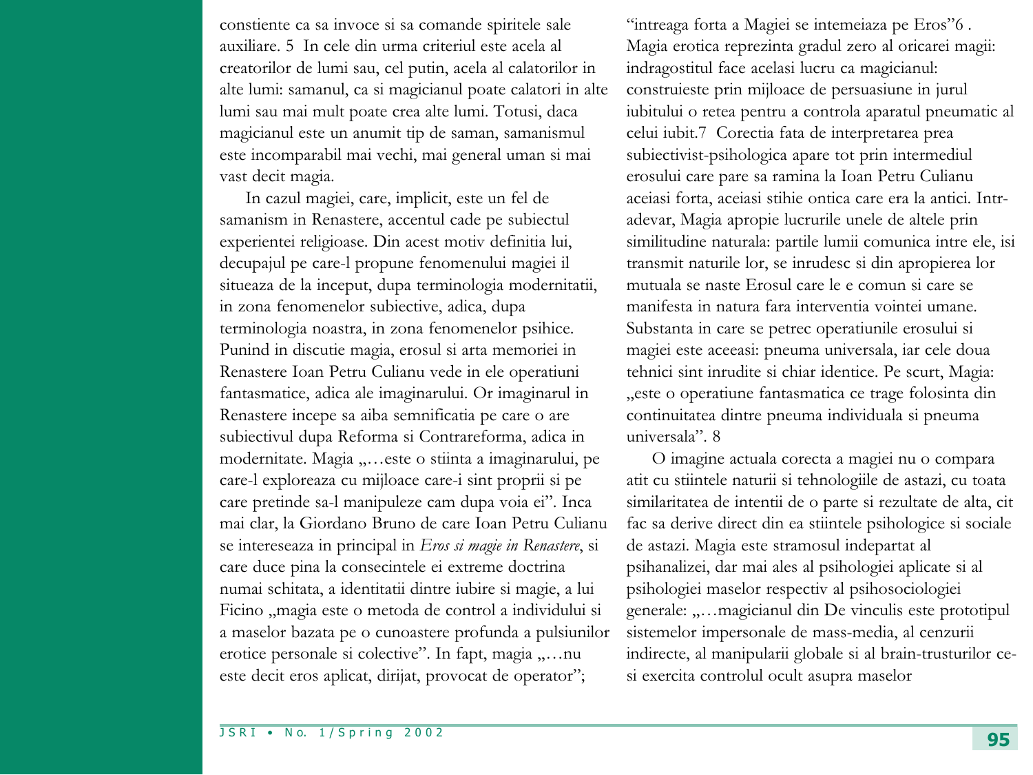constiente ca sa invoce si sa comande spiritele sale auxiliare. 5 In cele din urma criteriul este acela al creatorilor de lumi sau, cel putin, acela al calatorilor in alte lumi: samanul, ca si magicianul poate calatori in alte lumi sau mai mult poate crea alte lumi. Totusi, daca magicianul este un anumit tip de saman, samanismul este incomparabil mai vechi, mai general uman si mai vast decit magia.

In cazul magiei, care, implicit, este un fel de samanism in Renastere, accentul cade pe subiectul experientei religioase. Din acest motiv definitia lui, decupajul pe care-l propune fenomenului magiei il situeaza de la inceput, dupa terminologia modernitatii, in zona fenomenelor subiective, adica, dupa terminologia noastra, in zona fenomenelor psihice. Punind in discutie magia, erosul si arta memoriei in Renastere Ioan Petru Culianu vede in ele operatiuni fantasmatice, adica ale imaginarului. Or imaginarul in Renastere incepe sa aiba semnificatia pe care o are subiectivul dupa Reforma si Contrareforma, adica in modernitate. Magia "...este o stiinta a imaginarului, pe care-l exploreaza cu mijloace care-i sint proprii si pe care pretinde sa-l manipuleze cam dupa voia ei". Inca mai clar, la Giordano Bruno de care Ioan Petru Culianu se intereseaza in principal in Eros si magie in Renastere, si care duce pina la consecintele ei extreme doctrina numai schitata, a identitatii dintre iubire si magie, a lui Ficino "magia este o metoda de control a individului si a maselor bazata pe o cunoastere profunda a pulsiunilor erotice personale si colective". In fapt, magia "...nu este decit eros aplicat, dirijat, provocat de operator";

"intreaga forta a Magiei se intemeiaza pe Eros"6. Magia erotica reprezinta gradul zero al oricarei magii: indragostitul face acelasi lucru ca magicianul: construieste prin mijloace de persuasiune in jurul iubitului o retea pentru a controla aparatul pneumatic al celui iubit.7 Corectia fata de interpretarea prea subiectivist-psihologica apare tot prin intermediul erosului care pare sa ramina la Ioan Petru Culianu aceiasi forta, aceiasi stihie ontica care era la antici. Intradevar, Magia apropie lucrurile unele de altele prin similitudine naturala: partile lumii comunica intre ele, isi transmit naturile lor, se inrudesc si din apropierea lor mutuala se naste Erosul care le e comun si care se manifesta in natura fara interventia vointei umane. Substanta in care se petrec operatiunile erosului si magiei este aceeasi: pneuma universala, iar cele doua tehnici sint inrudite si chiar identice. Pe scurt, Magia: "este o operatiune fantasmatica ce trage folosinta din continuitatea dintre pneuma individuala si pneuma universala". 8

O imagine actuala corecta a magiei nu o compara atit cu stiintele naturii si tehnologiile de astazi, cu toata similaritatea de intentii de o parte si rezultate de alta, cit fac sa derive direct din ea stiintele psihologice si sociale de astazi. Magia este stramosul indepartat al psihanalizei, dar mai ales al psihologiei aplicate si al psihologiei maselor respectiv al psihosociologiei generale: "...magicianul din De vinculis este prototipul sistemelor impersonale de mass-media, al cenzurii indirecte, al manipularii globale si al brain-trusturilor cesi exercita controlul ocult asupra maselor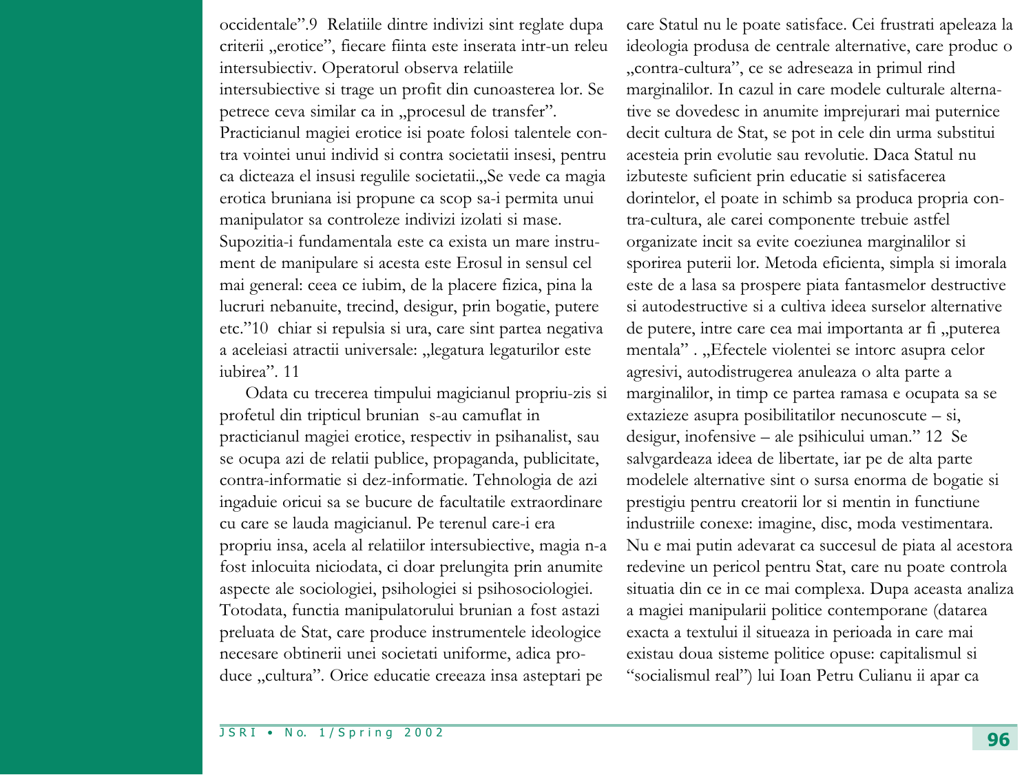occidentale".9 Relatiile dintre indivizi sint reglate dupa criterii "erotice", fiecare fiinta este inserata intr-un releu intersubiectiv. Operatorul observa relatiile intersubiective si trage un profit din cunoasterea lor. Se petrece ceva similar ca in "procesul de transfer". Practicianul magiei erotice isi poate folosi talentele contra vointei unui individ si contra societatii insesi, pentru ca dicteaza el insusi regulile societatii., Se vede ca magia erotica bruniana isi propune ca scop sa-i permita unui manipulator sa controleze indivizi izolati si mase.

Supozitia-i fundamentala este ca exista un mare instrument de manipulare si acesta este Erosul in sensul cel mai general: ceea ce iubim, de la placere fizica, pina la lucruri nebanuite, trecind, desigur, prin bogatie, putere etc."10 chiar si repulsia si ura, care sint partea negativa a aceleiasi atractii universale: "legatura legaturilor este iubirea". 11

Odata cu trecerea timpului magicianul propriu-zis si profetul din tripticul brunian s-au camuflat in practicianul magiei erotice, respectiv in psihanalist, sau se ocupa azi de relatii publice, propaganda, publicitate, contra-informatie si dez-informatie. Tehnologia de azi ingaduie oricui sa se bucure de facultatile extraordinare cu care se lauda magicianul. Pe terenul care-i era propriu insa, acela al relatiilor intersubiective, magia n-a fost inlocuita niciodata, ci doar prelungita prin anumite aspecte ale sociologiei, psihologiei si psihosociologiei. Totodata, functia manipulatorului brunian a fost astazi preluata de Stat, care produce instrumentele ideologice necesare obtinerii unei societati uniforme, adica produce "cultura". Orice educatie creeaza insa asteptari pe

care Statul nu le poate satisface. Cei frustrati apeleaza la ideologia produsa de centrale alternative, care produc o "contra-cultura", ce se adreseaza in primul rind marginalilor. In cazul in care modele culturale alternative se dovedesc in anumite imprejurari mai puternice decit cultura de Stat, se pot in cele din urma substitui acesteia prin evolutie sau revolutie. Daca Statul nu izbuteste suficient prin educatie si satisfacerea dorintelor, el poate in schimb sa produca propria contra-cultura, ale carei componente trebuie astfel organizate incit sa evite coeziunea marginalilor si sporirea puterii lor. Metoda eficienta, simpla si imorala este de a lasa sa prospere piata fantasmelor destructive si autodestructive si a cultiva ideea surselor alternative de putere, intre care cea mai importanta ar fi "puterea mentala". "Efectele violentei se intorc asupra celor agresivi, autodistrugerea anuleaza o alta parte a marginalilor, in timp ce partea ramasa e ocupata sa se extazieze asupra posibilitatilor necunoscute - si, desigur, inofensive - ale psihicului uman." 12 Se salvgardeaza ideea de libertate, iar pe de alta parte modelele alternative sint o sursa enorma de bogatie si prestigiu pentru creatorii lor si mentin in functiune industriile conexe: imagine, disc, moda vestimentara. Nu e mai putin adevarat ca succesul de piata al acestora redevine un pericol pentru Stat, care nu poate controla situatia din ce in ce mai complexa. Dupa aceasta analiza a magiei manipularii politice contemporane (datarea exacta a textului il situeaza in perioada in care mai existau doua sisteme politice opuse: capitalismul si "socialismul real") lui Ioan Petru Culianu ii apar ca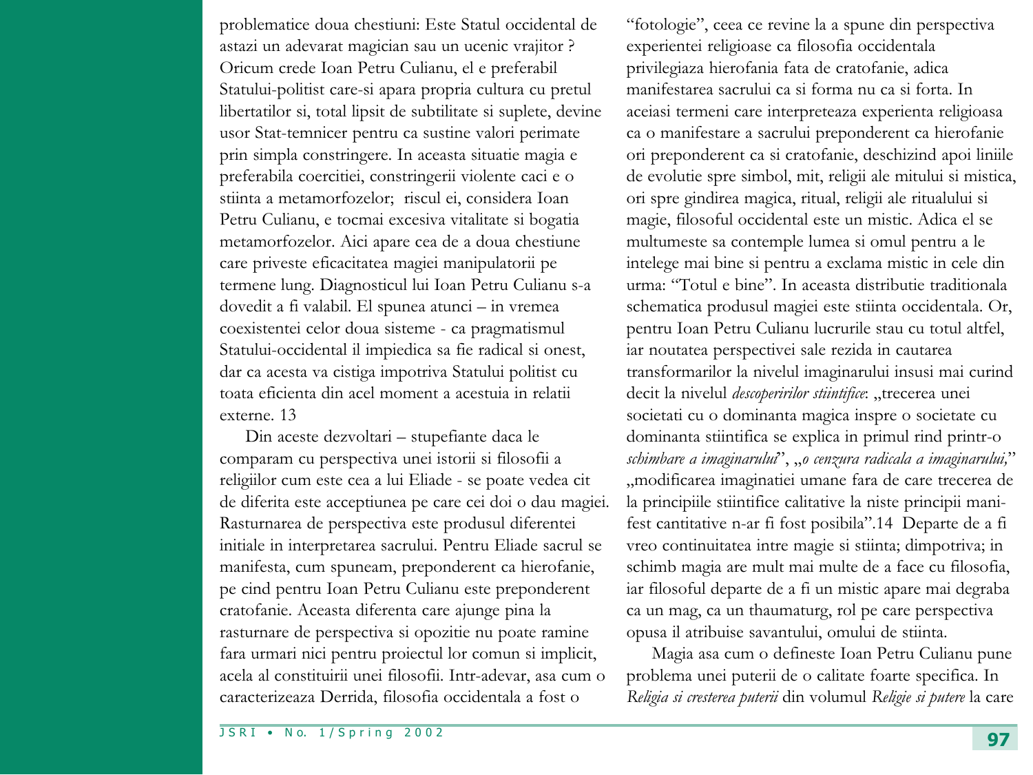problematice doua chestiuni: Este Statul occidental de astazi un adevarat magician sau un ucenic vrajitor ? Oricum crede Ioan Petru Culianu, el e preferabil Statului-politist care-si apara propria cultura cu pretul libertatilor si, total lipsit de subtilitate si suplete, devine usor Stat-temnicer pentru ca sustine valori perimate prin simpla constringere. In aceasta situatie magia e preferabila coercitiei, constringerii violente caci e o stiinta a metamorfozelor; riscul ei, considera Ioan Petru Culianu, e tocmai excesiva vitalitate si bogatia metamorfozelor. Aici apare cea de a doua chestiune care priveste eficacitatea magiei manipulatorii pe termene lung. Diagnosticul lui Ioan Petru Culianu s-a dovedit a fi valabil. El spunea atunci - in vremea coexistentei celor doua sisteme - ca pragmatismul Statului-occidental il impiedica sa fie radical si onest, dar ca acesta va cistiga impotriva Statului politist cu toata eficienta din acel moment a acestuia in relatii externe. 13

Din aceste dezvoltari - stupefiante daca le comparam cu perspectiva unei istorii si filosofii a religiilor cum este cea a lui Eliade - se poate vedea cit de diferita este acceptiunea pe care cei doi o dau magiei. Rasturnarea de perspectiva este produsul diferentei initiale in interpretarea sacrului. Pentru Eliade sacrul se manifesta, cum spuneam, preponderent ca hierofanie, pe cind pentru Ioan Petru Culianu este preponderent cratofanie. Aceasta diferenta care ajunge pina la rasturnare de perspectiva si opozitie nu poate ramine fara urmari nici pentru proiectul lor comun si implicit, acela al constituirii unei filosofii. Intr-adevar, asa cum o caracterizeaza Derrida, filosofia occidentala a fost o

"fotologie", ceea ce revine la a spune din perspectiva experientei religioase ca filosofia occidentala privilegiaza hierofania fata de cratofanie, adica manifestarea sacrului ca si forma nu ca si forta. In aceiasi termeni care interpreteaza experienta religioasa ca o manifestare a sacrului preponderent ca hierofanie ori preponderent ca si cratofanie, deschizind apoi liniile de evolutie spre simbol, mit, religii ale mitului si mistica, ori spre gindirea magica, ritual, religii ale ritualului si magie, filosoful occidental este un mistic. Adica el se multumeste sa contemple lumea si omul pentru a le intelege mai bine si pentru a exclama mistic in cele din urma: "Totul e bine". In aceasta distributie traditionala schematica produsul magiei este stiinta occidentala. Or, pentru Ioan Petru Culianu lucrurile stau cu totul altfel, iar noutatea perspectivei sale rezida in cautarea transformarilor la nivelul imaginarului insusi mai curind decit la nivelul *descoperirilor stiintifice*: "trecerea unei societati cu o dominanta magica inspre o societate cu dominanta stiintifica se explica in primul rind printr-o schimbare a imaginarului", "o cenzura radicala a imaginarului," "modificarea imaginatiei umane fara de care trecerea de la principiile stiintifice calitative la niste principii manifest cantitative n-ar fi fost posibila".14 Departe de a fi vreo continuitatea intre magie si stiinta; dimpotriva; in schimb magia are mult mai multe de a face cu filosofia, iar filosoful departe de a fi un mistic apare mai degraba ca un mag, ca un thaumaturg, rol pe care perspectiva opusa il atribuise savantului, omului de stiinta.

Magia asa cum o defineste Ioan Petru Culianu pune problema unei puterii de o calitate foarte specifica. In Religia si cresterea puterii din volumul Religie si putere la care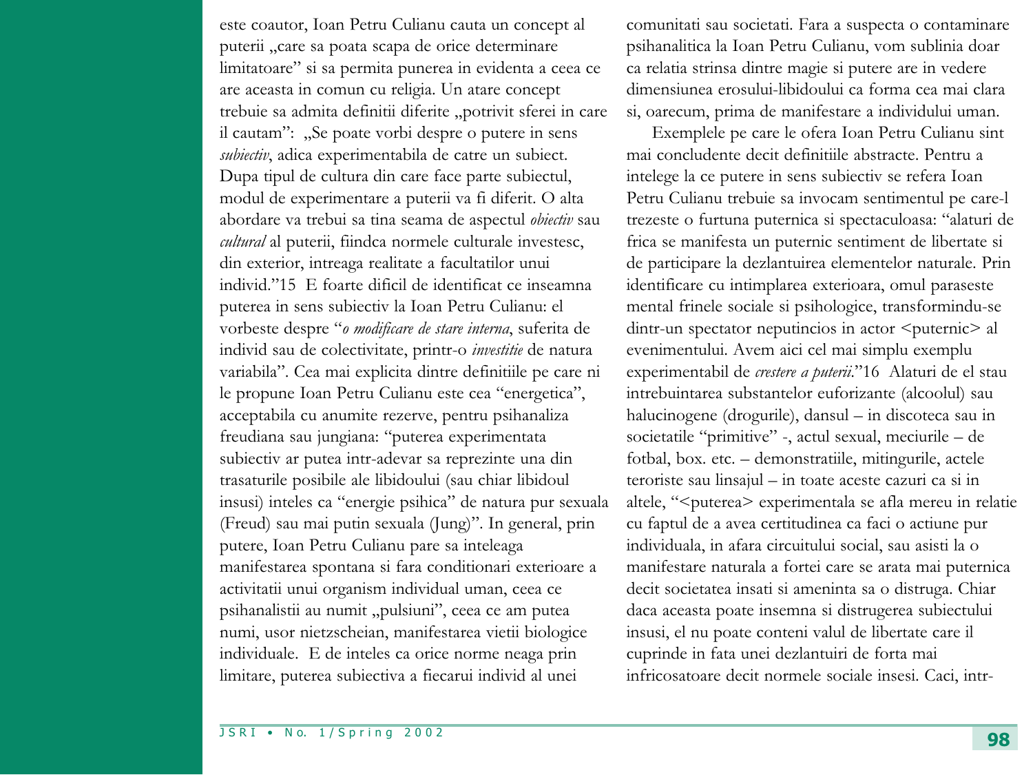este coautor, Ioan Petru Culianu cauta un concept al puterii "care sa poata scapa de orice determinare limitatoare" si sa permita punerea in evidenta a ceea ce are aceasta in comun cu religia. Un atare concept trebuie sa admita definitii diferite "potrivit sferei in care il cautam": "Se poate vorbi despre o putere in sens subiectiv, adica experimentabila de catre un subiect. Dupa tipul de cultura din care face parte subiectul, modul de experimentare a puterii va fi diferit. O alta abordare va trebui sa tina seama de aspectul obiectiv sau cultural al puterii, fiindca normele culturale investesc, din exterior, intreaga realitate a facultatilor unui individ."15 E foarte dificil de identificat ce inseamna puterea in sens subiectiv la Ioan Petru Culianu: el vorbeste despre "o modificare de stare interna, suferita de individ sau de colectivitate, printr-o investitie de natura variabila". Cea mai explicita dintre definitiile pe care ni le propune Ioan Petru Culianu este cea "energetica", acceptabila cu anumite rezerve, pentru psihanaliza freudiana sau jungiana: "puterea experimentata subiectiv ar putea intr-adevar sa reprezinte una din trasaturile posibile ale libidoului (sau chiar libidoul insusi) inteles ca "energie psihica" de natura pur sexuala (Freud) sau mai putin sexuala (Jung)". In general, prin putere, Ioan Petru Culianu pare sa inteleaga manifestarea spontana si fara conditionari exterioare a activitatii unui organism individual uman, ceea ce psihanalistii au numit "pulsiuni", ceea ce am putea numi, usor nietzscheian, manifestarea vietii biologice individuale. E de inteles ca orice norme neaga prin limitare, puterea subiectiva a fiecarui individ al unei

comunitati sau societati. Fara a suspecta o contaminare psihanalitica la Ioan Petru Culianu, vom sublinia doar ca relatia strinsa dintre magie si putere are in vedere dimensiunea erosului-libidoului ca forma cea mai clara si, oarecum, prima de manifestare a individului uman.

Exemplele pe care le ofera Ioan Petru Culianu sint mai concludente decit definitiile abstracte. Pentru a intelege la ce putere in sens subiectiv se refera Ioan Petru Culianu trebuie sa invocam sentimentul pe care-l trezeste o furtuna puternica si spectaculoasa: "alaturi de frica se manifesta un puternic sentiment de libertate si de participare la dezlantuirea elementelor naturale. Prin identificare cu intimplarea exterioara, omul paraseste mental frinele sociale si psihologice, transformindu-se dintr-un spectator neputincios in actor <puternic> al evenimentului. Avem aici cel mai simplu exemplu experimentabil de crestere a puterii."16 Alaturi de el stau intrebuintarea substantelor euforizante (alcoolul) sau halucinogene (drogurile), dansul - in discoteca sau in societatile "primitive" -, actul sexual, meciurile - de fotbal, box. etc. - demonstratiile, mitingurile, actele teroriste sau linsajul - in toate aceste cazuri ca si in altele, "<puterea> experimentala se afla mereu in relatie cu faptul de a avea certitudinea ca faci o actiune pur individuala, in afara circuitului social, sau asisti la o manifestare naturala a fortei care se arata mai puternica decit societatea insati si ameninta sa o distruga. Chiar daca aceasta poate insemna si distrugerea subiectului insusi, el nu poate conteni valul de libertate care il cuprinde in fata unei dezlantuiri de forta mai infricosatoare decit normele sociale insesi. Caci, intr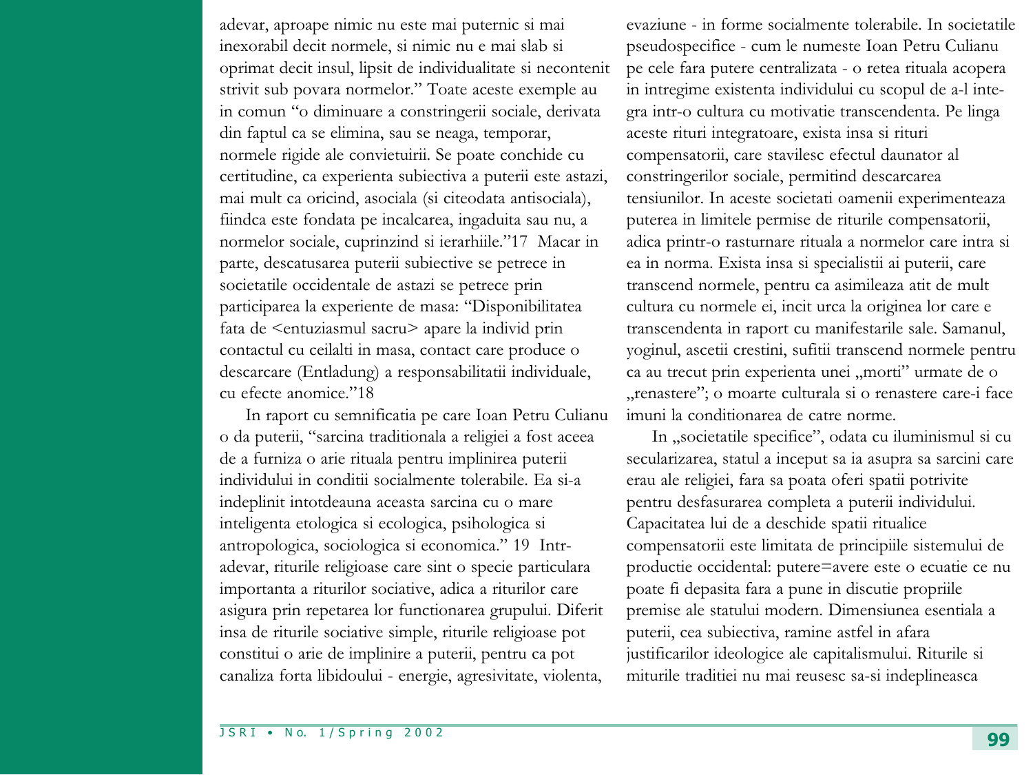adevar, aproape nimic nu este mai puternic si mai inexorabil decit normele, si nimic nu e mai slab si oprimat decit insul, lipsit de individualitate si necontenit strivit sub povara normelor." Toate aceste exemple au in comun "o diminuare a constringerii sociale, derivata din faptul ca se elimina, sau se neaga, temporar, normele rigide ale convietuirii. Se poate conchide cu certitudine, ca experienta subiectiva a puterii este astazi, mai mult ca oricind, asociala (si citeodata antisociala), fiindca este fondata pe incalcarea, ingaduita sau nu, a normelor sociale, cuprinzind si ierarhiile."17 Macar in parte, descatusarea puterii subiective se petrece in societatile occidentale de astazi se petrece prin participarea la experiente de masa: "Disponibilitatea fata de <entuziasmul sacru> apare la individ prin contactul cu ceilalti in masa, contact care produce o descarcare (Entladung) a responsabilitatii individuale, cu efecte anomice."18

In raport cu semnificatia pe care Ioan Petru Culianu o da puterii, "sarcina traditionala a religiei a fost aceea de a furniza o arie rituala pentru implinirea puterii individului in conditii socialmente tolerabile. Ea si-a indeplinit intotdeauna aceasta sarcina cu o mare inteligenta etologica si ecologica, psihologica si antropologica, sociologica si economica." 19 Intradevar, riturile religioase care sint o specie particulara importanta a riturilor sociative, adica a riturilor care asigura prin repetarea lor functionarea grupului. Diferit insa de riturile sociative simple, riturile religioase pot constitui o arie de implinire a puterii, pentru ca pot canaliza forta libidoului - energie, agresivitate, violenta,

evaziune - in forme socialmente tolerabile. In societatile pseudospecifice - cum le numeste Ioan Petru Culianu pe cele fara putere centralizata - o retea rituala acopera in intregime existenta individului cu scopul de a-l integra intr-o cultura cu motivatie transcendenta. Pe linga aceste rituri integratoare, exista insa si rituri compensatorii, care stavilesc efectul daunator al constringerilor sociale, permitind descarcarea tensiunilor. In aceste societati oamenii experimenteaza puterea in limitele permise de riturile compensatorii, adica printr-o rasturnare rituala a normelor care intra si ea in norma. Exista insa si specialistii ai puterii, care transcend normele, pentru ca asimileaza atit de mult cultura cu normele ei, incit urca la originea lor care e transcendenta in raport cu manifestarile sale. Samanul, voginul, ascetii crestini, sufitii transcend normele pentru ca au trecut prin experienta unei "morti" urmate de o "renastere"; o moarte culturala si o renastere care-i face imuni la conditionarea de catre norme.

In "societatile specifice", odata cu iluminismul si cu secularizarea, statul a inceput sa ia asupra sa sarcini care erau ale religiei, fara sa poata oferi spatii potrivite pentru desfasurarea completa a puterii individului. Capacitatea lui de a deschide spatii ritualice compensatorii este limitata de principiile sistemului de productie occidental: putere=avere este o ecuatie ce nu poate fi depasita fara a pune in discutie propriile premise ale statului modern. Dimensiunea esentiala a puterii, cea subiectiva, ramine astfel in afara justificarilor ideologice ale capitalismului. Riturile si miturile traditiei nu mai reusesc sa-si indeplineasca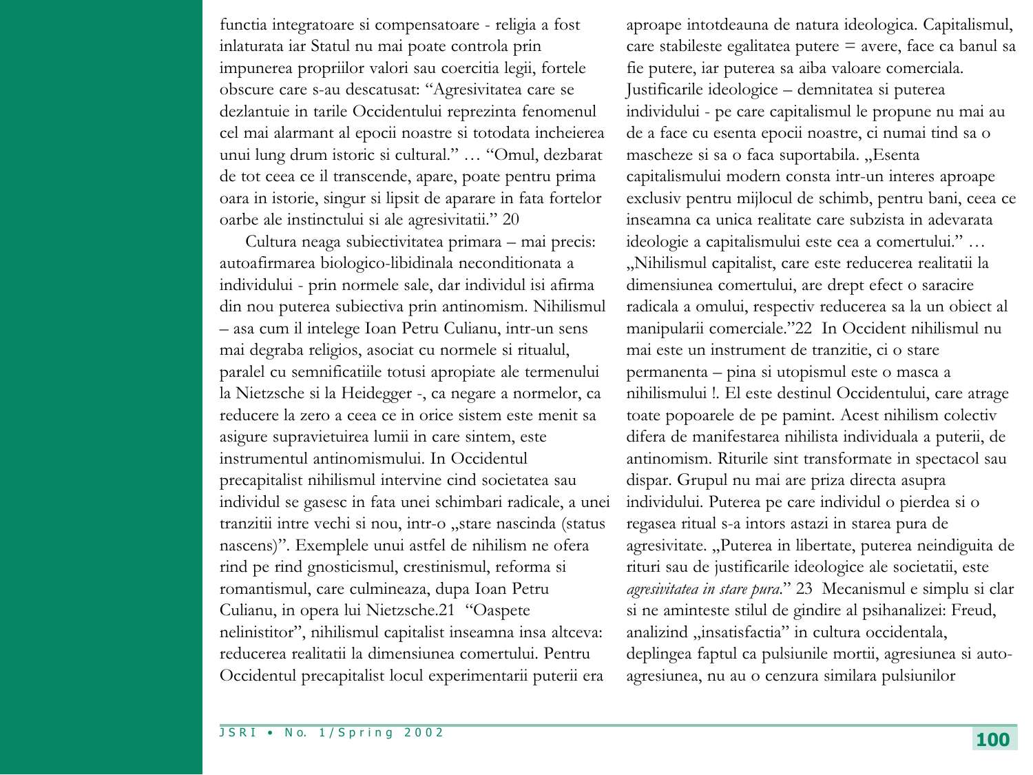functia integratoare si compensatoare - religia a fost inlaturata iar Statul nu mai poate controla prin impunerea propriilor valori sau coercitia legii, fortele obscure care s-au descatusat: "Agresivitatea care se dezlantuie in tarile Occidentului reprezinta fenomenul cel mai alarmant al epocii noastre si totodata incheierea unui lung drum istoric si cultural." ... "Omul, dezbarat de tot ceea ce il transcende, apare, poate pentru prima oara in istorie, singur si lipsit de aparare in fata fortelor oarbe ale instinctului si ale agresivitatii." 20

Cultura neaga subiectivitatea primara - mai precis: autoafirmarea biologico-libidinala neconditionata a individului - prin normele sale, dar individul isi afirma din nou puterea subiectiva prin antinomism. Nihilismul - asa cum il intelege Ioan Petru Culianu, intr-un sens mai degraba religios, asociat cu normele si ritualul, paralel cu semnificatiile totusi apropiate ale termenului la Nietzsche si la Heidegger -, ca negare a normelor, ca reducere la zero a ceea ce in orice sistem este menit sa asigure supravietuirea lumii in care sintem, este instrumentul antinomismului. In Occidentul precapitalist nihilismul intervine cind societatea sau individul se gasesc in fata unei schimbari radicale, a unei tranzitii intre vechi si nou, intr-o "stare nascinda (status nascens)". Exemplele unui astfel de nihilism ne ofera rind pe rind gnosticismul, crestinismul, reforma si romantismul, care culmineaza, dupa Ioan Petru Culianu, in opera lui Nietzsche.21 "Oaspete nelinistitor", nihilismul capitalist inseamna insa altceva: reducerea realitatii la dimensiunea comertului. Pentru Occidentul precapitalist locul experimentarii puterii era

aproape intotdeauna de natura ideologica. Capitalismul, care stabileste egalitatea putere = avere, face ca banul sa fie putere, iar puterea sa aiba valoare comerciala. Justificarile ideologice - demnitatea si puterea individului - pe care capitalismul le propune nu mai au de a face cu esenta epocii noastre, ci numai tind sa o mascheze si sa o faca suportabila. "Esenta capitalismului modern consta intr-un interes aproape exclusiv pentru mijlocul de schimb, pentru bani, ceea ce inseamna ca unica realitate care subzista in adevarata ideologie a capitalismului este cea a comertului." ... "Nihilismul capitalist, care este reducerea realitatii la dimensiunea comertului, are drept efect o saracire radicala a omului, respectiv reducerea sa la un obiect al manipularii comerciale."22 In Occident nihilismul nu mai este un instrument de tranzitie, ci o stare permanenta - pina si utopismul este o masca a nihilismului !. El este destinul Occidentului, care atrage toate popoarele de pe pamint. Acest nihilism colectiv difera de manifestarea nihilista individuala a puterii, de antinomism. Riturile sint transformate in spectacol sau dispar. Grupul nu mai are priza directa asupra individului. Puterea pe care individul o pierdea si o regasea ritual s-a intors astazi in starea pura de agresivitate. "Puterea in libertate, puterea neindiguita de rituri sau de justificarile ideologice ale societatii, este agresivitatea in stare pura." 23 Mecanismul e simplu si clar si ne aminteste stilul de gindire al psihanalizei: Freud, analizind "insatisfactia" in cultura occidentala, deplingea faptul ca pulsiunile mortii, agresiunea si autoagresiunea, nu au o cenzura similara pulsiunilor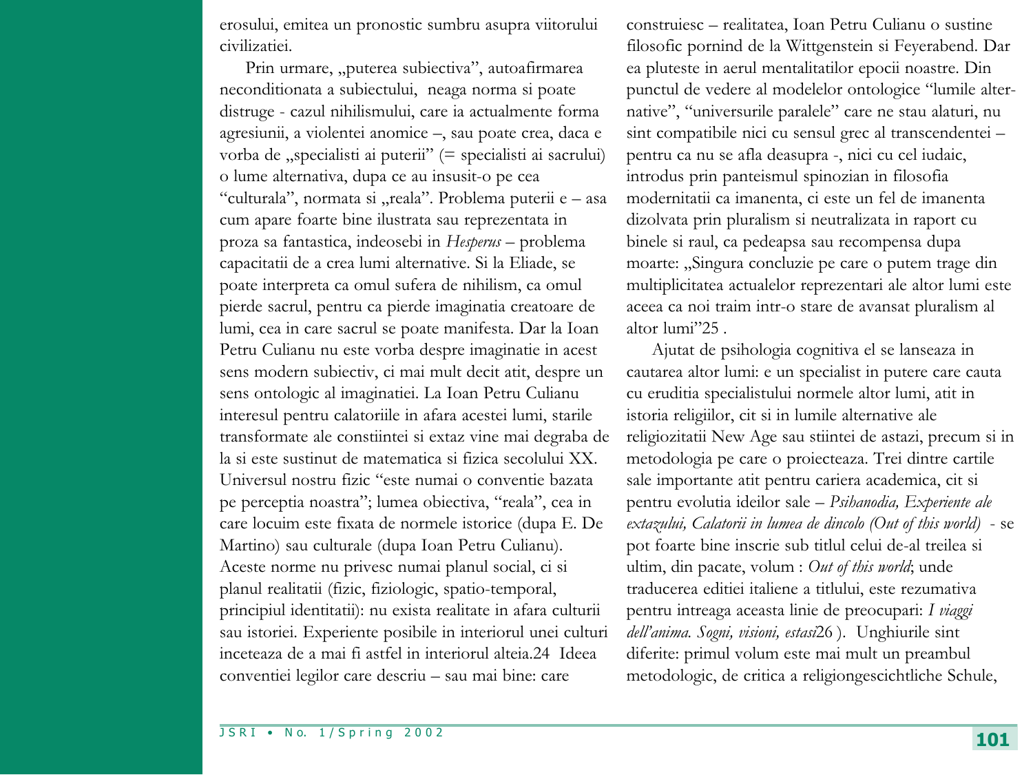erosului, emitea un pronostic sumbru asupra viitorului civilizatiei.

Prin urmare, "puterea subiectiva", autoafirmarea neconditionata a subiectului, neaga norma si poate distruge - cazul nihilismului, care ia actualmente forma agresiunii, a violentei anomice -, sau poate crea, daca e vorba de "specialisti ai puterii" (= specialisti ai sacrului) o lume alternativa, dupa ce au insusit-o pe cea "culturala", normata si "reala". Problema puterii e - asa cum apare foarte bine ilustrata sau reprezentata in proza sa fantastica, indeosebi in Hesperus - problema capacitatii de a crea lumi alternative. Si la Eliade, se poate interpreta ca omul sufera de nihilism, ca omul pierde sacrul, pentru ca pierde imaginatia creatoare de lumi, cea in care sacrul se poate manifesta. Dar la Ioan Petru Culianu nu este vorba despre imaginatie in acest sens modern subiectiv, ci mai mult decit atit, despre un sens ontologic al imaginatiei. La Ioan Petru Culianu interesul pentru calatoriile in afara acestei lumi, starile transformate ale constiintei si extaz vine mai degraba de la si este sustinut de matematica si fizica secolului XX. Universul nostru fizic "este numai o conventie bazata pe perceptia noastra"; lumea obiectiva, "reala", cea in care locuim este fixata de normele istorice (dupa E. De Martino) sau culturale (dupa Ioan Petru Culianu). Aceste norme nu privesc numai planul social, ci si planul realitatii (fizic, fiziologic, spatio-temporal, principiul identitatii): nu exista realitate in afara culturii sau istoriei. Experiente posibile in interiorul unei culturi inceteaza de a mai fi astfel in interiorul alteja.24 Ideea conventiei legilor care descriu - sau mai bine: care

construiesc - realitatea, Ioan Petru Culianu o sustine filosofic pornind de la Wittgenstein si Feyerabend. Dar ea pluteste in aerul mentalitatilor epocii noastre. Din punctul de vedere al modelelor ontologice "lumile alternative", "universurile paralele" care ne stau alaturi, nu sint compatibile nici cu sensul grec al transcendentei pentru ca nu se afla deasupra -, nici cu cel iudaic, introdus prin panteismul spinozian in filosofia modernitatii ca imanenta, ci este un fel de imanenta dizolvata prin pluralism si neutralizata in raport cu binele si raul, ca pedeapsa sau recompensa dupa moarte: "Singura concluzie pe care o putem trage din multiplicitatea actualelor reprezentari ale altor lumi este aceea ca noi traim intr-o stare de avansat pluralism al altor lumi"25.

Ajutat de psihologia cognitiva el se lanseaza in cautarea altor lumi: e un specialist in putere care cauta cu eruditia specialistului normele altor lumi, atit in istoria religiilor, cit si in lumile alternative ale religiozitatii New Age sau stiintei de astazi, precum si in metodologia pe care o proiecteaza. Trei dintre cartile sale importante atit pentru cariera academica, cit si pentru evolutia ideilor sale - Psihanodia, Experiente ale extazului, Calatorii in lumea de dincolo (Out of this world) - se pot foarte bine inscrie sub titlul celui de-al treilea si ultim, din pacate, volum : Out of this world; unde traducerea editiei italiene a titlului, este rezumativa pentru intreaga aceasta linie de preocupari: I viaggi dell'anima. Sogni, visioni, estasi26). Unghiurile sint diferite: primul volum este mai mult un preambul metodologic, de critica a religiongescichtliche Schule,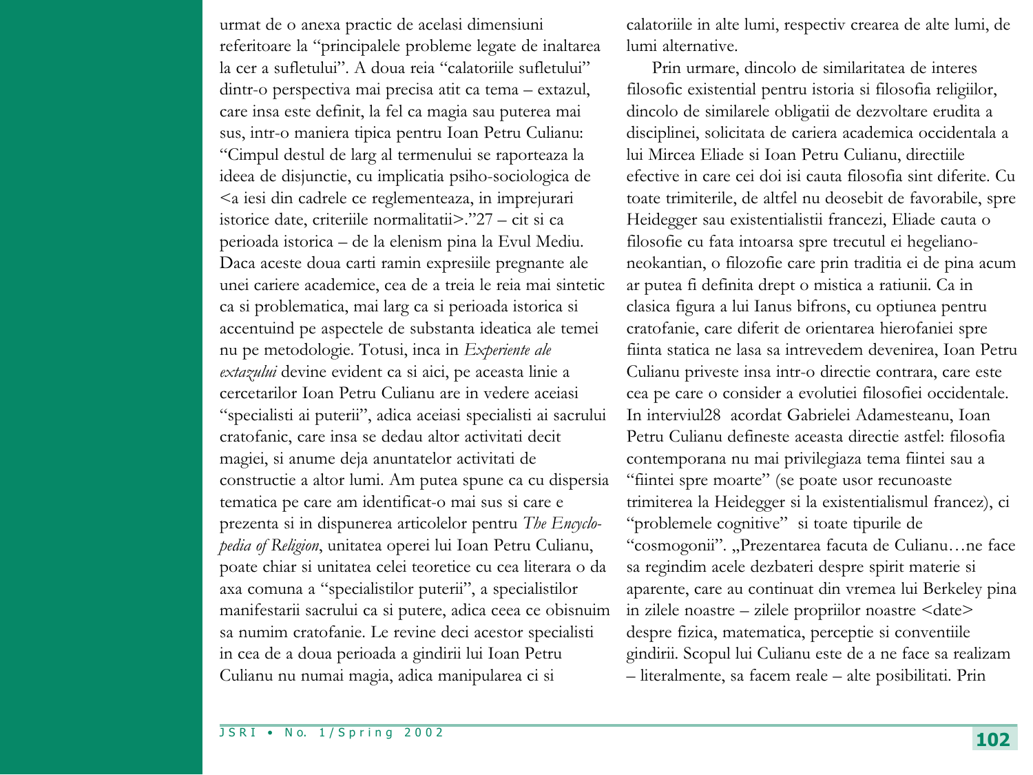urmat de o anexa practic de acelasi dimensiuni referitoare la "principalele probleme legate de inaltarea la cer a sufletului". A doua reia "calatoriile sufletului" dintr-o perspectiva mai precisa atit ca tema - extazul, care insa este definit, la fel ca magia sau puterea mai sus, intr-o maniera tipica pentru Ioan Petru Culianu: "Cimpul destul de larg al termenului se raporteaza la ideea de disjunctie, cu implicatia psiho-sociologica de <a iesi din cadrele ce reglementeaza, in imprejurari istorice date, criteriile normalitatii>."27 - cit si ca perioada istorica - de la elenism pina la Evul Mediu. Daca aceste doua carti ramin expresiile pregnante ale unei cariere academice, cea de a treia le reia mai sintetic ca si problematica, mai larg ca si perioada istorica si accentuind pe aspectele de substanta ideatica ale temei nu pe metodologie. Totusi, inca in Experiente ale extazului devine evident ca si aici, pe aceasta linie a cercetarilor Ioan Petru Culianu are in vedere aceiasi "specialisti ai puterii", adica aceiasi specialisti ai sacrului cratofanic, care insa se dedau altor activitati decit magiei, si anume deja anuntatelor activitati de constructie a altor lumi. Am putea spune ca cu dispersia tematica pe care am identificat-o mai sus si care e prezenta si in dispunerea articolelor pentru The Encyclopedia of Religion, unitatea operei lui Ioan Petru Culianu, poate chiar si unitatea celei teoretice cu cea literara o da axa comuna a "specialistilor puterii", a specialistilor manifestarii sacrului ca si putere, adica ceea ce obisnuim sa numim cratofanie. Le revine deci acestor specialisti in cea de a doua perioada a gindirii lui Ioan Petru Culianu nu numai magia, adica manipularea ci si

calatoriile in alte lumi, respectiv crearea de alte lumi, de lumi alternative.

Prin urmare, dincolo de similaritatea de interes filosofic existential pentru istoria si filosofia religiilor, dincolo de similarele obligatii de dezvoltare erudita a disciplinei, solicitata de cariera academica occidentala a lui Mircea Eliade și Ioan Petru Culianu, directiile efective in care cei doi isi cauta filosofia sint diferite. Cu toate trimiterile, de altfel nu deosebit de favorabile, spre Heidegger sau existentialistii francezi, Eliade cauta o filosofie cu fata intoarsa spre trecutul ei hegelianoneokantian, o filozofie care prin traditia ei de pina acum ar putea fi definita drept o mistica a ratiunii. Ca in clasica figura a lui Ianus bifrons, cu optiunea pentru cratofanie, care diferit de orientarea hierofaniei spre fiinta statica ne lasa sa intrevedem devenirea, Ioan Petru Culianu priveste insa intr-o directie contrara, care este cea pe care o consider a evolutiei filosofiei occidentale. In interviul28 acordat Gabrielei Adamesteanu, Ioan Petru Culianu defineste aceasta directie astfel: filosofia contemporana nu mai privilegiaza tema fiintei sau a "fiintei spre moarte" (se poate usor recunoaste trimiterea la Heidegger si la existentialismul francez), ci "problemele cognitive" si toate tipurile de "cosmogonii". "Prezentarea facuta de Culianu...ne face sa regindim acele dezbateri despre spirit materie si aparente, care au continuat din vremea lui Berkeley pina in zilele noastre – zilele propriilor noastre <date> despre fizica, matematica, perceptie si conventiile gindirii. Scopul lui Culianu este de a ne face sa realizam - literalmente, sa facem reale - alte posibilitati. Prin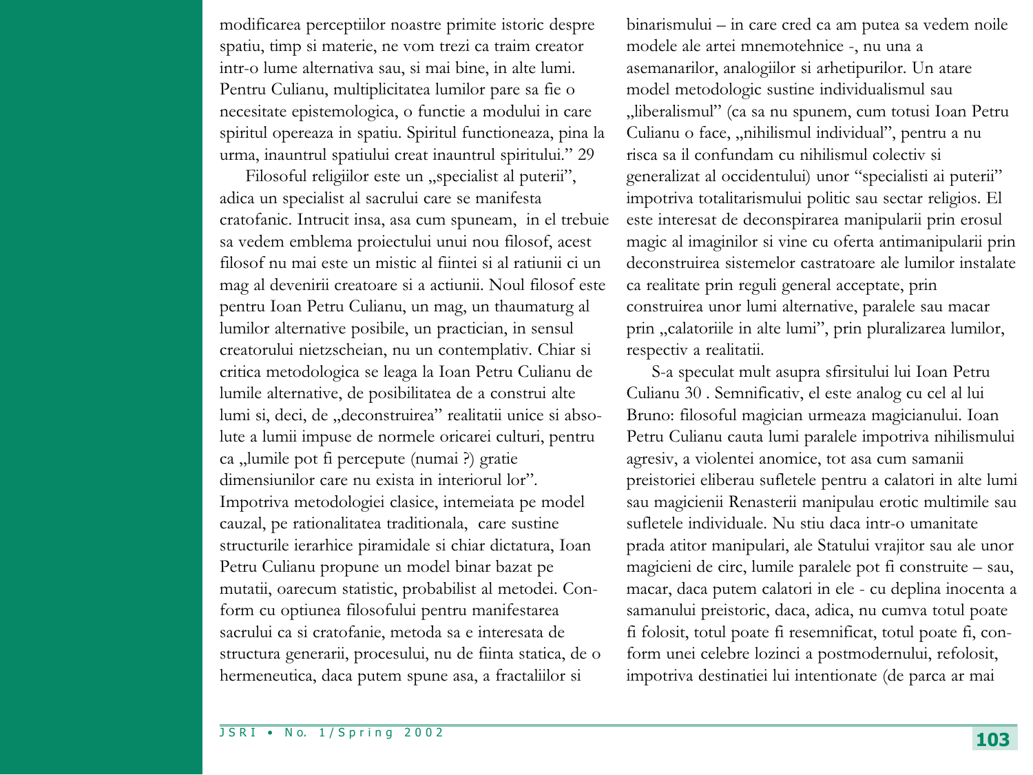modificarea perceptiilor noastre primite istoric despre spatiu, timp si materie, ne vom trezi ca traim creator intr-o lume alternativa sau, si mai bine, in alte lumi. Pentru Culianu, multiplicitatea lumilor pare sa fie o necesitate epistemologica, o functie a modului in care spiritul opereaza in spatiu. Spiritul functioneaza, pina la urma, inauntrul spatiului creat inauntrul spiritului." 29

Filosoful religiilor este un "specialist al puterii", adica un specialist al sacrului care se manifesta cratofanic. Intrucit insa, asa cum spuneam, in el trebuie sa vedem emblema proiectului unui nou filosof, acest filosof nu mai este un mistic al fiintei si al ratiunii ci un mag al devenirii creatoare si a actiunii. Noul filosof este pentru Ioan Petru Culianu, un mag, un thaumaturg al lumilor alternative posibile, un practician, in sensul creatorului nietzscheian, nu un contemplativ. Chiar si critica metodologica se leaga la Ioan Petru Culianu de lumile alternative, de posibilitatea de a construi alte lumi si, deci, de "deconstruirea" realitatii unice si absolute a lumii impuse de normele oricarei culturi, pentru ca "lumile pot fi percepute (numai ?) gratie dimensiunilor care nu exista in interiorul lor". Impotriva metodologiei clasice, intemeiata pe model cauzal, pe rationalitatea traditionala, care sustine structurile ierarhice piramidale si chiar dictatura, Ioan Petru Culianu propune un model binar bazat pe mutatii, oarecum statistic, probabilist al metodei. Conform cu optiunea filosofului pentru manifestarea sacrului ca si cratofanie, metoda sa e interesata de structura generarii, procesului, nu de fiinta statica, de o hermeneutica, daca putem spune asa, a fractaliilor si

binarismului - in care cred ca am putea sa vedem noile modele ale artei mnemotehnice -, nu una a asemanarilor, analogiilor si arhetipurilor. Un atare model metodologic sustine individualismul sau "liberalismul" (ca sa nu spunem, cum totusi Ioan Petru Culianu o face, "nihilismul individual", pentru a nu risca sa il confundam cu nihilismul colectiv si generalizat al occidentului) unor "specialisti ai puterii" impotriva totalitarismului politic sau sectar religios. El este interesat de deconspirarea manipularii prin erosul magic al imaginilor si vine cu oferta antimanipularii prin deconstruirea sistemelor castratoare ale lumilor instalate ca realitate prin reguli general acceptate, prin construirea unor lumi alternative, paralele sau macar prin "calatoriile in alte lumi", prin pluralizarea lumilor, respectiv a realitatii.

S-a speculat mult asupra sfirsitului lui Ioan Petru Culianu 30 . Semnificativ, el este analog cu cel al lui Bruno: filosoful magician urmeaza magicianului. Ioan Petru Culianu cauta lumi paralele impotriva nihilismului agresiv, a violentei anomice, tot asa cum samanii preistoriei eliberau sufletele pentru a calatori in alte lumi sau magicienii Renasterii manipulau erotic multimile sau sufletele individuale. Nu stiu daca intr-o umanitate prada atitor manipulari, ale Statului vrajitor sau ale unor magicieni de circ, lumile paralele pot fi construite - sau, macar, daca putem calatori in ele - cu deplina inocenta a samanului preistoric, daca, adica, nu cumva totul poate fi folosit, totul poate fi resemnificat, totul poate fi, conform unei celebre lozinci a postmodernului, refolosit, impotriva destinatiei lui intentionate (de parca ar mai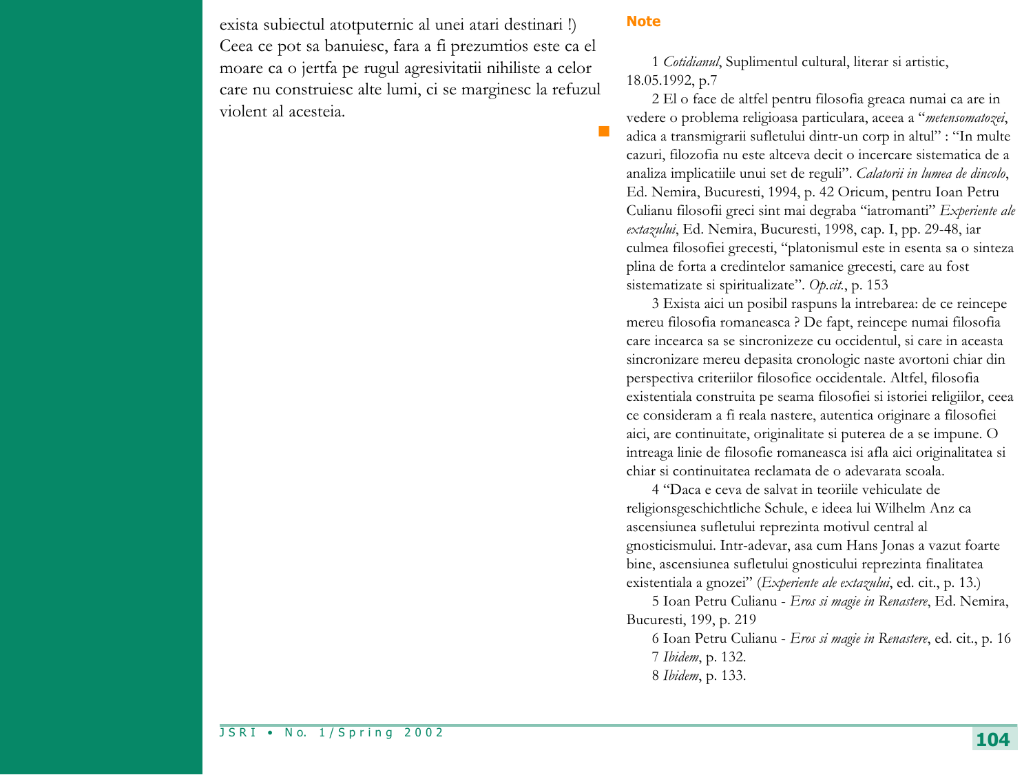exista subiectul atotputernic al unei atari destinari !) Ceea ce pot sa banuiesc, fara a fi prezumtios este ca el moare ca o jertfa pe rugul agresivitatii nihiliste a celor care nu construiesc alte lumi, ci se marginesc la refuzul violent al acesteia.

#### **Note**

 $\mathcal{L}_{\mathcal{A}}$ 

1 Cotidianul, Suplimentul cultural, literar si artistic, 18.05.1992, p.7

2 El o face de altfel pentru filosofia greaca numai ca are in vedere o problema religioasa particulara, aceea a "metensomatozei, adica a transmigrarii sufletului dintr-un corp in altul" : "In multe cazuri, filozofia nu este altceva decit o incercare sistematica de a analiza implicatiile unui set de reguli". Calatorii in lumea de dincolo, Ed. Nemira, Bucuresti, 1994, p. 42 Oricum, pentru Ioan Petru Culianu filosofii greci sint mai degraba "iatromanti" Experiente ale extazului, Ed. Nemira, Bucuresti, 1998, cap. I, pp. 29-48, iar culmea filosofiei grecesti, "platonismul este in esenta sa o sinteza plina de forta a credintelor samanice grecesti, care au fost sistematizate si spiritualizate". Op.cit., p. 153

3 Exista aici un posibil raspuns la intrebarea: de ce reincepe mereu filosofia romaneasca ? De fapt, reincepe numai filosofia care incearca sa se sincronizeze cu occidentul, si care in aceasta sincronizare mereu depasita cronologic naste avortoni chiar din perspectiva criteriilor filosofice occidentale. Altfel, filosofia existentiala construita pe seama filosofiei si istoriei religiilor, ceea ce consideram a fi reala nastere, autentica originare a filosofiei aici, are continuitate, originalitate si puterea de a se impune. O intreaga linie de filosofie romaneasca isi afla aici originalitatea si chiar si continuitatea reclamata de o adevarata scoala.

4 "Daca e ceva de salvat in teoriile vehiculate de religionsgeschichtliche Schule, e ideea lui Wilhelm Anz ca ascensiunea sufletului reprezinta motivul central al gnosticismului. Intr-adevar, asa cum Hans Jonas a vazut foarte bine, ascensiunea sufletului gnosticului reprezinta finalitatea existentiala a gnozei" (Experiente ale extazului, ed. cit., p. 13.)

5 Ioan Petru Culianu - Eros si magie in Renastere, Ed. Nemira, Bucuresti, 199, p. 219

6 Ioan Petru Culianu - Eros si magie in Renastere, ed. cit., p. 16 7 Ibidem, p. 132. 8 Ibidem, p. 133.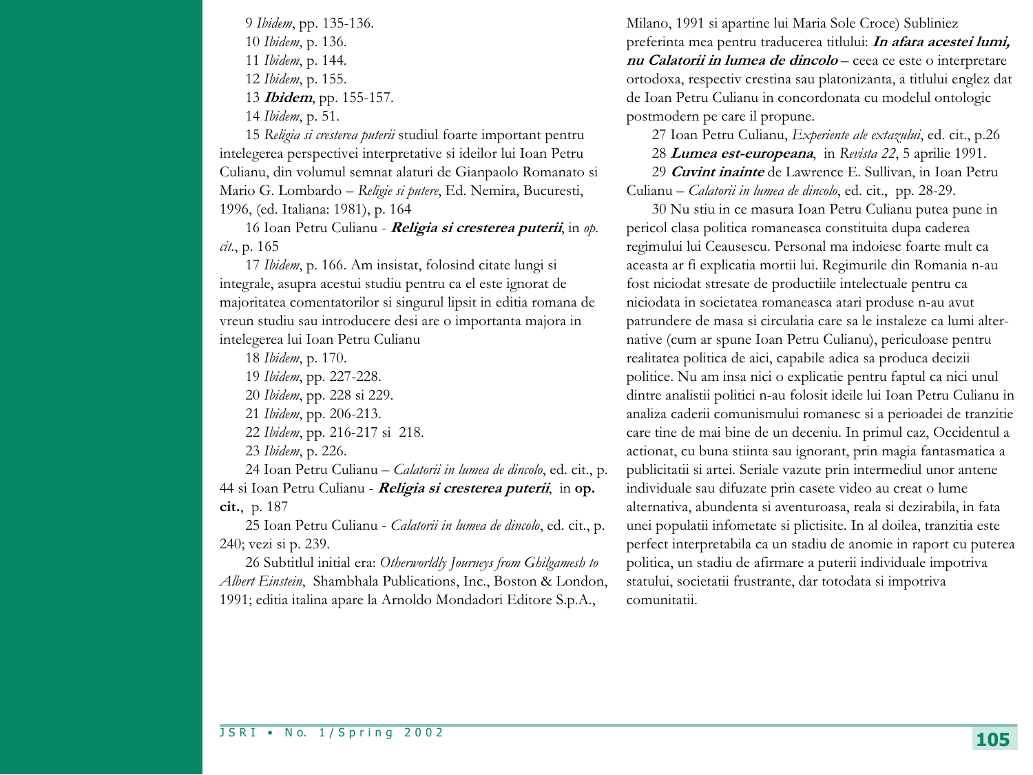9 Ibidem, pp. 135-136. 10 Ibidem, p. 136. 11 Ibidem, p. 144. 12 Ibidem, p. 155. 13 *Ibidem*, pp. 155-157.

14 Ibidem, p. 51.

15 Religia si cresterea puterii studiul foarte important pentru intelegerea perspectivei interpretative si ideilor lui Ioan Petru Culianu, din volumul semnat alaturi de Gianpaolo Romanato si Mario G. Lombardo - Religie si putere, Ed. Nemira, Bucuresti, 1996, (ed. Italiana: 1981), p. 164

16 Ioan Petru Culianu - Religia si cresterea puterii, in op. cit., p. 165

17 Ibidem, p. 166. Am insistat, folosind citate lungi si integrale, asupra acestui studiu pentru ca el este ignorat de majoritatea comentatorilor si singurul lipsit in editia romana de vreun studiu sau introducere desi are o importanta majora in intelegerea lui Ioan Petru Culianu

18 Ibidem, p. 170.

19 Ibidem, pp. 227-228.

20 Ibidem, pp. 228 si 229.

21 Ibidem, pp. 206-213.

22 Ibidem, pp. 216-217 si 218.

23 Ibidem, p. 226.

24 Ioan Petru Culianu - Calatorii in lumea de dincolo, ed. cit., p. 44 si Ioan Petru Culianu - Religia si cresterea puterii, in op. cit., p. 187

25 Ioan Petru Culianu - Calatorii in lumea de dincolo, ed. cit., p. 240; vezi si p. 239.

26 Subtitlul initial era: Otherworldly Journeys from Ghilgamesh to Albert Einstein, Shambhala Publications, Inc., Boston & London, 1991; editia italina apare la Arnoldo Mondadori Editore S.p.A.,

Milano, 1991 si apartine lui Maria Sole Croce) Subliniez preferinta mea pentru traducerea titlului: In afara acestei lumi, nu Calatorii in lumea de dincolo - ceea ce este o interpretare ortodoxa, respectiv crestina sau platonizanta, a titlului englez dat de Ioan Petru Culianu in concordonata cu modelul ontologic postmodern pe care il propune.

27 Ioan Petru Culianu, Experiente ale extazului, ed. cit., p.26

28 Lumea est-europeana, in Revista 22, 5 aprilie 1991.

29 Cuvint inainte de Lawrence E. Sullivan, in Ioan Petru Culianu - Calatorii in lumea de dincolo, ed. cit., pp. 28-29.

30 Nu stiu in ce masura Ioan Petru Culianu putea pune in pericol clasa politica romaneasca constituita dupa caderea regimului lui Ceausescu. Personal ma indoiesc foarte mult ca aceasta ar fi explicatia mortii lui. Regimurile din Romania n-au fost niciodat stresate de productiile intelectuale pentru ca niciodata in societatea romaneasca atari produse n-au avut patrundere de masa si circulatia care sa le instaleze ca lumi alternative (cum ar spune Ioan Petru Culianu), periculoase pentru realitatea politica de aici, capabile adica sa produca decizii politice. Nu am insa nici o explicatie pentru faptul ca nici unul dintre analistii politici n-au folosit ideile lui Ioan Petru Culianu in analiza caderii comunismului romanesc si a perioadei de tranzitie care tine de mai bine de un deceniu. In primul caz, Occidentul a actionat, cu buna stiinta sau ignorant, prin magia fantasmatica a publicitatii si artei. Seriale vazute prin intermediul unor antene individuale sau difuzate prin casete video au creat o lume alternativa, abundenta si aventuroasa, reala si dezirabila, in fata unei populatii infometate si plictisite. In al doilea, tranzitia este perfect interpretabila ca un stadiu de anomie in raport cu puterea politica, un stadiu de afirmare a puterii individuale impotriva statului, societatii frustrante, dar totodata si impotriva comunitatii.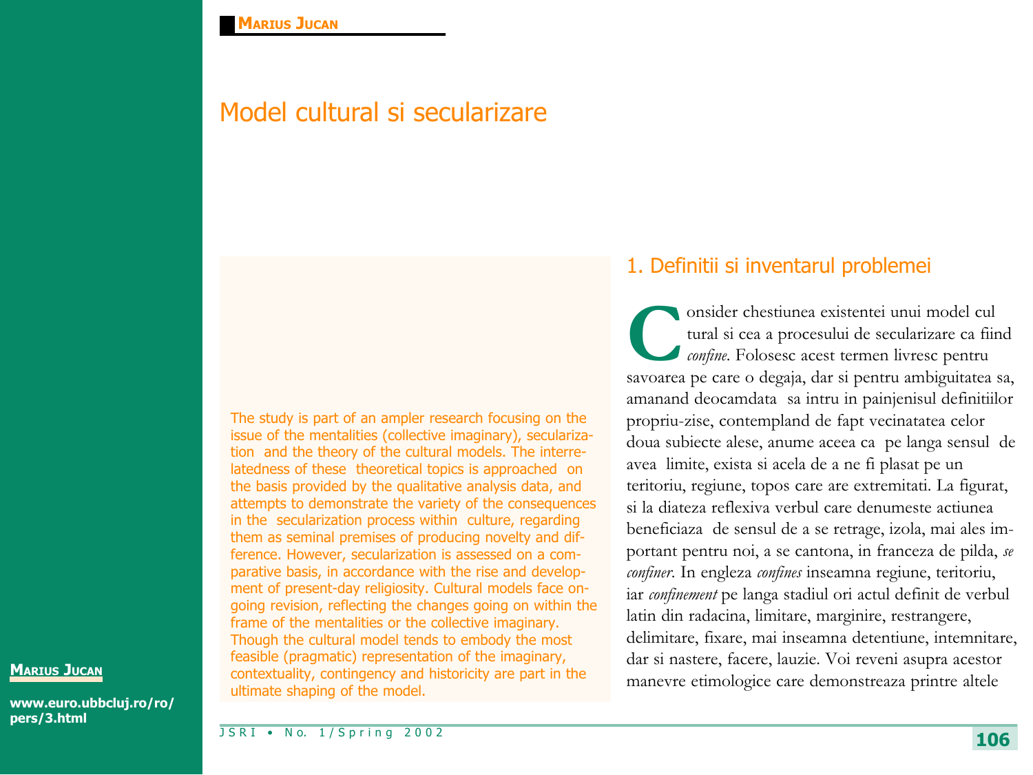## Model cultural și secularizare

The study is part of an ampler research focusing on the issue of the mentalities (collective imaginary), secularization and the theory of the cultural models. The interrelatedness of these theoretical topics is approached on the basis provided by the qualitative analysis data, and attempts to demonstrate the variety of the consequences in the secularization process within culture, regarding them as seminal premises of producing novelty and difference. However, secularization is assessed on a comparative basis, in accordance with the rise and development of present-day religiosity. Cultural models face ongoing revision, reflecting the changes going on within the frame of the mentalities or the collective imaginary. Though the cultural model tends to embody the most feasible (pragmatic) representation of the imaginary, contextuality, contingency and historicity are part in the ultimate shaping of the model.

### 1. Definitii si inventarul problemei

onsider chestiunea existentei unui model cul tural si cea a procesului de secularizare ca fiind confine. Folosesc acest termen livresc pentru savoarea pe care o degaja, dar si pentru ambiguitatea sa, amanand deocamdata sa intru in painjenisul definitiilor propriu-zise, contempland de fapt vecinatatea celor doua subiecte alese, anume aceea ca pe langa sensul de avea limite, exista si acela de a ne fi plasat pe un teritoriu, regiune, topos care are extremitati. La figurat, si la diateza reflexiva verbul care denumeste actiunea beneficiaza de sensul de a se retrage, izola, mai ales important pentru noi, a se cantona, in franceza de pilda, se confiner. In engleza confines inseamna regiune, teritoriu, iar confinement pe langa stadiul ori actul definit de verbul latin din radacina, limitare, marginire, restrangere, delimitare, fixare, mai inseamna detentiune, intemnitare, dar si nastere, facere, lauzie. Voi reveni asupra acestor manevre etimologice care demonstreaza printre altele

### **MARIUS JUCAN**

www.euro.ubbcluj.ro/ro/ pers/3.html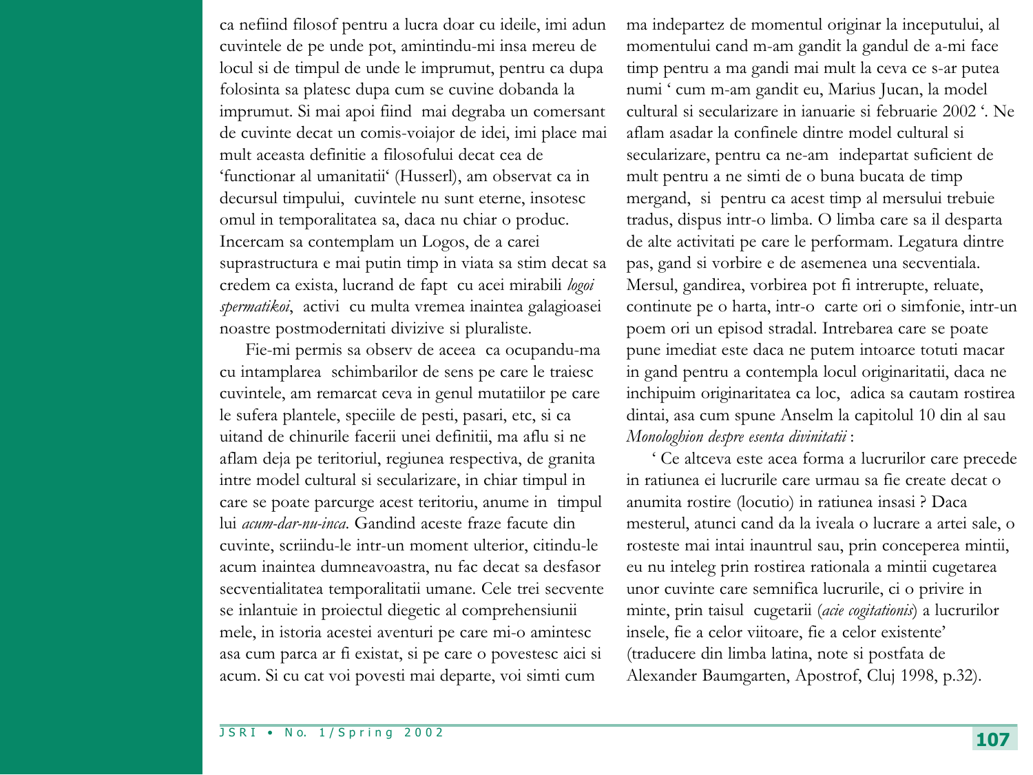ca nefiind filosof pentru a lucra doar cu ideile, imi adun cuvintele de pe unde pot, amintindu-mi insa mereu de locul si de timpul de unde le imprumut, pentru ca dupa folosinta sa platesc dupa cum se cuvine dobanda la imprumut. Si mai apoi fiind mai degraba un comersant de cuvinte decat un comis-voiajor de idei, imi place mai mult aceasta definitie a filosofului decat cea de 'functionar al umanitatii' (Husserl), am observat ca in decursul timpului, cuvintele nu sunt eterne, insotesc omul in temporalitatea sa, daca nu chiar o produc. Incercam sa contemplam un Logos, de a carei suprastructura e mai putin timp in viata sa stim decat sa credem ca exista, lucrand de fapt cu acei mirabili logoi spermatikoi, activi cu multa vremea inaintea galagioasei noastre postmodernitati divizive si pluraliste.

Fie-mi permis sa observ de aceea ca ocupandu-ma cu intamplarea schimbarilor de sens pe care le traiesc cuvintele, am remarcat ceva in genul mutatiilor pe care le sufera plantele, speciile de pesti, pasari, etc, si ca uitand de chinurile facerii unei definitii, ma aflu si ne aflam deja pe teritoriul, regiunea respectiva, de granita intre model cultural si secularizare, in chiar timpul in care se poate parcurge acest teritoriu, anume in timpul lui acum-dar-nu-inca. Gandind aceste fraze facute din cuvinte, scriindu-le intr-un moment ulterior, citindu-le acum inaintea dumneavoastra, nu fac decat sa desfasor secventialitatea temporalitatii umane. Cele trei secvente se inlantuie in proiectul diegetic al comprehensiunii mele, in istoria acestei aventuri pe care mi-o amintesc asa cum parca ar fi existat, si pe care o povestesc aici si acum. Si cu cat voi povesti mai departe, voi simti cum

ma indepartez de momentul originar la inceputului, al momentului cand m-am gandit la gandul de a-mi face timp pentru a ma gandi mai mult la ceva ce s-ar putea numi ' cum m-am gandit eu, Marius Jucan, la model cultural si secularizare in ianuarie si februarie 2002 '. Ne aflam asadar la confinele dintre model cultural si secularizare, pentru ca ne-am indepartat suficient de mult pentru a ne simti de o buna bucata de timp mergand, si pentru ca acest timp al mersului trebuie tradus, dispus intr-o limba. O limba care sa il desparta de alte activitati pe care le performam. Legatura dintre pas, gand si vorbire e de asemenea una secventiala. Mersul, gandirea, vorbirea pot fi intrerupte, reluate, continute pe o harta, intr-o carte ori o simfonie, intr-un poem ori un episod stradal. Intrebarea care se poate pune imediat este daca ne putem intoarce totuti macar in gand pentru a contempla locul originaritatii, daca ne inchipuim originaritatea ca loc, adica sa cautam rostirea dintai, asa cum spune Anselm la capitolul 10 din al sau Monologhion despre esenta divinitatii:

Ce alterva este acea forma a lucrurilor care precede in ratiunea ei lucrurile care urmau sa fie create decat o anumita rostire (locutio) in ratiunea insasi ? Daca mesterul, atunci cand da la iveala o lucrare a artei sale, o rosteste mai intai inauntrul sau, prin conceperea mintii, eu nu inteleg prin rostirea rationala a mintii cugetarea unor cuvinte care semnifica lucrurile, ci o privire in minte, prin taisul cugetarii (acie cogitationis) a lucrurilor insele, fie a celor viitoare, fie a celor existente' (traducere din limba latina, note si postfata de Alexander Baumgarten, Apostrof, Cluj 1998, p.32).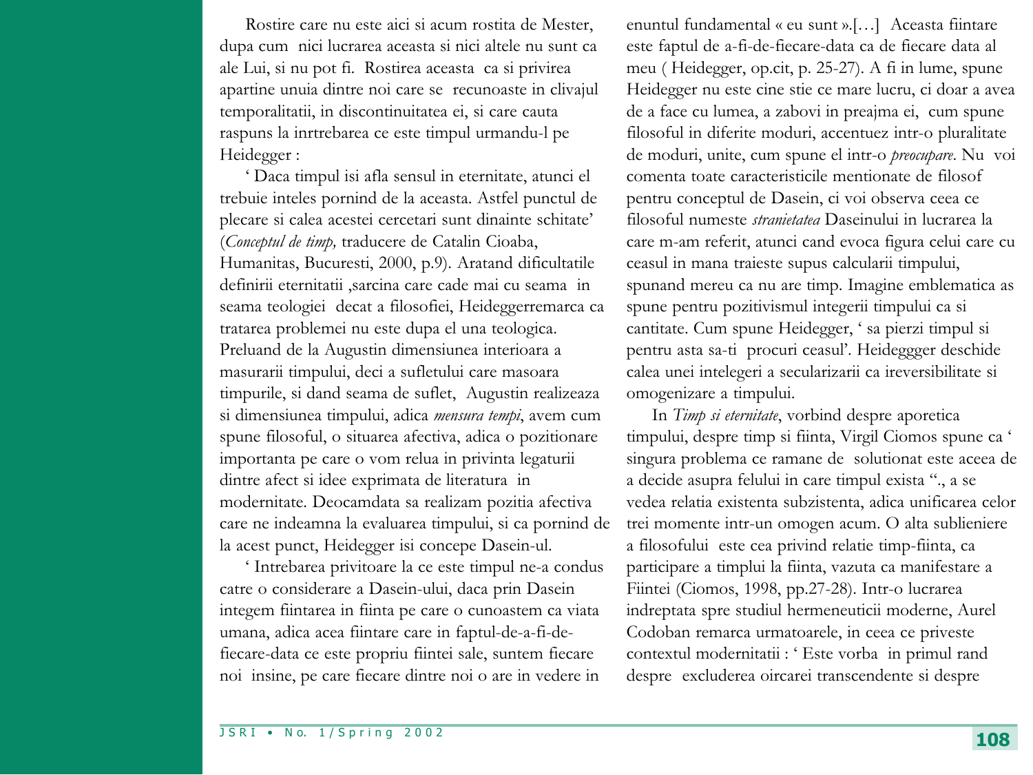Rostire care nu este aici si acum rostita de Mester, dupa cum nici lucrarea aceasta si nici altele nu sunt ca ale Lui, si nu pot fi. Rostirea aceasta ca si privirea apartine unuia dintre noi care se recunoaste in clivajul temporalitatii, in discontinuitatea ei, si care cauta raspuns la inrtrebarea ce este timpul urmandu-l pe Heidegger:

'Daca timpul isi afla sensul in eternitate, atunci el trebuie inteles pornind de la aceasta. Astfel punctul de plecare si calea acestei cercetari sunt dinainte schitate' (Conceptul de timp, traducere de Catalin Cioaba, Humanitas, Bucuresti, 2000, p.9). Aratand dificultatile definirii eternitatii ,sarcina care cade mai cu seama in seama teologiei decat a filosofiei, Heideggerremarca ca tratarea problemei nu este dupa el una teologica. Preluand de la Augustin dimensiunea interioara a masurarii timpului, deci a sufletului care masoara timpurile, si dand seama de suflet, Augustin realizeaza si dimensiunea timpului, adica mensura tempi, avem cum spune filosoful, o situarea afectiva, adica o pozitionare importanta pe care o vom relua in privinta legaturii dintre afect si idee exprimata de literatura in modernitate. Deocamdata sa realizam pozitia afectiva care ne indeamna la evaluarea timpului, si ca pornind de la acest punct, Heidegger isi concepe Dasein-ul.

'Intrebarea privitoare la ce este timpul ne-a condus catre o considerare a Dasein-ului, daca prin Dasein integem fiintarea in fiinta pe care o cunoastem ca viata umana, adica acea fiintare care in faptul-de-a-fi-defiecare-data ce este propriu fiintei sale, suntem fiecare noi insine, pe care fiecare dintre noi o are in vedere in

enuntul fundamental « eu sunt ».[...] Aceasta fiintare este faptul de a-fi-de-fiecare-data ca de fiecare data al meu (Heidegger, op.cit, p. 25-27). A fi in lume, spune Heidegger nu este cine stie ce mare lucru, ci doar a avea de a face cu lumea, a zabovi in preajma ei, cum spune filosoful in diferite moduri, accentuez intr-o pluralitate de moduri, unite, cum spune el intr-o preocupare. Nu voi comenta toate caracteristicile mentionate de filosof pentru conceptul de Dasein, ci voi observa ceea ce filosoful numeste stranietatea Daseinului in lucrarea la care m-am referit, atunci cand evoca figura celui care cu ceasul in mana traieste supus calcularii timpului, spunand mereu ca nu are timp. Imagine emblematica as spune pentru pozitivismul integerii timpului ca si cantitate. Cum spune Heidegger, ' sa pierzi timpul si pentru asta sa-ti procuri ceasul'. Heideggger deschide calea unei intelegeri a secularizarii ca ireversibilitate si omogenizare a timpului.

In Timp si eternitate, vorbind despre aporetica timpului, despre timp si fiinta, Virgil Ciomos spune ca ' singura problema ce ramane de solutionat este aceea de a decide asupra felului in care timpul exista "., a se vedea relatia existenta subzistenta, adica unificarea celor trei momente intr-un omogen acum. O alta sublieniere a filosofului este cea privind relatie timp-fiinta, ca participare a timplui la fiinta, vazuta ca manifestare a Fiintei (Ciomos, 1998, pp.27-28). Intr-o lucrarea indreptata spre studiul hermeneuticii moderne, Aurel Codoban remarca urmatoarele, in ceea ce priveste contextul modernitatii : 'Este vorba in primul rand despre excluderea oircarei transcendente si despre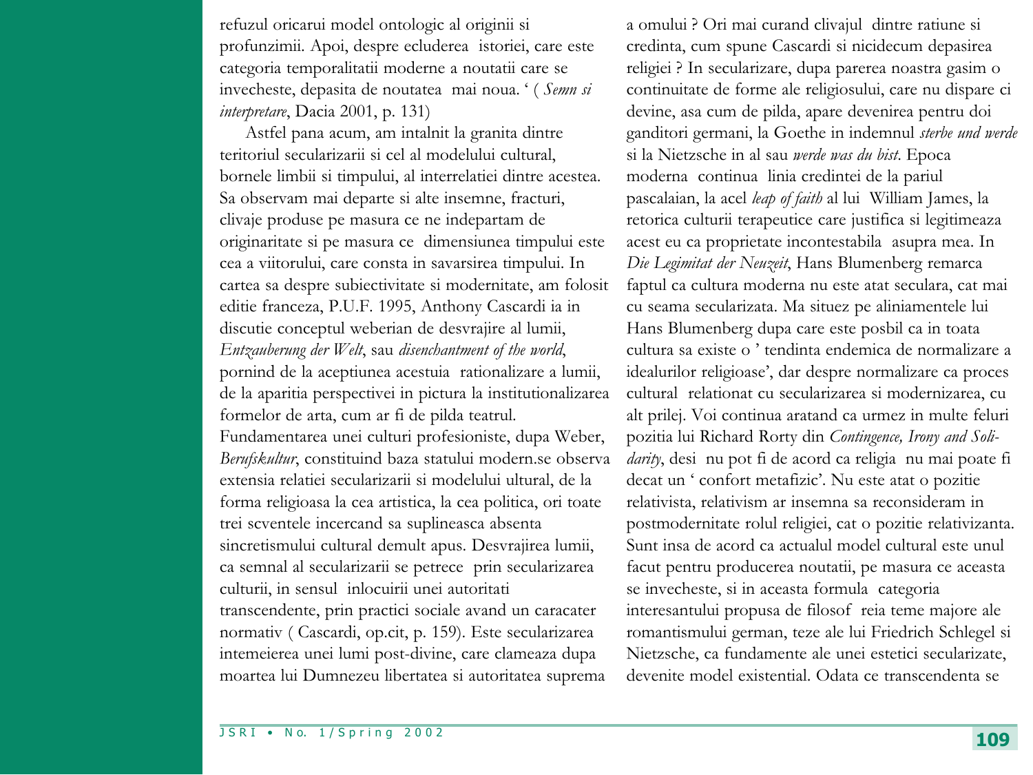refuzul oricarui model ontologic al originii si profunzimii. Apoi, despre ecluderea istoriei, care este categoria temporalitatii moderne a noutatii care se invecheste, depasita de noutatea mai noua. ' (Semn si interpretare, Dacia 2001, p. 131)

Astfel pana acum, am intalnit la granita dintre teritoriul secularizarii si cel al modelului cultural, bornele limbii si timpului, al interrelatiei dintre acestea. Sa observam mai departe si alte insemne, fracturi, clivaje produse pe masura ce ne indepartam de originaritate si pe masura ce dimensiunea timpului este cea a viitorului, care consta in savarsirea timpului. In cartea sa despre subiectivitate si modernitate, am folosit editie franceza, P.U.F. 1995, Anthony Cascardi ia in discutie conceptul weberian de desvrajire al lumii, Entzauberung der Welt, sau disenchantment of the world, pornind de la aceptiunea acestuia rationalizare a lumii, de la aparitia perspectivei in pictura la institutionalizarea formelor de arta, cum ar fi de pilda teatrul. Fundamentarea unei culturi profesioniste, dupa Weber, Berufskultur, constituind baza statului modern.se observa extensia relatiei secularizarii si modelului ultural, de la forma religioasa la cea artistica, la cea politica, ori toate trei scventele incercand sa suplineasca absenta sincretismului cultural demult apus. Desvrajirea lumii, ca semnal al secularizarii se petrece prin secularizarea culturii, in sensul inlocuirii unei autoritati transcendente, prin practici sociale avand un caracater normativ (Cascardi, op.cit, p. 159). Este secularizarea intemeierea unei lumi post-divine, care clameaza dupa moartea lui Dumnezeu libertatea si autoritatea suprema

a omului ? Ori mai curand clivajul dintre ratiune si credinta, cum spune Cascardi si nicidecum depasirea religiei ? In secularizare, dupa parerea noastra gasim o continuitate de forme ale religiosului, care nu dispare ci devine, asa cum de pilda, apare devenirea pentru doi ganditori germani, la Goethe in indemnul sterbe und werde si la Nietzsche in al sau werde was du bist. Epoca moderna continua linia credintei de la pariul pascalaian, la acel leap of faith al lui William James, la retorica culturii terapeutice care justifica si legitimeaza acest eu ca proprietate incontestabila asupra mea. In Die Legimitat der Neuzeit, Hans Blumenberg remarca faptul ca cultura moderna nu este atat seculara, cat mai cu seama secularizata. Ma situez pe aliniamentele lui Hans Blumenberg dupa care este posbil ca in toata cultura sa existe o ' tendinta endemica de normalizare a idealurilor religioase', dar despre normalizare ca proces cultural relationat cu secularizarea si modernizarea, cu alt prilej. Voi continua aratand ca urmez in multe feluri pozitia lui Richard Rorty din Contingence, Irony and Solidarity, desi nu pot fi de acord ca religia nu mai poate fi decat un 'confort metafizic'. Nu este atat o pozitie relativista, relativism ar insemna sa reconsideram in postmodernitate rolul religiei, cat o pozitie relativizanta. Sunt insa de acord ca actualul model cultural este unul facut pentru producerea noutatii, pe masura ce aceasta se invecheste, si in aceasta formula categoria interesantului propusa de filosof reia teme majore ale romantismului german, teze ale lui Friedrich Schlegel si Nietzsche, ca fundamente ale unei estetici secularizate, devenite model existential. Odata ce transcendenta se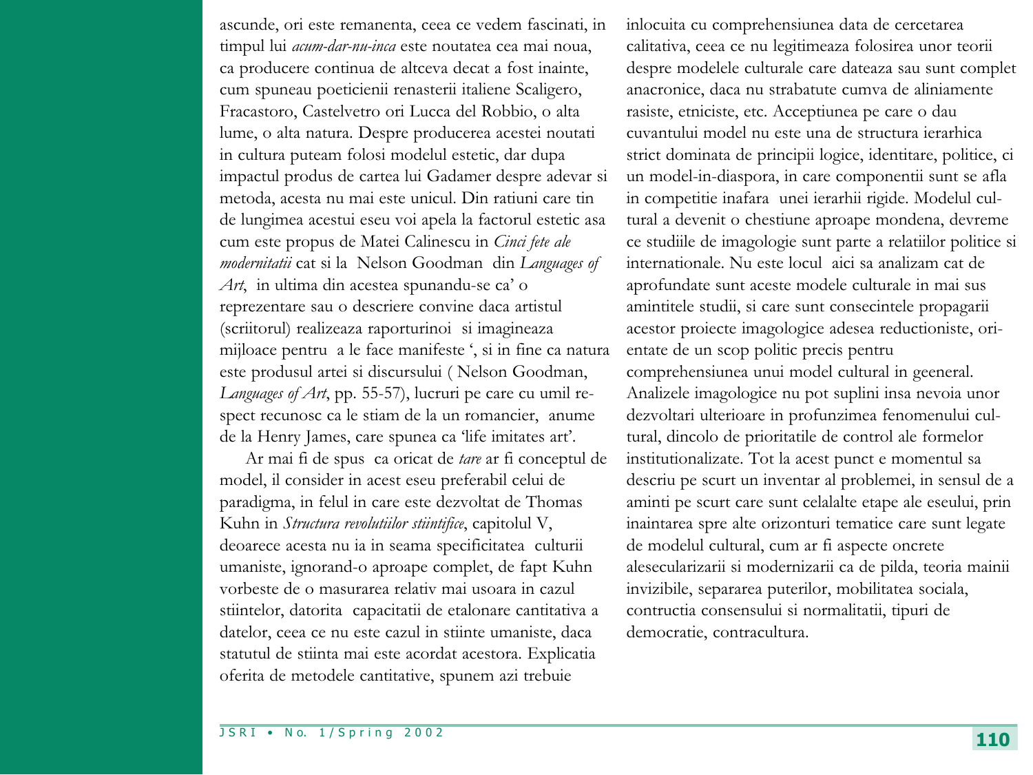ascunde, ori este remanenta, ceea ce vedem fascinati, in timpul lui *acum-dar-nu-inca* este noutatea cea mai noua, ca producere continua de alteeva decat a fost inainte, cum spuneau poeticienii renasterii italiene Scaligero, Fracastoro, Castelvetro ori Lucca del Robbio, o alta lume, o alta natura. Despre producerea acestei noutati in cultura puteam folosi modelul estetic, dar dupa impactul produs de cartea lui Gadamer despre adevar si metoda, acesta nu mai este unicul. Din ratiuni care tin de lungimea acestui eseu voi apela la factorul estetic asa cum este propus de Matei Calinescu in Cinci fete ale modernitatii cat si la Nelson Goodman din Languages of Art, in ultima din acestea spunandu-se ca' o reprezentare sau o descriere convine daca artistul (scriitorul) realizeaza raporturinoi si imagineaza mijloace pentru a le face manifeste ', si in fine ca natura este produsul artei si discursului (Nelson Goodman, Languages of Art, pp. 55-57), lucruri pe care cu umil respect recunosc ca le stiam de la un romancier, anume de la Henry James, care spunea ca 'life imitates art'.

Ar mai fi de spus ca oricat de tare ar fi conceptul de model, il consider in acest eseu preferabil celui de paradigma, in felul in care este dezvoltat de Thomas Kuhn in Structura revolutiilor stiintifice, capitolul V, deoarece acesta nu ia in seama specificitatea culturii umaniste, ignorand-o aproape complet, de fapt Kuhn vorbeste de o masurarea relativ mai usoara in cazul stiintelor, datorita capacitatii de etalonare cantitativa a datelor, ceea ce nu este cazul in stiinte umaniste, daca statutul de stiinta mai este acordat acestora. Explicatia oferita de metodele cantitative, spunem azi trebuie

inlocuita cu comprehensiunea data de cercetarea calitativa, ceea ce nu legitimeaza folosirea unor teorii despre modelele culturale care dateaza sau sunt complet anacronice, daca nu strabatute cumva de aliniamente rasiste, etniciste, etc. Acceptiunea pe care o dau cuvantului model nu este una de structura ierarhica strict dominata de principii logice, identitare, politice, ci un model-in-diaspora, in care componentii sunt se afla in competitie inafara unei ierarhii rigide. Modelul cultural a devenit o chestiune aproape mondena, devreme ce studiile de imagologie sunt parte a relatiilor politice si internationale. Nu este locul aici sa analizam cat de aprofundate sunt aceste modele culturale in mai sus amintitele studii, si care sunt consecintele propagarii acestor proiecte imagologice adesea reductioniste, orientate de un scop politic precis pentru comprehensiunea unui model cultural in geeneral. Analizele imagologice nu pot suplini insa nevoia unor dezvoltari ulterioare in profunzimea fenomenului cultural, dincolo de prioritatile de control ale formelor institutionalizate. Tot la acest punct e momentul sa descriu pe scurt un inventar al problemei, in sensul de a aminti pe scurt care sunt celalalte etape ale eseului, prin inaintarea spre alte orizonturi tematice care sunt legate de modelul cultural, cum ar fi aspecte oncrete alesecularizarii si modernizarii ca de pilda, teoria mainii invizibile, separarea puterilor, mobilitatea sociala, contructia consensului si normalitatii, tipuri de democratie, contracultura.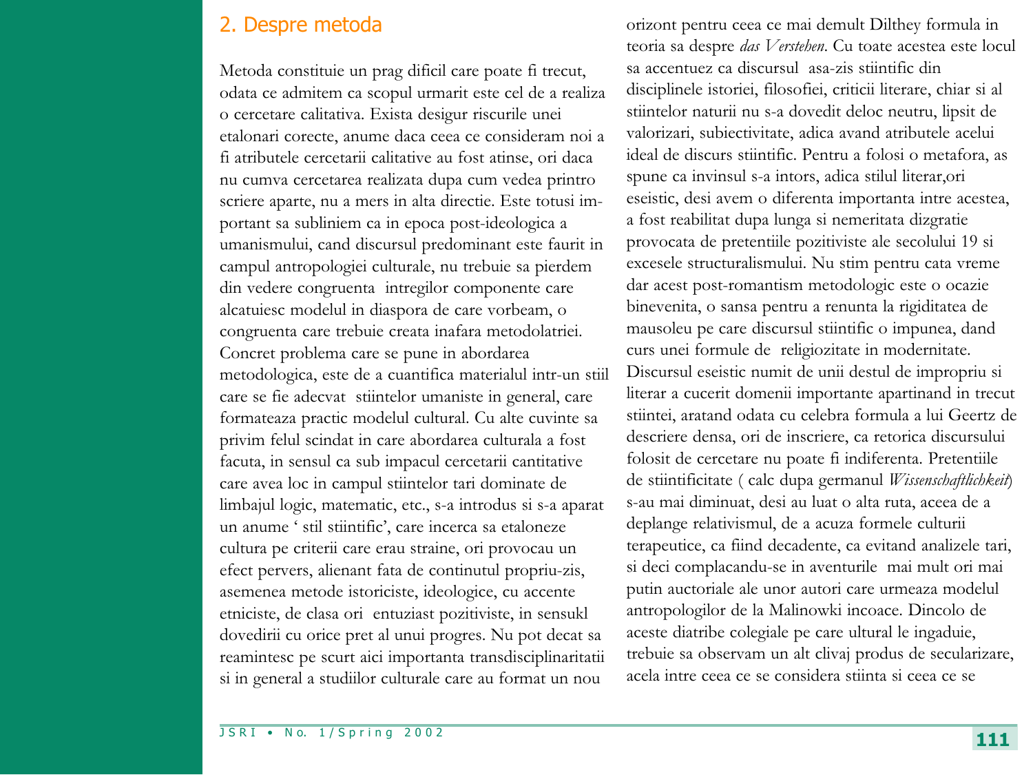## 2. Despre metoda

Metoda constituie un prag dificil care poate fi trecut, odata ce admitem ca scopul urmarit este cel de a realiza o cercetare calitativa. Exista desigur riscurile unei etalonari corecte, anume daca ceea ce consideram noi a fi atributele cercetarii calitative au fost atinse, ori daca nu cumva cercetarea realizata dupa cum vedea printro scriere aparte, nu a mers in alta directie. Este totusi important sa subliniem ca in epoca post-ideologica a umanismului, cand discursul predominant este faurit in campul antropologiei culturale, nu trebuie sa pierdem din vedere congruenta intregilor componente care alcatuiesc modelul in diaspora de care vorbeam, o congruenta care trebuie creata inafara metodolatriei. Concret problema care se pune in abordarea metodologica, este de a cuantifica materialul intr-un stiil care se fie adecvat stiintelor umaniste in general, care formateaza practic modelul cultural. Cu alte cuvinte sa privim felul scindat in care abordarea culturala a fost facuta, in sensul ca sub impacul cercetarii cantitative care avea loc in campul stiintelor tari dominate de limbajul logic, matematic, etc., s-a introdus si s-a aparat un anume ' stil stiintific', care incerca sa etaloneze cultura pe criterii care erau straine, ori provocau un efect pervers, alienant fata de continutul propriu-zis, asemenea metode istoriciste, ideologice, cu accente etniciste, de clasa ori entuziast pozitiviste, in sensukl dovedirii cu orice pret al unui progres. Nu pot decat sa reamintesc pe scurt aici importanta transdisciplinaritatii si in general a studiilor culturale care au format un nou

orizont pentru ceea ce mai demult Dilthey formula in teoria sa despre das Verstehen. Cu toate acestea este locul sa accentuez ca discursul asa-zis stiintific din disciplinele istoriei, filosofiei, criticii literare, chiar si al stiintelor naturii nu s-a dovedit deloc neutru, lipsit de valorizari, subiectivitate, adica avand atributele acelui ideal de discurs stiintific. Pentru a folosi o metafora, as spune ca invinsul s-a intors, adica stilul literar, ori eseistic, desi avem o diferenta importanta intre acestea, a fost reabilitat dupa lunga si nemeritata dizgratie provocata de pretentiile pozitiviste ale secolului 19 si excesele structuralismului. Nu stim pentru cata vreme dar acest post-romantism metodologic este o ocazie binevenita, o sansa pentru a renunta la rigiditatea de mausoleu pe care discursul stiintific o impunea, dand curs unei formule de religiozitate in modernitate. Discursul eseistic numit de unii destul de impropriu si literar a cucerit domenii importante apartinand in trecut stiintei, aratand odata cu celebra formula a lui Geertz de descriere densa, ori de inscriere, ca retorica discursului folosit de cercetare nu poate fi indiferenta. Pretentiile de stiintificitate (calc dupa germanul Wissenschaftlichkeit) s-au mai diminuat, desi au luat o alta ruta, aceea de a deplange relativismul, de a acuza formele culturii terapeutice, ca fiind decadente, ca evitand analizele tari, si deci complacandu-se in aventurile mai mult ori mai putin auctoriale ale unor autori care urmeaza modelul antropologilor de la Malinowki incoace. Dincolo de aceste diatribe colegiale pe care ultural le ingaduie, trebuie sa observam un alt clivaj produs de secularizare, acela intre ceea ce se considera stiinta si ceea ce se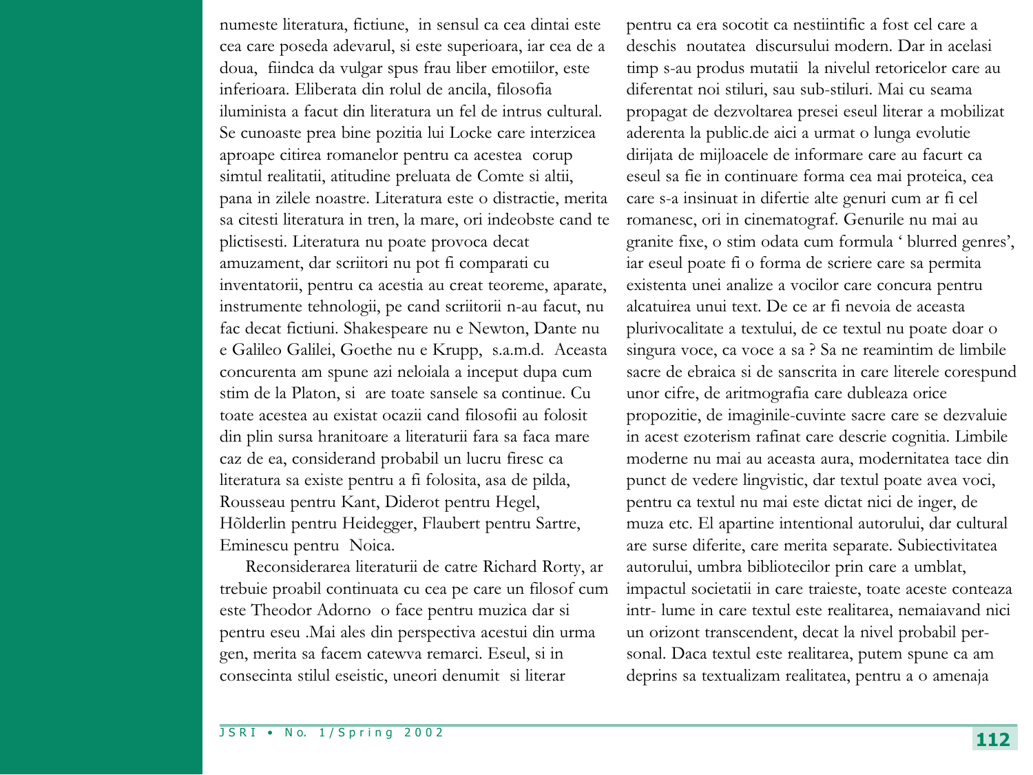numeste literatura, fictiune, in sensul ca cea dintai este cea care poseda adevarul, si este superioara, iar cea de a doua, fiindca da vulgar spus frau liber emotiilor, este inferioara. Eliberata din rolul de ancila, filosofia iluminista a facut din literatura un fel de intrus cultural. Se cunoaste prea bine pozitia lui Locke care interzicea aproape citirea romanelor pentru ca acestea corup simtul realitatii, atitudine preluata de Comte si altii, pana in zilele noastre. Literatura este o distractie, merita sa citesti literatura in tren, la mare, ori indeobste cand te plictisesti. Literatura nu poate provoca decat amuzament, dar scriitori nu pot fi comparati cu inventatorii, pentru ca acestia au creat teoreme, aparate, instrumente tehnologii, pe cand scriitorii n-au facut, nu fac decat fictiuni. Shakespeare nu e Newton, Dante nu e Galileo Galilei, Goethe nu e Krupp, s.a.m.d. Aceasta concurenta am spune azi neloiala a inceput dupa cum stim de la Platon, si are toate sansele sa continue. Cu toate acestea au existat ocazii cand filosofii au folosit din plin sursa hranitoare a literaturii fara sa faca mare caz de ea, considerand probabil un lucru firesc ca literatura sa existe pentru a fi folosita, asa de pilda, Rousseau pentru Kant, Diderot pentru Hegel, Hölderlin pentru Heidegger, Flaubert pentru Sartre, Eminescu pentru Noica.

Reconsiderarea literaturii de catre Richard Rorty, ar trebuie proabil continuata cu cea pe care un filosof cum este Theodor Adorno o face pentru muzica dar si pentru eseu .Mai ales din perspectiva acestui din urma gen, merita sa facem catewya remarci. Eseul, si in consecinta stilul eseistic, uneori denumit si literar

pentru ca era socotit ca nestiintific a fost cel care a deschis noutatea discursului modern. Dar in acelasi timp s-au produs mutatii la nivelul retoricelor care au diferentat noi stiluri, sau sub-stiluri. Mai cu seama propagat de dezvoltarea presei eseul literar a mobilizat aderenta la public.de aici a urmat o lunga evolutie dirijata de mijloacele de informare care au facurt ca eseul sa fie in continuare forma cea mai proteica, cea care s-a insinuat in difertie alte genuri cum ar fi cel romanesc, ori in cinematograf. Genurile nu mai au granite fixe, o stim odata cum formula ' blurred genres', iar eseul poate fi o forma de scriere care sa permita existenta unei analize a vocilor care concura pentru alcatuirea unui text. De ce ar fi nevoia de aceasta plurivocalitate a textului, de ce textul nu poate doar o singura voce, ca voce a sa ? Sa ne reamintim de limbile sacre de ebraica si de sanscrita in care literele corespund unor cifre, de aritmografia care dubleaza orice propozitie, de imaginile-cuvinte sacre care se dezvaluie in acest ezoterism rafinat care descrie cognitia. Limbile moderne nu mai au aceasta aura, modernitatea tace din punct de vedere lingvistic, dar textul poate avea voci, pentru ca textul nu mai este dictat nici de inger, de muza etc. El apartine intentional autorului, dar cultural are surse diferite, care merita separate. Subiectivitatea autorului, umbra bibliotecilor prin care a umblat, impactul societatii in care traieste, toate aceste conteaza intr- lume in care textul este realitarea, nemaiavand nici un orizont transcendent, decat la nivel probabil personal. Daca textul este realitarea, putem spune ca am deprins sa textualizam realitatea, pentru a o amenaja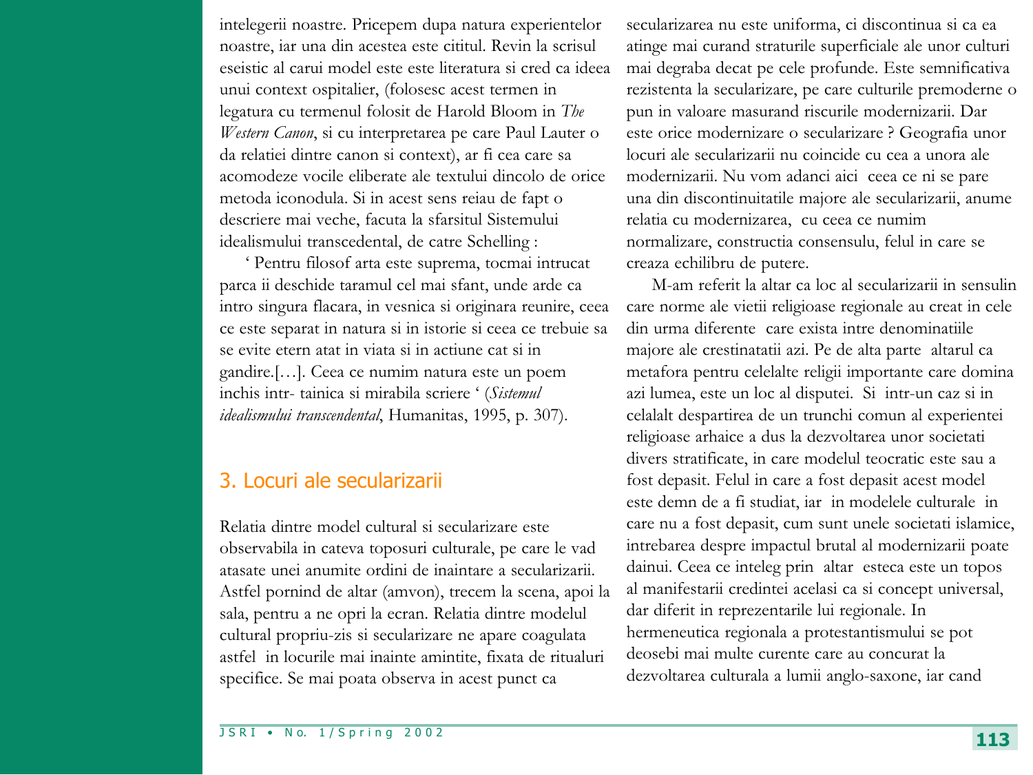intelegerii noastre. Pricepem dupa natura experientelor noastre, iar una din acestea este cititul. Revin la scrisul eseistic al carui model este este literatura si cred ca ideea unui context ospitalier, (folosesc acest termen in legatura cu termenul folosit de Harold Bloom in The Western Canon, si cu interpretarea pe care Paul Lauter o da relatiei dintre canon si context), ar fi cea care sa acomodeze vocile eliberate ale textului dincolo de orice metoda iconodula. Si in acest sens reiau de fapt o descriere mai veche, facuta la sfarsitul Sistemului idealismului transcedental, de catre Schelling :

' Pentru filosof arta este suprema, tocmai intrucat parca ii deschide taramul cel mai sfant, unde arde ca intro singura flacara, in vesnica si originara reunire, ceea ce este separat in natura si in istorie si ceea ce trebuie sa se evite etern atat in viata si in actiune cat si in gandire.[...]. Ceea ce numim natura este un poem inchis intr- tainica si mirabila scriere ' (Sistemul idealismului transcendental, Humanitas, 1995, p. 307).

## 3. Locuri ale secularizarii

Relatia dintre model cultural si secularizare este observabila in cateva toposuri culturale, pe care le vad atasate unei anumite ordini de inaintare a secularizarii. Astfel pornind de altar (amvon), trecem la scena, apoi la sala, pentru a ne opri la ecran. Relatia dintre modelul cultural propriu-zis si secularizare ne apare coagulata astfel in locurile mai inainte amintite, fixata de ritualuri specifice. Se mai poata observa in acest punct ca

secularizarea nu este uniforma, ci discontinua si ca ea atinge mai curand straturile superficiale ale unor culturi mai degraba decat pe cele profunde. Este semnificativa rezistenta la secularizare, pe care culturile premoderne o pun in valoare masurand riscurile modernizarii. Dar este orice modernizare o secularizare ? Geografia unor locuri ale secularizarii nu coincide cu cea a unora ale modernizarii. Nu vom adanci aici ceea ce ni se pare una din discontinuitatile majore ale secularizarii, anume relatia cu modernizarea, cu ceea ce numim normalizare, constructia consensulu, felul in care se creaza echilibru de putere.

M-am referit la altar ca loc al secularizarii in sensulin care norme ale vietii religioase regionale au creat in cele din urma diferente care exista intre denominatiile majore ale crestinatatii azi. Pe de alta parte altarul ca metafora pentru celelalte religii importante care domina azi lumea, este un loc al disputei. Si intr-un caz si in celalalt despartirea de un trunchi comun al experientei religioase arhaice a dus la dezvoltarea unor societati divers stratificate, in care modelul teocratic este sau a fost depasit. Felul in care a fost depasit acest model este demn de a fi studiat, iar in modelele culturale in care nu a fost depasit, cum sunt unele societati islamice, intrebarea despre impactul brutal al modernizarii poate dainui. Ceea ce inteleg prin altar esteca este un topos al manifestarii credintei acelasi ca si concept universal, dar diferit in reprezentarile lui regionale. In hermeneutica regionala a protestantismului se pot deosebi mai multe curente care au concurat la dezvoltarea culturala a lumii anglo-saxone, iar cand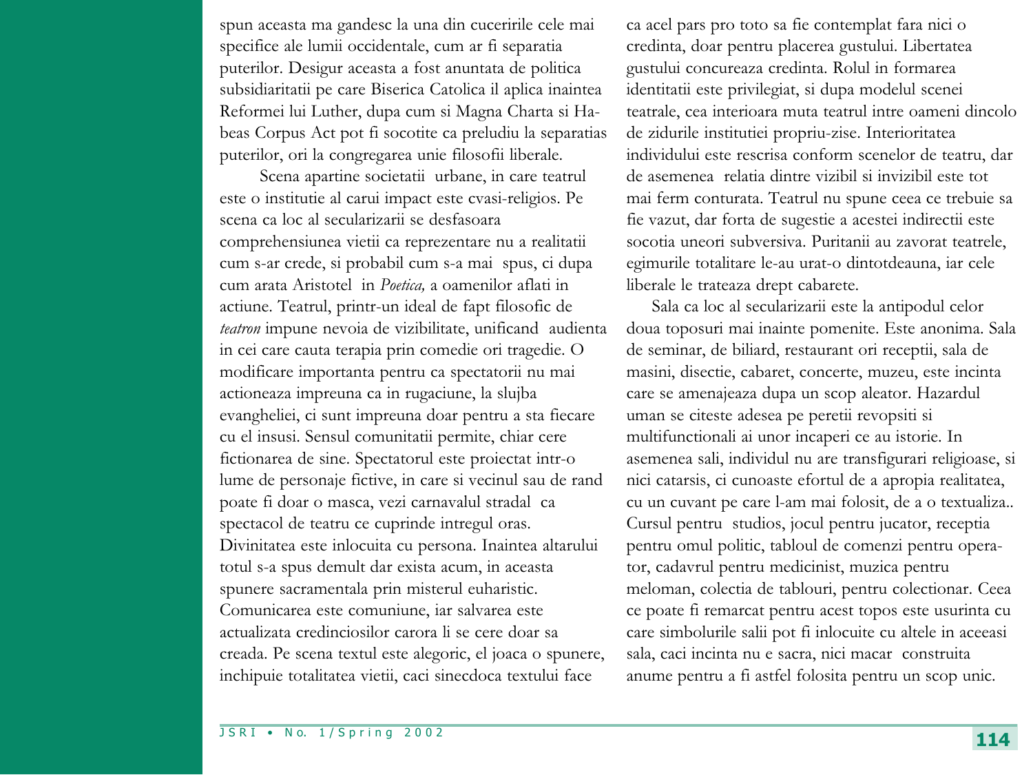spun aceasta ma gandesc la una din cuceririle cele mai specifice ale lumii occidentale, cum ar fi separatia puterilor. Desigur aceasta a fost anuntata de politica subsidiaritatii pe care Biserica Catolica il aplica inaintea Reformei lui Luther, dupa cum si Magna Charta si Habeas Corpus Act pot fi socotite ca preludiu la separatias puterilor, ori la congregarea unie filosofii liberale.

Scena apartine societatii urbane, in care teatrul este o institutie al carui impact este cvasi-religios. Pe scena ca loc al secularizarii se desfasoara comprehensiunea vietii ca reprezentare nu a realitatii cum s-ar crede, si probabil cum s-a mai spus, ci dupa cum arata Aristotel in Poetica, a oamenilor aflati in actiune. Teatrul, printr-un ideal de fapt filosofic de teatron impune nevoia de vizibilitate, unificand audienta in cei care cauta terapia prin comedie ori tragedie. O modificare importanta pentru ca spectatorii nu mai actioneaza impreuna ca in rugaciune, la slujba evangheliei, ci sunt impreuna doar pentru a sta fiecare cu el insusi. Sensul comunitatii permite, chiar cere fictionarea de sine. Spectatorul este proiectat intr-o lume de personaje fictive, in care si vecinul sau de rand poate fi doar o masca, vezi carnavalul stradal ca spectacol de teatru ce cuprinde intregul oras. Divinitatea este inlocuita cu persona. Inaintea altarului totul s-a spus demult dar exista acum, in aceasta spunere sacramentala prin misterul euharistic. Comunicarea este comuniune, iar salvarea este actualizata credinciosilor carora li se cere doar sa creada. Pe scena textul este alegoric, el joaca o spunere, inchipuie totalitatea vietii, caci sinecdoca textului face

ca acel pars pro toto sa fie contemplat fara nici o credinta, doar pentru placerea gustului. Libertatea gustului concureaza credinta. Rolul in formarea identitatii este privilegiat, si dupa modelul scenei teatrale, cea interioara muta teatrul intre oameni dincolo de zidurile institutiei propriu-zise. Interioritatea individului este rescrisa conform scenelor de teatru, dar de asemenea relatia dintre vizibil si invizibil este tot mai ferm conturata. Teatrul nu spune ceea ce trebuie sa fie vazut, dar forta de sugestie a acestei indirectii este socotia uneori subversiva. Puritanii au zavorat teatrele, egimurile totalitare le-au urat-o dintotdeauna, iar cele liberale le trateaza drept cabarete.

Sala ca loc al secularizarii este la antipodul celor doua toposuri mai inainte pomenite. Este anonima. Sala de seminar, de biliard, restaurant ori receptii, sala de masini, disectie, cabaret, concerte, muzeu, este incinta care se amenajeaza dupa un scop aleator. Hazardul uman se citeste adesea pe peretii revopsiti si multifunctionali ai unor incaperi ce au istorie. In asemenea sali, individul nu are transfigurari religioase, si nici catarsis, ci cunoaste efortul de a apropia realitatea, cu un cuvant pe care l-am mai folosit, de a o textualiza.. Cursul pentru studios, jocul pentru jucator, receptia pentru omul politic, tabloul de comenzi pentru operator, cadavrul pentru medicinist, muzica pentru meloman, colectia de tablouri, pentru colectionar. Ceea ce poate fi remarcat pentru acest topos este usurinta cu care simbolurile salii pot fi inlocuite cu altele in aceeasi sala, caci incinta nu e sacra, nici macar construita anume pentru a fi astfel folosita pentru un scop unic.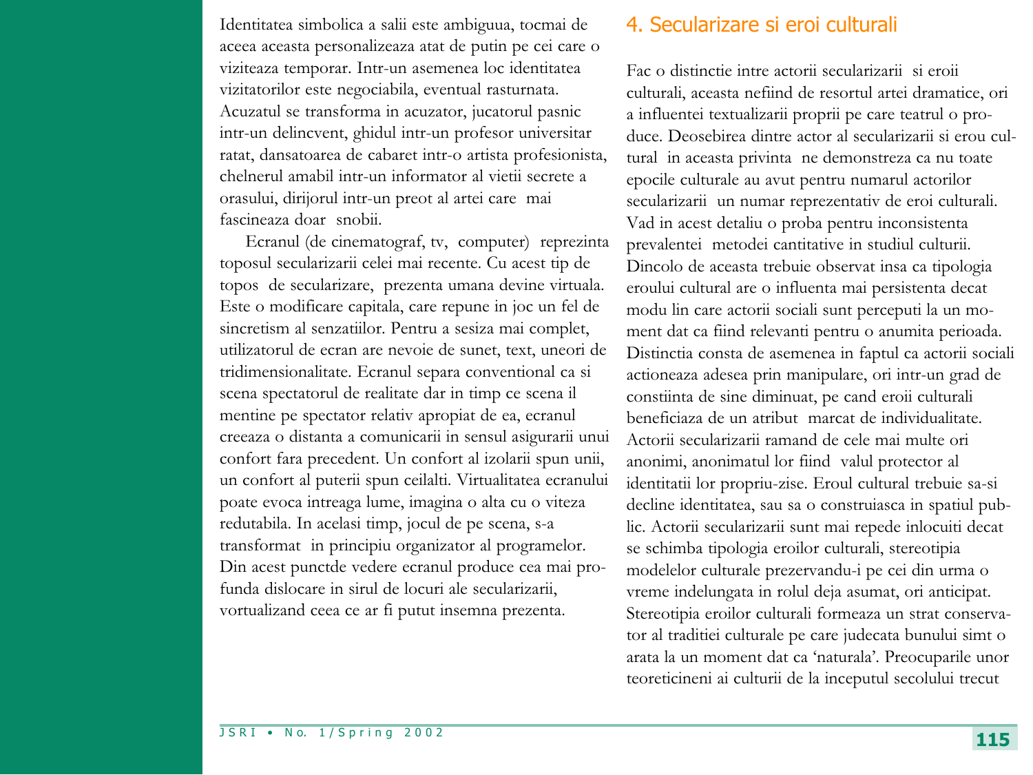Identitatea simbolica a salii este ambiguua, tocmai de aceea aceasta personalizeaza atat de putin pe cei care o viziteaza temporar. Intr-un asemenea loc identitatea vizitatorilor este negociabila, eventual rasturnata. Acuzatul se transforma in acuzator, jucatorul pasnic intr-un delincvent, ghidul intr-un profesor universitar ratat, dansatoarea de cabaret intr-o artista profesionista, chelnerul amabil intr-un informator al vietii secrete a orasului, dirijorul intr-un preot al artei care mai fascineaza doar snobii.

Ecranul (de cinematograf, tv, computer) reprezinta toposul secularizarii celei mai recente. Cu acest tip de topos de secularizare, prezenta umana devine virtuala. Este o modificare capitala, care repune in joc un fel de sincretism al senzatiilor. Pentru a sesiza mai complet, utilizatorul de ecran are nevoie de sunet, text, uneori de tridimensionalitate. Ecranul separa conventional ca si scena spectatorul de realitate dar in timp ce scena il mentine pe spectator relativ apropiat de ea, ecranul creeaza o distanta a comunicarii in sensul asigurarii unui confort fara precedent. Un confort al izolarii spun unii, un confort al puterii spun ceilalti. Virtualitatea ecranului poate evoca intreaga lume, imagina o alta cu o viteza redutabila. In acelasi timp, jocul de pe scena, s-a transformat in principiu organizator al programelor. Din acest punctde vedere ecranul produce cea mai profunda dislocare in sirul de locuri ale secularizarii, vortualizand ceea ce ar fi putut insemna prezenta.

## 4. Secularizare și eroi culturali

Fac o distinctie intre actorii secularizarii si eroii culturali, aceasta nefiind de resortul artei dramatice, ori a influentei textualizarii proprii pe care teatrul o produce. Deosebirea dintre actor al secularizarii si erou cultural in aceasta privinta ne demonstreza ca nu toate epocile culturale au avut pentru numarul actorilor secularizarii un numar reprezentativ de eroi culturali. Vad in acest detaliu o proba pentru inconsistenta prevalentei metodei cantitative in studiul culturii. Dincolo de aceasta trebuie observat insa ca tipologia eroului cultural are o influenta mai persistenta decat modu lin care actorii sociali sunt perceputi la un moment dat ca fiind relevanti pentru o anumita perioada. Distinctia consta de asemenea in faptul ca actorii sociali actioneaza adesea prin manipulare, ori intr-un grad de constiinta de sine diminuat, pe cand eroii culturali beneficiaza de un atribut marcat de individualitate. Actorii secularizarii ramand de cele mai multe ori anonimi, anonimatul lor fiind valul protector al identitatii lor propriu-zise. Eroul cultural trebuie sa-si decline identitatea, sau sa o construiasca in spatiul public. Actorii secularizarii sunt mai repede inlocuiti decat se schimba tipologia eroilor culturali, stereotipia modelelor culturale prezervandu-i pe cei din urma o vreme indelungata in rolul deja asumat, ori anticipat. Stereotipia eroilor culturali formeaza un strat conservator al traditiei culturale pe care judecata bunului simt o arata la un moment dat ca 'naturala'. Preocuparile unor teoreticineni ai culturii de la inceputul secolului trecut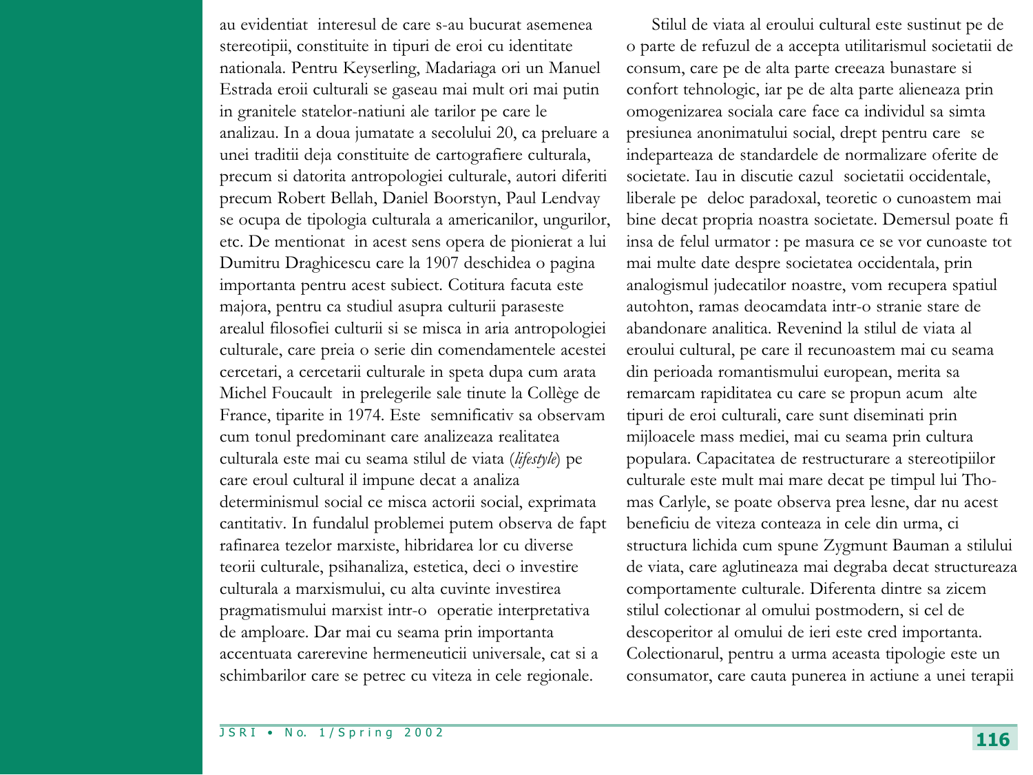au evidentiat interesul de care s-au bucurat asemenea stereotipii, constituite in tipuri de eroi cu identitate nationala. Pentru Keyserling, Madariaga ori un Manuel Estrada eroii culturali se gaseau mai mult ori mai putin in granitele statelor-natiuni ale tarilor pe care le analizau. In a doua jumatate a secolului 20, ca preluare a unei traditii deja constituite de cartografiere culturala, precum si datorita antropologiei culturale, autori diferiti precum Robert Bellah, Daniel Boorstyn, Paul Lendvay se ocupa de tipologia culturala a americanilor, ungurilor, etc. De mentionat in acest sens opera de pionierat a lui Dumitru Draghicescu care la 1907 deschidea o pagina importanta pentru acest subiect. Cotitura facuta este majora, pentru ca studiul asupra culturii paraseste arealul filosofiei culturii si se misca in aria antropologiei culturale, care preia o serie din comendamentele acestei cercetari, a cercetarii culturale in speta dupa cum arata Michel Foucault in prelegerile sale tinute la Collège de France, tiparite in 1974. Este semnificativ sa observam cum tonul predominant care analizeaza realitatea culturala este mai cu seama stilul de viata (lifestyle) pe care eroul cultural il impune decat a analiza determinismul social ce misca actorii social, exprimata cantitativ. In fundalul problemei putem observa de fapt rafinarea tezelor marxiste, hibridarea lor cu diverse teorii culturale, psihanaliza, estetica, deci o investire culturala a marxismului, cu alta cuvinte investirea pragmatismului marxist intr-o operatie interpretativa de amploare. Dar mai cu seama prin importanta accentuata carerevine hermeneuticii universale, cat si a schimbarilor care se petrec cu viteza in cele regionale.

Stilul de viata al eroului cultural este sustinut pe de o parte de refuzul de a accepta utilitarismul societatii de consum, care pe de alta parte creeaza bunastare si confort tehnologic, iar pe de alta parte alieneaza prin omogenizarea sociala care face ca individul sa simta presiunea anonimatului social, drept pentru care se indeparteaza de standardele de normalizare oferite de societate. Iau in discutie cazul societatii occidentale, liberale pe deloc paradoxal, teoretic o cunoastem mai bine decat propria noastra societate. Demersul poate fi insa de felul urmator : pe masura ce se vor cunoaste tot mai multe date despre societatea occidentala, prin analogismul judecatilor noastre, vom recupera spatiul autohton, ramas deocamdata intr-o stranie stare de abandonare analitica. Revenind la stilul de viata al eroului cultural, pe care il recunoastem mai cu seama din perioada romantismului european, merita sa remarcam rapiditatea cu care se propun acum alte tipuri de eroi culturali, care sunt diseminati prin mijloacele mass mediei, mai cu seama prin cultura populara. Capacitatea de restructurare a stereotipiilor culturale este mult mai mare decat pe timpul lui Thomas Carlyle, se poate observa prea lesne, dar nu acest beneficiu de viteza conteaza in cele din urma, ci structura lichida cum spune Zygmunt Bauman a stilului de viata, care aglutineaza mai degraba decat structureaza comportamente culturale. Diferenta dintre sa zicem stilul colectionar al omului postmodern, si cel de descoperitor al omului de ieri este cred importanta. Colectionarul, pentru a urma aceasta tipologie este un consumator, care cauta punerea in actiune a unei terapii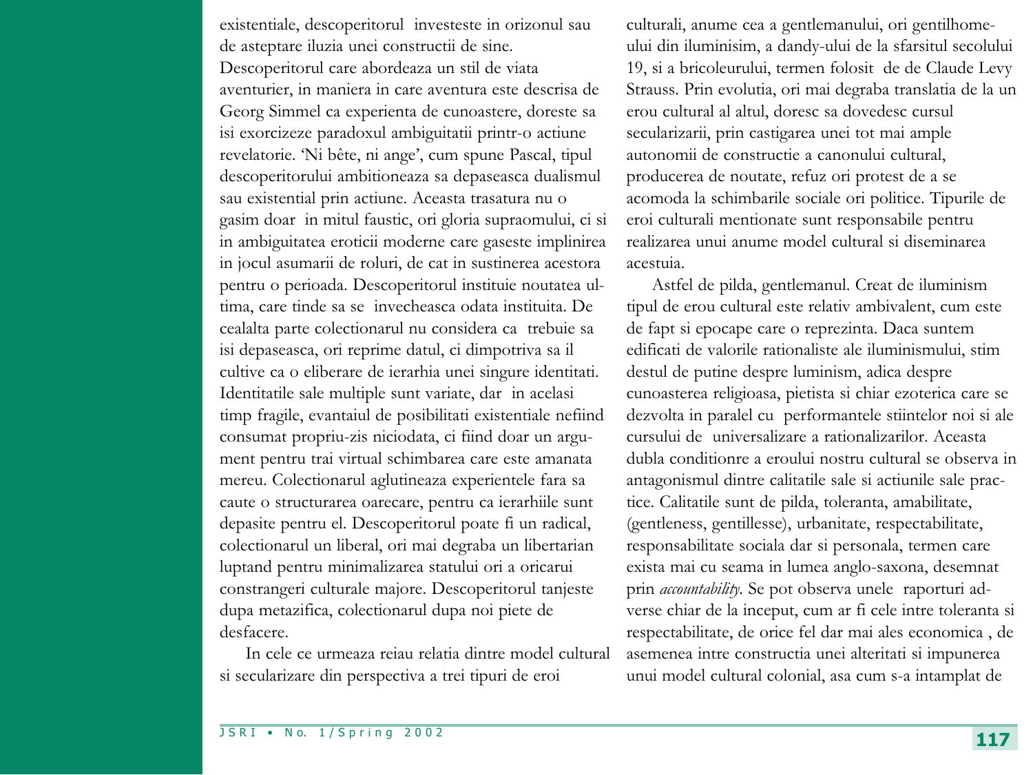existentiale, descoperitorul investeste in orizonul sau de asteptare iluzia unei constructii de sine. Descoperitorul care abordeaza un stil de viata aventurier, in maniera in care aventura este descrisa de Georg Simmel ca experienta de cunoastere, doreste sa isi exorcizeze paradoxul ambiguitatii printr-o actiune revelatorie. 'Ni bête, ni ange', cum spune Pascal, tipul descoperitorului ambitioneaza sa depaseasca dualismul sau existential prin actiune. Aceasta trasatura nu o gasim doar in mitul faustic, ori gloria supraomului, ci si in ambiguitatea eroticii moderne care gaseste implinirea in jocul asumarii de roluri, de cat in sustinerea acestora pentru o perioada. Descoperitorul instituie noutatea ultima, care tinde sa se invecheasca odata instituita. De cealalta parte colectionarul nu considera ca trebuie sa isi depaseasca, ori reprime datul, ci dimpotriva sa il cultive ca o eliberare de ierarhia unei singure identitati. Identitatile sale multiple sunt variate, dar in acelasi timp fragile, evantaiul de posibilitati existentiale nefiind consumat propriu-zis niciodata, ci fiind doar un argument pentru trai virtual schimbarea care este amanata mereu. Colectionarul aglutineaza experientele fara sa caute o structurarea oarecare, pentru ca ierarhiile sunt depasite pentru el. Descoperitorul poate fi un radical, colectionarul un liberal, ori mai degraba un libertarian luptand pentru minimalizarea statului ori a oricarui constrangeri culturale majore. Descoperitorul tanjeste dupa metazifica, colectionarul dupa noi piete de desfacere.

In cele ce urmeaza rejau relatia dintre model cultural si secularizare din perspectiva a trei tipuri de eroi

culturali, anume cea a gentlemanului, ori gentilhomeului din iluminisim, a dandy-ului de la sfarsitul secolului 19, si a bricoleurului, termen folosit de de Claude Levy Strauss. Prin evolutia, ori mai degraba translatia de la un erou cultural al altul, doresc sa dovedesc cursul secularizarii, prin castigarea unei tot mai ample autonomii de constructie a canonului cultural, producerea de noutate, refuz ori protest de a se acomoda la schimbarile sociale ori politice. Tipurile de eroi culturali mentionate sunt responsabile pentru realizarea unui anume model cultural si diseminarea acestuia.

Astfel de pilda, gentlemanul. Creat de iluminism tipul de erou cultural este relativ ambivalent, cum este de fapt si epocape care o reprezinta. Daca suntem edificati de valorile rationaliste ale iluminismului, stim destul de putine despre luminism, adica despre cunoasterea religioasa, pietista si chiar ezoterica care se dezvolta in paralel cu performantele stiintelor noi si ale cursului de universalizare a rationalizarilor. Aceasta dubla conditionre a eroului nostru cultural se observa in antagonismul dintre calitatile sale si actiunile sale practice. Calitatile sunt de pilda, toleranta, amabilitate, (gentleness, gentillesse), urbanitate, respectabilitate, responsabilitate sociala dar si personala, termen care exista mai cu seama in lumea anglo-saxona, desemnat prin accountability. Se pot observa unele raporturi adverse chiar de la inceput, cum ar fi cele intre toleranta si respectabilitate, de orice fel dar mai ales economica, de asemenea intre constructia unei alteritati si impunerea unui model cultural colonial, asa cum s-a intamplat de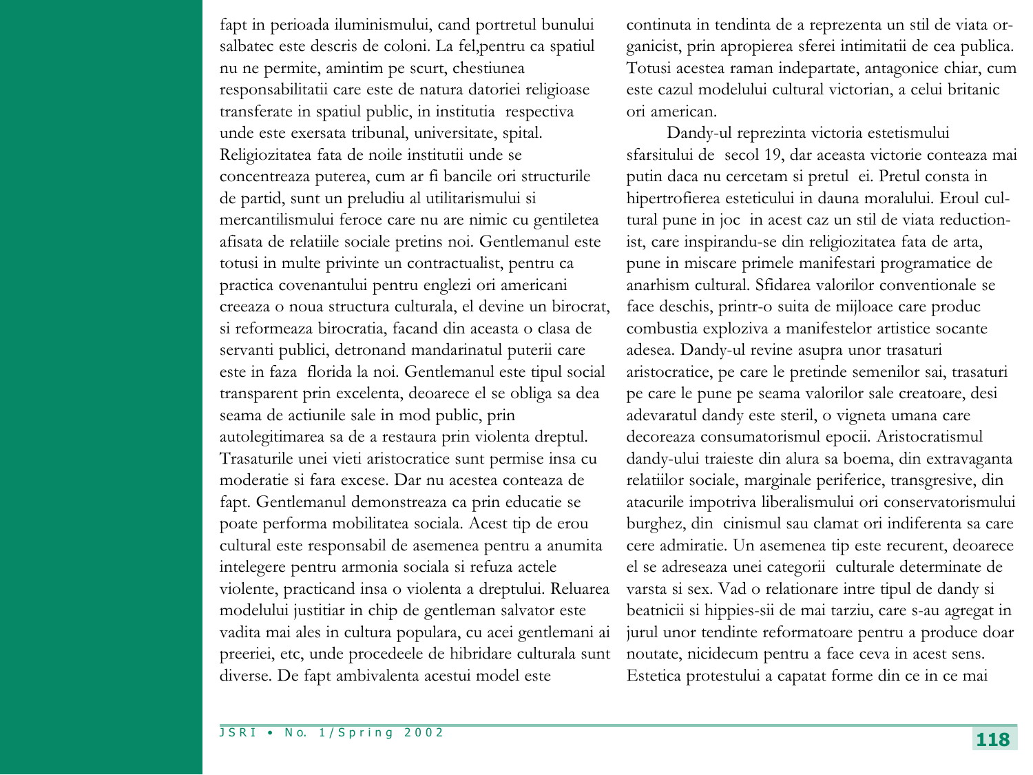fapt in perioada iluminismului, cand portretul bunului salbatec este descris de coloni. La fel, pentru ca spatiul nu ne permite, amintim pe scurt, chestiunea responsabilitatii care este de natura datoriei religioase transferate in spatiul public, in institutia respectiva unde este exersata tribunal, universitate, spital. Religiozitatea fata de noile institutii unde se concentreaza puterea, cum ar fi bancile ori structurile de partid, sunt un preludiu al utilitarismului si mercantilismului feroce care nu are nimic cu gentiletea afisata de relatiile sociale pretins noi. Gentlemanul este totusi in multe privinte un contractualist, pentru ca practica covenantului pentru englezi ori americani creeaza o noua structura culturala, el devine un birocrat, si reformeaza birocratia, facand din aceasta o clasa de servanti publici, detronand mandarinatul puterii care este in faza florida la noi. Gentlemanul este tipul social transparent prin excelenta, deoarece el se obliga sa dea seama de actiunile sale in mod public, prin autolegitimarea sa de a restaura prin violenta dreptul. Trasaturile unei vieti aristocratice sunt permise insa cu moderatie si fara excese. Dar nu acestea conteaza de fapt. Gentlemanul demonstreaza ca prin educatie se poate performa mobilitatea sociala. Acest tip de erou cultural este responsabil de asemenea pentru a anumita intelegere pentru armonia sociala si refuza actele violente, practicand insa o violenta a dreptului. Reluarea modelului justitiar in chip de gentleman salvator este vadita mai ales in cultura populara, cu acei gentlemani ai preeriei, etc, unde procedeele de hibridare culturala sunt diverse. De fapt ambivalenta acestui model este

continuta in tendinta de a reprezenta un stil de viata organicist, prin apropierea sferei intimitatii de cea publica. Totusi acestea raman indepartate, antagonice chiar, cum este cazul modelului cultural victorian, a celui britanic ori american.

Dandy-ul reprezinta victoria estetismului sfarsitului de secol 19, dar aceasta victorie conteaza mai putin daca nu cercetam si pretul ei. Pretul consta in hipertrofierea esteticului in dauna moralului. Eroul cultural pune in joc in acest caz un stil de viata reductionist, care inspirandu-se din religiozitatea fata de arta, pune in miscare primele manifestari programatice de anarhism cultural. Sfidarea valorilor conventionale se face deschis, printr-o suita de mijloace care produc combustia exploziva a manifestelor artistice socante adesea. Dandy-ul revine asupra unor trasaturi aristocratice, pe care le pretinde semenilor sai, trasaturi pe care le pune pe seama valorilor sale creatoare, desi adevaratul dandy este steril, o vigneta umana care decoreaza consumatorismul epocii. Aristocratismul dandy-ului traieste din alura sa boema, din extravaganta relatiilor sociale, marginale periferice, transgresive, din atacurile impotriva liberalismului ori conservatorismului burghez, din cinismul sau clamat ori indiferenta sa care cere admiratie. Un asemenea tip este recurent, deoarece el se adreseaza unei categorii culturale determinate de varsta si sex. Vad o relationare intre tipul de dandy si beatnicii si hippies-sii de mai tarziu, care s-au agregat in jurul unor tendinte reformatoare pentru a produce doar noutate, nicidecum pentru a face ceva in acest sens. Estetica protestului a capatat forme din ce in ce mai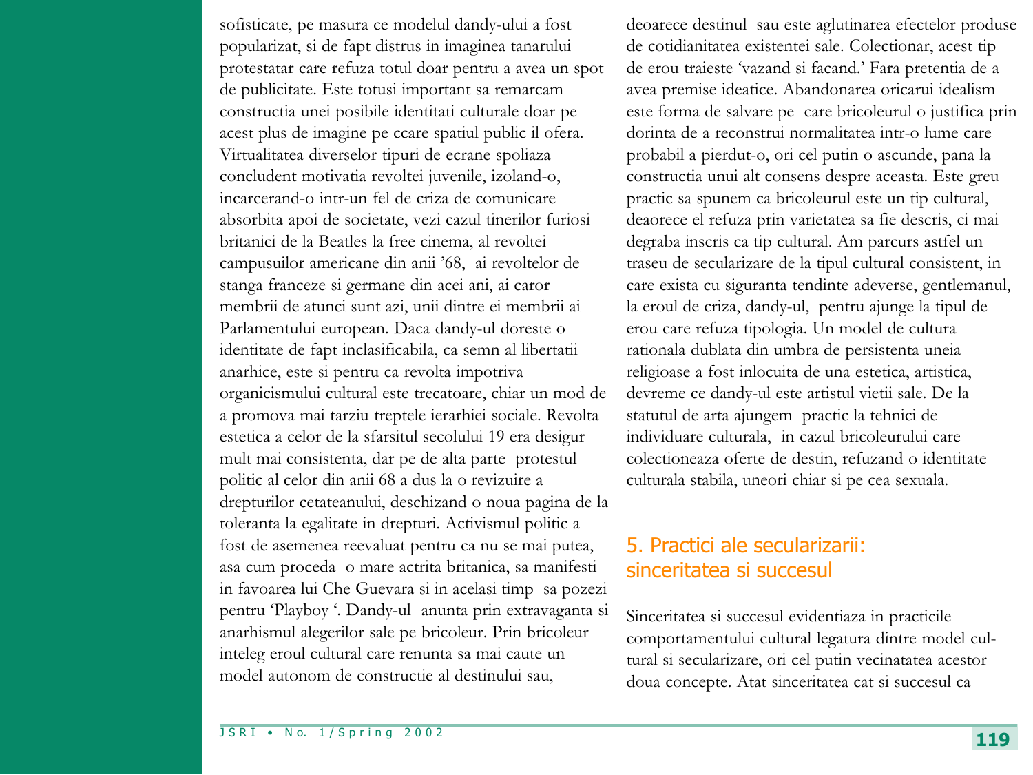sofisticate, pe masura ce modelul dandy-ului a fost popularizat, si de fapt distrus in imaginea tanarului protestatar care refuza totul doar pentru a avea un spot de publicitate. Este totusi important sa remarcam constructia unei posibile identitati culturale doar pe acest plus de imagine pe ccare spatiul public il ofera. Virtualitatea diverselor tipuri de ecrane spoliaza concludent motivatia revoltei juvenile, izoland-o, incarcerand-o intr-un fel de criza de comunicare absorbita apoi de societate, vezi cazul tinerilor furiosi britanici de la Beatles la free cinema, al revoltei campusuilor americane din anii '68, ai revoltelor de stanga franceze si germane din acei ani, ai caror membrii de atunci sunt azi, unii dintre ei membrii ai Parlamentului european. Daca dandy-ul doreste o identitate de fapt inclasificabila, ca semn al libertatii anarhice, este si pentru ca revolta impotriva organicismului cultural este trecatoare, chiar un mod de a promova mai tarziu treptele ierarhiei sociale. Revolta estetica a celor de la sfarsitul secolului 19 era desigur mult mai consistenta, dar pe de alta parte protestul politic al celor din anii 68 a dus la o revizuire a drepturilor cetateanului, deschizand o noua pagina de la toleranta la egalitate in drepturi. Activismul politic a fost de asemenea reevaluat pentru ca nu se mai putea, asa cum proceda o mare actrita britanica, sa manifesti in favoarea lui Che Guevara si in acelasi timp sa pozezi pentru 'Playboy '. Dandy-ul anunta prin extravaganta si anarhismul alegerilor sale pe bricoleur. Prin bricoleur inteleg eroul cultural care renunta sa mai caute un model autonom de constructie al destinului sau,

deoarece destinul sau este aglutinarea efectelor produse de cotidianitatea existentei sale. Colectionar, acest tip de erou traieste 'vazand si facand.' Fara pretentia de a avea premise ideatice. Abandonarea oricarui idealism este forma de salvare pe care bricoleurul o justifica prin dorinta de a reconstrui normalitatea intr-o lume care probabil a pierdut-o, ori cel putin o ascunde, pana la constructia unui alt consens despre aceasta. Este greu practic sa spunem ca bricoleurul este un tip cultural, deaorece el refuza prin varietatea sa fie descris, ci mai degraba inscris ca tip cultural. Am parcurs astfel un traseu de secularizare de la tipul cultural consistent, in care exista cu siguranta tendinte adeverse, gentlemanul, la eroul de criza, dandy-ul, pentru ajunge la tipul de erou care refuza tipologia. Un model de cultura rationala dublata din umbra de persistenta uneia religioase a fost inlocuita de una estetica, artistica, devreme ce dandy-ul este artistul vietii sale. De la statutul de arta ajungem practic la tehnici de individuare culturala, in cazul bricoleurului care colectioneaza oferte de destin, refuzand o identitate culturala stabila, uneori chiar si pe cea sexuala.

# 5. Practici ale secularizarii: sinceritatea si succesul

Sinceritatea si succesul evidentiaza in practicile comportamentului cultural legatura dintre model cultural si secularizare, ori cel putin vecinatatea acestor doua concepte. Atat sinceritatea cat si succesul ca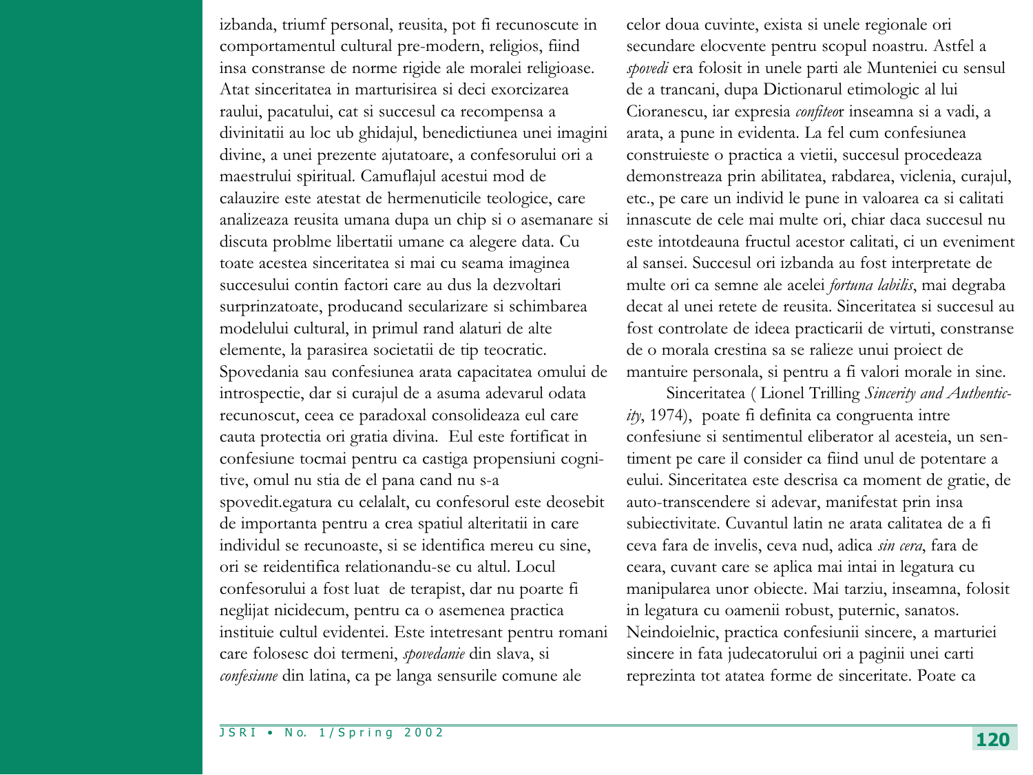izbanda, triumf personal, reusita, pot fi recunoscute in comportamentul cultural pre-modern, religios, fiind insa constranse de norme rigide ale moralei religioase. Atat sinceritatea in marturisirea si deci exorcizarea raului, pacatului, cat si succesul ca recompensa a divinitatii au loc ub ghidajul, benedictiunea unei imagini divine, a unei prezente ajutatoare, a confesorului ori a maestrului spiritual. Camuflajul acestui mod de calauzire este atestat de hermenuticile teologice, care analizeaza reusita umana dupa un chip si o asemanare si discuta problme libertatii umane ca alegere data. Cu toate acestea sinceritatea si mai cu seama imaginea succesului contin factori care au dus la dezvoltari surprinzatoate, producand secularizare si schimbarea modelului cultural, in primul rand alaturi de alte elemente, la parasirea societatii de tip teocratic. Spovedania sau confesiunea arata capacitatea omului de introspectie, dar si curajul de a asuma adevarul odata recunoscut, ceea ce paradoxal consolideaza eul care cauta protectia ori gratia divina. Eul este fortificat in confesiune tocmai pentru ca castiga propensiuni cognitive, omul nu stia de el pana cand nu s-a spovedit.egatura cu celalalt, cu confesorul este deosebit de importanta pentru a crea spatiul alteritatii in care individul se recunoaste, si se identifica mereu cu sine, ori se reidentifica relationandu-se cu altul. Locul confesorului a fost luat de terapist, dar nu poarte fi neglijat nicidecum, pentru ca o asemenea practica instituie cultul evidentei. Este intetresant pentru romani care folosesc doi termeni, spovedanie din slava, si confesiune din latina, ca pe langa sensurile comune ale

celor doua cuvinte, exista si unele regionale ori secundare elocvente pentru scopul noastru. Astfel a spovedi era folosit in unele parti ale Munteniei cu sensul de a trancani, dupa Dictionarul etimologic al lui Cioranescu, iar expresia confiteor inseamna si a vadi, a arata, a pune in evidenta. La fel cum confesiunea construieste o practica a vietii, succesul procedeaza demonstreaza prin abilitatea, rabdarea, viclenia, curajul, etc., pe care un individ le pune in valoarea ca si calitati innascute de cele mai multe ori, chiar daca succesul nu este intotdeauna fructul acestor calitati, ci un eveniment al sansei. Succesul ori izbanda au fost interpretate de multe ori ca semne ale acelei fortuna labilis, mai degraba decat al unei retete de reusita. Sinceritatea si succesul au fost controlate de ideea practicarii de virtuti, constranse de o morala crestina sa se ralieze unui proiect de mantuire personala, si pentru a fi valori morale in sine.

Sinceritatea (Lionel Trilling Sincerity and Authenticity, 1974), poate fi definita ca congruenta intre confesiune si sentimentul eliberator al acesteia, un sentiment pe care il consider ca fiind unul de potentare a eului. Sinceritatea este descrisa ca moment de gratie, de auto-transcendere si adevar, manifestat prin insa subiectivitate. Cuvantul latin ne arata calitatea de a fi ceva fara de invelis, ceva nud, adica sin cera, fara de ceara, cuvant care se aplica mai intai in legatura cu manipularea unor obiecte. Mai tarziu, inseamna, folosit in legatura cu oamenii robust, puternic, sanatos. Neindoielnic, practica confesiunii sincere, a marturiei sincere in fata judecatorului ori a paginii unei carti reprezinta tot atatea forme de sinceritate. Poate ca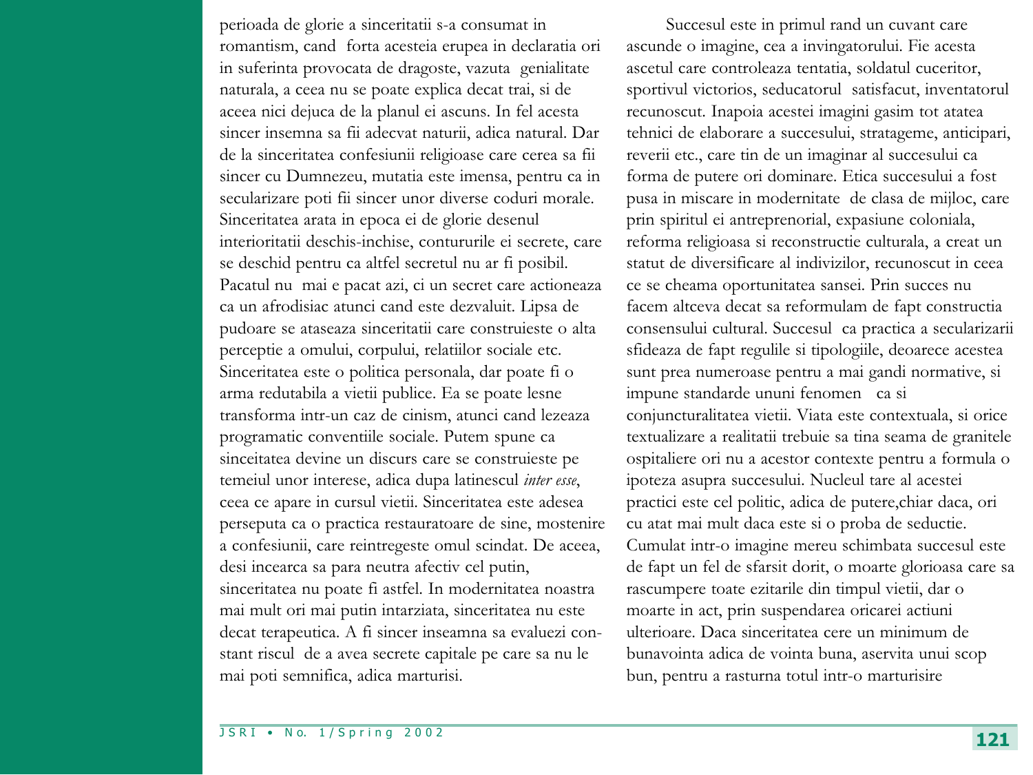perioada de glorie a sinceritatii s-a consumat in romantism, cand forta acesteia erupea in declaratia ori in suferinta provocata de dragoste, vazuta genialitate naturala, a ceea nu se poate explica decat trai, si de aceea nici dejuca de la planul ei ascuns. In fel acesta sincer insemna sa fii adecvat naturii, adica natural. Dar de la sinceritatea confesiunii religioase care cerea sa fii sincer cu Dumnezeu, mutatia este imensa, pentru ca in secularizare poti fii sincer unor diverse coduri morale. Sinceritatea arata in epoca ei de glorie desenul interioritatii deschis-inchise, contururile ei secrete, care se deschid pentru ca altfel secretul nu ar fi posibil. Pacatul nu mai e pacat azi, ci un secret care actioneaza ca un afrodisiac atunci cand este dezvaluit. Lipsa de pudoare se ataseaza sinceritatii care construieste o alta perceptie a omului, corpului, relatiilor sociale etc. Sinceritatea este o politica personala, dar poate fi o arma redutabila a vietii publice. Ea se poate lesne transforma intr-un caz de cinism, atunci cand lezeaza programatic conventiile sociale. Putem spune ca sinceitatea devine un discurs care se construieste pe temeiul unor interese, adica dupa latinescul inter esse, ceea ce apare in cursul vietii. Sinceritatea este adesea perseputa ca o practica restauratoare de sine, mostenire a confesiunii, care reintregeste omul scindat. De aceea, desi incearca sa para neutra afectiv cel putin, sinceritatea nu poate fi astfel. In modernitatea noastra mai mult ori mai putin intarziata, sinceritatea nu este decat terapeutica. A fi sincer inseamna sa evaluezi constant riscul de a avea secrete capitale pe care sa nu le mai poti semnifica, adica marturisi.

Succesul este in primul rand un cuvant care ascunde o imagine, cea a invingatorului. Fie acesta ascetul care controleaza tentatia, soldatul cuceritor, sportivul victorios, seducatorul satisfacut, inventatorul recunoscut. Inapoia acestei imagini gasim tot atatea tehnici de elaborare a succesului, stratageme, anticipari, reverii etc., care tin de un imaginar al succesului ca forma de putere ori dominare. Etica succesului a fost pusa in miscare in modernitate de clasa de mijloc, care prin spiritul ei antreprenorial, expasiune coloniala, reforma religioasa si reconstructie culturala, a creat un statut de diversificare al indivizilor, recunoscut in ceea ce se cheama oportunitatea sansei. Prin succes nu facem altceva decat sa reformulam de fapt constructia consensului cultural. Succesul ca practica a secularizarii sfideaza de fapt regulile si tipologiile, deoarece acestea sunt prea numeroase pentru a mai gandi normative, si impune standarde ununi fenomen ca si conjuncturalitatea vietii. Viata este contextuala, si orice textualizare a realitatii trebuie sa tina seama de granitele ospitaliere ori nu a acestor contexte pentru a formula o ipoteza asupra succesului. Nucleul tare al acestei practici este cel politic, adica de putere, chiar daca, ori cu atat mai mult daca este si o proba de seductie. Cumulat intr-o imagine mereu schimbata succesul este de fapt un fel de sfarsit dorit, o moarte glorioasa care sa rascumpere toate ezitarile din timpul vietii, dar o moarte in act, prin suspendarea oricarei actiuni ulterioare. Daca sinceritatea cere un minimum de bunavointa adica de vointa buna, aservita unui scop bun, pentru a rasturna totul intr-o marturisire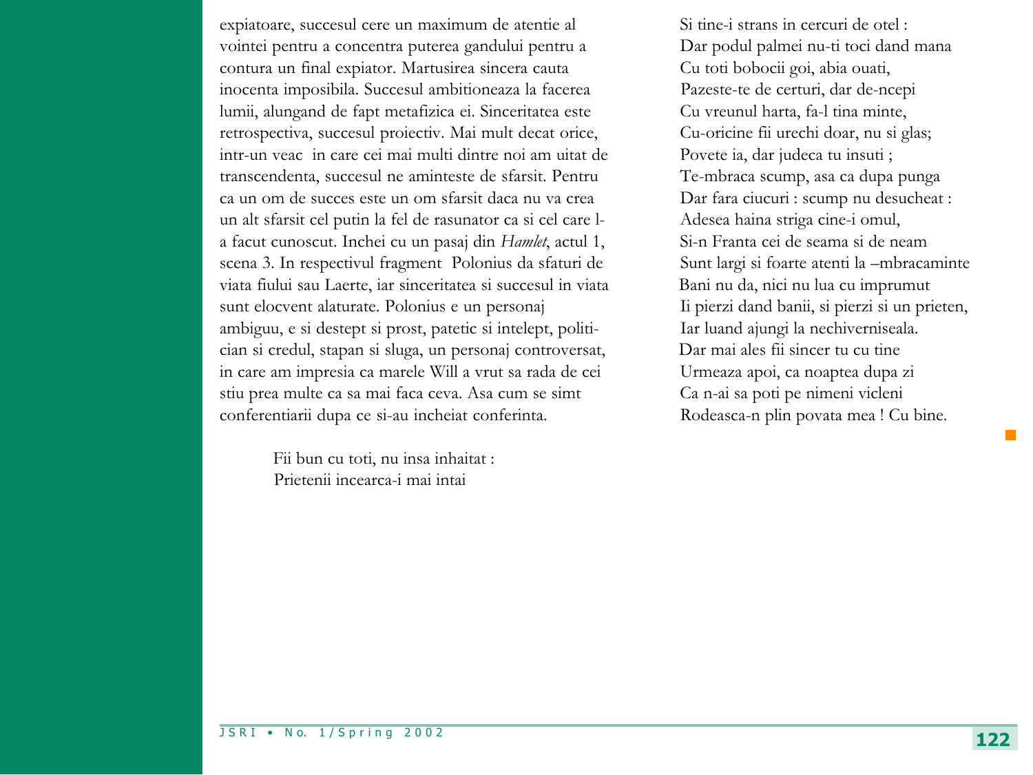expiatoare, succesul cere un maximum de atentie al vointei pentru a concentra puterea gandului pentru a contura un final expiator. Martusirea sincera cauta inocenta imposibila. Succesul ambitioneaza la facerea lumii, alungand de fapt metafizica ei. Sinceritatea este retrospectiva, succesul proiectiv. Mai mult decat orice, intr-un veac in care cei mai multi dintre noi am uitat de transcendenta, succesul ne aminteste de sfarsit. Pentru ca un om de succes este un om sfarsit daca nu va crea un alt sfarsit cel putin la fel de rasunator ca si cel care la facut cunoscut. Inchei cu un pasaj din Hamlet, actul 1, scena 3. In respectivul fragment Polonius da sfaturi de viata fiului sau Laerte, iar sinceritatea si succesul in viata sunt elocvent alaturate. Polonius e un personaj ambiguu, e si destept si prost, patetic si intelept, politician si credul, stapan si sluga, un personaj controversat, in care am impresia ca marele Will a vrut sa rada de cei stiu prea multe ca sa mai faca ceva. Asa cum se simt conferentiarii dupa ce si-au incheiat conferinta.

> Fii bun cu toti, nu insa inhaitat : Prietenii incearca-i mai intai

Si tine-i strans in cercuri de otel : Dar podul palmei nu-ti toci dand mana Cu toti bobocii goi, abia ouati, Pazeste-te de certuri, dar de-ncepi Cu vreunul harta, fa-l tina minte, Cu-oricine fii urechi doar, nu si glas; Povete ia, dar judeca tu insuti; Te-mbraca scump, asa ca dupa punga Dar fara ciucuri : scump nu desucheat : Adesea haina striga cine-i omul, Si-n Franta cei de seama si de neam Sunt largi si foarte atenti la -mbracaminte Bani nu da, nici nu lua cu imprumut Ii pierzi dand banii, si pierzi si un prieten, Iar luand ajungi la nechiverniseala. Dar mai ales fii sincer tu cu tine Urmeaza apoi, ca noaptea dupa zi Ca n-ai sa poti pe nimeni vicleni Rodeasca-n plin povata mea ! Cu bine.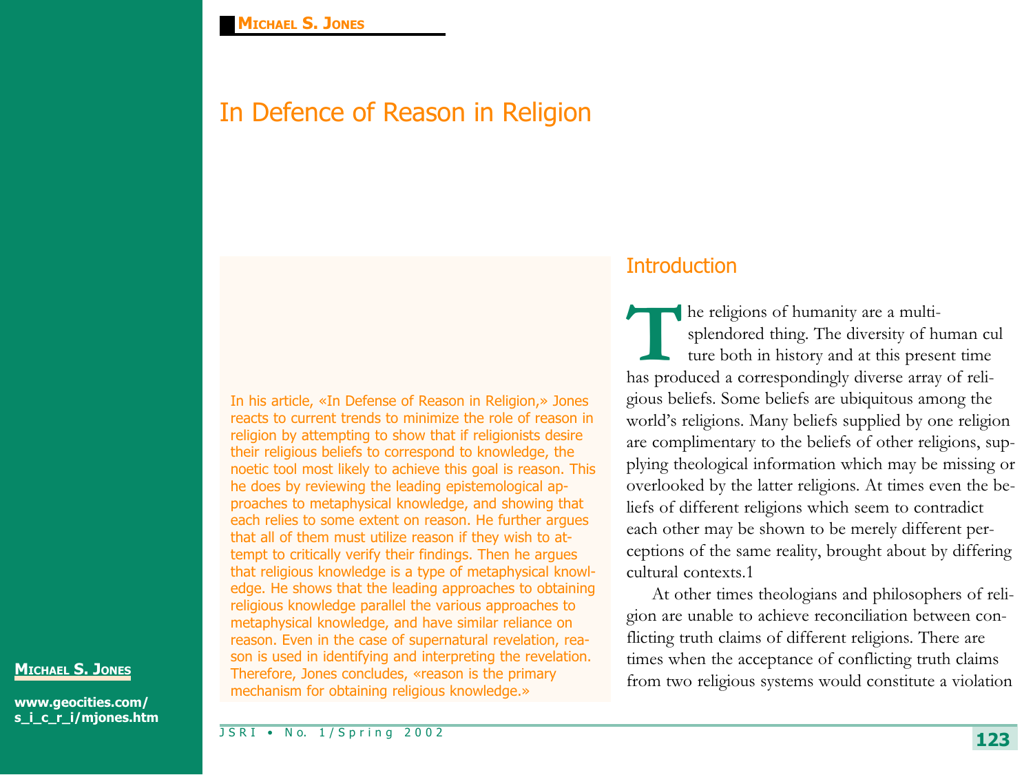# In Defence of Reason in Religion

In his article, «In Defense of Reason in Religion,» Jones reacts to current trends to minimize the role of reason in religion by attempting to show that if religionists desire their religious beliefs to correspond to knowledge, the noetic tool most likely to achieve this goal is reason. This he does by reviewing the leading epistemological approaches to metaphysical knowledge, and showing that each relies to some extent on reason. He further argues that all of them must utilize reason if they wish to attempt to critically verify their findings. Then he argues that religious knowledge is a type of metaphysical knowledge. He shows that the leading approaches to obtaining religious knowledge parallel the various approaches to metaphysical knowledge, and have similar reliance on reason. Even in the case of supernatural revelation, reason is used in identifying and interpreting the revelation. Therefore, Jones concludes, «reason is the primary mechanism for obtaining religious knowledge.»

### **Introduction**

he religions of humanity are a multisplendored thing. The diversity of human cul ture both in history and at this present time has produced a correspondingly diverse array of religious beliefs. Some beliefs are ubiquitous among the world's religions. Many beliefs supplied by one religion are complimentary to the beliefs of other religions, supplying theological information which may be missing or overlooked by the latter religions. At times even the beliefs of different religions which seem to contradict each other may be shown to be merely different perceptions of the same reality, brought about by differing cultural contexts.1

At other times theologians and philosophers of religion are unable to achieve reconciliation between conflicting truth claims of different religions. There are times when the acceptance of conflicting truth claims from two religious systems would constitute a violation

**MICHAEL S. JONES** 

www.geocities.com/ s\_i\_c\_r\_i/mjones.htm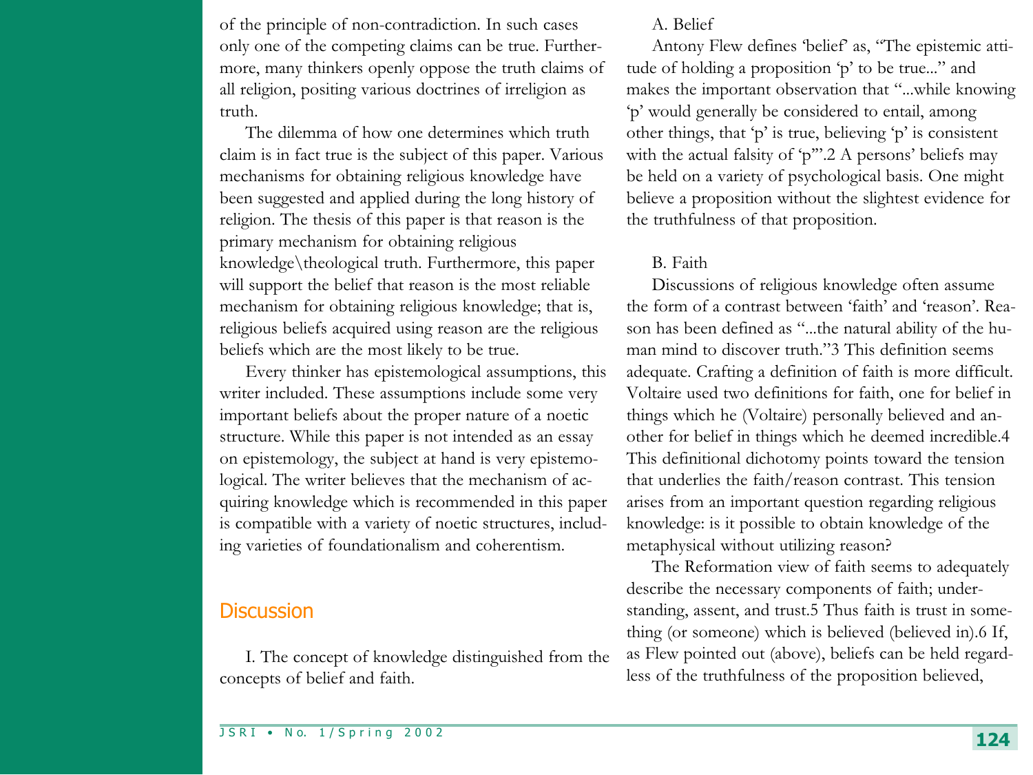of the principle of non-contradiction. In such cases only one of the competing claims can be true. Furthermore, many thinkers openly oppose the truth claims of all religion, positing various doctrines of irreligion as truth.

The dilemma of how one determines which truth claim is in fact true is the subject of this paper. Various mechanisms for obtaining religious knowledge have been suggested and applied during the long history of religion. The thesis of this paper is that reason is the primary mechanism for obtaining religious knowledge\theological truth. Furthermore, this paper will support the belief that reason is the most reliable mechanism for obtaining religious knowledge; that is, religious beliefs acquired using reason are the religious beliefs which are the most likely to be true.

Every thinker has epistemological assumptions, this writer included. These assumptions include some very important beliefs about the proper nature of a noetic structure. While this paper is not intended as an essay on epistemology, the subject at hand is very epistemological. The writer believes that the mechanism of acquiring knowledge which is recommended in this paper is compatible with a variety of noetic structures, including varieties of foundationalism and coherentism.

## **Discussion**

I. The concept of knowledge distinguished from the concepts of belief and faith.

#### A. Belief

Antony Flew defines 'belief' as, "The epistemic attitude of holding a proposition 'p' to be true..." and makes the important observation that "...while knowing 'p' would generally be considered to entail, among other things, that 'p' is true, believing 'p' is consistent with the actual falsity of 'p"'.2 A persons' beliefs may be held on a variety of psychological basis. One might believe a proposition without the slightest evidence for the truthfulness of that proposition.

#### B. Faith

Discussions of religious knowledge often assume the form of a contrast between 'faith' and 'reason'. Reason has been defined as "...the natural ability of the human mind to discover truth."3 This definition seems adequate. Crafting a definition of faith is more difficult. Voltaire used two definitions for faith, one for belief in things which he (Voltaire) personally believed and another for belief in things which he deemed incredible.4 This definitional dichotomy points toward the tension that underlies the faith/reason contrast. This tension arises from an important question regarding religious knowledge: is it possible to obtain knowledge of the metaphysical without utilizing reason?

The Reformation view of faith seems to adequately describe the necessary components of faith; understanding, assent, and trust.5 Thus faith is trust in something (or someone) which is believed (believed in).6 If, as Flew pointed out (above), beliefs can be held regardless of the truthfulness of the proposition believed,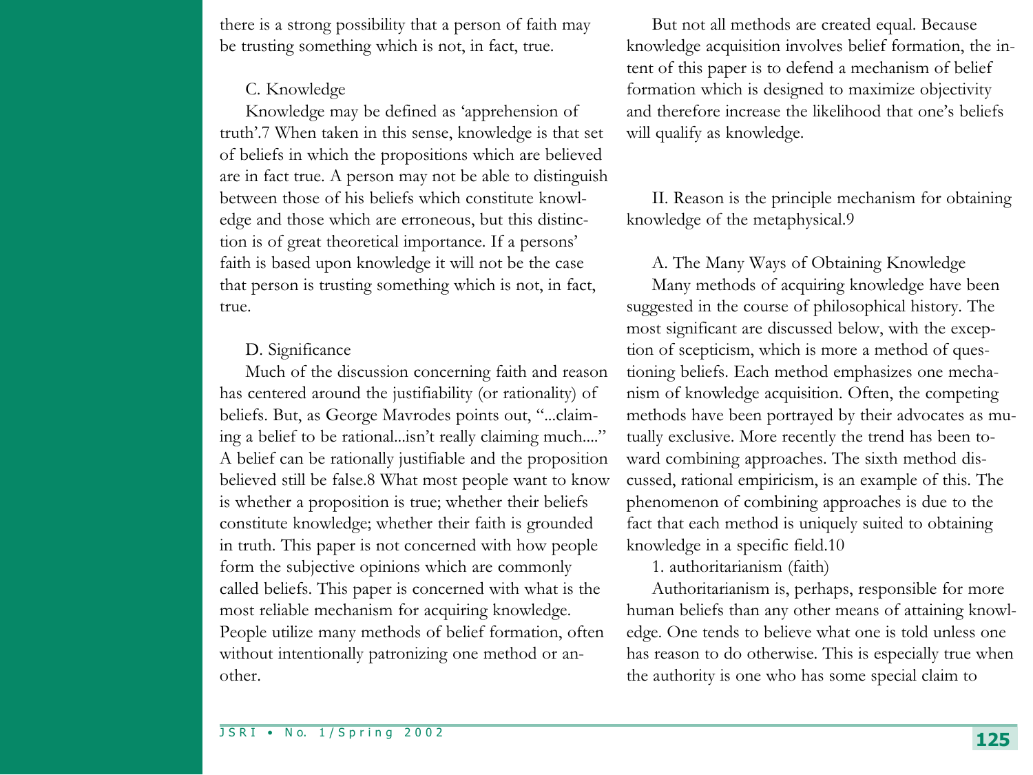there is a strong possibility that a person of faith may be trusting something which is not, in fact, true.

#### C. Knowledge

Knowledge may be defined as 'apprehension of truth'.7 When taken in this sense, knowledge is that set of beliefs in which the propositions which are believed are in fact true. A person may not be able to distinguish between those of his beliefs which constitute knowledge and those which are erroneous, but this distinction is of great theoretical importance. If a persons' faith is based upon knowledge it will not be the case that person is trusting something which is not, in fact, true.

#### D. Significance

Much of the discussion concerning faith and reason has centered around the justifiability (or rationality) of beliefs. But, as George Mavrodes points out, "...claiming a belief to be rational...isn't really claiming much...." A belief can be rationally justifiable and the proposition believed still be false.8 What most people want to know is whether a proposition is true; whether their beliefs constitute knowledge; whether their faith is grounded in truth. This paper is not concerned with how people form the subjective opinions which are commonly called beliefs. This paper is concerned with what is the most reliable mechanism for acquiring knowledge. People utilize many methods of belief formation, often without intentionally patronizing one method or another.

But not all methods are created equal. Because knowledge acquisition involves belief formation, the intent of this paper is to defend a mechanism of belief formation which is designed to maximize objectivity and therefore increase the likelihood that one's beliefs will qualify as knowledge.

## II. Reason is the principle mechanism for obtaining knowledge of the metaphysical.9

#### A. The Many Ways of Obtaining Knowledge

Many methods of acquiring knowledge have been suggested in the course of philosophical history. The most significant are discussed below, with the exception of scepticism, which is more a method of questioning beliefs. Each method emphasizes one mechanism of knowledge acquisition. Often, the competing methods have been portrayed by their advocates as mutually exclusive. More recently the trend has been toward combining approaches. The sixth method discussed, rational empiricism, is an example of this. The phenomenon of combining approaches is due to the fact that each method is uniquely suited to obtaining knowledge in a specific field.10

1. authoritarianism (faith)

Authoritarianism is, perhaps, responsible for more human beliefs than any other means of attaining knowledge. One tends to believe what one is told unless one has reason to do otherwise. This is especially true when the authority is one who has some special claim to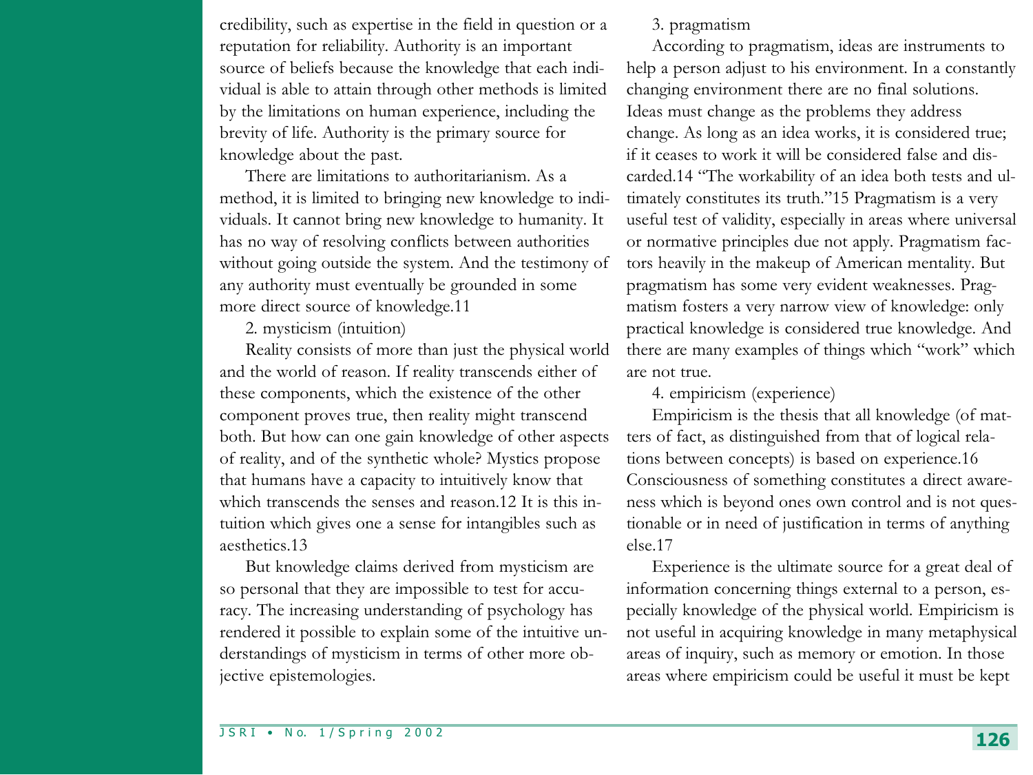credibility, such as expertise in the field in question or a reputation for reliability. Authority is an important source of beliefs because the knowledge that each individual is able to attain through other methods is limited by the limitations on human experience, including the brevity of life. Authority is the primary source for knowledge about the past.

There are limitations to authoritarianism. As a method, it is limited to bringing new knowledge to individuals. It cannot bring new knowledge to humanity. It has no way of resolving conflicts between authorities without going outside the system. And the testimony of any authority must eventually be grounded in some more direct source of knowledge.11

2. mysticism (intuition)

Reality consists of more than just the physical world and the world of reason. If reality transcends either of these components, which the existence of the other component proves true, then reality might transcend both. But how can one gain knowledge of other aspects of reality, and of the synthetic whole? Mystics propose that humans have a capacity to intuitively know that which transcends the senses and reason.12 It is this intuition which gives one a sense for intangibles such as aesthetics.13

But knowledge claims derived from mysticism are so personal that they are impossible to test for accuracy. The increasing understanding of psychology has rendered it possible to explain some of the intuitive understandings of mysticism in terms of other more objective epistemologies.

#### 3. pragmatism

According to pragmatism, ideas are instruments to help a person adjust to his environment. In a constantly changing environment there are no final solutions. Ideas must change as the problems they address change. As long as an idea works, it is considered true; if it ceases to work it will be considered false and discarded.14 "The workability of an idea both tests and ultimately constitutes its truth."15 Pragmatism is a very useful test of validity, especially in areas where universal or normative principles due not apply. Pragmatism factors heavily in the makeup of American mentality. But pragmatism has some very evident weaknesses. Pragmatism fosters a very narrow view of knowledge: only practical knowledge is considered true knowledge. And there are many examples of things which "work" which are not true.

4. empiricism (experience)

Empiricism is the thesis that all knowledge (of matters of fact, as distinguished from that of logical relations between concepts) is based on experience.16 Consciousness of something constitutes a direct awareness which is beyond ones own control and is not questionable or in need of justification in terms of anything else.17

Experience is the ultimate source for a great deal of information concerning things external to a person, especially knowledge of the physical world. Empiricism is not useful in acquiring knowledge in many metaphysical areas of inquiry, such as memory or emotion. In those areas where empiricism could be useful it must be kept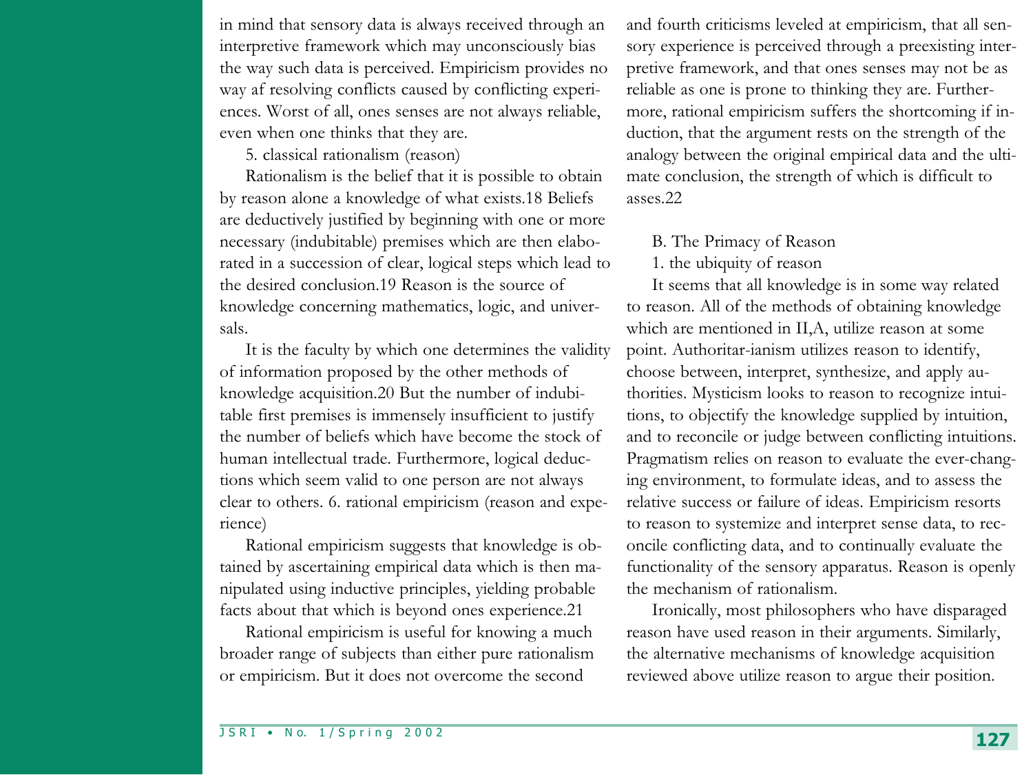in mind that sensory data is always received through an interpretive framework which may unconsciously bias the way such data is perceived. Empiricism provides no way af resolving conflicts caused by conflicting experiences. Worst of all, ones senses are not always reliable, even when one thinks that they are.

5. classical rationalism (reason)

Rationalism is the belief that it is possible to obtain by reason alone a knowledge of what exists.18 Beliefs are deductively justified by beginning with one or more necessary (indubitable) premises which are then elaborated in a succession of clear, logical steps which lead to the desired conclusion.19 Reason is the source of knowledge concerning mathematics, logic, and universals.

It is the faculty by which one determines the validity of information proposed by the other methods of knowledge acquisition.20 But the number of indubitable first premises is immensely insufficient to justify the number of beliefs which have become the stock of human intellectual trade. Furthermore, logical deductions which seem valid to one person are not always clear to others. 6. rational empiricism (reason and experience)

Rational empiricism suggests that knowledge is obtained by ascertaining empirical data which is then manipulated using inductive principles, yielding probable facts about that which is beyond ones experience.21

Rational empiricism is useful for knowing a much broader range of subjects than either pure rationalism or empiricism. But it does not overcome the second

and fourth criticisms leveled at empiricism, that all sensory experience is perceived through a preexisting interpretive framework, and that ones senses may not be as reliable as one is prone to thinking they are. Furthermore, rational empiricism suffers the shortcoming if induction, that the argument rests on the strength of the analogy between the original empirical data and the ultimate conclusion, the strength of which is difficult to asses.22

#### B. The Primacy of Reason

#### 1. the ubiquity of reason

It seems that all knowledge is in some way related to reason. All of the methods of obtaining knowledge which are mentioned in II,A, utilize reason at some point. Authoritar-ianism utilizes reason to identify, choose between, interpret, synthesize, and apply authorities. Mysticism looks to reason to recognize intuitions, to objectify the knowledge supplied by intuition, and to reconcile or judge between conflicting intuitions. Pragmatism relies on reason to evaluate the ever-changing environment, to formulate ideas, and to assess the relative success or failure of ideas. Empiricism resorts to reason to systemize and interpret sense data, to reconcile conflicting data, and to continually evaluate the functionality of the sensory apparatus. Reason is openly the mechanism of rationalism.

Ironically, most philosophers who have disparaged reason have used reason in their arguments. Similarly, the alternative mechanisms of knowledge acquisition reviewed above utilize reason to argue their position.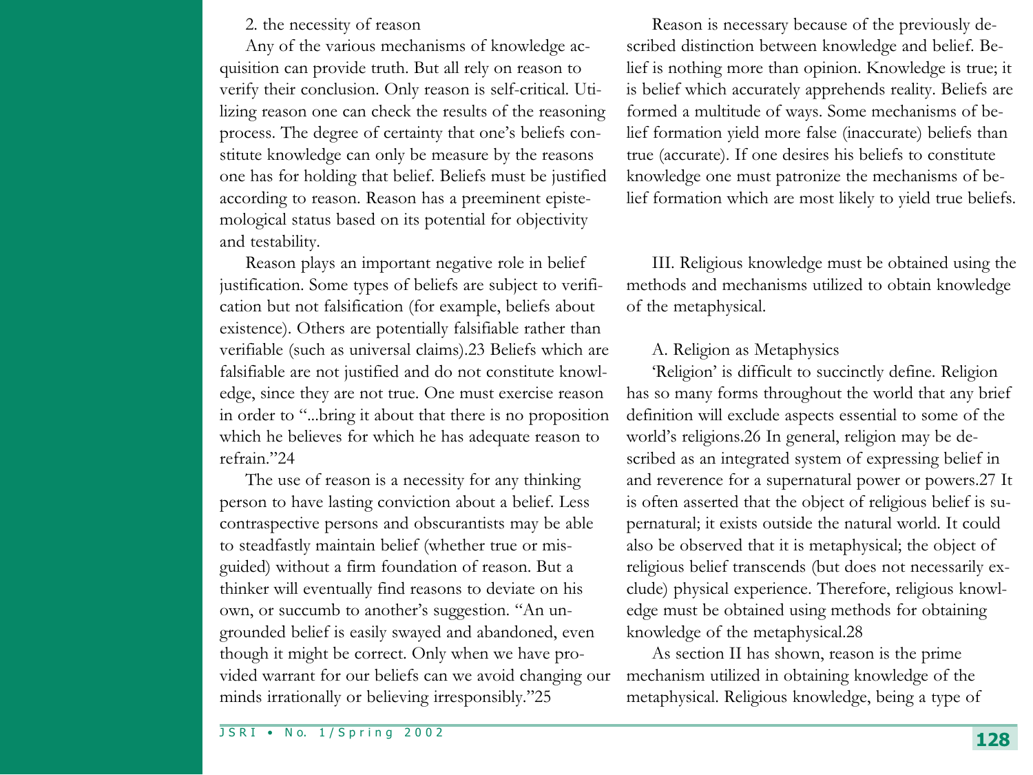#### 2. the necessity of reason

Any of the various mechanisms of knowledge acquisition can provide truth. But all rely on reason to verify their conclusion. Only reason is self-critical. Utilizing reason one can check the results of the reasoning process. The degree of certainty that one's beliefs constitute knowledge can only be measure by the reasons one has for holding that belief. Beliefs must be justified according to reason. Reason has a preeminent epistemological status based on its potential for objectivity and testability.

Reason plays an important negative role in belief justification. Some types of beliefs are subject to verification but not falsification (for example, beliefs about existence). Others are potentially falsifiable rather than verifiable (such as universal claims).23 Beliefs which are falsifiable are not justified and do not constitute knowledge, since they are not true. One must exercise reason in order to "...bring it about that there is no proposition which he believes for which he has adequate reason to refrain."24

The use of reason is a necessity for any thinking person to have lasting conviction about a belief. Less contraspective persons and obscurantists may be able to steadfastly maintain belief (whether true or misguided) without a firm foundation of reason. But a thinker will eventually find reasons to deviate on his own, or succumb to another's suggestion. "An ungrounded belief is easily swayed and abandoned, even though it might be correct. Only when we have provided warrant for our beliefs can we avoid changing our minds irrationally or believing irresponsibly."25

Reason is necessary because of the previously described distinction between knowledge and belief. Belief is nothing more than opinion. Knowledge is true; it is belief which accurately apprehends reality. Beliefs are formed a multitude of ways. Some mechanisms of belief formation yield more false (inaccurate) beliefs than true (accurate). If one desires his beliefs to constitute knowledge one must patronize the mechanisms of belief formation which are most likely to yield true beliefs.

III. Religious knowledge must be obtained using the methods and mechanisms utilized to obtain knowledge of the metaphysical.

#### A. Religion as Metaphysics

'Religion' is difficult to succinctly define. Religion has so many forms throughout the world that any brief definition will exclude aspects essential to some of the world's religions.26 In general, religion may be described as an integrated system of expressing belief in and reverence for a supernatural power or powers.27 It is often asserted that the object of religious belief is supernatural; it exists outside the natural world. It could also be observed that it is metaphysical; the object of religious belief transcends (but does not necessarily exclude) physical experience. Therefore, religious knowledge must be obtained using methods for obtaining knowledge of the metaphysical.28

As section II has shown, reason is the prime mechanism utilized in obtaining knowledge of the metaphysical. Religious knowledge, being a type of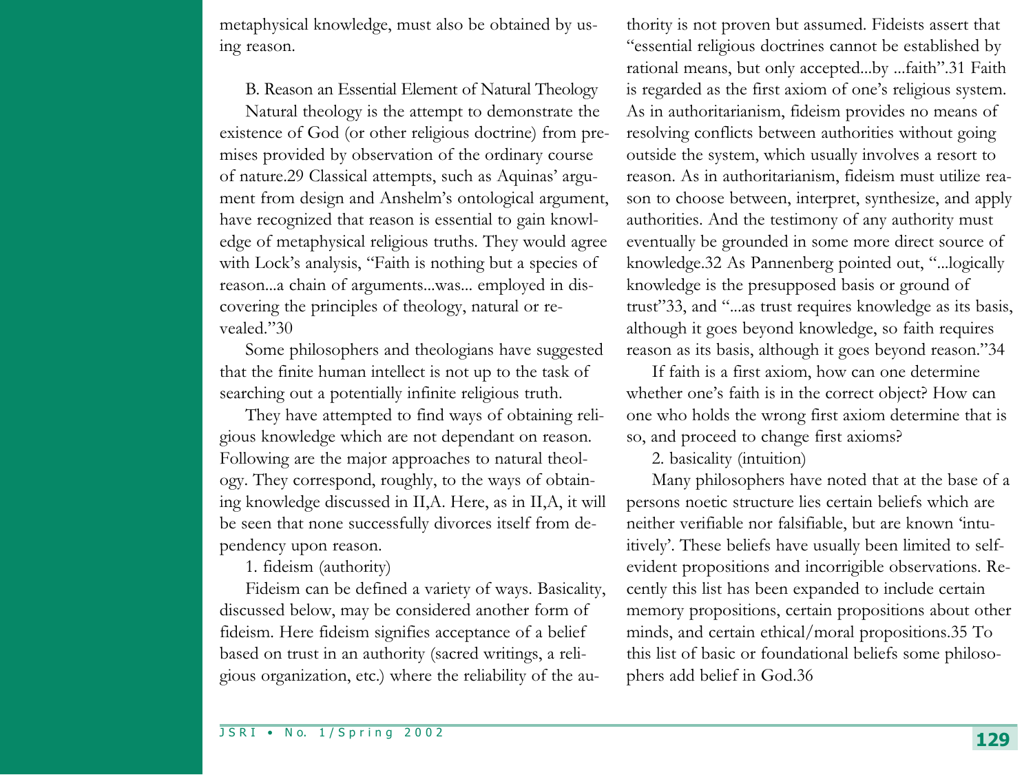metaphysical knowledge, must also be obtained by using reason.

B. Reason an Essential Element of Natural Theology

Natural theology is the attempt to demonstrate the existence of God (or other religious doctrine) from premises provided by observation of the ordinary course of nature.29 Classical attempts, such as Aquinas' argument from design and Anshelm's ontological argument, have recognized that reason is essential to gain knowledge of metaphysical religious truths. They would agree with Lock's analysis, "Faith is nothing but a species of reason...a chain of arguments...was... employed in discovering the principles of theology, natural or revealed."30

Some philosophers and theologians have suggested that the finite human intellect is not up to the task of searching out a potentially infinite religious truth.

They have attempted to find ways of obtaining religious knowledge which are not dependant on reason. Following are the major approaches to natural theology. They correspond, roughly, to the ways of obtaining knowledge discussed in II, A. Here, as in II, A, it will be seen that none successfully divorces itself from dependency upon reason.

1. fideism (authority)

Fideism can be defined a variety of ways. Basicality, discussed below, may be considered another form of fideism. Here fideism signifies acceptance of a belief based on trust in an authority (sacred writings, a religious organization, etc.) where the reliability of the au-

thority is not proven but assumed. Fideists assert that "essential religious doctrines cannot be established by rational means, but only accepted...by ...faith".31 Faith is regarded as the first axiom of one's religious system. As in authoritarianism, fideism provides no means of resolving conflicts between authorities without going outside the system, which usually involves a resort to reason. As in authoritarianism, fideism must utilize reason to choose between, interpret, synthesize, and apply authorities. And the testimony of any authority must eventually be grounded in some more direct source of knowledge.32 As Pannenberg pointed out, "...logically knowledge is the presupposed basis or ground of trust"33, and "...as trust requires knowledge as its basis, although it goes beyond knowledge, so faith requires reason as its basis, although it goes beyond reason."34

If faith is a first axiom, how can one determine whether one's faith is in the correct object? How can one who holds the wrong first axiom determine that is so, and proceed to change first axioms?

2. basicality (intuition)

Many philosophers have noted that at the base of a persons noetic structure lies certain beliefs which are neither verifiable nor falsifiable, but are known 'intuitively'. These beliefs have usually been limited to selfevident propositions and incorrigible observations. Recently this list has been expanded to include certain memory propositions, certain propositions about other minds, and certain ethical/moral propositions.35 To this list of basic or foundational beliefs some philosophers add belief in God.36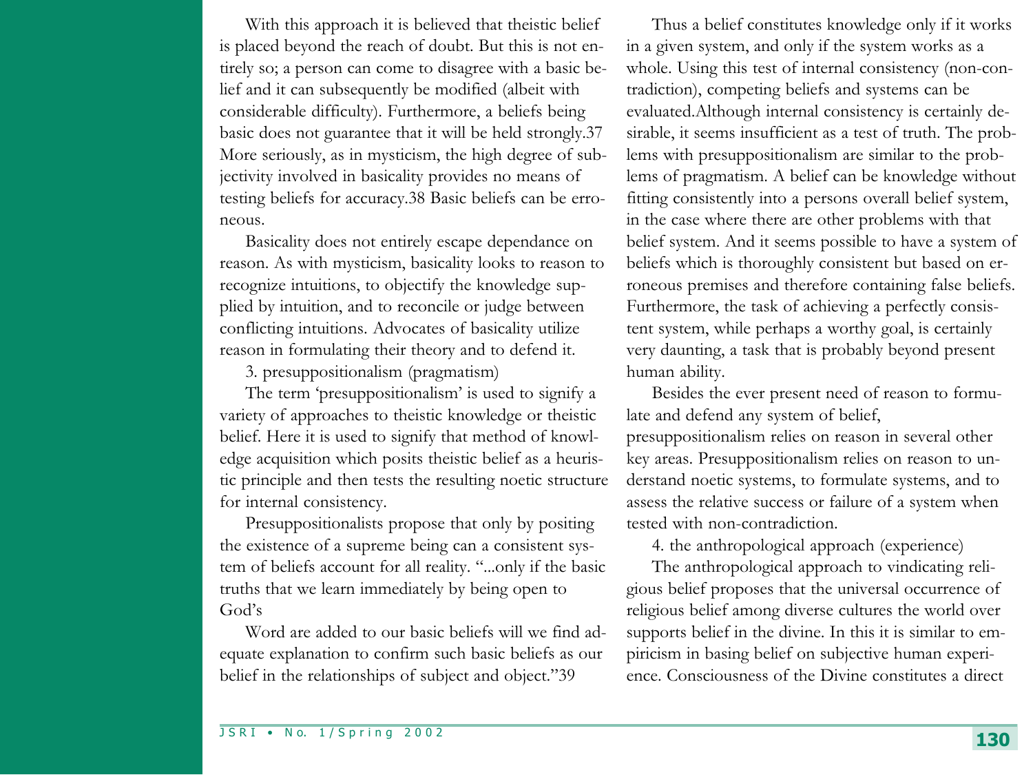With this approach it is believed that theistic belief is placed beyond the reach of doubt. But this is not entirely so; a person can come to disagree with a basic belief and it can subsequently be modified (albeit with considerable difficulty). Furthermore, a beliefs being basic does not guarantee that it will be held strongly.37 More seriously, as in mysticism, the high degree of subjectivity involved in basicality provides no means of testing beliefs for accuracy.38 Basic beliefs can be erroneous.

Basicality does not entirely escape dependance on reason. As with mysticism, basicality looks to reason to recognize intuitions, to objectify the knowledge supplied by intuition, and to reconcile or judge between conflicting intuitions. Advocates of basicality utilize reason in formulating their theory and to defend it.

3. presuppositionalism (pragmatism)

The term 'presuppositionalism' is used to signify a variety of approaches to theistic knowledge or theistic belief. Here it is used to signify that method of knowledge acquisition which posits theistic belief as a heuristic principle and then tests the resulting noetic structure for internal consistency.

Presuppositionalists propose that only by positing the existence of a supreme being can a consistent system of beliefs account for all reality. "...only if the basic truths that we learn immediately by being open to God's

Word are added to our basic beliefs will we find adequate explanation to confirm such basic beliefs as our belief in the relationships of subject and object."39

Thus a belief constitutes knowledge only if it works in a given system, and only if the system works as a whole. Using this test of internal consistency (non-contradiction), competing beliefs and systems can be evaluated. Although internal consistency is certainly desirable, it seems insufficient as a test of truth. The problems with presuppositionalism are similar to the problems of pragmatism. A belief can be knowledge without fitting consistently into a persons overall belief system, in the case where there are other problems with that belief system. And it seems possible to have a system of beliefs which is thoroughly consistent but based on erroneous premises and therefore containing false beliefs. Furthermore, the task of achieving a perfectly consistent system, while perhaps a worthy goal, is certainly very daunting, a task that is probably beyond present human ability.

Besides the ever present need of reason to formulate and defend any system of belief,

presuppositionalism relies on reason in several other key areas. Presuppositionalism relies on reason to understand noetic systems, to formulate systems, and to assess the relative success or failure of a system when tested with non-contradiction.

4. the anthropological approach (experience)

The anthropological approach to vindicating religious belief proposes that the universal occurrence of religious belief among diverse cultures the world over supports belief in the divine. In this it is similar to empiricism in basing belief on subjective human experience. Consciousness of the Divine constitutes a direct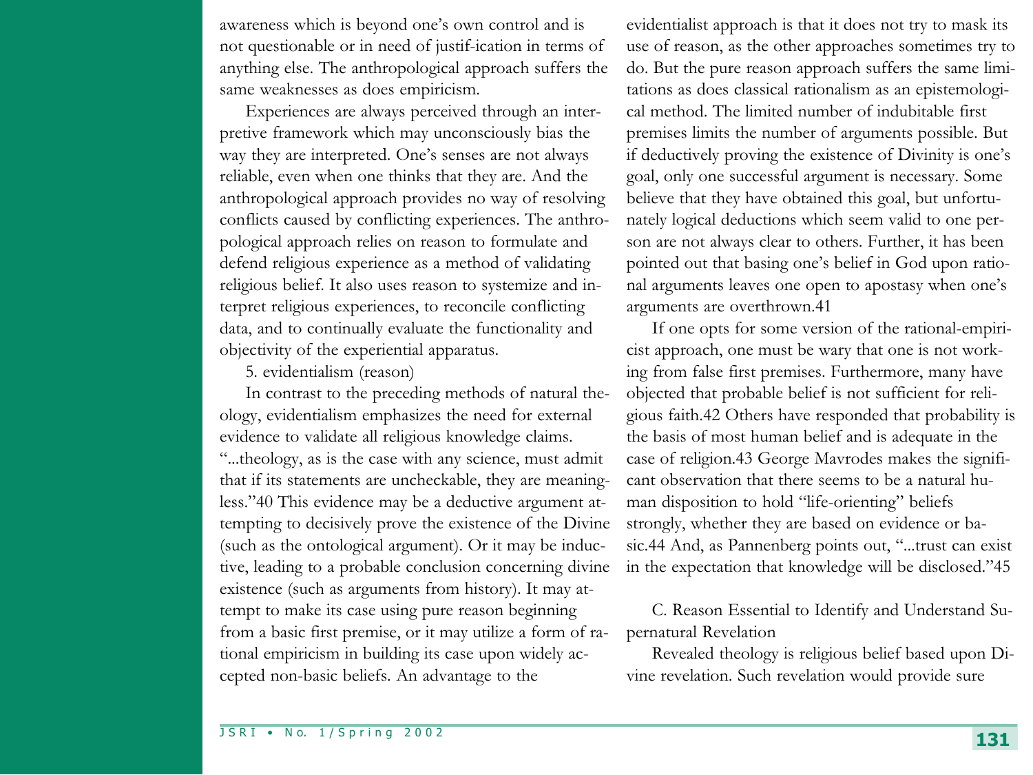awareness which is beyond one's own control and is not questionable or in need of justif-ication in terms of anything else. The anthropological approach suffers the same weaknesses as does empiricism.

Experiences are always perceived through an interpretive framework which may unconsciously bias the way they are interpreted. One's senses are not always reliable, even when one thinks that they are. And the anthropological approach provides no way of resolving conflicts caused by conflicting experiences. The anthropological approach relies on reason to formulate and defend religious experience as a method of validating religious belief. It also uses reason to systemize and interpret religious experiences, to reconcile conflicting data, and to continually evaluate the functionality and objectivity of the experiential apparatus.

5. evidentialism (reason)

In contrast to the preceding methods of natural theology, evidentialism emphasizes the need for external evidence to validate all religious knowledge claims.

"...theology, as is the case with any science, must admit that if its statements are uncheckable, they are meaningless."40 This evidence may be a deductive argument attempting to decisively prove the existence of the Divine (such as the ontological argument). Or it may be inductive, leading to a probable conclusion concerning divine existence (such as arguments from history). It may attempt to make its case using pure reason beginning from a basic first premise, or it may utilize a form of rational empiricism in building its case upon widely accepted non-basic beliefs. An advantage to the

evidentialist approach is that it does not try to mask its use of reason, as the other approaches sometimes try to do. But the pure reason approach suffers the same limitations as does classical rationalism as an epistemological method. The limited number of indubitable first premises limits the number of arguments possible. But if deductively proving the existence of Divinity is one's goal, only one successful argument is necessary. Some believe that they have obtained this goal, but unfortunately logical deductions which seem valid to one person are not always clear to others. Further, it has been pointed out that basing one's belief in God upon rational arguments leaves one open to apostasy when one's arguments are overthrown.41

If one opts for some version of the rational-empiricist approach, one must be wary that one is not working from false first premises. Furthermore, many have objected that probable belief is not sufficient for religious faith.42 Others have responded that probability is the basis of most human belief and is adequate in the case of religion.43 George Mavrodes makes the significant observation that there seems to be a natural human disposition to hold "life-orienting" beliefs strongly, whether they are based on evidence or basic.44 And, as Pannenberg points out, "...trust can exist in the expectation that knowledge will be disclosed."45

C. Reason Essential to Identify and Understand Supernatural Revelation

Revealed theology is religious belief based upon Divine revelation. Such revelation would provide sure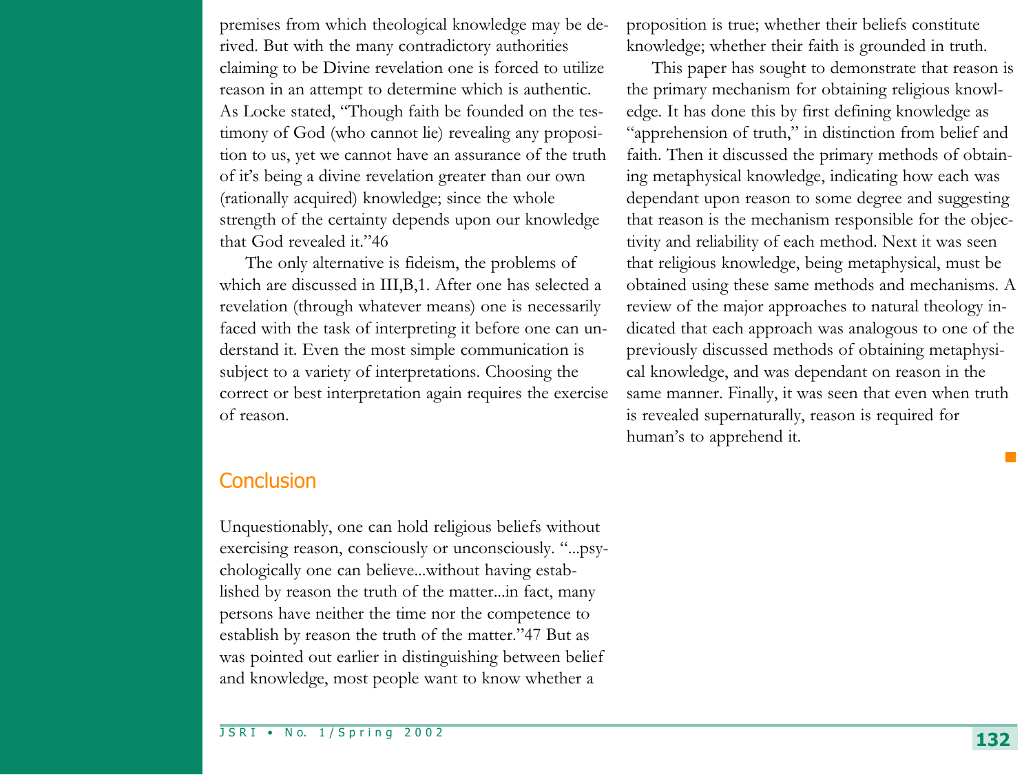premises from which theological knowledge may be derived. But with the many contradictory authorities claiming to be Divine revelation one is forced to utilize reason in an attempt to determine which is authentic. As Locke stated, "Though faith be founded on the testimony of God (who cannot lie) revealing any proposition to us, yet we cannot have an assurance of the truth of it's being a divine revelation greater than our own (rationally acquired) knowledge; since the whole strength of the certainty depends upon our knowledge that God revealed it."46

The only alternative is fideism, the problems of which are discussed in III, B, 1. After one has selected a revelation (through whatever means) one is necessarily faced with the task of interpreting it before one can understand it. Even the most simple communication is subject to a variety of interpretations. Choosing the correct or best interpretation again requires the exercise of reason.

## **Conclusion**

Unquestionably, one can hold religious beliefs without exercising reason, consciously or unconsciously. "...psychologically one can believe...without having established by reason the truth of the matter...in fact, many persons have neither the time nor the competence to establish by reason the truth of the matter."47 But as was pointed out earlier in distinguishing between belief and knowledge, most people want to know whether a

proposition is true; whether their beliefs constitute knowledge; whether their faith is grounded in truth.

This paper has sought to demonstrate that reason is the primary mechanism for obtaining religious knowledge. It has done this by first defining knowledge as "apprehension of truth," in distinction from belief and faith. Then it discussed the primary methods of obtaining metaphysical knowledge, indicating how each was dependant upon reason to some degree and suggesting that reason is the mechanism responsible for the objectivity and reliability of each method. Next it was seen that religious knowledge, being metaphysical, must be obtained using these same methods and mechanisms. A review of the major approaches to natural theology indicated that each approach was analogous to one of the previously discussed methods of obtaining metaphysical knowledge, and was dependant on reason in the same manner. Finally, it was seen that even when truth is revealed supernaturally, reason is required for human's to apprehend it.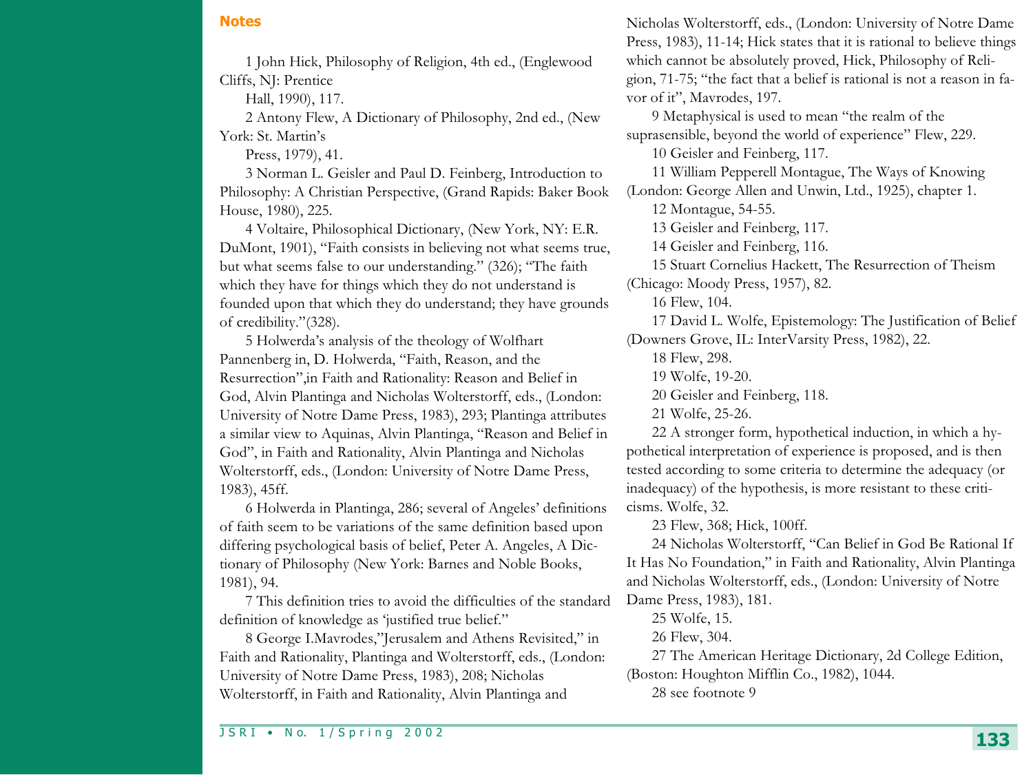#### **Notes**

1 John Hick, Philosophy of Religion, 4th ed., (Englewood Cliffs, NJ: Prentice

Hall, 1990), 117.

2 Antony Flew, A Dictionary of Philosophy, 2nd ed., (New York: St. Martin's

Press, 1979), 41.

3 Norman L. Geisler and Paul D. Feinberg, Introduction to Philosophy: A Christian Perspective, (Grand Rapids: Baker Book House, 1980), 225.

4 Voltaire, Philosophical Dictionary, (New York, NY: E.R. DuMont, 1901), "Faith consists in believing not what seems true, but what seems false to our understanding." (326); "The faith which they have for things which they do not understand is founded upon that which they do understand; they have grounds of credibility."(328).

5 Holwerda's analysis of the theology of Wolfhart Pannenberg in, D. Holwerda, "Faith, Reason, and the Resurrection", in Faith and Rationality: Reason and Belief in God, Alvin Plantinga and Nicholas Wolterstorff, eds., (London: University of Notre Dame Press, 1983), 293; Plantinga attributes a similar view to Aquinas, Alvin Plantinga, "Reason and Belief in God", in Faith and Rationality, Alvin Plantinga and Nicholas Wolterstorff, eds., (London: University of Notre Dame Press, 1983), 45ff.

6 Holwerda in Plantinga, 286; several of Angeles' definitions of faith seem to be variations of the same definition based upon differing psychological basis of belief, Peter A. Angeles, A Dictionary of Philosophy (New York: Barnes and Noble Books, 1981), 94.

7 This definition tries to avoid the difficulties of the standard definition of knowledge as 'justified true belief."

8 George I.Mavrodes,"Jerusalem and Athens Revisited," in Faith and Rationality, Plantinga and Wolterstorff, eds., (London: University of Notre Dame Press, 1983), 208; Nicholas Wolterstorff, in Faith and Rationality, Alvin Plantinga and

Nicholas Wolterstorff, eds., (London: University of Notre Dame Press, 1983), 11-14; Hick states that it is rational to believe things which cannot be absolutely proved, Hick, Philosophy of Religion, 71-75; "the fact that a belief is rational is not a reason in favor of it", Mavrodes, 197.

9 Metaphysical is used to mean "the realm of the suprasensible, beyond the world of experience" Flew, 229.

10 Geisler and Feinberg, 117.

11 William Pepperell Montague, The Ways of Knowing (London: George Allen and Unwin, Ltd., 1925), chapter 1.

12 Montague, 54-55.

13 Geisler and Feinberg, 117.

14 Geisler and Feinberg, 116.

15 Stuart Cornelius Hackett, The Resurrection of Theism

(Chicago: Moody Press, 1957), 82.

16 Flew, 104.

17 David L. Wolfe, Epistemology: The Justification of Belief (Downers Grove, IL: InterVarsity Press, 1982), 22.

18 Flew, 298.

19 Wolfe, 19-20.

20 Geisler and Feinberg, 118.

21 Wolfe, 25-26.

22 A stronger form, hypothetical induction, in which a hypothetical interpretation of experience is proposed, and is then tested according to some criteria to determine the adequacy (or inadequacy) of the hypothesis, is more resistant to these criticisms. Wolfe, 32.

23 Flew, 368; Hick, 100ff.

24 Nicholas Wolterstorff, "Can Belief in God Be Rational If It Has No Foundation," in Faith and Rationality, Alvin Plantinga and Nicholas Wolterstorff, eds., (London: University of Notre Dame Press, 1983), 181.

25 Wolfe, 15.

26 Flew, 304.

27 The American Heritage Dictionary, 2d College Edition, (Boston: Houghton Mifflin Co., 1982), 1044.

28 see footnote 9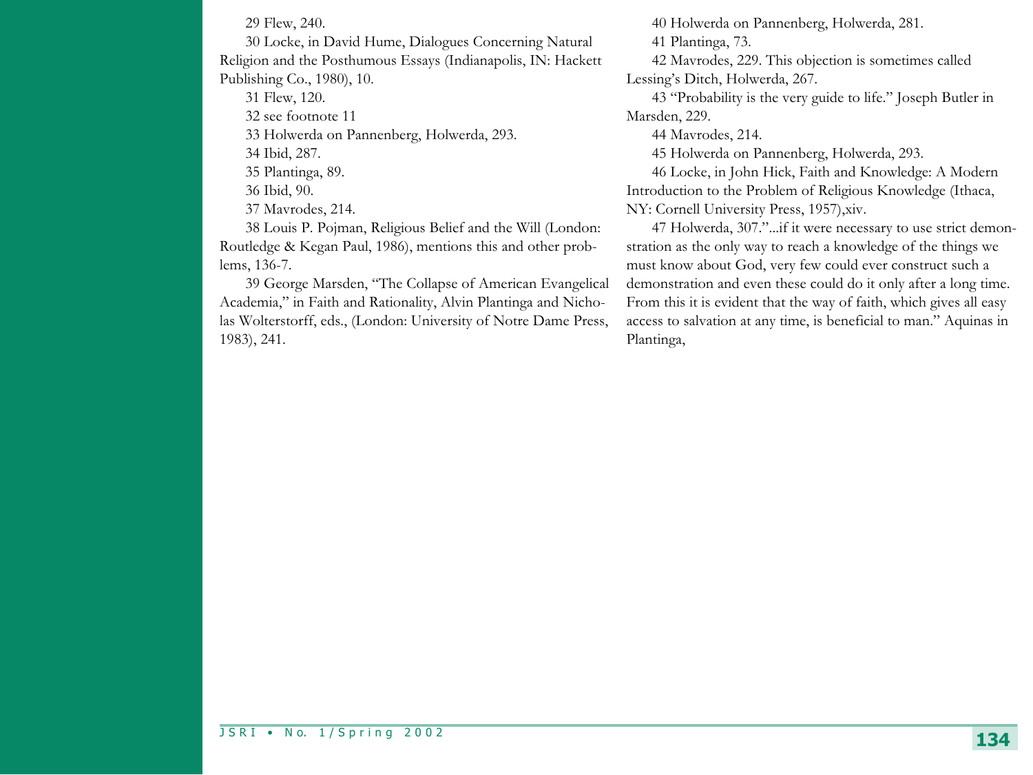29 Flew, 240.

30 Locke, in David Hume, Dialogues Concerning Natural Religion and the Posthumous Essays (Indianapolis, IN: Hackett Publishing Co., 1980), 10.

31 Flew, 120.

32 see footnote 11

33 Holwerda on Pannenberg, Holwerda, 293.

34 Ibid, 287.

35 Plantinga, 89.

36 Ibid, 90.

37 Mavrodes, 214.

38 Louis P. Pojman, Religious Belief and the Will (London: Routledge & Kegan Paul, 1986), mentions this and other problems, 136-7.

39 George Marsden, "The Collapse of American Evangelical Academia," in Faith and Rationality, Alvin Plantinga and Nicholas Wolterstorff, eds., (London: University of Notre Dame Press, 1983), 241.

40 Holwerda on Pannenberg, Holwerda, 281.

41 Plantinga, 73.

42 Mavrodes, 229. This objection is sometimes called Lessing's Ditch, Holwerda, 267.

43 "Probability is the very guide to life." Joseph Butler in Marsden, 229.

44 Mavrodes, 214.

45 Holwerda on Pannenberg, Holwerda, 293.

46 Locke, in John Hick, Faith and Knowledge: A Modern Introduction to the Problem of Religious Knowledge (Ithaca, NY: Cornell University Press, 1957), xiv.

47 Holwerda, 307."...if it were necessary to use strict demonstration as the only way to reach a knowledge of the things we must know about God, very few could ever construct such a demonstration and even these could do it only after a long time. From this it is evident that the way of faith, which gives all easy access to salvation at any time, is beneficial to man." Aquinas in Plantinga,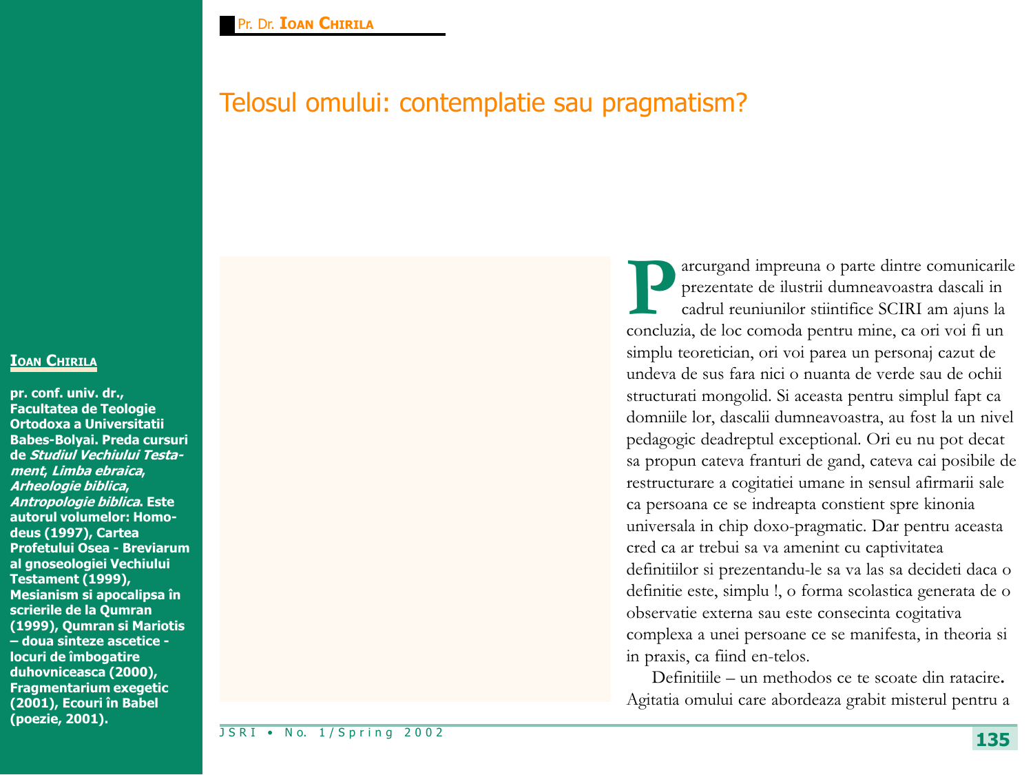Pr. Dr. IOAN CHIRILA

# Telosul omului: contemplatie sau pragmatism?

#### **IOAN CHIRILA**

pr. conf. univ. dr., **Facultatea de Teologie Ortodoxa a Universitatii Babes-Bolyai. Preda cursuri** de Studiul Vechiului Testament, Limba ebraica, Arheologie biblica, Antropologie biblica. Este autorul volumelor: Homodeus (1997), Cartea Profetului Osea - Breviarum al gnoseologiei Vechiului **Testament (1999),** Mesianism si apocalipsa în scrierile de la Qumran (1999), Qumran si Mariotis - doua sinteze ascetice locuri de îmbogatire duhovniceasca (2000), **Fragmentarium exegetic** (2001), Ecouri în Babel (poezie, 2001).

arcurgand impreuna o parte dintre comunicarile prezentate de ilustrii dumneavoastra dascali in cadrul reuniunilor stiintifice SCIRI am ajuns la concluzia, de loc comoda pentru mine, ca ori voi fi un simplu teoretician, ori voi parea un personaj cazut de undeva de sus fara nici o nuanta de verde sau de ochii structurati mongolid. Si aceasta pentru simplul fapt ca domniile lor, dascalii dumneavoastra, au fost la un nivel pedagogic deadreptul exceptional. Ori eu nu pot decat sa propun cateva franturi de gand, cateva cai posibile de restructurare a cogitatiei umane in sensul afirmarii sale ca persoana ce se indreapta constient spre kinonia universala in chip doxo-pragmatic. Dar pentru aceasta cred ca ar trebui sa va amenint cu captivitatea definitiilor si prezentandu-le sa va las sa decideti daca o definitie este, simplu!, o forma scolastica generata de o observatie externa sau este consecinta cogitativa complexa a unei persoane ce se manifesta, in theoria si in praxis, ca fiind en-telos.

Definitiile – un methodos ce te scoate din ratacire. Agitatia omului care abordeaza grabit misterul pentru a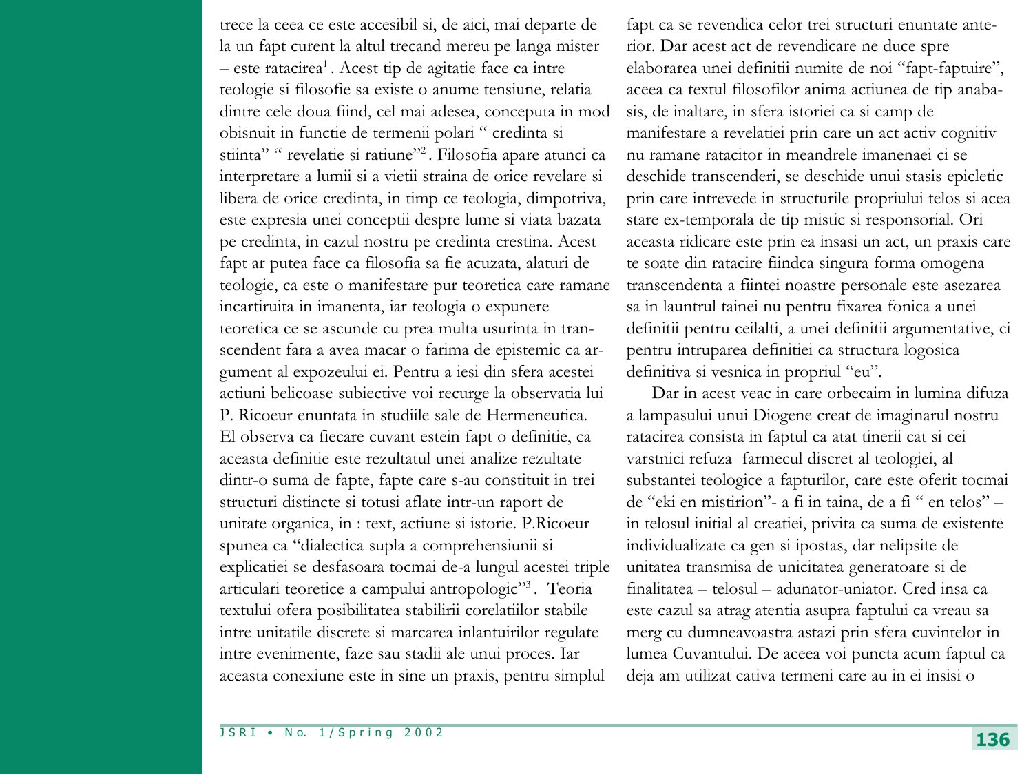trece la ceea ce este accesibil si, de aici, mai departe de la un fapt curent la altul trecand mereu pe langa mister - este ratacirea<sup>1</sup>. Acest tip de agitatie face ca intre teologie si filosofie sa existe o anume tensiune, relatia dintre cele doua fiind, cel mai adesea, conceputa in mod obisnuit in functie de termenii polari " credinta si stiinta" " revelatie si ratiune"<sup>2</sup>. Filosofia apare atunci ca interpretare a lumii si a vietii straina de orice revelare si libera de orice credinta, in timp ce teologia, dimpotriva, este expresia unei conceptii despre lume si viata bazata pe credinta, in cazul nostru pe credinta crestina. Acest fapt ar putea face ca filosofia sa fie acuzata, alaturi de teologie, ca este o manifestare pur teoretica care ramane incartiruita in imanenta, iar teologia o expunere teoretica ce se ascunde cu prea multa usurinta in transcendent fara a avea macar o farima de epistemic ca argument al expozeului ei. Pentru a iesi din sfera acestei actiuni belicoase subiective voi recurge la observatia lui P. Ricoeur enuntata in studiile sale de Hermeneutica. El observa ca fiecare cuvant estein fapt o definitie, ca aceasta definitie este rezultatul unei analize rezultate dintr-o suma de fapte, fapte care s-au constituit in trei structuri distincte si totusi aflate intr-un raport de unitate organica, in : text, actiune si istorie. P.Ricoeur spunea ca "dialectica supla a comprehensiunii si explicatiei se desfasoara tocmai de-a lungul acestei triple articulari teoretice a campului antropologic"<sup>3</sup>. Teoria textului ofera posibilitatea stabilirii corelatiilor stabile intre unitatile discrete si marcarea inlantuirilor regulate intre evenimente, faze sau stadii ale unui proces. Iar aceasta conexiune este in sine un praxis, pentru simplul

fapt ca se revendica celor trei structuri enuntate anterior. Dar acest act de revendicare ne duce spre elaborarea unei definitii numite de noi "fapt-faptuire", aceea ca textul filosofilor anima actiunea de tip anabasis, de inaltare, in sfera istoriei ca si camp de manifestare a revelatiei prin care un act activ cognitiv nu ramane ratacitor in meandrele imanenaei ci se deschide transcenderi, se deschide unui stasis epicletic prin care intrevede in structurile propriului telos si acea stare ex-temporala de tip mistic si responsorial. Ori aceasta ridicare este prin ea insasi un act, un praxis care te soate din ratacire fiindca singura forma omogena transcendenta a fiintei noastre personale este asezarea sa in launtrul tainei nu pentru fixarea fonica a unei definitii pentru ceilalti, a unei definitii argumentative, ci pentru intruparea definitiei ca structura logosica definitiva si vesnica in propriul "eu".

Dar in acest veac in care orbecaim in lumina difuza a lampasului unui Diogene creat de imaginarul nostru ratacirea consista in faptul ca atat tinerii cat si cei varstnici refuza farmecul discret al teologiei, al substantei teologice a fapturilor, care este oferit tocmai de "eki en mistirion"- a fi in taina, de a fi " en telos" in telosul initial al creatiei, privita ca suma de existente individualizate ca gen si ipostas, dar nelipsite de unitatea transmisa de unicitatea generatoare si de finalitatea - telosul - adunator-uniator. Cred insa ca este cazul sa atrag atentia asupra faptului ca vreau sa merg cu dumneavoastra astazi prin sfera cuvintelor in lumea Cuvantului. De aceea voi puncta acum faptul ca deja am utilizat cativa termeni care au in ei insisi o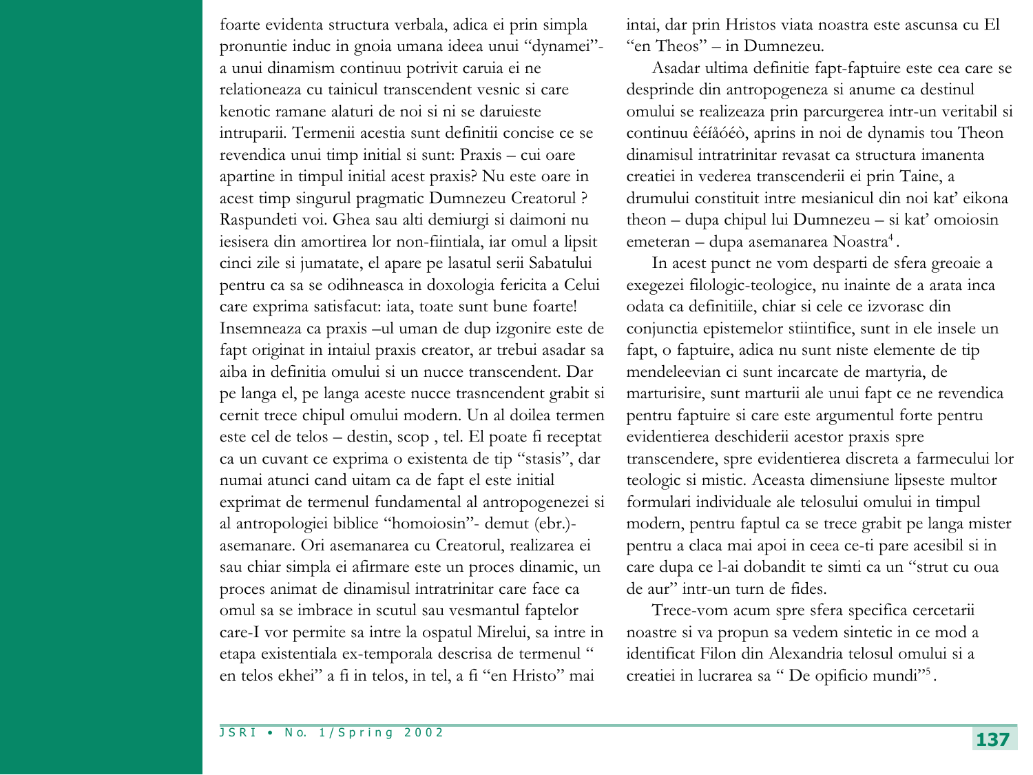foarte evidenta structura verbala, adica ei prin simpla pronuntie induc in gnoia umana ideea unui "dynamei"a unui dinamism continuu potrivit caruia ei ne relationeaza cu tainicul transcendent vesnic si care kenotic ramane alaturi de noi si ni se daruieste intruparii. Termenii acestia sunt definitii concise ce se revendica unui timp initial si sunt: Praxis - cui oare apartine in timpul initial acest praxis? Nu este oare in acest timp singurul pragmatic Dumnezeu Creatorul ? Raspundeti voi. Ghea sau alti demiurgi si daimoni nu iesisera din amortirea lor non-fiintiala, iar omul a lipsit cinci zile si jumatate, el apare pe lasatul serii Sabatului pentru ca sa se odihneasca in doxologia fericita a Celui care exprima satisfacut: iata, toate sunt bune foarte! Insemneaza ca praxis - ul uman de dup izgonire este de fapt originat in intaiul praxis creator, ar trebui asadar sa aiba in definitia omului si un nucce transcendent. Dar pe langa el, pe langa aceste nucce trasncendent grabit si cernit trece chipul omului modern. Un al doilea termen este cel de telos - destin, scop, tel. El poate fi receptat ca un cuvant ce exprima o existenta de tip "stasis", dar numai atunci cand uitam ca de fapt el este initial exprimat de termenul fundamental al antropogenezei si al antropologiei biblice "homoiosin"- demut (ebr.)asemanare. Ori asemanarea cu Creatorul, realizarea ei sau chiar simpla ei afirmare este un proces dinamic, un proces animat de dinamisul intratrinitar care face ca omul sa se imbrace in scutul sau vesmantul faptelor care-I vor permite sa intre la ospatul Mirelui, sa intre in etapa existentiala ex-temporala descrisa de termenul " en telos ekhei" a fi in telos, in tel, a fi "en Hristo" mai

intai, dar prin Hristos viata noastra este ascunsa cu El "en Theos" – in Dumnezeu.

Asadar ultima definitie fapt-faptuire este cea care se desprinde din antropogeneza si anume ca destinul omului se realizeaza prin parcurgerea intr-un veritabil si continuu êéíåóéò, aprins in noi de dynamis tou Theon dinamisul intratrinitar revasat ca structura imanenta creatiei in vederea transcenderii ei prin Taine, a drumului constituit intre mesianicul din noi kat' eikona theon – dupa chipul lui Dumnezeu – si kat' omoiosin emeteran - dupa asemanarea Noastra<sup>4</sup>.

In acest punct ne vom desparti de sfera greoaie a exegezei filologic-teologice, nu inainte de a arata inca odata ca definitiile, chiar si cele ce izvorasc din conjunctia epistemelor stiintifice, sunt in ele insele un fapt, o faptuire, adica nu sunt niste elemente de tip mendeleevian ci sunt incarcate de martyria, de marturisire, sunt marturii ale unui fapt ce ne revendica pentru faptuire si care este argumentul forte pentru evidentierea deschiderii acestor praxis spre transcendere, spre evidentierea discreta a farmecului lor teologic si mistic. Aceasta dimensiune lipseste multor formulari individuale ale telosului omului in timpul modern, pentru faptul ca se trece grabit pe langa mister pentru a claca mai apoi in ceea ce-ti pare acesibil si in care dupa ce l-ai dobandit te simti ca un "strut cu oua de aur" intr-un turn de fides.

Trece-vom acum spre sfera specifica cercetarii noastre si va propun sa vedem sintetic in ce mod a identificat Filon din Alexandria telosul omului si a creatiei in lucrarea sa "De opificio mundi"<sup>5</sup>.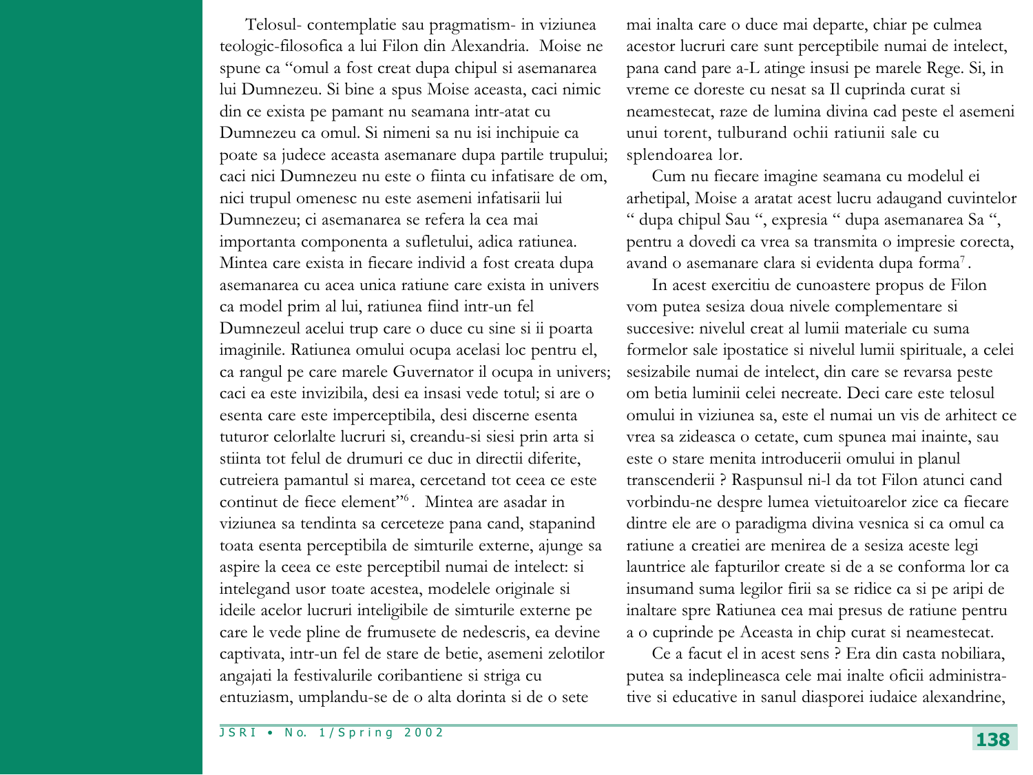Telosul- contemplatie sau pragmatism- in viziunea teologic-filosofica a lui Filon din Alexandria. Moise ne spune ca "omul a fost creat dupa chipul si asemanarea lui Dumnezeu. Si bine a spus Moise aceasta, caci nimic din ce exista pe pamant nu seamana intr-atat cu Dumnezeu ca omul. Si nimeni sa nu isi inchipuie ca poate sa judece aceasta asemanare dupa partile trupului; caci nici Dumnezeu nu este o fiinta cu infatisare de om, nici trupul omenesc nu este asemeni infatisarii lui Dumnezeu; ci asemanarea se refera la cea mai importanta componenta a sufletului, adica ratiunea. Mintea care exista in fiecare individ a fost creata dupa asemanarea cu acea unica ratiune care exista in univers ca model prim al lui, ratiunea fiind intr-un fel Dumnezeul acelui trup care o duce cu sine si ii poarta imaginile. Ratiunea omului ocupa acelasi loc pentru el, ca rangul pe care marele Guvernator il ocupa in univers; caci ea este invizibila, desi ea insasi vede totul; si are o esenta care este imperceptibila, desi discerne esenta tuturor celorlalte lucruri si, creandu-si siesi prin arta si stiinta tot felul de drumuri ce duc in directii diferite, cutreiera pamantul si marea, cercetand tot ceea ce este continut de fiece element"<sup>6</sup>. Mintea are asadar in viziunea sa tendinta sa cerceteze pana cand, stapanind toata esenta perceptibila de simturile externe, ajunge sa aspire la ceea ce este perceptibil numai de intelect: si intelegand usor toate acestea, modelele originale si ideile acelor lucruri inteligibile de simturile externe pe care le vede pline de frumusete de nedescris, ea devine captivata, intr-un fel de stare de betie, asemeni zelotilor angajati la festivalurile coribantiene si striga cu entuziasm, umplandu-se de o alta dorinta si de o sete

mai inalta care o duce mai departe, chiar pe culmea acestor lucruri care sunt perceptibile numai de intelect, pana cand pare a-L atinge insusi pe marele Rege. Si, in vreme ce doreste cu nesat sa Il cuprinda curat si neamestecat, raze de lumina divina cad peste el asemeni unui torent, tulburand ochii ratiunii sale cu splendoarea lor.

Cum nu fiecare imagine seamana cu modelul ei arhetipal, Moise a aratat acest lucru adaugand cuvintelor " dupa chipul Sau ", expresia " dupa asemanarea Sa ", pentru a dovedi ca vrea sa transmita o impresie corecta, avand o asemanare clara si evidenta dupa forma<sup>7</sup>.

In acest exercitiu de cunoastere propus de Filon vom putea sesiza doua nivele complementare si succesive: nivelul creat al lumii materiale cu suma formelor sale ipostatice si nivelul lumii spirituale, a celei sesizabile numai de intelect, din care se revarsa peste om betia luminii celei necreate. Deci care este telosul omului in viziunea sa, este el numai un vis de arhitect ce vrea sa zideasca o cetate, cum spunea mai inainte, sau este o stare menita introducerii omului in planul transcenderii ? Raspunsul ni-l da tot Filon atunci cand vorbindu-ne despre lumea vietuitoarelor zice ca fiecare dintre ele are o paradigma divina vesnica si ca omul ca ratiune a creatiei are menirea de a sesiza aceste legi launtrice ale fapturilor create si de a se conforma lor ca insumand suma legilor firii sa se ridice ca si pe aripi de inaltare spre Ratiunea cea mai presus de ratiune pentru a o cuprinde pe Aceasta in chip curat si neamestecat.

Ce a facut el in acest sens ? Era din casta nobiliara, putea sa indeplineasca cele mai inalte oficii administrative si educative in sanul diasporei iudaice alexandrine,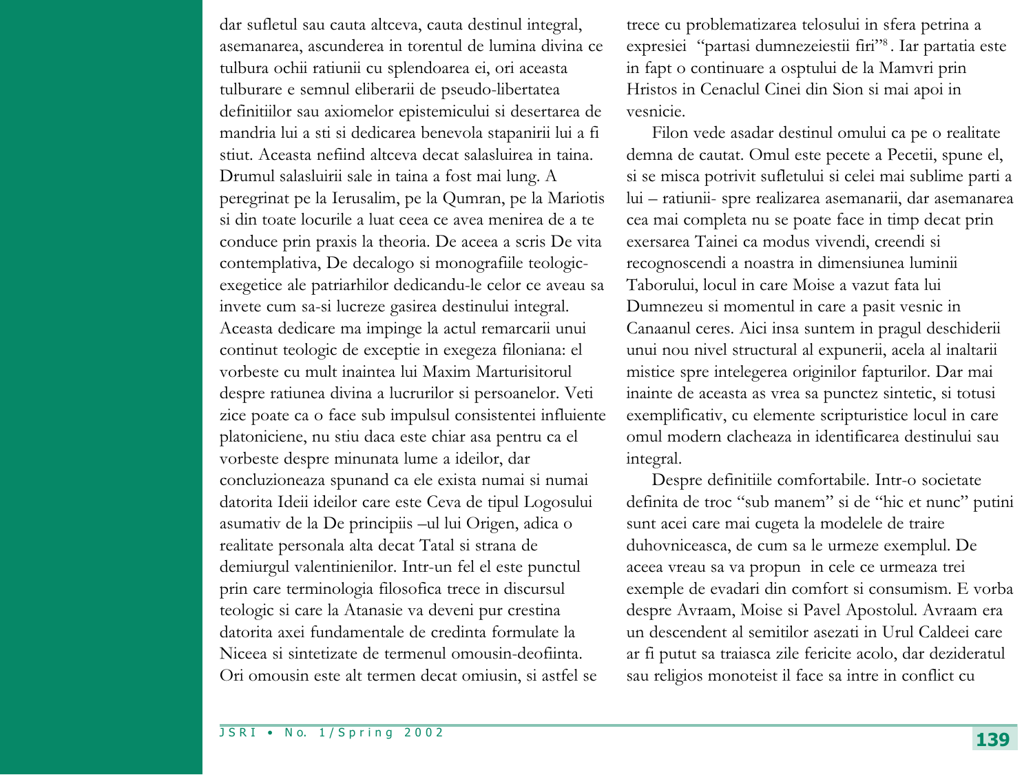dar sufletul sau cauta altceva, cauta destinul integral, asemanarea, ascunderea in torentul de lumina divina ce tulbura ochii ratiunii cu splendoarea ei, ori aceasta tulburare e semnul eliberarii de pseudo-libertatea definitiilor sau axiomelor epistemicului si desertarea de mandria lui a sti si dedicarea benevola stapanirii lui a fi stiut. Aceasta nefiind altceva decat salasluirea in taina. Drumul salasluirii sale in taina a fost mai lung. A peregrinat pe la Ierusalim, pe la Qumran, pe la Mariotis si din toate locurile a luat ceea ce avea menirea de a te conduce prin praxis la theoria. De aceea a scris De vita contemplativa, De decalogo si monografiile teologicexegetice ale patriarhilor dedicandu-le celor ce aveau sa invete cum sa-si lucreze gasirea destinului integral. Aceasta dedicare ma impinge la actul remarcarii unui continut teologic de exceptie in exegeza filoniana: el vorbeste cu mult inaintea lui Maxim Marturisitorul despre ratiunea divina a lucrurilor si persoanelor. Veti zice poate ca o face sub impulsul consistentei influiente platoniciene, nu stiu daca este chiar asa pentru ca el vorbeste despre minunata lume a ideilor, dar concluzioneaza spunand ca ele exista numai si numai datorita Ideii ideilor care este Ceva de tipul Logosului asumativ de la De principiis -ul lui Origen, adica o realitate personala alta decat Tatal si strana de demiurgul valentinienilor. Intr-un fel el este punctul prin care terminologia filosofica trece in discursul teologic si care la Atanasie va deveni pur crestina datorita axei fundamentale de credinta formulate la Niceea si sintetizate de termenul omousin-deofiinta. Ori omousin este alt termen decat omiusin, si astfel se

trece cu problematizarea telosului in sfera petrina a expresiei "partasi dumnezeiestii firi"<sup>8</sup>. Iar partatia este in fapt o continuare a osptului de la Mamvri prin Hristos in Cenaclul Cinei din Sion si mai apoi in vesnicie.

Filon vede asadar destinul omului ca pe o realitate demna de cautat. Omul este pecete a Pecetii, spune el, si se misca potrivit sufletului si celei mai sublime parti a lui - ratiunii- spre realizarea asemanarii, dar asemanarea cea mai completa nu se poate face in timp decat prin exersarea Tainei ca modus vivendi, creendi si recognoscendi a noastra in dimensiunea luminii Taborului, locul in care Moise a vazut fata lui Dumnezeu si momentul in care a pasit vesnic in Canaanul ceres. Aici insa suntem in pragul deschiderii unui nou nivel structural al expunerii, acela al inaltarii mistice spre intelegerea originilor fapturilor. Dar mai inainte de aceasta as vrea sa punctez sintetic, si totusi exemplificativ, cu elemente scripturistice locul in care omul modern clacheaza in identificarea destinului sau integral.

Despre definitiile comfortabile. Intr-o societate definita de troc "sub manem" si de "hic et nunc" putini sunt acei care mai cugeta la modelele de traire duhovniceasca, de cum sa le urmeze exemplul. De aceea vreau sa va propun in cele ce urmeaza trei exemple de evadari din comfort si consumism. E vorba despre Avraam, Moise si Pavel Apostolul. Avraam era un descendent al semitilor asezati in Urul Caldeei care ar fi putut sa traiasca zile fericite acolo, dar dezideratul sau religios monoteist il face sa intre in conflict cu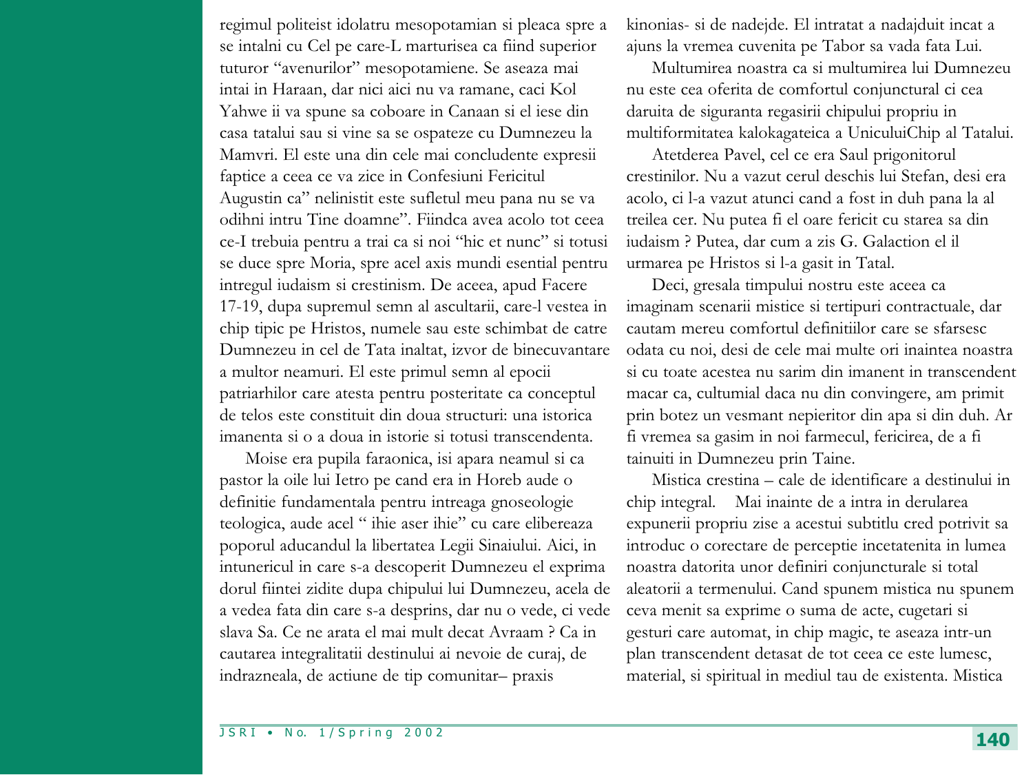regimul politeist idolatru mesopotamian si pleaca spre a se intalni cu Cel pe care-L marturisea ca fiind superior tuturor "avenurilor" mesopotamiene. Se aseaza mai intai in Haraan, dar nici aici nu va ramane, caci Kol Yahwe ii va spune sa coboare in Canaan si el iese din casa tatalui sau si vine sa se ospateze cu Dumnezeu la Mamvri. El este una din cele mai concludente expresii faptice a ceea ce va zice in Confesiuni Fericitul Augustin ca" nelinistit este sufletul meu pana nu se va odihni intru Tine doamne". Fiindca avea acolo tot ceea ce-I trebuia pentru a trai ca si noi "hic et nunc" si totusi se duce spre Moria, spre acel axis mundi esential pentru intregul iudaism si crestinism. De aceea, apud Facere 17-19, dupa supremul semn al ascultarii, care-l vestea in chip tipic pe Hristos, numele sau este schimbat de catre Dumnezeu in cel de Tata inaltat, izvor de binecuvantare a multor neamuri. El este primul semn al epocii patriarhilor care atesta pentru posteritate ca conceptul de telos este constituit din doua structuri: una istorica imanenta si o a doua in istorie si totusi transcendenta.

Moise era pupila faraonica, isi apara neamul si ca pastor la oile lui Ietro pe cand era in Horeb aude o definitie fundamentala pentru intreaga gnoseologie teologica, aude acel "ihie aser ihie" cu care elibereaza poporul aducandul la libertatea Legii Sinaiului. Aici, in intunericul in care s-a descoperit Dumnezeu el exprima dorul fiintei zidite dupa chipului lui Dumnezeu, acela de a vedea fata din care s-a desprins, dar nu o vede, ci vede slava Sa. Ce ne arata el mai mult decat Avraam ? Ca in cautarea integralitatii destinului ai nevoie de curaj, de indrazneala, de actiune de tip comunitar-praxis

kinonias- si de nadejde. El intratat a nadajduit incat a ajuns la vremea cuvenita pe Tabor sa vada fata Lui.

Multumirea noastra ca si multumirea lui Dumnezeu nu este cea oferita de comfortul conjunctural ci cea daruita de siguranta regasirii chipului propriu in multiformitatea kalokagateica a UniculuiChip al Tatalui.

Atetderea Pavel, cel ce era Saul prigonitorul crestinilor. Nu a vazut cerul deschis lui Stefan, desi era acolo, ci l-a vazut atunci cand a fost in duh pana la al treilea cer. Nu putea fi el oare fericit cu starea sa din iudaism ? Putea, dar cum a zis G. Galaction el il urmarea pe Hristos si l-a gasit in Tatal.

Deci, gresala timpului nostru este aceea ca imaginam scenarii mistice si tertipuri contractuale, dar cautam mereu comfortul definitiilor care se sfarsesc odata cu noi, desi de cele mai multe ori inaintea noastra si cu toate acestea nu sarim din imanent in transcendent macar ca, cultumial daca nu din convingere, am primit prin botez un vesmant nepieritor din apa si din duh. Ar fi vremea sa gasim in noi farmecul, fericirea, de a fi tainuiti in Dumnezeu prin Taine.

Mistica crestina – cale de identificare a destinului in chip integral. Mai inainte de a intra in derularea expunerii propriu zise a acestui subtitlu cred potrivit sa introduc o corectare de perceptie incetatenita in lumea noastra datorita unor definiri conjuncturale si total aleatorii a termenului. Cand spunem mistica nu spunem ceva menit sa exprime o suma de acte, cugetari si gesturi care automat, in chip magic, te aseaza intr-un plan transcendent detasat de tot ceea ce este lumesc, material, si spiritual in mediul tau de existenta. Mistica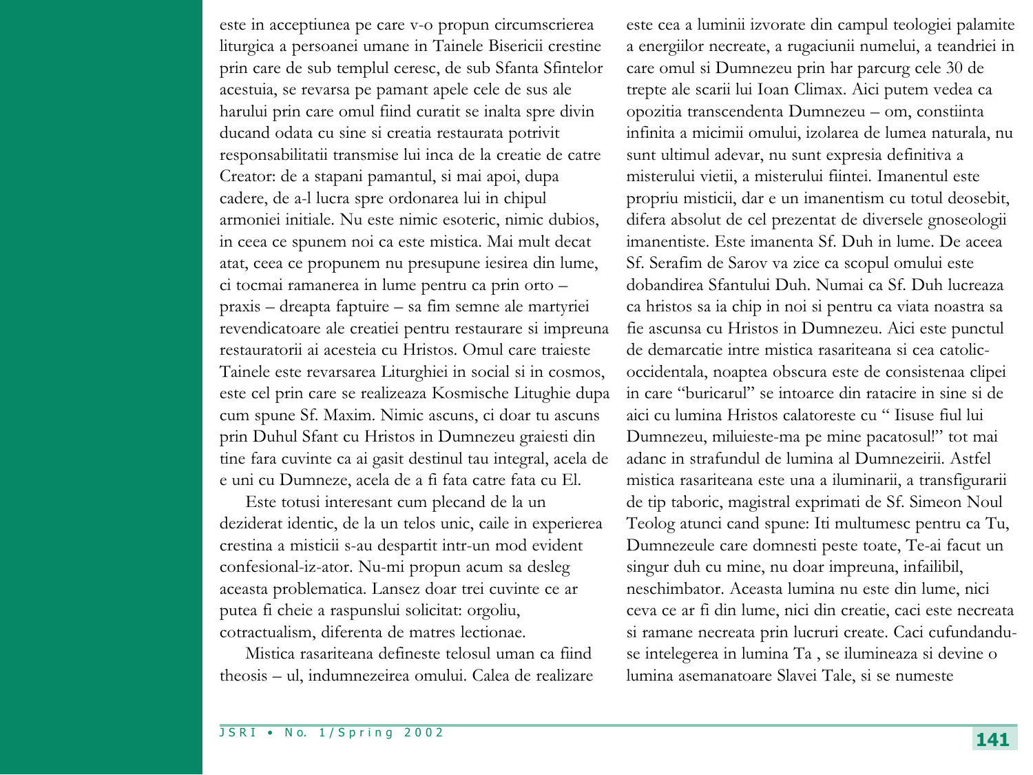este in acceptiunea pe care v-o propun circumscrierea liturgica a persoanei umane in Tainele Bisericii crestine prin care de sub templul ceresc, de sub Sfanta Sfintelor acestuia, se revarsa pe pamant apele cele de sus ale harului prin care omul fiind curatit se inalta spre divin ducand odata cu sine si creatia restaurata potrivit responsabilitatii transmise lui inca de la creatie de catre Creator: de a stapani pamantul, si mai apoi, dupa cadere, de a-l lucra spre ordonarea lui in chipul armoniei initiale. Nu este nimic esoteric, nimic dubios, in ceea ce spunem noi ca este mistica. Mai mult decat atat, ceea ce propunem nu presupune iesirea din lume, ci tocmai ramanerea in lume pentru ca prin orto praxis - dreapta faptuire - sa fim semne ale martyriei revendicatoare ale creatiei pentru restaurare si impreuna restauratorii ai acesteia cu Hristos. Omul care traieste Tainele este revarsarea Liturghiei in social si in cosmos, este cel prin care se realizeaza Kosmische Litughie dupa cum spune Sf. Maxim. Nimic ascuns, ci doar tu ascuns prin Duhul Sfant cu Hristos in Dumnezeu graiesti din tine fara cuvinte ca ai gasit destinul tau integral, acela de e uni cu Dumneze, acela de a fi fata catre fata cu El.

Este totusi interesant cum plecand de la un deziderat identic, de la un telos unic, caile in experierea crestina a misticii s-au despartit intr-un mod evident confesional-iz-ator. Nu-mi propun acum sa desleg aceasta problematica. Lansez doar trei cuvinte ce ar putea fi cheie a raspunslui solicitat: orgoliu, cotractualism, diferenta de matres lectionae.

Mistica rasariteana defineste telosul uman ca fiind theosis – ul, indumnezeirea omului. Calea de realizare

este cea a luminii izvorate din campul teologiei palamite a energiilor necreate, a rugaciunii numelui, a teandriei in care omul si Dumnezeu prin har parcurg cele 30 de trepte ale scarii lui Ioan Climax. Aici putem vedea ca opozitia transcendenta Dumnezeu - om, constiinta infinita a micimii omului, izolarea de lumea naturala, nu sunt ultimul adevar, nu sunt expresia definitiva a misterului vietii, a misterului fiintei. Imanentul este propriu misticii, dar e un imanentism cu totul deosebit, difera absolut de cel prezentat de diversele gnoseologii imanentiste. Este imanenta Sf. Duh in lume. De aceea Sf. Serafim de Sarov va zice ca scopul omului este dobandirea Sfantului Duh. Numai ca Sf. Duh lucreaza ca hristos sa ia chip in noi si pentru ca viata noastra sa fie ascunsa cu Hristos in Dumnezeu. Aici este punctul de demarcatie intre mistica rasariteana si cea catolicoccidentala, noaptea obscura este de consistenaa clipei in care "buricarul" se intoarce din ratacire in sine si de aici cu lumina Hristos calatoreste cu " Iisuse fiul lui Dumnezeu, miluieste-ma pe mine pacatosul!" tot mai adanc in strafundul de lumina al Dumnezeirii. Astfel mistica rasariteana este una a iluminarii, a transfigurarii de tip taboric, magistral exprimati de Sf. Simeon Noul Teolog atunci cand spune: Iti multumesc pentru ca Tu, Dumnezeule care domnesti peste toate, Te-ai facut un singur duh cu mine, nu doar impreuna, infailibil, neschimbator. Aceasta lumina nu este din lume, nici ceva ce ar fi din lume, nici din creatie, caci este necreata si ramane necreata prin lucruri create. Caci cufundanduse intelegerea in lumina Ta, se ilumineaza si devine o lumina asemanatoare Slavei Tale, si se numeste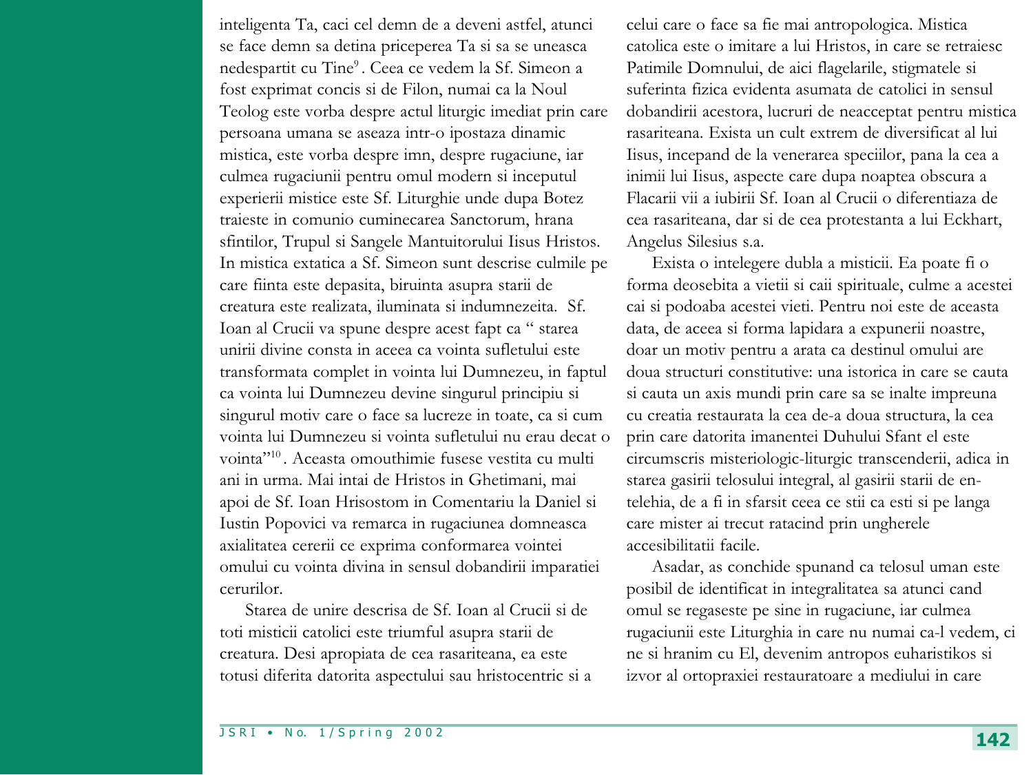inteligenta Ta, caci cel demn de a deveni astfel, atunci se face demn sa detina priceperea Ta si sa se uneasca nedespartit cu Tine<sup>9</sup>. Ceea ce vedem la Sf. Simeon a fost exprimat concis si de Filon, numai ca la Noul Teolog este vorba despre actul liturgic imediat prin care persoana umana se aseaza intr-o ipostaza dinamic mistica, este vorba despre imn, despre rugaciune, iar culmea rugaciunii pentru omul modern si inceputul experierii mistice este Sf. Liturghie unde dupa Botez traieste in comunio cuminecarea Sanctorum, hrana sfintilor, Trupul si Sangele Mantuitorului Iisus Hristos. In mistica extatica a Sf. Simeon sunt descrise culmile pe care fiinta este depasita, biruinta asupra starii de creatura este realizata, iluminata si indumnezeita. Sf. Ioan al Crucii va spune despre acest fapt ca " starea unirii divine consta in aceea ca vointa sufletului este transformata complet in vointa lui Dumnezeu, in faptul ca vointa lui Dumnezeu devine singurul principiu si singurul motiv care o face sa lucreze in toate, ca si cum vointa lui Dumnezeu și vointa sufletului nu erau decat o vointa"<sup>10</sup>. Aceasta omouthimie fusese vestita cu multi ani in urma. Mai intai de Hristos in Ghetimani, mai apoi de Sf. Ioan Hrisostom in Comentariu la Daniel si Iustin Popovici va remarca in rugaciunea domneasca axialitatea cererii ce exprima conformarea vointei omului cu vointa divina in sensul dobandirii imparatiei cerurilor.

Starea de unire descrisa de Sf. Ioan al Crucii si de toti misticii catolici este triumful asupra starii de creatura. Desi apropiata de cea rasariteana, ea este totusi diferita datorita aspectului sau hristocentric si a celui care o face sa fie mai antropologica. Mistica catolica este o imitare a lui Hristos, in care se retraiesc Patimile Domnului, de aici flagelarile, stigmatele si suferinta fizica evidenta asumata de catolici in sensul dobandirii acestora, lucruri de neacceptat pentru mistica rasariteana. Exista un cult extrem de diversificat al lui Iisus, incepand de la venerarea speciilor, pana la cea a inimii lui Iisus, aspecte care dupa noaptea obscura a Flacarii vii a iubirii Sf. Ioan al Crucii o diferentiaza de cea rasariteana, dar si de cea protestanta a lui Eckhart, Angelus Silesius s.a.

Exista o intelegere dubla a misticii. Ea poate fi o forma deosebita a vietii si caii spirituale, culme a acestei cai si podoaba acestei vieti. Pentru noi este de aceasta data, de aceea si forma lapidara a expunerii noastre, doar un motiv pentru a arata ca destinul omului are doua structuri constitutive: una istorica in care se cauta si cauta un axis mundi prin care sa se inalte impreuna cu creatia restaurata la cea de-a doua structura, la cea prin care datorita imanentei Duhului Sfant el este circumscris misteriologic-liturgic transcenderii, adica in starea gasirii telosului integral, al gasirii starii de entelehia, de a fi in sfarsit ceea ce stii ca esti si pe langa care mister ai trecut ratacind prin ungherele accesibilitatii facile.

Asadar, as conchide spunand ca telosul uman este posibil de identificat in integralitatea sa atunci cand omul se regaseste pe sine in rugaciune, iar culmea rugaciunii este Liturghia in care nu numai ca-l vedem, ci ne si hranim cu El, devenim antropos euharistikos si izvor al ortopraxiei restauratoare a mediului in care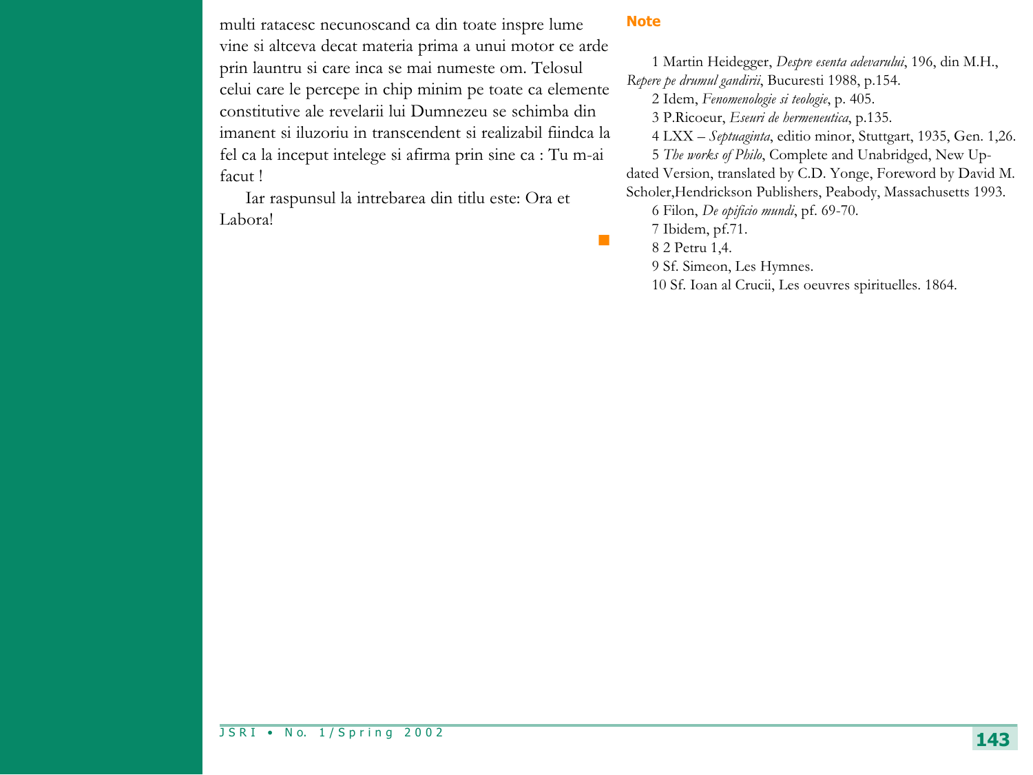multi ratacesc necunoscand ca din toate inspre lume vine si altceva decat materia prima a unui motor ce arde prin launtru si care inca se mai numeste om. Telosul celui care le percepe in chip minim pe toate ca elemente constitutive ale revelarii lui Dumnezeu se schimba din imanent si iluzoriu in transcendent si realizabil fiindca la fel ca la inceput intelege si afirma prin sine ca : Tu m-ai facut!

Iar raspunsul la intrebarea din titlu este: Ora et Labora!

#### **Note**

1 Martin Heidegger, Despre esenta adevarului, 196, din M.H., Repere pe drumul gandirii, Bucuresti 1988, p.154.

2 Idem, Fenomenologie si teologie, p. 405.

3 P.Ricoeur, Eseuri de hermeneutica, p.135.

4 LXX - Septuaginta, editio minor, Stuttgart, 1935, Gen. 1,26.

5 The works of Philo, Complete and Unabridged, New Updated Version, translated by C.D. Yonge, Foreword by David M. Scholer, Hendrickson Publishers, Peabody, Massachusetts 1993.

6 Filon, De opificio mundi, pf. 69-70.

7 Ibidem, pf.71.

8 2 Petru 1,4.

 $\mathcal{L}_{\mathcal{A}}$ 

9 Sf. Simeon, Les Hymnes.

10 Sf. Ioan al Crucii, Les oeuvres spirituelles. 1864.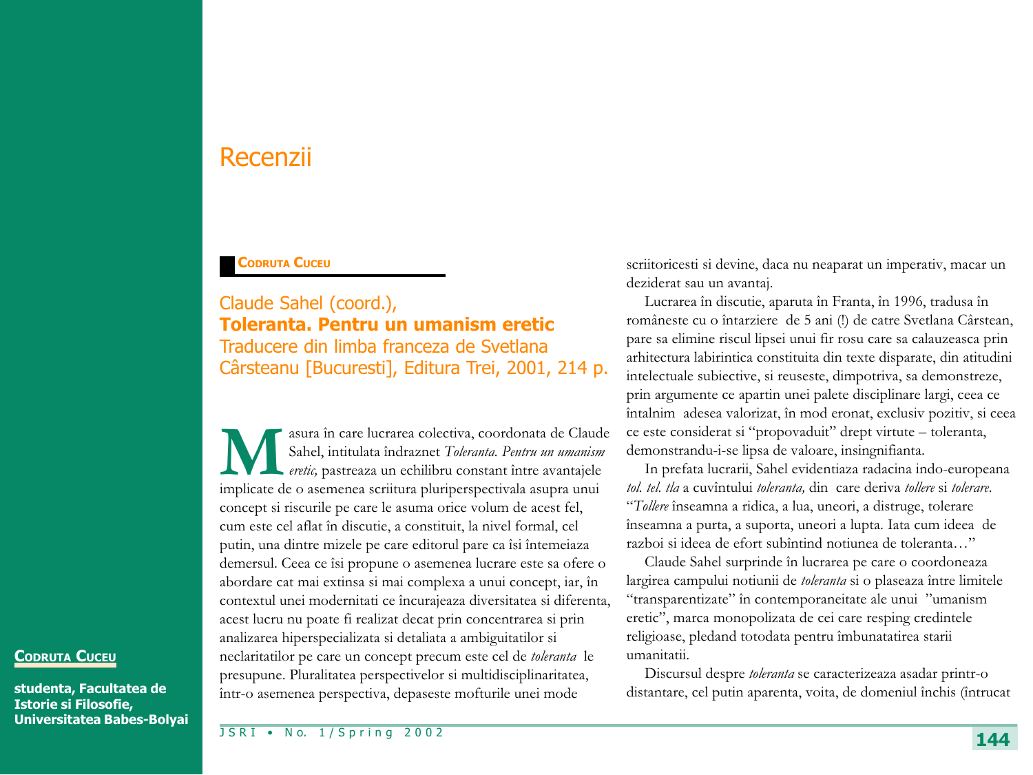# Recenzii

**CODRUTA CUCEU** 

Claude Sahel (coord.), **Toleranta. Pentru un umanism eretic** Traducere din limba franceza de Svetlana Cârsteanu [Bucuresti], Editura Trei, 2001, 214 p.

asura în care lucrarea colectiva, coordonata de Claude Sahel, intitulata îndraznet Toleranta. Pentru un umanism eretic, pastreaza un echilibru constant între avantajele implicate de o asemenea scriitura pluriperspectivala asupra unui concept si riscurile pe care le asuma orice volum de acest fel, cum este cel aflat în discutie, a constituit, la nivel formal, cel putin, una dintre mizele pe care editorul pare ca îsi întemeiaza demersul. Ceea ce îsi propune o asemenea lucrare este sa ofere o abordare cat mai extinsa si mai complexa a unui concept, iar, în contextul unei modernitati ce încurajeaza diversitatea si diferenta, acest lucru nu poate fi realizat decat prin concentrarea si prin analizarea hiperspecializata si detaliata a ambiguitatilor si neclaritatilor pe care un concept precum este cel de toleranta le presupune. Pluralitatea perspectivelor si multidisciplinaritatea, într-o asemenea perspectiva, depaseste mofturile unei mode

scriitoricesti si devine, daca nu neaparat un imperativ, macar un deziderat sau un avantaj.

Lucrarea în discutie, aparuta în Franta, în 1996, tradusa în româneste cu o întarziere de 5 ani (!) de catre Svetlana Cârstean, pare sa elimine riscul lipsei unui fir rosu care sa calauzeasca prin arhitectura labirintica constituita din texte disparate, din atitudini intelectuale subiective, si reuseste, dimpotriva, sa demonstreze, prin argumente ce apartin unei palete disciplinare largi, ceea ce întalnim adesea valorizat, în mod eronat, exclusiv pozitiv, si ceea ce este considerat si "propovaduit" drept virtute - toleranta, demonstrandu-i-se lipsa de valoare, insingnifianta.

In prefata lucrarii, Sahel evidentiaza radacina indo-europeana tol. tel. tla a cuvîntului toleranta, din care deriva tollere si tolerare. "Tollere înseamna a ridica, a lua, uneori, a distruge, tolerare înseamna a purta, a suporta, uneori a lupta. Iata cum ideea de razboi si ideea de efort subîntind notiunea de toleranta..."

Claude Sahel surprinde în lucrarea pe care o coordoneaza largirea campului notiunii de toleranta si o plaseaza între limitele "transparentizate" în contemporaneitate ale unui "umanism eretic", marca monopolizata de cei care resping credintele religioase, pledand totodata pentru îmbunatatirea starii umanitatii.

Discursul despre toleranta se caracterizeaza asadar printr-o distantare, cel putin aparenta, voita, de domeniul închis (întrucat

## **CODRUTA CUCEU**

studenta, Facultatea de **Istorie si Filosofie, Universitatea Babes-Bolyai**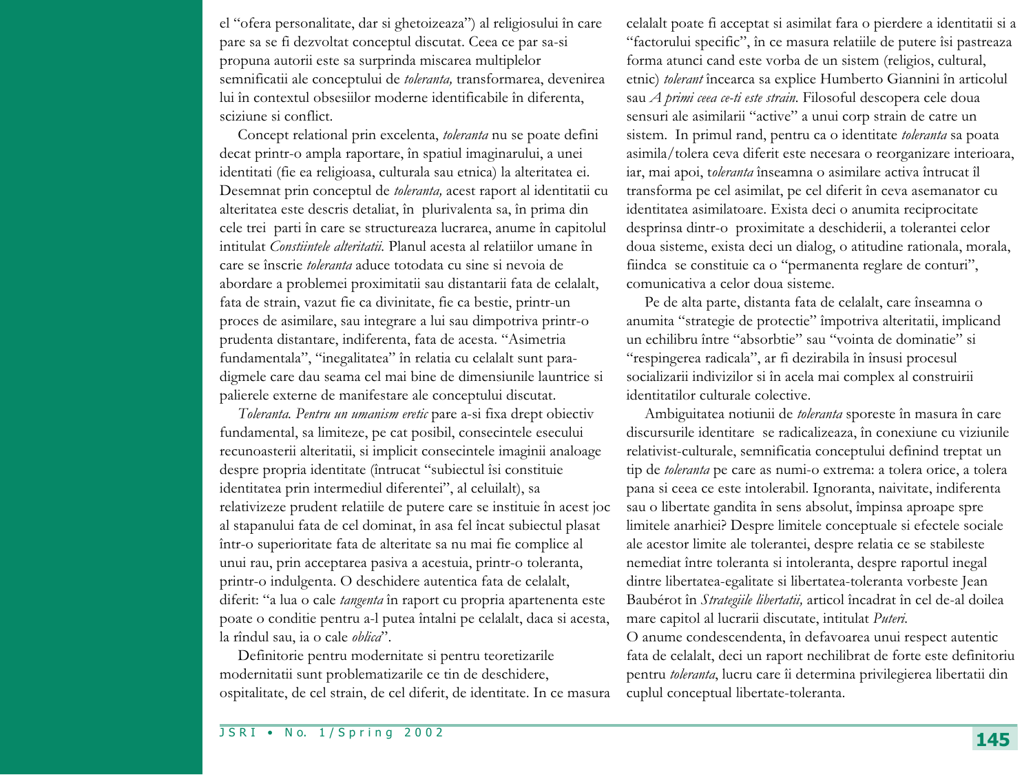el "ofera personalitate, dar si ghetoizeaza") al religiosului în care pare sa se fi dezvoltat conceptul discutat. Ceea ce par sa-si propuna autorii este sa surprinda miscarea multiplelor semnificatii ale conceptului de toleranta, transformarea, devenirea lui în contextul obsesiilor moderne identificabile în diferenta, sciziune si conflict.

Concept relational prin excelenta, toleranta nu se poate defini decat printr-o ampla raportare, în spatiul imaginarului, a unei identitati (fie ea religioasa, culturala sau etnica) la alteritatea ei. Desemnat prin conceptul de toleranta, acest raport al identitatii cu alteritatea este descris detaliat, în plurivalenta sa, în prima din cele trei parti în care se structureaza lucrarea, anume în capitolul intitulat Constiintele alteritatii. Planul acesta al relatiilor umane în care se înscrie toleranta aduce totodata cu sine si nevoia de abordare a problemei proximitatii sau distantarii fata de celalalt, fata de strain, vazut fie ca divinitate, fie ca bestie, printr-un proces de asimilare, sau integrare a lui sau dimpotriva printr-o prudenta distantare, indiferenta, fata de acesta. "Asimetria fundamentala", "inegalitatea" în relatia cu celalalt sunt paradigmele care dau seama cel mai bine de dimensiunile launtrice si palierele externe de manifestare ale conceptului discutat.

Toleranta. Pentru un umanism eretic pare a-si fixa drept obiectiv fundamental, sa limiteze, pe cat posibil, consecintele esecului recunoasterii alteritatii, si implicit consecintele imaginii analoage despre propria identitate (întrucat "subiectul îsi constituie identitatea prin intermediul diferentei", al celuilalt), sa relativizeze prudent relatiile de putere care se instituie în acest joc al stapanului fata de cel dominat, în asa fel încat subiectul plasat într-o superioritate fata de alteritate sa nu mai fie complice al unui rau, prin acceptarea pasiva a acestuia, printr-o toleranta, printr-o indulgenta. O deschidere autentica fata de celalalt, diferit: "a lua o cale tangenta în raport cu propria apartenenta este poate o conditie pentru a-l putea întalni pe celalalt, daca si acesta, la rîndul sau, ia o cale oblica".

Definitorie pentru modernitate si pentru teoretizarile modernitatii sunt problematizarile ce tin de deschidere, ospitalitate, de cel strain, de cel diferit, de identitate. In ce masura celalalt poate fi acceptat si asimilat fara o pierdere a identitatii si a "factorului specific", în ce masura relatiile de putere îsi pastreaza forma atunci cand este vorba de un sistem (religios, cultural, etnic) tolerant încearca sa explice Humberto Giannini în articolul sau A primi ceea ce-ti este strain. Filosoful descopera cele doua sensuri ale asimilarii "active" a unui corp strain de catre un sistem. In primul rand, pentru ca o identitate toleranta sa poata asimila/tolera ceva diferit este necesara o reorganizare interioara, iar, mai apoi, toleranta înseamna o asimilare activa întrucat îl transforma pe cel asimilat, pe cel diferit în ceva asemanator cu identitatea asimilatoare. Exista deci o anumita reciprocitate desprinsa dintr-o proximitate a deschiderii, a tolerantei celor doua sisteme, exista deci un dialog, o atitudine rationala, morala, fiindca se constituie ca o "permanenta reglare de conturi", comunicativa a celor doua sisteme.

Pe de alta parte, distanta fata de celalalt, care înseamna o anumita "strategie de protectie" împotriva alteritatii, implicand un echilibru între "absorbtie" sau "vointa de dominatie" si "respingerea radicala", ar fi dezirabila în însusi procesul socializarii indivizilor si în acela mai complex al construirii identitatilor culturale colective.

Ambiguitatea notiunii de toleranta sporeste în masura în care discursurile identitare se radicalizeaza, în conexiune cu viziunile relativist-culturale, semnificatia conceptului definind treptat un tip de toleranta pe care as numi-o extrema: a tolera orice, a tolera pana si ceea ce este intolerabil. Ignoranta, naivitate, indiferenta sau o libertate gandita în sens absolut, împinsa aproape spre limitele anarhiei? Despre limitele conceptuale si efectele sociale ale acestor limite ale tolerantei, despre relatia ce se stabileste nemediat între toleranta si intoleranta, despre raportul inegal dintre libertatea-egalitate si libertatea-toleranta vorbeste Jean Baubérot în Strategiile libertatii, articol încadrat în cel de-al doilea mare capitol al lucrarii discutate, intitulat Puteri.

O anume condescendenta, în defavoarea unui respect autentic fata de celalalt, deci un raport nechilibrat de forte este definitoriu pentru toleranta, lucru care îi determina privilegierea libertatii din cuplul conceptual libertate-toleranta.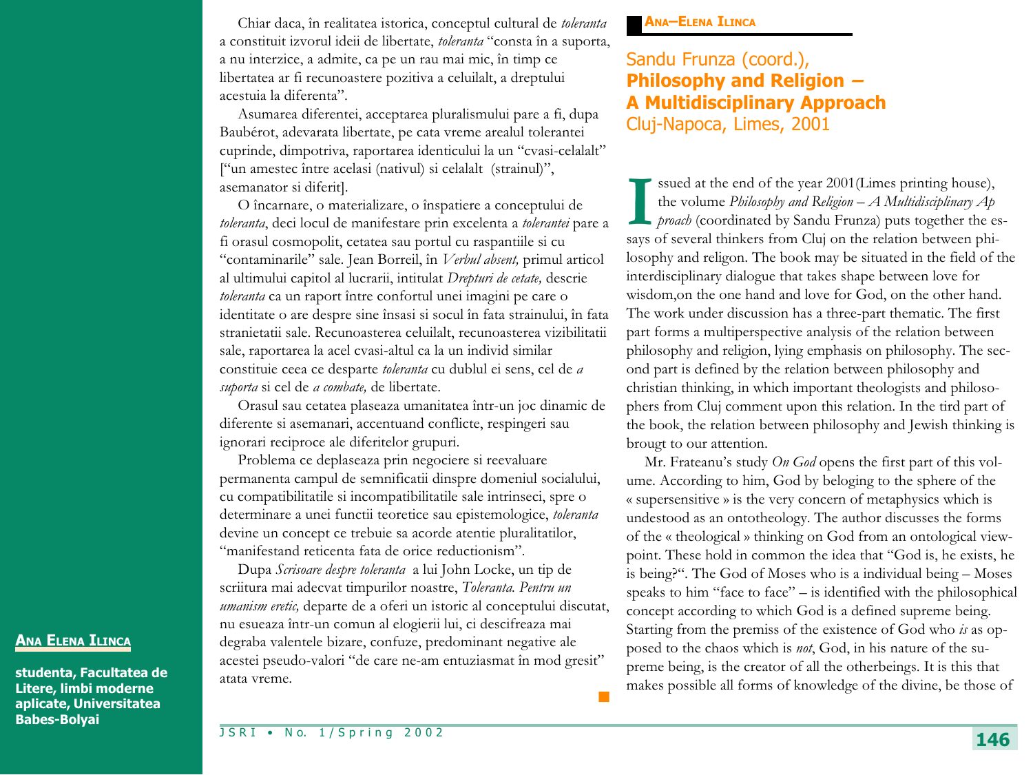Chiar daca, în realitatea istorica, conceptul cultural de toleranta a constituit izvorul ideii de libertate, toleranta "consta în a suporta, a nu interzice, a admite, ca pe un rau mai mic, în timp ce libertatea ar fi recunoastere pozitiva a celuilalt, a dreptului acestuia la diferenta".

Asumarea diferentei, acceptarea pluralismului pare a fi, dupa Baubérot, adevarata libertate, pe cata vreme arealul tolerantei cuprinde, dimpotriva, raportarea identicului la un "cvasi-celalalt" ["un amestec între acelasi (nativul) si celalalt (strainul)", asemanator si diferit.

O încarnare, o materializare, o înspatiere a conceptului de toleranta, deci locul de manifestare prin excelenta a tolerantei pare a fi orasul cosmopolit, cetatea sau portul cu raspantiile si cu "contaminarile" sale. Jean Borreil, în Verbul absent, primul articol al ultimului capitol al lucrarii, intitulat Drepturi de cetate, descrie toleranta ca un raport între confortul unei imagini pe care o identitate o are despre sine însasi si socul în fata strainului, în fata stranietatii sale. Recunoasterea celuilalt, recunoasterea vizibilitatii sale, raportarea la acel cvasi-altul ca la un individ similar constituie ceea ce desparte toleranta cu dublul ei sens, cel de a suporta si cel de a combate, de libertate.

Orasul sau cetatea plaseaza umanitatea într-un joc dinamic de diferente si asemanari, accentuand conflicte, respingeri sau ignorari reciproce ale diferitelor grupuri.

Problema ce deplaseaza prin negociere si reevaluare permanenta campul de semnificatii dinspre domeniul socialului, cu compatibilitatile si incompatibilitatile sale intrinseci, spre o determinare a unei functii teoretice sau epistemologice, toleranta devine un concept ce trebuie sa acorde atentie pluralitatilor, "manifestand reticenta fata de orice reductionism".

Dupa Scrisoare despre toleranta a lui John Locke, un tip de scriitura mai adecvat timpurilor noastre, Toleranta. Pentru un umanism eretic, departe de a oferi un istoric al conceptului discutat, nu esueaza într-un comun al elogierii lui, ci descifreaza mai degraba valentele bizare, confuze, predominant negative ale acestei pseudo-valori "de care ne-am entuziasmat în mod gresit" atata vreme.

#### **ANA-ELENA ILINCA**

# Sandu Frunza (coord.), Philosophy and Religion -**A Multidisciplinary Approach** Cluj-Napoca, Limes, 2001

ssued at the end of the year 2001 (Limes printing house), the volume Philosophy and Religion  $-A$  Multidisciplinary  $Ap$ *proach* (coordinated by Sandu Frunza) puts together the essays of several thinkers from Cluj on the relation between philosophy and religon. The book may be situated in the field of the interdisciplinary dialogue that takes shape between love for wisdom, on the one hand and love for God, on the other hand. The work under discussion has a three-part thematic. The first part forms a multiperspective analysis of the relation between philosophy and religion, lying emphasis on philosophy. The second part is defined by the relation between philosophy and christian thinking, in which important theologists and philosophers from Cluj comment upon this relation. In the tird part of the book, the relation between philosophy and Jewish thinking is brougt to our attention.

Mr. Frateanu's study On God opens the first part of this volume. According to him, God by beloging to the sphere of the « supersensitive » is the very concern of metaphysics which is undestood as an ontotheology. The author discusses the forms of the « theological » thinking on God from an ontological viewpoint. These hold in common the idea that "God is, he exists, he is being?". The God of Moses who is a individual being - Moses speaks to him "face to face" – is identified with the philosophical concept according to which God is a defined supreme being. Starting from the premiss of the existence of God who is as opposed to the chaos which is not, God, in his nature of the supreme being, is the creator of all the otherbeings. It is this that makes possible all forms of knowledge of the divine, be those of

## **ANA ELENA ILINCA**

studenta, Facultatea de Litere, limbi moderne aplicate, Universitatea **Babes-Bolyai**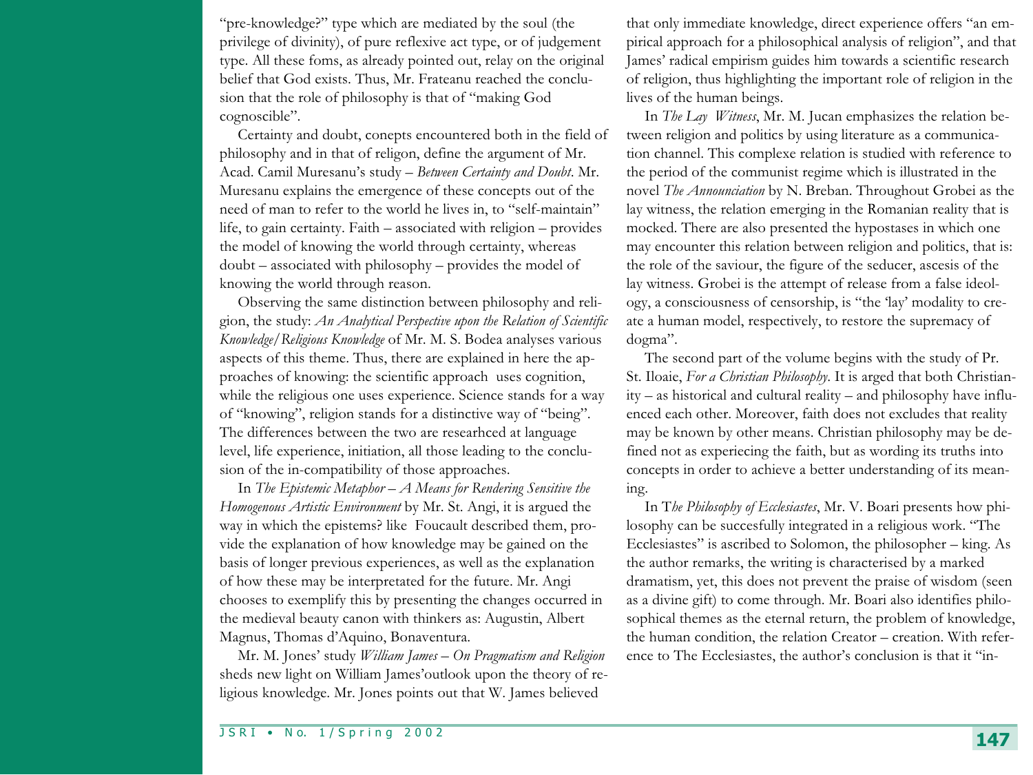"pre-knowledge?" type which are mediated by the soul (the privilege of divinity), of pure reflexive act type, or of judgement type. All these foms, as already pointed out, relay on the original belief that God exists. Thus, Mr. Frateanu reached the conclusion that the role of philosophy is that of "making God cognoscible".

Certainty and doubt, conepts encountered both in the field of philosophy and in that of religon, define the argument of Mr. Acad. Camil Muresanu's study - Between Certainty and Doubt. Mr. Muresanu explains the emergence of these concepts out of the need of man to refer to the world he lives in, to "self-maintain" life, to gain certainty. Faith - associated with religion - provides the model of knowing the world through certainty, whereas doubt - associated with philosophy - provides the model of knowing the world through reason.

Observing the same distinction between philosophy and religion, the study: An Analytical Perspective upon the Relation of Scientific Knowledge/Religious Knowledge of Mr. M. S. Bodea analyses various aspects of this theme. Thus, there are explained in here the approaches of knowing: the scientific approach uses cognition, while the religious one uses experience. Science stands for a way of "knowing", religion stands for a distinctive way of "being". The differences between the two are researhced at language level, life experience, initiation, all those leading to the conclusion of the in-compatibility of those approaches.

In The Epistemic Metaphor  $-A$  Means for Rendering Sensitive the Homogenous Artistic Environment by Mr. St. Angi, it is argued the way in which the epistems? like Foucault described them, provide the explanation of how knowledge may be gained on the basis of longer previous experiences, as well as the explanation of how these may be interpretated for the future. Mr. Angi chooses to exemplify this by presenting the changes occurred in the medieval beauty canon with thinkers as: Augustin, Albert Magnus, Thomas d'Aquino, Bonaventura.

Mr. M. Jones' study William James - On Pragmatism and Religion sheds new light on William James'outlook upon the theory of religious knowledge. Mr. Jones points out that W. James believed

that only immediate knowledge, direct experience offers "an empirical approach for a philosophical analysis of religion", and that James' radical empirism guides him towards a scientific research of religion, thus highlighting the important role of religion in the lives of the human beings.

In The Lay Witness, Mr. M. Jucan emphasizes the relation between religion and politics by using literature as a communication channel. This complexe relation is studied with reference to the period of the communist regime which is illustrated in the novel The Announciation by N. Breban. Throughout Grobei as the lay witness, the relation emerging in the Romanian reality that is mocked. There are also presented the hypostases in which one may encounter this relation between religion and politics, that is: the role of the saviour, the figure of the seducer, ascesis of the lay witness. Grobei is the attempt of release from a false ideology, a consciousness of censorship, is "the 'lay' modality to create a human model, respectively, to restore the supremacy of dogma".

The second part of the volume begins with the study of Pr. St. Iloaie, For a Christian Philosophy. It is arged that both Christianity – as historical and cultural reality – and philosophy have influenced each other. Moreover, faith does not excludes that reality may be known by other means. Christian philosophy may be defined not as experiecing the faith, but as wording its truths into concepts in order to achieve a better understanding of its meaning.

In The Philosophy of Ecclesiastes, Mr. V. Boari presents how philosophy can be succesfully integrated in a religious work. "The Ecclesiastes" is ascribed to Solomon, the philosopher - king. As the author remarks, the writing is characterised by a marked dramatism, yet, this does not prevent the praise of wisdom (seen as a divine gift) to come through. Mr. Boari also identifies philosophical themes as the eternal return, the problem of knowledge, the human condition, the relation Creator - creation. With reference to The Ecclesiastes, the author's conclusion is that it "in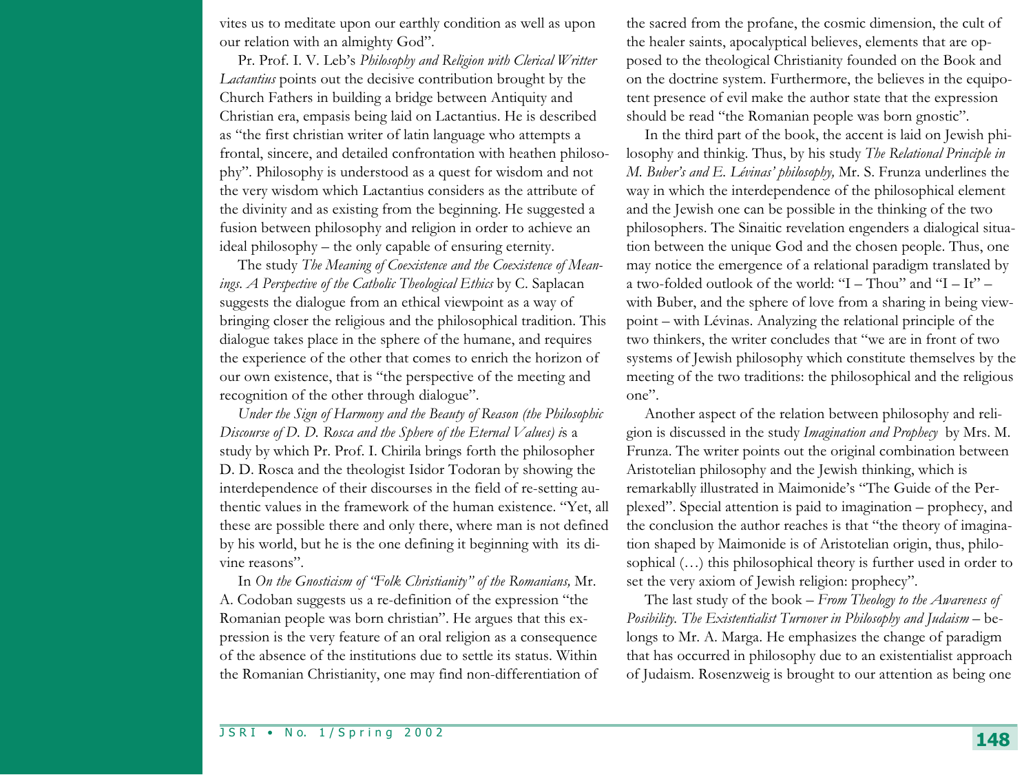vites us to meditate upon our earthly condition as well as upon our relation with an almighty God".

Pr. Prof. I. V. Leb's Philosophy and Religion with Clerical Writter Lactantius points out the decisive contribution brought by the Church Fathers in building a bridge between Antiquity and Christian era, empasis being laid on Lactantius. He is described as "the first christian writer of latin language who attempts a frontal, sincere, and detailed confrontation with heathen philosophy". Philosophy is understood as a quest for wisdom and not the very wisdom which Lactantius considers as the attribute of the divinity and as existing from the beginning. He suggested a fusion between philosophy and religion in order to achieve an ideal philosophy – the only capable of ensuring eternity.

The study The Meaning of Coexistence and the Coexistence of Meanings. A Perspective of the Catholic Theological Ethics by C. Saplacan suggests the dialogue from an ethical viewpoint as a way of bringing closer the religious and the philosophical tradition. This dialogue takes place in the sphere of the humane, and requires the experience of the other that comes to enrich the horizon of our own existence, that is "the perspective of the meeting and recognition of the other through dialogue".

Under the Sign of Harmony and the Beauty of Reason (the Philosophic Discourse of D. D. Rosca and the Sphere of the Eternal Values) is a study by which Pr. Prof. I. Chirila brings forth the philosopher D. D. Rosca and the theologist Isidor Todoran by showing the interdependence of their discourses in the field of re-setting authentic values in the framework of the human existence. "Yet, all these are possible there and only there, where man is not defined by his world, but he is the one defining it beginning with its divine reasons".

In On the Gnosticism of "Folk Christianity" of the Romanians, Mr. A. Codoban suggests us a re-definition of the expression "the Romanian people was born christian". He argues that this expression is the very feature of an oral religion as a consequence of the absence of the institutions due to settle its status. Within the Romanian Christianity, one may find non-differentiation of the sacred from the profane, the cosmic dimension, the cult of the healer saints, apocalyptical believes, elements that are opposed to the theological Christianity founded on the Book and on the doctrine system. Furthermore, the believes in the equipotent presence of evil make the author state that the expression should be read "the Romanian people was born gnostic".

In the third part of the book, the accent is laid on Jewish philosophy and thinkig. Thus, by his study The Relational Principle in M. Buber's and E. Lévinas' philosophy, Mr. S. Frunza underlines the way in which the interdependence of the philosophical element and the Jewish one can be possible in the thinking of the two philosophers. The Sinaitic revelation engenders a dialogical situation between the unique God and the chosen people. Thus, one may notice the emergence of a relational paradigm translated by a two-folded outlook of the world: "I - Thou" and "I - It" with Buber, and the sphere of love from a sharing in being viewpoint – with Lévinas. Analyzing the relational principle of the two thinkers, the writer concludes that "we are in front of two systems of Jewish philosophy which constitute themselves by the meeting of the two traditions: the philosophical and the religious one".

Another aspect of the relation between philosophy and religion is discussed in the study Imagination and Prophecy by Mrs. M. Frunza. The writer points out the original combination between Aristotelian philosophy and the Jewish thinking, which is remarkablly illustrated in Maimonide's "The Guide of the Perplexed". Special attention is paid to imagination - prophecy, and the conclusion the author reaches is that "the theory of imagination shaped by Maimonide is of Aristotelian origin, thus, philosophical (...) this philosophical theory is further used in order to set the very axiom of Jewish religion: prophecy".

The last study of the book  $-$  From Theology to the Awareness of Posibility. The Existentialist Turnover in Philosophy and Judaism - belongs to Mr. A. Marga. He emphasizes the change of paradigm that has occurred in philosophy due to an existentialist approach of Judaism. Rosenzweig is brought to our attention as being one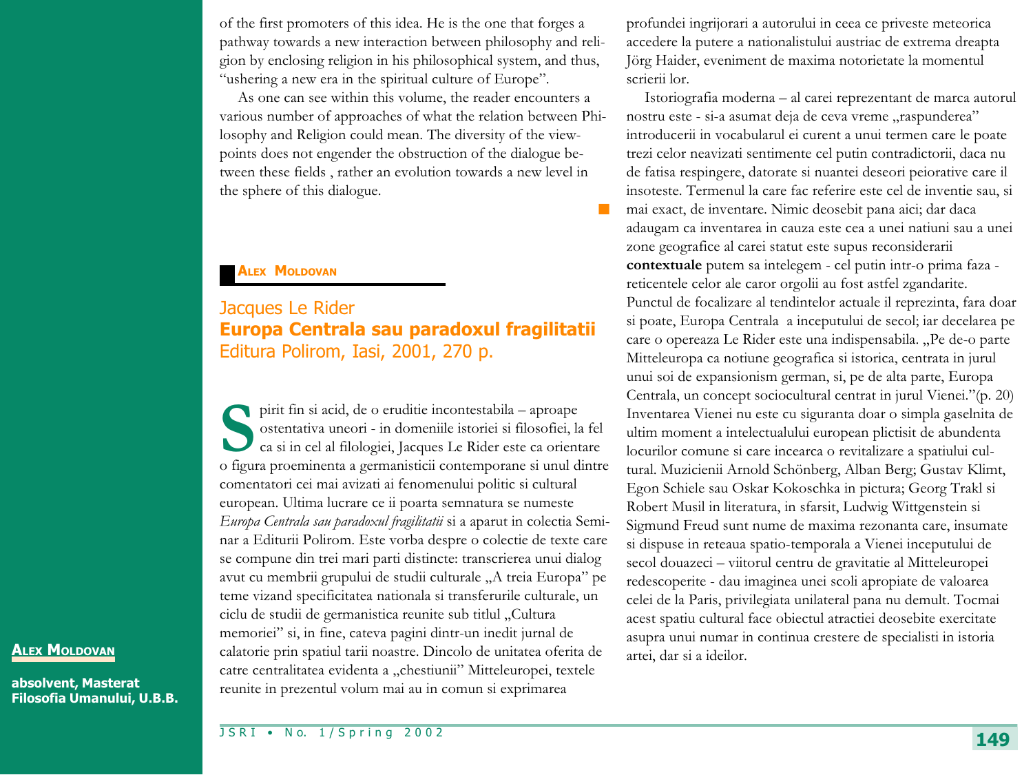of the first promoters of this idea. He is the one that forges a pathway towards a new interaction between philosophy and religion by enclosing religion in his philosophical system, and thus, "ushering a new era in the spiritual culture of Europe".

As one can see within this volume, the reader encounters a various number of approaches of what the relation between Philosophy and Religion could mean. The diversity of the viewpoints does not engender the obstruction of the dialogue between these fields, rather an evolution towards a new level in the sphere of this dialogue.

#### **ALEX MOLDOVAN**

# Jacques Le Rider Europa Centrala sau paradoxul fragilitatii Editura Polirom, Iasi, 2001, 270 p.

pirit fin si acid, de o eruditie incontestabila - aproape ostentativa uneori - in domeniile istoriei si filosofiei, la fel ca si in cel al filologiei, Jacques Le Rider este ca orientare o figura proeminenta a germanisticii contemporane si unul dintre comentatori cei mai avizati ai fenomenului politic si cultural european. Ultima lucrare ce ii poarta semnatura se numeste Europa Centrala sau paradoxul fragilitatii si a aparut in colectia Seminar a Editurii Polirom. Este vorba despre o colectie de texte care se compune din trei mari parti distincte: transcrierea unui dialog avut cu membrii grupului de studii culturale "A treia Europa" pe teme vizand specificitatea nationala si transferurile culturale, un ciclu de studii de germanistica reunite sub titlul "Cultura memoriei" si, in fine, cateva pagini dintr-un inedit jurnal de calatorie prin spatiul tarii noastre. Dincolo de unitatea oferita de catre centralitatea evidenta a "chestiunii" Mitteleuropei, textele reunite in prezentul volum mai au in comun si exprimarea

profundei ingrijorari a autorului in ceea ce priveste meteorica accedere la putere a nationalistului austriac de extrema dreapta Jörg Haider, eveniment de maxima notorietate la momentul scrierii lor.

Istoriografia moderna - al carei reprezentant de marca autorul nostru este - si-a asumat deja de ceva vreme "raspunderea" introducerii in vocabularul ei curent a unui termen care le poate trezi celor neavizati sentimente cel putin contradictorii, daca nu de fatisa respingere, datorate si nuantei deseori peiorative care il insoteste. Termenul la care fac referire este cel de inventie sau, si mai exact, de inventare. Nimic deosebit pana aici; dar daca adaugam ca inventarea in cauza este cea a unei natiuni sau a unei zone geografice al carei statut este supus reconsiderarii contextuale putem sa intelegem - cel putin intr-o prima faza reticentele celor ale caror orgolii au fost astfel zgandarite. Punctul de focalizare al tendintelor actuale il reprezinta, fara doar si poate, Europa Centrala a inceputului de secol; iar decelarea pe care o opereaza Le Rider este una indispensabila. "Pe de-o parte Mitteleuropa ca notiune geografica si istorica, centrata in jurul unui soi de expansionism german, si, pe de alta parte, Europa Centrala, un concept sociocultural centrat in jurul Vienei." (p. 20) Inventarea Vienei nu este cu siguranta doar o simpla gaselnita de ultim moment a intelectualului european plictisit de abundenta locurilor comune si care incearca o revitalizare a spatiului cultural. Muzicienii Arnold Schönberg, Alban Berg; Gustav Klimt, Egon Schiele sau Oskar Kokoschka in pictura; Georg Trakl si Robert Musil in literatura, in sfarsit, Ludwig Wittgenstein si Sigmund Freud sunt nume de maxima rezonanta care, insumate si dispuse in reteaua spatio-temporala a Vienei inceputului de secol douazeci - viitorul centru de gravitatie al Mitteleuropei redescoperite - dau imaginea unei scoli apropiate de valoarea celei de la Paris, privilegiata unilateral pana nu demult. Tocmai acest spatiu cultural face obiectul atractiei deosebite exercitate asupra unui numar in continua crestere de specialisti in istoria artei, dar si a ideilor.

### <u>Alex Moldovan</u>

absolvent, Masterat Filosofia Umanului, U.B.B.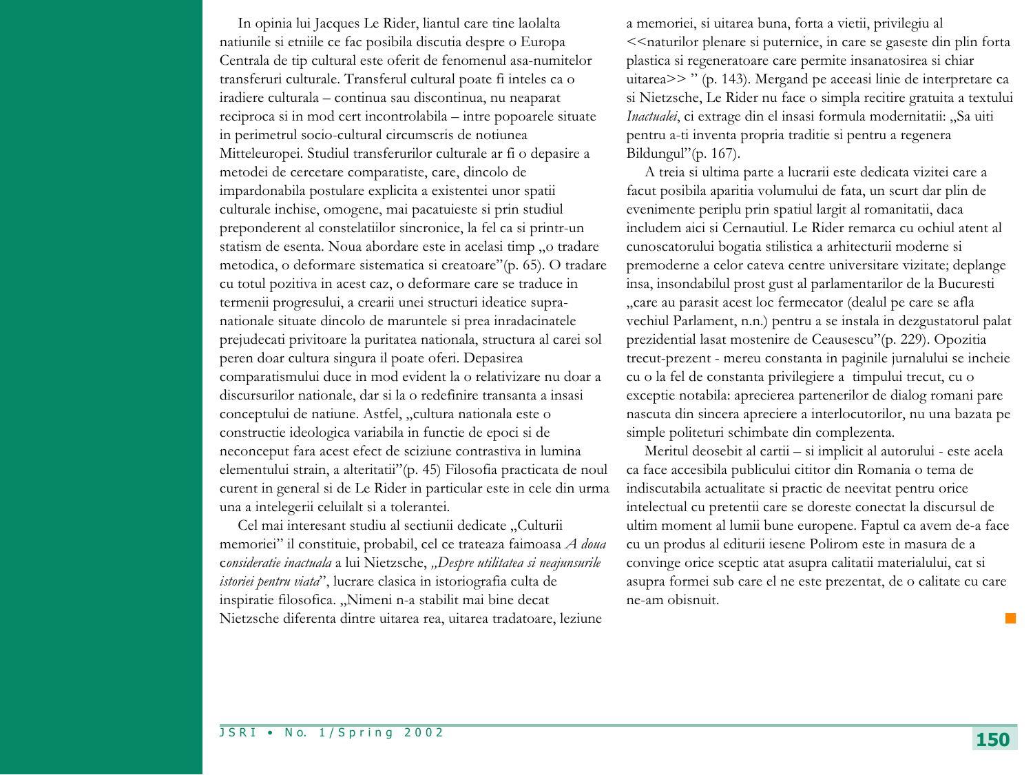In opinia lui Jacques Le Rider, liantul care tine laolalta natiunile si etniile ce fac posibila discutia despre o Europa Centrala de tip cultural este oferit de fenomenul asa-numitelor transferuri culturale. Transferul cultural poate fi inteles ca o iradiere culturala - continua sau discontinua, nu neaparat reciproca si in mod cert incontrolabila – intre popoarele situate in perimetrul socio-cultural circumscris de notiunea Mitteleuropei. Studiul transferurilor culturale ar fi o depasire a metodei de cercetare comparatiste, care, dincolo de impardonabila postulare explicita a existentei unor spatii culturale inchise, omogene, mai pacatuieste si prin studiul preponderent al constelatiilor sincronice, la fel ca si printr-un statism de esenta. Noua abordare este in acelasi timp "o tradare metodica, o deformare sistematica si creatoare" (p. 65). O tradare cu totul pozitiva in acest caz, o deformare care se traduce in termenii progresului, a crearii unei structuri ideatice supranationale situate dincolo de maruntele si prea inradacinatele prejudecati privitoare la puritatea nationala, structura al carei sol peren doar cultura singura il poate oferi. Depasirea comparatismului duce in mod evident la o relativizare nu doar a discursurilor nationale, dar si la o redefinire transanta a insasi conceptului de natiune. Astfel, "cultura nationala este o constructie ideologica variabila in functie de epoci si de neconceput fara acest efect de sciziune contrastiva in lumina elementului strain, a alteritatii"(p. 45) Filosofia practicata de noul curent in general si de Le Rider in particular este in cele din urma una a intelegerii celuilalt si a tolerantei.

Cel mai interesant studiu al sectiunii dedicate "Culturii memoriei" il constituie, probabil, cel ce trateaza faimoasa A doua consideratie inactuala a lui Nietzsche, "Despre utilitatea si neajunsurile istoriei pentru viata", lucrare clasica in istoriografia culta de inspiratie filosofica. "Nimeni n-a stabilit mai bine decat Nietzsche diferenta dintre uitarea rea, uitarea tradatoare, leziune

a memoriei, si uitarea buna, forta a vietii, privilegiu al plastica si regeneratoare care permite insanatosirea si chiar uitarea>>" (p. 143). Mergand pe aceeasi linie de interpretare ca si Nietzsche, Le Rider nu face o simpla recitire gratuita a textului Inactualei, ci extrage din el insasi formula modernitatii: "Sa uiti pentru a-ti inventa propria traditie si pentru a regenera Bildungul"(p. 167).

A treia si ultima parte a lucrarii este dedicata vizitei care a facut posibila aparitia volumului de fata, un scurt dar plin de evenimente periplu prin spatiul largit al romanitatii, daca includem aici si Cernautiul. Le Rider remarca cu ochiul atent al cunoscatorului bogatia stilistica a arhitecturii moderne si premoderne a celor cateva centre universitare vizitate; deplange insa, insondabilul prost gust al parlamentarilor de la Bucuresti "care au parasit acest loc fermecator (dealul pe care se afla vechiul Parlament, n.n.) pentru a se instala in dezgustatorul palat prezidential lasat mostenire de Ceausescu" (p. 229). Opozitia trecut-prezent - mereu constanta in paginile jurnalului se incheie cu o la fel de constanta privilegiere a timpului trecut, cu o exceptie notabila: aprecierea partenerilor de dialog romani pare nascuta din sincera apreciere a interlocutorilor, nu una bazata pe simple politeturi schimbate din complezenta.

Meritul deosebit al cartii - si implicit al autorului - este acela ca face accesibila publicului cititor din Romania o tema de indiscutabila actualitate si practic de neevitat pentru orice intelectual cu pretentii care se doreste conectat la discursul de ultim moment al lumii bune europene. Faptul ca avem de-a face cu un produs al editurii iesene Polirom este in masura de a convinge orice sceptic atat asupra calitatii materialului, cat si asupra formei sub care el ne este prezentat, de o calitate cu care ne-am obisnuit.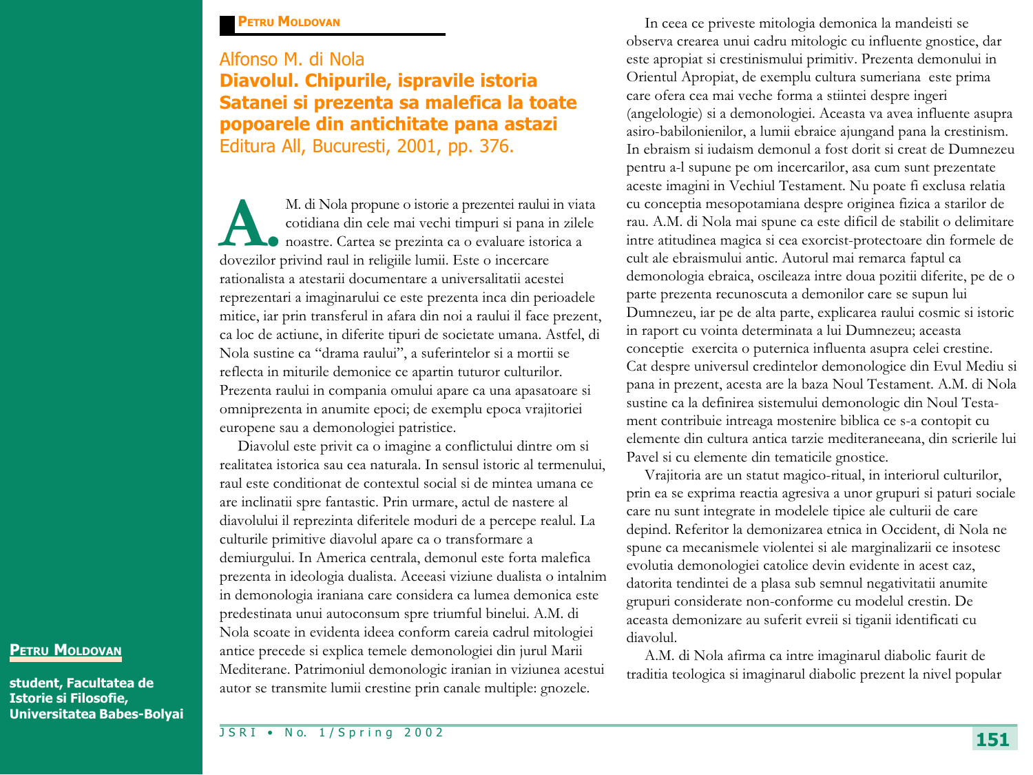#### **PETRU MOLDOVAN**

# Alfonso M. di Nola Diavolul. Chipurile, ispravile istoria Satanei si prezenta sa malefica la toate popoarele din antichitate pana astazi Editura All, Bucuresti, 2001, pp. 376.

M. di Nola propune o istorie a prezentei raului in viata cotidiana din cele mai vechi timpuri si pana in zilele noastre. Cartea se prezinta ca o evaluare istorica a dovezilor privind raul in religiile lumii. Este o incercare rationalista a atestarii documentare a universalitatii acestei reprezentari a imaginarului ce este prezenta inca din perioadele mitice, iar prin transferul in afara din noi a raului il face prezent, ca loc de actiune, in diferite tipuri de societate umana. Astfel, di Nola sustine ca "drama raului", a suferintelor si a mortii se reflecta in miturile demonice ce apartin tuturor culturilor. Prezenta raului in compania omului apare ca una apasatoare si omniprezenta in anumite epoci; de exemplu epoca vrajitoriei europene sau a demonologiei patristice.

Diavolul este privit ca o imagine a conflictului dintre om si realitatea istorica sau cea naturala. In sensul istoric al termenului, raul este conditionat de contextul social si de mintea umana ce are inclinatii spre fantastic. Prin urmare, actul de nastere al diavolului il reprezinta diferitele moduri de a percepe realul. La culturile primitive diavolul apare ca o transformare a demiurgului. In America centrala, demonul este forta malefica prezenta in ideologia dualista. Aceeasi viziune dualista o intalnim in demonologia iraniana care considera ca lumea demonica este predestinata unui autoconsum spre triumful binelui. A.M. di Nola scoate in evidenta ideea conform careia cadrul mitologiei antice precede si explica temele demonologiei din jurul Marii Mediterane. Patrimoniul demonologic iranian in viziunea acestui autor se transmite lumii crestine prin canale multiple: gnozele.

In ceea ce priveste mitologia demonica la mandeisti se observa crearea unui cadru mitologic cu influente gnostice, dar este apropiat si crestinismului primitiv. Prezenta demonului in Orientul Apropiat, de exemplu cultura sumeriana este prima care ofera cea mai veche forma a stiintei despre ingeri (angelologie) si a demonologiei. Aceasta va avea influente asupra asiro-babilonienilor, a lumii ebraice ajungand pana la crestinism. In ebraism si judaism demonul a fost dorit si creat de Dumnezeu pentru a-l supune pe om incercarilor, asa cum sunt prezentate aceste imagini in Vechiul Testament. Nu poate fi exclusa relatia cu conceptia mesopotamiana despre originea fizica a starilor de rau. A.M. di Nola mai spune ca este dificil de stabilit o delimitare intre atitudinea magica si cea exorcist-protectoare din formele de cult ale ebraismului antic. Autorul mai remarca faptul ca demonologia ebraica, oscileaza intre doua pozitii diferite, pe de o parte prezenta recunoscuta a demonilor care se supun lui Dumnezeu, iar pe de alta parte, explicarea raului cosmic si istoric in raport cu vointa determinata a lui Dumnezeu; aceasta conceptie exercita o puternica influenta asupra celei crestine. Cat despre universul credintelor demonologice din Evul Mediu si pana in prezent, acesta are la baza Noul Testament. A.M. di Nola sustine ca la definirea sistemului demonologic din Noul Testament contribuie intreaga mostenire biblica ce s-a contopit cu elemente din cultura antica tarzie mediteraneeana, din scrierile lui Pavel si cu elemente din tematicile gnostice.

Vrajitoria are un statut magico-ritual, in interiorul culturilor, prin ea se exprima reactia agresiva a unor grupuri si paturi sociale care nu sunt integrate in modelele tipice ale culturii de care depind. Referitor la demonizarea etnica in Occident, di Nola ne spune ca mecanismele violentei si ale marginalizarii ce insotesc evolutia demonologiei catolice devin evidente in acest caz, datorita tendintei de a plasa sub semnul negativitatii anumite grupuri considerate non-conforme cu modelul crestin. De aceasta demonizare au suferit evreii si tiganii identificati cu diavolul.

A.M. di Nola afirma ca intre imaginarul diabolic faurit de traditia teologica si imaginarul diabolic prezent la nivel popular

### **PETRU MOLDOVAN**

student, Facultatea de **Istorie si Filosofie,** Universitatea Babes-Bolyai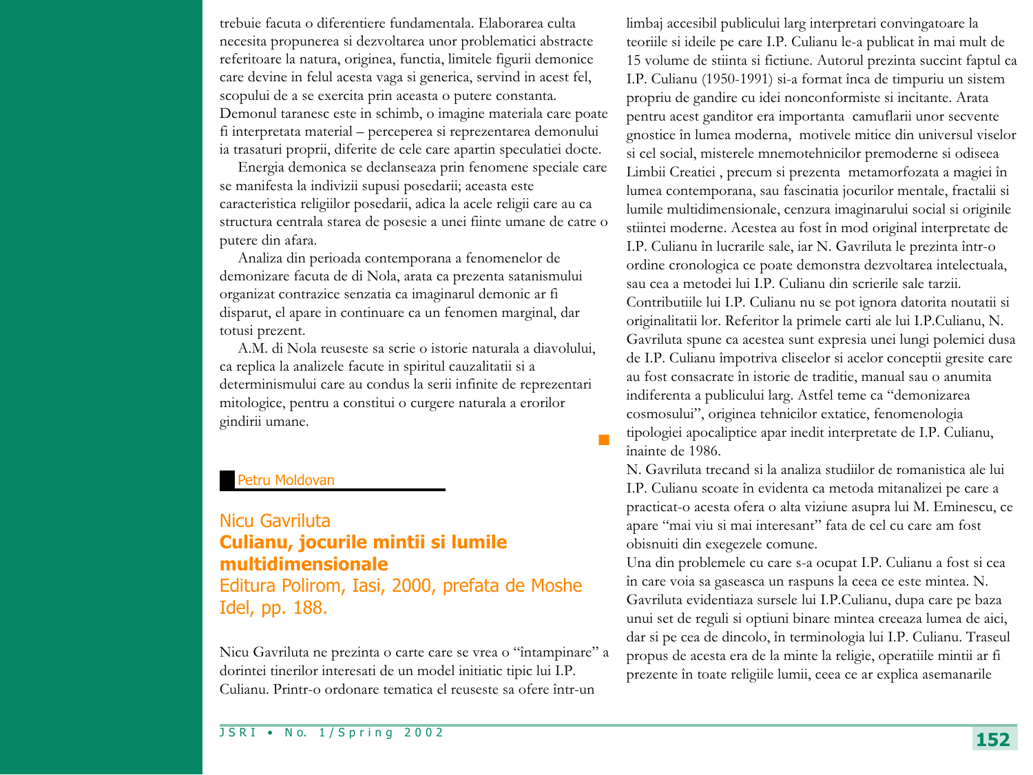trebuie facuta o diferentiere fundamentala. Elaborarea culta necesita propunerea si dezvoltarea unor problematici abstracte referitoare la natura, originea, functia, limitele figurii demonice care devine in felul acesta vaga si generica, servind in acest fel, scopului de a se exercita prin aceasta o putere constanta. Demonul taranesc este in schimb, o imagine materiala care poate fi interpretata material - perceperea si reprezentarea demonului ia trasaturi proprii, diferite de cele care apartin speculatiei docte.

Energia demonica se declanseaza prin fenomene speciale care se manifesta la indivizii supusi posedarii; aceasta este caracteristica religiilor posedarii, adica la acele religii care au ca structura centrala starea de posesie a unei fiinte umane de catre o putere din afara.

Analiza din perioada contemporana a fenomenelor de demonizare facuta de di Nola, arata ca prezenta satanismului organizat contrazice senzatia ca imaginarul demonic ar fi disparut, el apare in continuare ca un fenomen marginal, dar totusi prezent.

A.M. di Nola reuseste sa scrie o istorie naturala a diavolului, ca replica la analizele facute in spiritul cauzalitatii si a determinismului care au condus la serii infinite de reprezentari mitologice, pentru a constitui o curgere naturala a erorilor gindirii umane.

### Petru Moldovan

## Nicu Gavriluta Culianu, jocurile mintii si lumile multidimensionale

Editura Polirom, Iasi, 2000, prefata de Moshe Idel, pp. 188.

Nicu Gavriluta ne prezinta o carte care se vrea o "întampinare" a dorintei tinerilor interesati de un model initiatic tipic lui I.P. Culianu. Printr-o ordonare tematica el reuseste sa ofere într-un

limbaj accesibil publicului larg interpretari convingatoare la teoriile si ideile pe care I.P. Culianu le-a publicat în mai mult de 15 volume de stiinta si fictiune. Autorul prezinta succint faptul ca I.P. Culianu (1950-1991) si-a format înca de timpuriu un sistem propriu de gandire cu idei nonconformiste si incitante. Arata pentru acest ganditor era importanta camuflarii unor secvente gnostice în lumea moderna, motivele mitice din universul viselor si cel social, misterele mnemotehnicilor premoderne si odiseea Limbii Creatiei, precum si prezenta metamorfozata a magiei în lumea contemporana, sau fascinatia jocurilor mentale, fractalii si lumile multidimensionale, cenzura imaginarului social si originile stiintei moderne. Acestea au fost în mod original interpretate de I.P. Culianu în lucrarile sale, iar N. Gavriluta le prezinta într-o ordine cronologica ce poate demonstra dezvoltarea intelectuala, sau cea a metodei lui I.P. Culianu din scrierile sale tarzii. Contributiile lui I.P. Culianu nu se pot ignora datorita noutatii si originalitatii lor. Referitor la primele carti ale lui I.P.Culianu, N. Gavriluta spune ca acestea sunt expresia unei lungi polemici dusa de I.P. Culianu împotriva cliseelor si acelor conceptii gresite care au fost consacrate în istorie de traditie, manual sau o anumita indiferenta a publicului larg. Astfel teme ca "demonizarea cosmosului", originea tehnicilor extatice, fenomenologia tipologiei apocaliptice apar inedit interpretate de I.P. Culianu, înainte de 1986.

N. Gavriluta trecand si la analiza studiilor de romanistica ale lui I.P. Culianu scoate în evidenta ca metoda mitanalizei pe care a practicat-o acesta ofera o alta viziune asupra lui M. Eminescu, ce apare "mai viu si mai interesant" fata de cel cu care am fost obisnuiti din exegezele comune.

Una din problemele cu care s-a ocupat I.P. Culianu a fost si cea în care voia sa gaseasca un raspuns la ceea ce este mintea. N. Gavriluta evidentiaza sursele lui I.P.Culianu, dupa care pe baza unui set de reguli si optiuni binare mintea creeaza lumea de aici, dar si pe cea de dincolo, în terminologia lui I.P. Culianu. Traseul propus de acesta era de la minte la religie, operatiile mintii ar fi prezente în toate religiile lumii, ceea ce ar explica asemanarile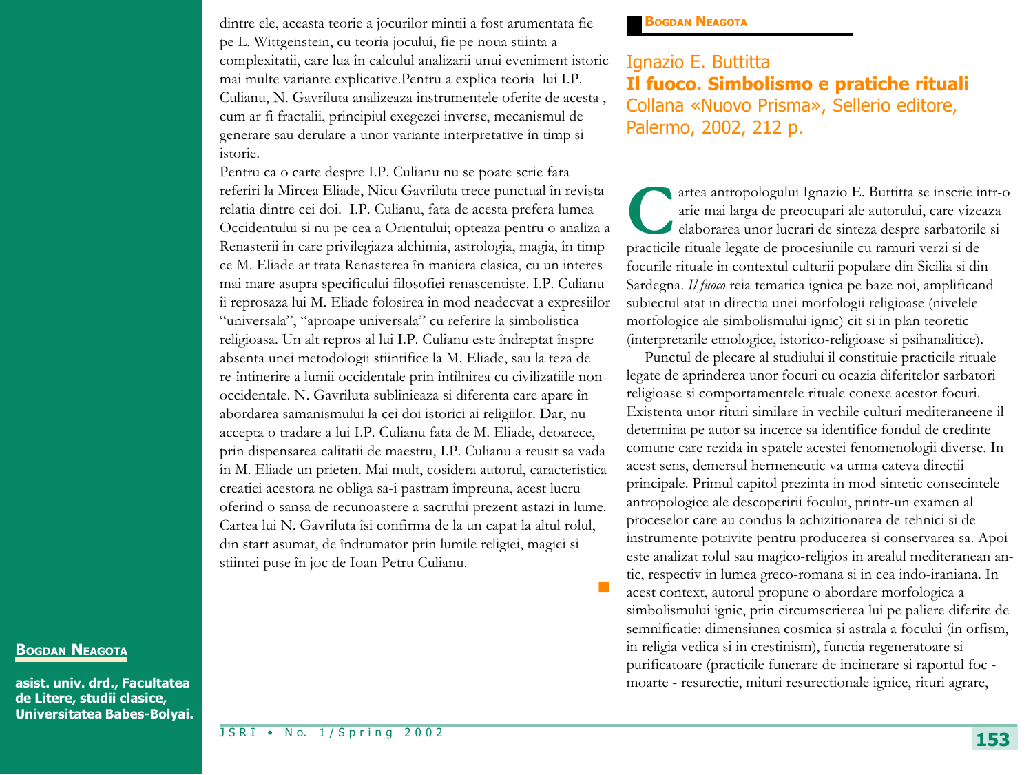dintre ele, aceasta teorie a jocurilor mintii a fost arumentata fie pe L. Wittgenstein, cu teoria jocului, fie pe noua stiinta a complexitatii, care lua în calculul analizarii unui eveniment istoric mai multe variante explicative.Pentru a explica teoria lui I.P. Culianu, N. Gavriluta analizeaza instrumentele oferite de acesta, cum ar fi fractalii, principiul exegezei inverse, mecanismul de generare sau derulare a unor variante interpretative în timp si istorie.

Pentru ca o carte despre I.P. Culianu nu se poate scrie fara referiri la Mircea Eliade, Nicu Gavriluta trece punctual în revista relatia dintre cei doi. I.P. Culianu, fata de acesta prefera lumea Occidentului si nu pe cea a Orientului; opteaza pentru o analiza a Renasterii în care privilegiaza alchimia, astrologia, magia, în timp ce M. Eliade ar trata Renasterea în maniera clasica, cu un interes mai mare asupra specificului filosofiei renascentiste. I.P. Culianu îi reprosaza lui M. Eliade folosirea în mod neadecvat a expresiilor "universala", "aproape universala" cu referire la simbolistica religioasa. Un alt repros al lui I.P. Culianu este îndreptat înspre absenta unei metodologii stiintifice la M. Eliade, sau la teza de re-întinerire a lumii occidentale prin întîlnirea cu civilizatiile nonoccidentale. N. Gavriluta sublinieaza si diferenta care apare în abordarea samanismului la cei doi istorici ai religiilor. Dar, nu accepta o tradare a lui I.P. Culianu fata de M. Eliade, deoarece, prin dispensarea calitatii de maestru, I.P. Culianu a reusit sa vada în M. Eliade un prieten. Mai mult, cosidera autorul, caracteristica creatiei acestora ne obliga sa-i pastram împreuna, acest lucru oferind o sansa de recunoastere a sacrului prezent astazi in lume. Cartea lui N. Gavriluta îsi confirma de la un capat la altul rolul, din start asumat, de îndrumator prin lumile religiei, magiei si stiintei puse în joc de Ioan Petru Culianu.

### **BOGDAN NEAGOTA**

 $\Box$ 

Ignazio E. Buttitta Il fuoco. Simbolismo e pratiche rituali Collana «Nuovo Prisma», Sellerio editore, Palermo, 2002, 212 p.

artea antropologului Ignazio E. Buttitta se inscrie intr-o arie mai larga de preocupari ale autorului, care vizeaza elaborarea unor lucrari de sinteza despre sarbatorile si practicile rituale legate de procesiunile cu ramuri verzi si de focurile rituale in contextul culturii populare din Sicilia si din Sardegna. Il fuoco reia tematica ignica pe baze noi, amplificand subiectul atat in directia unei morfologii religioase (nivelele morfologice ale simbolismului ignic) cit si in plan teoretic (interpretarile etnologice, istorico-religioase si psihanalitice).

Punctul de plecare al studiului il constituie practicile rituale legate de aprinderea unor focuri cu ocazia diferitelor sarbatori religioase si comportamentele rituale conexe acestor focuri. Existenta unor rituri similare in vechile culturi mediteraneene il determina pe autor sa incerce sa identifice fondul de credinte comune care rezida in spatele acestei fenomenologii diverse. In acest sens, demersul hermeneutic va urma cateva directii principale. Primul capitol prezinta in mod sintetic consecintele antropologice ale descoperirii focului, printr-un examen al proceselor care au condus la achizitionarea de tehnici si de instrumente potrivite pentru producerea si conservarea sa. Apoi este analizat rolul sau magico-religios in arealul mediteranean antic, respectiv in lumea greco-romana si in cea indo-iraniana. In acest context, autorul propune o abordare morfologica a simbolismului ignic, prin circumscrierea lui pe paliere diferite de semnificatie: dimensiunea cosmica si astrala a focului (in orfism, in religia vedica si in crestinism), functia regeneratoare si purificatoare (practicile funerare de incinerare si raportul foc moarte - resurectie, mituri resurectionale ignice, rituri agrare,

#### **BOGDAN NEAGOTA**

asist. univ. drd., Facultatea de Litere, studii clasice, Universitatea Babes-Bolyai.